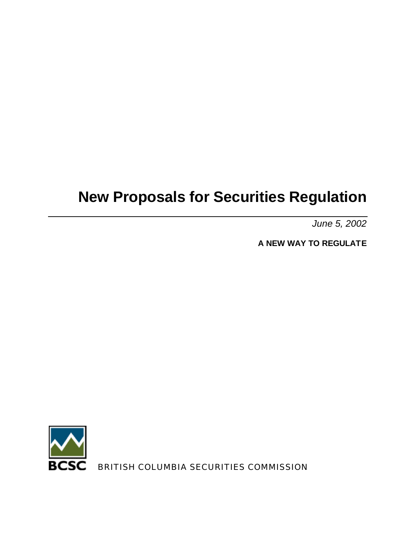# **New Proposals for Securities Regulation**

*June 5, 2002*

**A NEW WAY TO REGULATE**



BRITISH COLUMBIA SECURITIES COMMISSION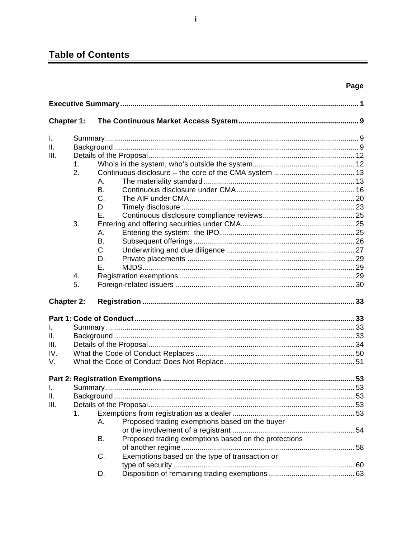# **Table of Contents**

# Page

| Chapter 1:                    |                     |                                                                                                                                                                                         |  |  |  |  |  |
|-------------------------------|---------------------|-----------------------------------------------------------------------------------------------------------------------------------------------------------------------------------------|--|--|--|--|--|
| I.<br>II.<br>III.             | $\mathbf 1$ .<br>2. | А.<br><b>B.</b><br>C.<br>D.<br>Е.                                                                                                                                                       |  |  |  |  |  |
|                               | 3.<br>4.<br>5.      | А.<br>B.<br>C.<br>D.<br>F.                                                                                                                                                              |  |  |  |  |  |
| <b>Chapter 2:</b>             |                     |                                                                                                                                                                                         |  |  |  |  |  |
| L.<br>Ⅱ.<br>III.<br>IV.<br>V. |                     |                                                                                                                                                                                         |  |  |  |  |  |
| L<br>Ш.<br>III.               | 1.                  | Proposed trading exemptions based on the buyer<br>А.<br><b>B.</b><br>Proposed trading exemptions based on the protections<br>Exemptions based on the type of transaction or<br>C.<br>D. |  |  |  |  |  |

 $\mathbf{i}$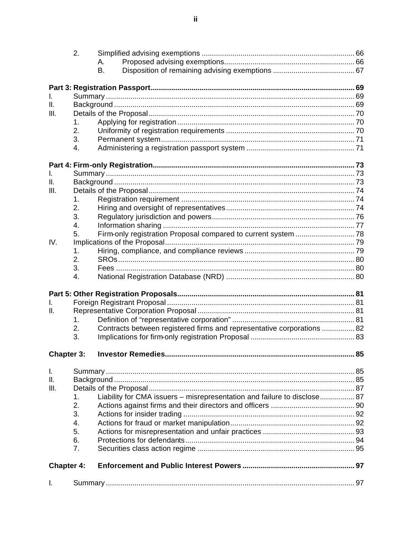|                   | 2.          |                                                                          |  |
|-------------------|-------------|--------------------------------------------------------------------------|--|
|                   |             | А.                                                                       |  |
|                   |             | B.                                                                       |  |
|                   |             |                                                                          |  |
|                   |             |                                                                          |  |
| Ⅱ.                |             |                                                                          |  |
| III.              |             |                                                                          |  |
|                   | $\mathbf 1$ |                                                                          |  |
|                   | 2.          |                                                                          |  |
|                   | 3.          |                                                                          |  |
|                   | 4.          |                                                                          |  |
|                   |             |                                                                          |  |
|                   |             |                                                                          |  |
| Ⅱ.                |             |                                                                          |  |
| III.              |             |                                                                          |  |
|                   | 1.          |                                                                          |  |
|                   | 2.          |                                                                          |  |
|                   | 3.          |                                                                          |  |
|                   | 4.          |                                                                          |  |
|                   | 5.          |                                                                          |  |
| IV.               |             |                                                                          |  |
|                   | 1.          |                                                                          |  |
|                   | 2.          |                                                                          |  |
|                   | 3.          |                                                                          |  |
|                   | 4.          |                                                                          |  |
|                   |             |                                                                          |  |
|                   |             |                                                                          |  |
| Ⅱ.                |             |                                                                          |  |
|                   | 1.          |                                                                          |  |
|                   | 2.          | Contracts between registered firms and representative corporations  82   |  |
|                   | 3.          |                                                                          |  |
| Chapter 3:        |             |                                                                          |  |
| I.                |             |                                                                          |  |
| II.               |             |                                                                          |  |
| III.              |             |                                                                          |  |
|                   | 1.          | Liability for CMA issuers - misrepresentation and failure to disclose 87 |  |
|                   | 2.          |                                                                          |  |
|                   | 3.          |                                                                          |  |
|                   | 4.          |                                                                          |  |
|                   | 5.          |                                                                          |  |
|                   | 6.          |                                                                          |  |
|                   | 7.          |                                                                          |  |
| <b>Chapter 4:</b> |             |                                                                          |  |
| Ι.                |             |                                                                          |  |
|                   |             |                                                                          |  |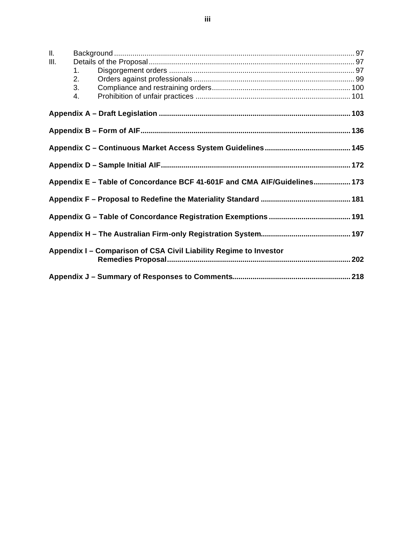| II.<br>III. | 1.<br>2.<br>3.<br>4. |                                                                          |  |
|-------------|----------------------|--------------------------------------------------------------------------|--|
|             |                      |                                                                          |  |
|             |                      |                                                                          |  |
|             |                      |                                                                          |  |
|             |                      |                                                                          |  |
|             |                      | Appendix E - Table of Concordance BCF 41-601F and CMA AIF/Guidelines 173 |  |
|             |                      |                                                                          |  |
|             |                      |                                                                          |  |
|             |                      |                                                                          |  |
|             |                      | Appendix I – Comparison of CSA Civil Liability Regime to Investor        |  |
|             |                      |                                                                          |  |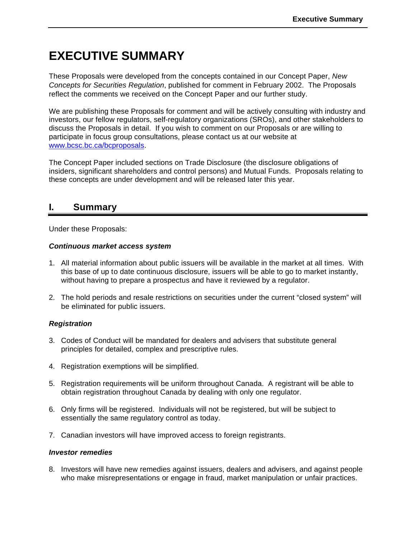# **EXECUTIVE SUMMARY**

These Proposals were developed from the concepts contained in our Concept Paper, *New Concepts for Securities Regulation*, published for comment in February 2002. The Proposals reflect the comments we received on the Concept Paper and our further study.

We are publishing these Proposals for comment and will be actively consulting with industry and investors, our fellow regulators, self-regulatory organizations (SROs), and other stakeholders to discuss the Proposals in detail. If you wish to comment on our Proposals or are willing to participate in focus group consultations, please contact us at our website at www.bcsc.bc.ca/bcproposals.

The Concept Paper included sections on Trade Disclosure (the disclosure obligations of insiders, significant shareholders and control persons) and Mutual Funds. Proposals relating to these concepts are under development and will be released later this year.

# **I. Summary**

Under these Proposals:

#### *Continuous market access system*

- 1. All material information about public issuers will be available in the market at all times. With this base of up to date continuous disclosure, issuers will be able to go to market instantly, without having to prepare a prospectus and have it reviewed by a regulator.
- 2. The hold periods and resale restrictions on securities under the current "closed system" will be eliminated for public issuers.

#### *Registration*

- 3. Codes of Conduct will be mandated for dealers and advisers that substitute general principles for detailed, complex and prescriptive rules.
- 4. Registration exemptions will be simplified.
- 5. Registration requirements will be uniform throughout Canada. A registrant will be able to obtain registration throughout Canada by dealing with only one regulator.
- 6. Only firms will be registered. Individuals will not be registered, but will be subject to essentially the same regulatory control as today.
- 7. Canadian investors will have improved access to foreign registrants.

#### *Investor remedies*

8. Investors will have new remedies against issuers, dealers and advisers, and against people who make misrepresentations or engage in fraud, market manipulation or unfair practices.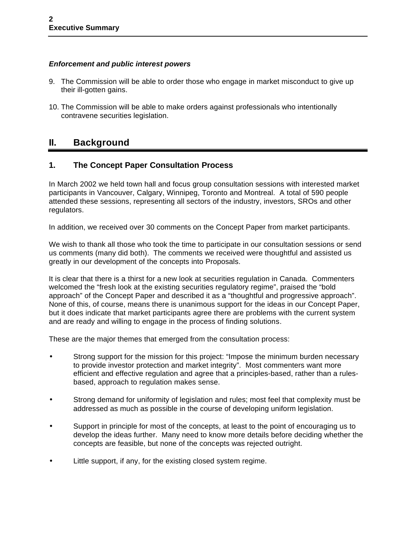#### *Enforcement and public interest powers*

- 9. The Commission will be able to order those who engage in market misconduct to give up their ill-gotten gains.
- 10. The Commission will be able to make orders against professionals who intentionally contravene securities legislation.

# **II. Background**

# **1. The Concept Paper Consultation Process**

In March 2002 we held town hall and focus group consultation sessions with interested market participants in Vancouver, Calgary, Winnipeg, Toronto and Montreal. A total of 590 people attended these sessions, representing all sectors of the industry, investors, SROs and other regulators.

In addition, we received over 30 comments on the Concept Paper from market participants.

We wish to thank all those who took the time to participate in our consultation sessions or send us comments (many did both). The comments we received were thoughtful and assisted us greatly in our development of the concepts into Proposals.

It is clear that there is a thirst for a new look at securities regulation in Canada. Commenters welcomed the "fresh look at the existing securities regulatory regime", praised the "bold approach" of the Concept Paper and described it as a "thoughtful and progressive approach". None of this, of course, means there is unanimous support for the ideas in our Concept Paper, but it does indicate that market participants agree there are problems with the current system and are ready and willing to engage in the process of finding solutions.

These are the major themes that emerged from the consultation process:

- Strong support for the mission for this project: "Impose the minimum burden necessary to provide investor protection and market integrity". Most commenters want more efficient and effective regulation and agree that a principles-based, rather than a rulesbased, approach to regulation makes sense.
- Strong demand for uniformity of legislation and rules; most feel that complexity must be addressed as much as possible in the course of developing uniform legislation.
- Support in principle for most of the concepts, at least to the point of encouraging us to develop the ideas further. Many need to know more details before deciding whether the concepts are feasible, but none of the concepts was rejected outright.
- Little support, if any, for the existing closed system regime.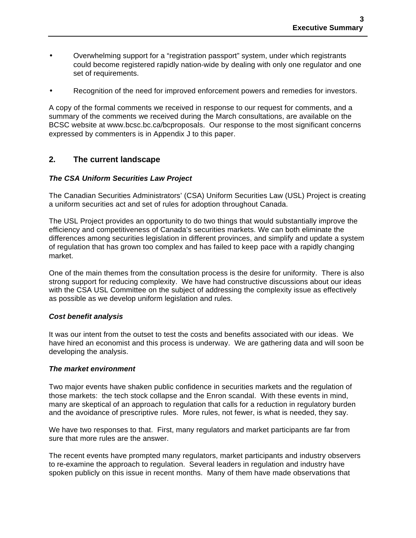- Overwhelming support for a "registration passport" system, under which registrants could become registered rapidly nation-wide by dealing with only one regulator and one set of requirements.
- Recognition of the need for improved enforcement powers and remedies for investors.

A copy of the formal comments we received in response to our request for comments, and a summary of the comments we received during the March consultations, are available on the BCSC website at www.bcsc.bc.ca/bcproposals. Our response to the most significant concerns expressed by commenters is in Appendix J to this paper.

### **2. The current landscape**

#### *The CSA Uniform Securities Law Project*

The Canadian Securities Administrators' (CSA) Uniform Securities Law (USL) Project is creating a uniform securities act and set of rules for adoption throughout Canada.

The USL Project provides an opportunity to do two things that would substantially improve the efficiency and competitiveness of Canada's securities markets. We can both eliminate the differences among securities legislation in different provinces, and simplify and update a system of regulation that has grown too complex and has failed to keep pace with a rapidly changing market.

One of the main themes from the consultation process is the desire for uniformity. There is also strong support for reducing complexity. We have had constructive discussions about our ideas with the CSA USL Committee on the subject of addressing the complexity issue as effectively as possible as we develop uniform legislation and rules.

#### *Cost benefit analysis*

It was our intent from the outset to test the costs and benefits associated with our ideas. We have hired an economist and this process is underway. We are gathering data and will soon be developing the analysis.

#### *The market environment*

Two major events have shaken public confidence in securities markets and the regulation of those markets: the tech stock collapse and the Enron scandal. With these events in mind, many are skeptical of an approach to regulation that calls for a reduction in regulatory burden and the avoidance of prescriptive rules. More rules, not fewer, is what is needed, they say.

We have two responses to that. First, many regulators and market participants are far from sure that more rules are the answer.

The recent events have prompted many regulators, market participants and industry observers to re-examine the approach to regulation. Several leaders in regulation and industry have spoken publicly on this issue in recent months. Many of them have made observations that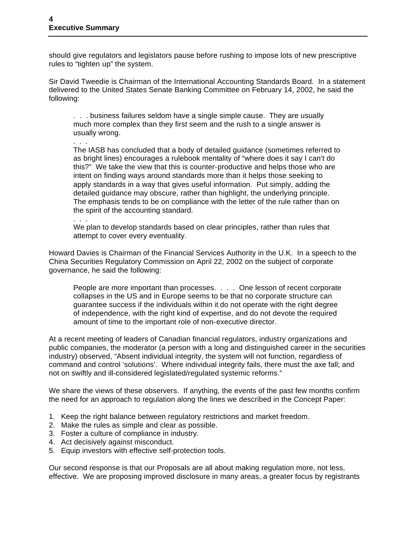. . .

should give regulators and legislators pause before rushing to impose lots of new prescriptive rules to "tighten up" the system.

Sir David Tweedie is Chairman of the International Accounting Standards Board. In a statement delivered to the United States Senate Banking Committee on February 14, 2002, he said the following:

. . . business failures seldom have a single simple cause. They are usually much more complex than they first seem and the rush to a single answer is usually wrong.

. . . The IASB has concluded that a body of detailed guidance (sometimes referred to as bright lines) encourages a rulebook mentality of "where does it say I can't do this?" We take the view that this is counter-productive and helps those who are intent on finding ways around standards more than it helps those seeking to apply standards in a way that gives useful information. Put simply, adding the detailed guidance may obscure, rather than highlight, the underlying principle. The emphasis tends to be on compliance with the letter of the rule rather than on the spirit of the accounting standard.

We plan to develop standards based on clear principles, rather than rules that attempt to cover every eventuality.

Howard Davies is Chairman of the Financial Services Authority in the U.K. In a speech to the China Securities Regulatory Commission on April 22, 2002 on the subject of corporate governance, he said the following:

People are more important than processes. . . . One lesson of recent corporate collapses in the US and in Europe seems to be that no corporate structure can guarantee success if the individuals within it do not operate with the right degree of independence, with the right kind of expertise, and do not devote the required amount of time to the important role of non-executive director.

At a recent meeting of leaders of Canadian financial regulators, industry organizations and public companies, the moderator (a person with a long and distinguished career in the securities industry) observed, "Absent individual integrity, the system will not function, regardless of command and control 'solutions'. Where individual integrity fails, there must the axe fall; and not on swiftly and ill-considered legislated/regulated systemic reforms."

We share the views of these observers. If anything, the events of the past few months confirm the need for an approach to regulation along the lines we described in the Concept Paper:

- 1. Keep the right balance between regulatory restrictions and market freedom.
- 2. Make the rules as simple and clear as possible.
- 3. Foster a culture of compliance in industry.
- 4. Act decisively against misconduct.
- 5. Equip investors with effective self-protection tools.

Our second response is that our Proposals are all about making regulation more, not less, effective. We are proposing improved disclosure in many areas, a greater focus by registrants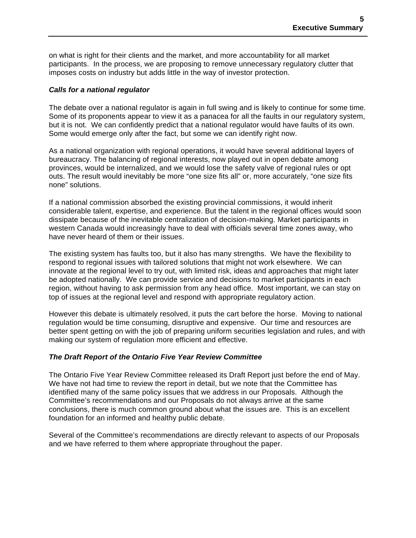on what is right for their clients and the market, and more accountability for all market participants. In the process, we are proposing to remove unnecessary regulatory clutter that imposes costs on industry but adds little in the way of investor protection.

#### *Calls for a national regulator*

The debate over a national regulator is again in full swing and is likely to continue for some time. Some of its proponents appear to view it as a panacea for all the faults in our regulatory system, but it is not. We can confidently predict that a national regulator would have faults of its own. Some would emerge only after the fact, but some we can identify right now.

As a national organization with regional operations, it would have several additional layers of bureaucracy. The balancing of regional interests, now played out in open debate among provinces, would be internalized, and we would lose the safety valve of regional rules or opt outs. The result would inevitably be more "one size fits all" or, more accurately, "one size fits none" solutions.

If a national commission absorbed the existing provincial commissions, it would inherit considerable talent, expertise, and experience. But the talent in the regional offices would soon dissipate because of the inevitable centralization of decision-making. Market participants in western Canada would increasingly have to deal with officials several time zones away, who have never heard of them or their issues.

The existing system has faults too, but it also has many strengths. We have the flexibility to respond to regional issues with tailored solutions that might not work elsewhere. We can innovate at the regional level to try out, with limited risk, ideas and approaches that might later be adopted nationally. We can provide service and decisions to market participants in each region, without having to ask permission from any head office. Most important, we can stay on top of issues at the regional level and respond with appropriate regulatory action.

However this debate is ultimately resolved, it puts the cart before the horse. Moving to national regulation would be time consuming, disruptive and expensive. Our time and resources are better spent getting on with the job of preparing uniform securities legislation and rules, and with making our system of regulation more efficient and effective.

#### *The Draft Report of the Ontario Five Year Review Committee*

The Ontario Five Year Review Committee released its Draft Report just before the end of May. We have not had time to review the report in detail, but we note that the Committee has identified many of the same policy issues that we address in our Proposals. Although the Committee's recommendations and our Proposals do not always arrive at the same conclusions, there is much common ground about what the issues are. This is an excellent foundation for an informed and healthy public debate.

Several of the Committee's recommendations are directly relevant to aspects of our Proposals and we have referred to them where appropriate throughout the paper.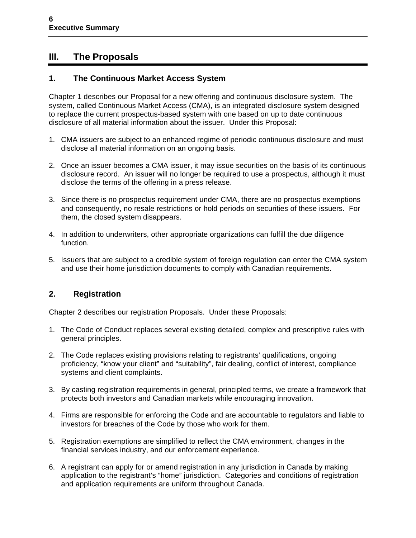# **III. The Proposals**

# **1. The Continuous Market Access System**

Chapter 1 describes our Proposal for a new offering and continuous disclosure system. The system, called Continuous Market Access (CMA), is an integrated disclosure system designed to replace the current prospectus-based system with one based on up to date continuous disclosure of all material information about the issuer. Under this Proposal:

- 1. CMA issuers are subject to an enhanced regime of periodic continuous disclosure and must disclose all material information on an ongoing basis.
- 2. Once an issuer becomes a CMA issuer, it may issue securities on the basis of its continuous disclosure record. An issuer will no longer be required to use a prospectus, although it must disclose the terms of the offering in a press release.
- 3. Since there is no prospectus requirement under CMA, there are no prospectus exemptions and consequently, no resale restrictions or hold periods on securities of these issuers. For them, the closed system disappears.
- 4. In addition to underwriters, other appropriate organizations can fulfill the due diligence function.
- 5. Issuers that are subject to a credible system of foreign regulation can enter the CMA system and use their home jurisdiction documents to comply with Canadian requirements.

# **2. Registration**

Chapter 2 describes our registration Proposals. Under these Proposals:

- 1. The Code of Conduct replaces several existing detailed, complex and prescriptive rules with general principles.
- 2. The Code replaces existing provisions relating to registrants' qualifications, ongoing proficiency, "know your client" and "suitability", fair dealing, conflict of interest, compliance systems and client complaints.
- 3. By casting registration requirements in general, principled terms, we create a framework that protects both investors and Canadian markets while encouraging innovation.
- 4. Firms are responsible for enforcing the Code and are accountable to regulators and liable to investors for breaches of the Code by those who work for them.
- 5. Registration exemptions are simplified to reflect the CMA environment, changes in the financial services industry, and our enforcement experience.
- 6. A registrant can apply for or amend registration in any jurisdiction in Canada by making application to the registrant's "home" jurisdiction. Categories and conditions of registration and application requirements are uniform throughout Canada.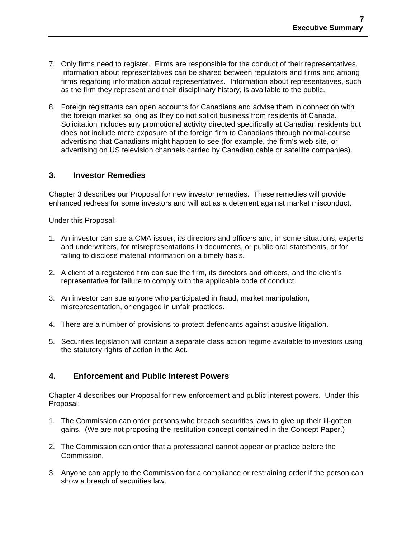- 7. Only firms need to register. Firms are responsible for the conduct of their representatives. Information about representatives can be shared between regulators and firms and among firms regarding information about representatives. Information about representatives, such as the firm they represent and their disciplinary history, is available to the public.
- 8. Foreign registrants can open accounts for Canadians and advise them in connection with the foreign market so long as they do not solicit business from residents of Canada. Solicitation includes any promotional activity directed specifically at Canadian residents but does not include mere exposure of the foreign firm to Canadians through normal-course advertising that Canadians might happen to see (for example, the firm's web site, or advertising on US television channels carried by Canadian cable or satellite companies).

# **3. Investor Remedies**

Chapter 3 describes our Proposal for new investor remedies. These remedies will provide enhanced redress for some investors and will act as a deterrent against market misconduct.

Under this Proposal:

- 1. An investor can sue a CMA issuer, its directors and officers and, in some situations, experts and underwriters, for misrepresentations in documents, or public oral statements, or for failing to disclose material information on a timely basis.
- 2. A client of a registered firm can sue the firm, its directors and officers, and the client's representative for failure to comply with the applicable code of conduct.
- 3. An investor can sue anyone who participated in fraud, market manipulation, misrepresentation, or engaged in unfair practices.
- 4. There are a number of provisions to protect defendants against abusive litigation.
- 5. Securities legislation will contain a separate class action regime available to investors using the statutory rights of action in the Act.

# **4. Enforcement and Public Interest Powers**

Chapter 4 describes our Proposal for new enforcement and public interest powers. Under this Proposal:

- 1. The Commission can order persons who breach securities laws to give up their ill-gotten gains. (We are not proposing the restitution concept contained in the Concept Paper.)
- 2. The Commission can order that a professional cannot appear or practice before the Commission.
- 3. Anyone can apply to the Commission for a compliance or restraining order if the person can show a breach of securities law.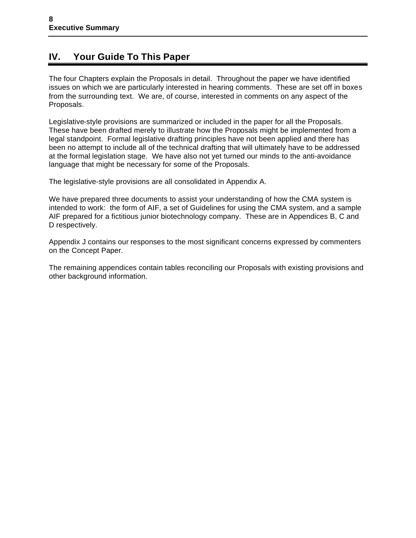# **IV. Your Guide To This Paper**

The four Chapters explain the Proposals in detail. Throughout the paper we have identified issues on which we are particularly interested in hearing comments. These are set off in boxes from the surrounding text. We are, of course, interested in comments on any aspect of the Proposals.

Legislative-style provisions are summarized or included in the paper for all the Proposals. These have been drafted merely to illustrate how the Proposals might be implemented from a legal standpoint. Formal legislative drafting principles have not been applied and there has been no attempt to include all of the technical drafting that will ultimately have to be addressed at the formal legislation stage. We have also not yet turned our minds to the anti-avoidance language that might be necessary for some of the Proposals.

The legislative-style provisions are all consolidated in Appendix A.

We have prepared three documents to assist your understanding of how the CMA system is intended to work: the form of AIF, a set of Guidelines for using the CMA system, and a sample AIF prepared for a fictitious junior biotechnology company. These are in Appendices B, C and D respectively.

Appendix J contains our responses to the most significant concerns expressed by commenters on the Concept Paper.

The remaining appendices contain tables reconciling our Proposals with existing provisions and other background information.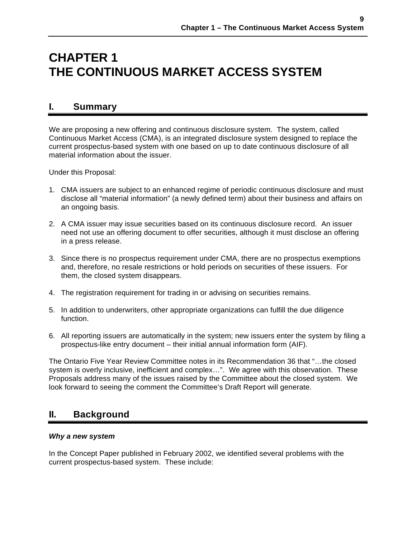# **CHAPTER 1 THE CONTINUOUS MARKET ACCESS SYSTEM**

# **I. Summary**

We are proposing a new offering and continuous disclosure system. The system, called Continuous Market Access (CMA), is an integrated disclosure system designed to replace the current prospectus-based system with one based on up to date continuous disclosure of all material information about the issuer.

Under this Proposal:

- 1. CMA issuers are subject to an enhanced regime of periodic continuous disclosure and must disclose all "material information" (a newly defined term) about their business and affairs on an ongoing basis.
- 2. A CMA issuer may issue securities based on its continuous disclosure record. An issuer need not use an offering document to offer securities, although it must disclose an offering in a press release.
- 3. Since there is no prospectus requirement under CMA, there are no prospectus exemptions and, therefore, no resale restrictions or hold periods on securities of these issuers. For them, the closed system disappears.
- 4. The registration requirement for trading in or advising on securities remains.
- 5. In addition to underwriters, other appropriate organizations can fulfill the due diligence function.
- 6. All reporting issuers are automatically in the system; new issuers enter the system by filing a prospectus-like entry document – their initial annual information form (AIF).

The Ontario Five Year Review Committee notes in its Recommendation 36 that "…the closed system is overly inclusive, inefficient and complex...". We agree with this observation. These Proposals address many of the issues raised by the Committee about the closed system. We look forward to seeing the comment the Committee's Draft Report will generate.

# **II. Background**

#### *Why a new system*

In the Concept Paper published in February 2002, we identified several problems with the current prospectus-based system. These include: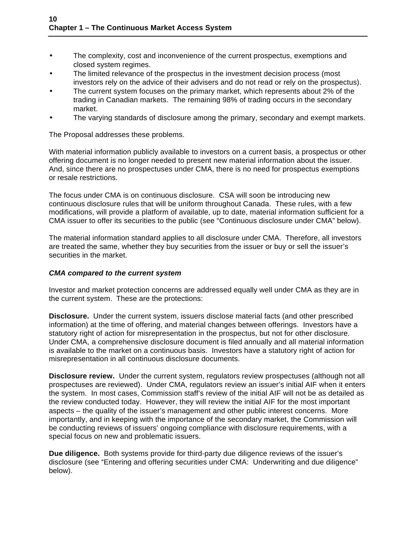- The complexity, cost and inconvenience of the current prospectus, exemptions and closed system regimes.
- The limited relevance of the prospectus in the investment decision process (most investors rely on the advice of their advisers and do not read or rely on the prospectus).
- The current system focuses on the primary market, which represents about 2% of the trading in Canadian markets. The remaining 98% of trading occurs in the secondary market.
- The varying standards of disclosure among the primary, secondary and exempt markets.

The Proposal addresses these problems.

With material information publicly available to investors on a current basis, a prospectus or other offering document is no longer needed to present new material information about the issuer. And, since there are no prospectuses under CMA, there is no need for prospectus exemptions or resale restrictions.

The focus under CMA is on continuous disclosure. CSA will soon be introducing new continuous disclosure rules that will be uniform throughout Canada. These rules, with a few modifications, will provide a platform of available, up to date, material information sufficient for a CMA issuer to offer its securities to the public (see "Continuous disclosure under CMA" below).

The material information standard applies to all disclosure under CMA. Therefore, all investors are treated the same, whether they buy securities from the issuer or buy or sell the issuer's securities in the market.

#### *CMA compared to the current system*

Investor and market protection concerns are addressed equally well under CMA as they are in the current system. These are the protections:

**Disclosure.** Under the current system, issuers disclose material facts (and other prescribed information) at the time of offering, and material changes between offerings. Investors have a statutory right of action for misrepresentation in the prospectus, but not for other disclosure. Under CMA, a comprehensive disclosure document is filed annually and all material information is available to the market on a continuous basis. Investors have a statutory right of action for misrepresentation in all continuous disclosure documents.

**Disclosure review.** Under the current system, regulators review prospectuses (although not all prospectuses are reviewed). Under CMA, regulators review an issuer's initial AIF when it enters the system. In most cases, Commission staff's review of the initial AIF will not be as detailed as the review conducted today. However, they will review the initial AIF for the most important aspects – the quality of the issuer's management and other public interest concerns. More importantly, and in keeping with the importance of the secondary market, the Commission will be conducting reviews of issuers' ongoing compliance with disclosure requirements, with a special focus on new and problematic issuers.

**Due diligence.** Both systems provide for third-party due diligence reviews of the issuer's disclosure (see "Entering and offering securities under CMA: Underwriting and due diligence" below).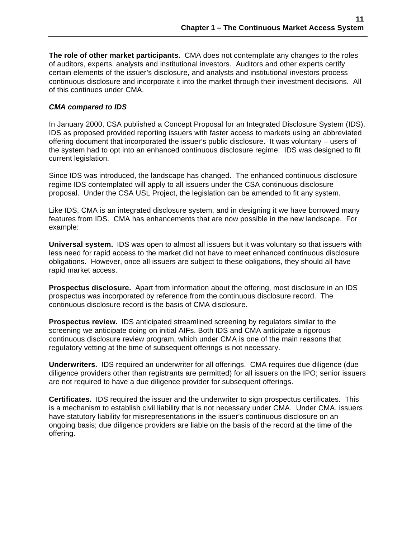**The role of other market participants.** CMA does not contemplate any changes to the roles of auditors, experts, analysts and institutional investors. Auditors and other experts certify certain elements of the issuer's disclosure, and analysts and institutional investors process continuous disclosure and incorporate it into the market through their investment decisions. All of this continues under CMA.

#### *CMA compared to IDS*

In January 2000, CSA published a Concept Proposal for an Integrated Disclosure System (IDS). IDS as proposed provided reporting issuers with faster access to markets using an abbreviated offering document that incorporated the issuer's public disclosure. It was voluntary – users of the system had to opt into an enhanced continuous disclosure regime. IDS was designed to fit current legislation.

Since IDS was introduced, the landscape has changed. The enhanced continuous disclosure regime IDS contemplated will apply to all issuers under the CSA continuous disclosure proposal. Under the CSA USL Project, the legislation can be amended to fit any system.

Like IDS, CMA is an integrated disclosure system, and in designing it we have borrowed many features from IDS. CMA has enhancements that are now possible in the new landscape. For example:

**Universal system.**IDS was open to almost all issuers but it was voluntary so that issuers with less need for rapid access to the market did not have to meet enhanced continuous disclosure obligations. However, once all issuers are subject to these obligations, they should all have rapid market access.

**Prospectus disclosure.** Apart from information about the offering, most disclosure in an IDS prospectus was incorporated by reference from the continuous disclosure record. The continuous disclosure record is the basis of CMA disclosure.

**Prospectus review.** IDS anticipated streamlined screening by regulators similar to the screening we anticipate doing on initial AIFs. Both IDS and CMA anticipate a rigorous continuous disclosure review program, which under CMA is one of the main reasons that regulatory vetting at the time of subsequent offerings is not necessary.

**Underwriters.** IDS required an underwriter for all offerings. CMA requires due diligence (due diligence providers other than registrants are permitted) for all issuers on the IPO; senior issuers are not required to have a due diligence provider for subsequent offerings.

**Certificates.** IDS required the issuer and the underwriter to sign prospectus certificates. This is a mechanism to establish civil liability that is not necessary under CMA. Under CMA, issuers have statutory liability for misrepresentations in the issuer's continuous disclosure on an ongoing basis; due diligence providers are liable on the basis of the record at the time of the offering.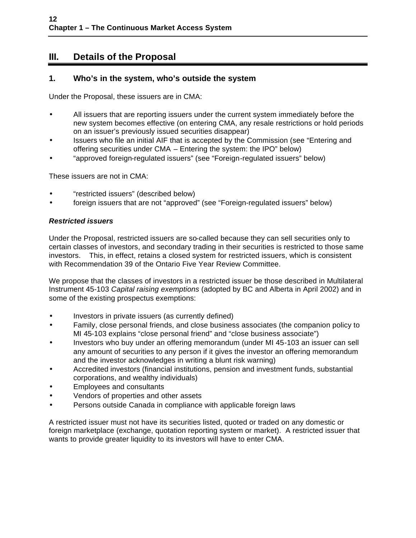# **III. Details of the Proposal**

# **1. Who's in the system, who's outside the system**

Under the Proposal, these issuers are in CMA:

- All issuers that are reporting issuers under the current system immediately before the new system becomes effective (on entering CMA, any resale restrictions or hold periods on an issuer's previously issued securities disappear)
- Issuers who file an initial AIF that is accepted by the Commission (see "Entering and offering securities under CMA – Entering the system: the IPO" below)
- "approved foreign-regulated issuers" (see "Foreign-regulated issuers" below)

These issuers are not in CMA:

- "restricted issuers" (described below)
- foreign issuers that are not "approved" (see "Foreign-regulated issuers" below)

### *Restricted issuers*

Under the Proposal, restricted issuers are so-called because they can sell securities only to certain classes of investors, and secondary trading in their securities is restricted to those same investors. This, in effect, retains a closed system for restricted issuers, which is consistent with Recommendation 39 of the Ontario Five Year Review Committee.

We propose that the classes of investors in a restricted issuer be those described in Multilateral Instrument 45-103 *Capital raising exemptions* (adopted by BC and Alberta in April 2002) and in some of the existing prospectus exemptions:

- Investors in private issuers (as currently defined)
- Family, close personal friends, and close business associates (the companion policy to MI 45-103 explains "close personal friend" and "close business associate")
- Investors who buy under an offering memorandum (under MI 45-103 an issuer can sell any amount of securities to any person if it gives the investor an offering memorandum and the investor acknowledges in writing a blunt risk warning)
- Accredited investors (financial institutions, pension and investment funds, substantial corporations, and wealthy individuals)
- Employees and consultants
- Vendors of properties and other assets
- Persons outside Canada in compliance with applicable foreign laws

A restricted issuer must not have its securities listed, quoted or traded on any domestic or foreign marketplace (exchange, quotation reporting system or market). A restricted issuer that wants to provide greater liquidity to its investors will have to enter CMA.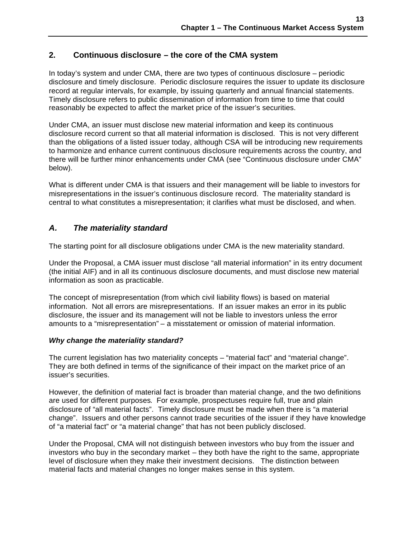# **2. Continuous disclosure – the core of the CMA system**

In today's system and under CMA, there are two types of continuous disclosure – periodic disclosure and timely disclosure. Periodic disclosure requires the issuer to update its disclosure record at regular intervals, for example, by issuing quarterly and annual financial statements. Timely disclosure refers to public dissemination of information from time to time that could reasonably be expected to affect the market price of the issuer's securities.

Under CMA, an issuer must disclose new material information and keep its continuous disclosure record current so that all material information is disclosed. This is not very different than the obligations of a listed issuer today, although CSA will be introducing new requirements to harmonize and enhance current continuous disclosure requirements across the country, and there will be further minor enhancements under CMA (see "Continuous disclosure under CMA" below).

What is different under CMA is that issuers and their management will be liable to investors for misrepresentations in the issuer's continuous disclosure record. The materiality standard is central to what constitutes a misrepresentation; it clarifies what must be disclosed, and when.

# *A. The materiality standard*

The starting point for all disclosure obligations under CMA is the new materiality standard.

Under the Proposal, a CMA issuer must disclose "all material information" in its entry document (the initial AIF) and in all its continuous disclosure documents, and must disclose new material information as soon as practicable.

The concept of misrepresentation (from which civil liability flows) is based on material information. Not all errors are misrepresentations. If an issuer makes an error in its public disclosure, the issuer and its management will not be liable to investors unless the error amounts to a "misrepresentation" – a misstatement or omission of material information.

#### *Why change the materiality standard?*

The current legislation has two materiality concepts – "material fact" and "material change". They are both defined in terms of the significance of their impact on the market price of an issuer's securities.

However, the definition of material fact is broader than material change, and the two definitions are used for different purposes. For example, prospectuses require full, true and plain disclosure of "all material facts". Timely disclosure must be made when there is "a material change". Issuers and other persons cannot trade securities of the issuer if they have knowledge of "a material fact" or "a material change" that has not been publicly disclosed.

Under the Proposal, CMA will not distinguish between investors who buy from the issuer and investors who buy in the secondary market – they both have the right to the same, appropriate level of disclosure when they make their investment decisions. The distinction between material facts and material changes no longer makes sense in this system.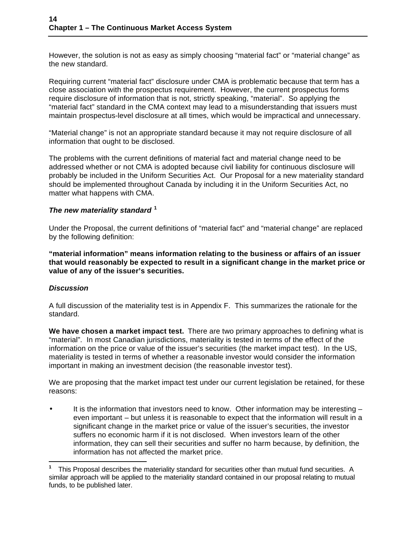However, the solution is not as easy as simply choosing "material fact" or "material change" as the new standard.

Requiring current "material fact" disclosure under CMA is problematic because that term has a close association with the prospectus requirement. However, the current prospectus forms require disclosure of information that is not, strictly speaking, "material". So applying the "material fact" standard in the CMA context may lead to a misunderstanding that issuers must maintain prospectus-level disclosure at all times, which would be impractical and unnecessary.

"Material change" is not an appropriate standard because it may not require disclosure of all information that ought to be disclosed.

The problems with the current definitions of material fact and material change need to be addressed whether or not CMA is adopted because civil liability for continuous disclosure will probably be included in the Uniform Securities Act. Our Proposal for a new materiality standard should be implemented throughout Canada by including it in the Uniform Securities Act, no matter what happens with CMA.

#### *The new materiality standard* **<sup>1</sup>**

Under the Proposal, the current definitions of "material fact" and "material change" are replaced by the following definition:

**"material information" means information relating to the business or affairs of an issuer that would reasonably be expected to result in a significant change in the market price or value of any of the issuer's securities.**

#### *Discussion*

 $\overline{a}$ 

A full discussion of the materiality test is in Appendix F. This summarizes the rationale for the standard.

**We have chosen a market impact test.**There are two primary approaches to defining what is "material". In most Canadian jurisdictions, materiality is tested in terms of the effect of the information on the price or value of the issuer's securities (the market impact test). In the US, materiality is tested in terms of whether a reasonable investor would consider the information important in making an investment decision (the reasonable investor test).

We are proposing that the market impact test under our current legislation be retained, for these reasons:

It is the information that investors need to know. Other information may be interesting  $$ even important – but unless it is reasonable to expect that the information will result in a significant change in the market price or value of the issuer's securities, the investor suffers no economic harm if it is not disclosed. When investors learn of the other information, they can sell their securities and suffer no harm because, by definition, the information has not affected the market price.

**<sup>1</sup>** This Proposal describes the materiality standard for securities other than mutual fund securities. A similar approach will be applied to the materiality standard contained in our proposal relating to mutual funds, to be published later.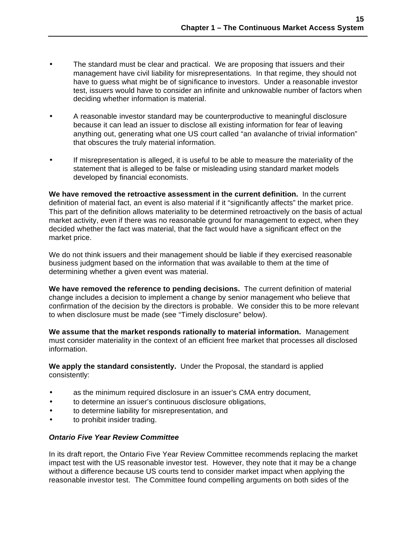- The standard must be clear and practical. We are proposing that issuers and their management have civil liability for misrepresentations. In that regime, they should not have to guess what might be of significance to investors. Under a reasonable investor test, issuers would have to consider an infinite and unknowable number of factors when deciding whether information is material.
- A reasonable investor standard may be counterproductive to meaningful disclosure because it can lead an issuer to disclose all existing information for fear of leaving anything out, generating what one US court called "an avalanche of trivial information" that obscures the truly material information.
- If misrepresentation is alleged, it is useful to be able to measure the materiality of the statement that is alleged to be false or misleading using standard market models developed by financial economists.

**We have removed the retroactive assessment in the current definition.**In the current definition of material fact, an event is also material if it "significantly affects" the market price. This part of the definition allows materiality to be determined retroactively on the basis of actual market activity, even if there was no reasonable ground for management to expect, when they decided whether the fact was material, that the fact would have a significant effect on the market price.

We do not think issuers and their management should be liable if they exercised reasonable business judgment based on the information that was available to them at the time of determining whether a given event was material.

**We have removed the reference to pending decisions.**The current definition of material change includes a decision to implement a change by senior management who believe that confirmation of the decision by the directors is probable. We consider this to be more relevant to when disclosure must be made (see "Timely disclosure" below).

**We assume that the market responds rationally to material information.**Management must consider materiality in the context of an efficient free market that processes all disclosed information.

**We apply the standard consistently.** Under the Proposal, the standard is applied consistently:

- as the minimum required disclosure in an issuer's CMA entry document,
- to determine an issuer's continuous disclosure obligations,
- to determine liability for misrepresentation, and
- to prohibit insider trading.

#### *Ontario Five Year Review Committee*

In its draft report, the Ontario Five Year Review Committee recommends replacing the market impact test with the US reasonable investor test. However, they note that it may be a change without a difference because US courts tend to consider market impact when applying the reasonable investor test. The Committee found compelling arguments on both sides of the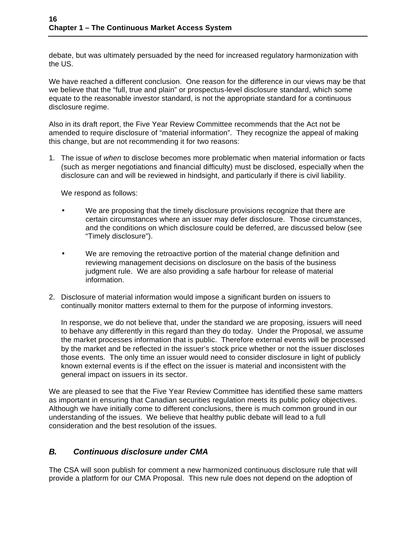debate, but was ultimately persuaded by the need for increased regulatory harmonization with the US.

We have reached a different conclusion. One reason for the difference in our views may be that we believe that the "full, true and plain" or prospectus-level disclosure standard, which some equate to the reasonable investor standard, is not the appropriate standard for a continuous disclosure regime.

Also in its draft report, the Five Year Review Committee recommends that the Act not be amended to require disclosure of "material information". They recognize the appeal of making this change, but are not recommending it for two reasons:

1. The issue of *when* to disclose becomes more problematic when material information or facts (such as merger negotiations and financial difficulty) must be disclosed, especially when the disclosure can and will be reviewed in hindsight, and particularly if there is civil liability.

We respond as follows:

- We are proposing that the timely disclosure provisions recognize that there are certain circumstances where an issuer may defer disclosure. Those circumstances, and the conditions on which disclosure could be deferred, are discussed below (see "Timely disclosure").
- We are removing the retroactive portion of the material change definition and reviewing management decisions on disclosure on the basis of the business judgment rule. We are also providing a safe harbour for release of material information.
- 2. Disclosure of material information would impose a significant burden on issuers to continually monitor matters external to them for the purpose of informing investors.

In response, we do not believe that, under the standard we are proposing, issuers will need to behave any differently in this regard than they do today. Under the Proposal, we assume the market processes information that is public. Therefore external events will be processed by the market and be reflected in the issuer's stock price whether or not the issuer discloses those events. The only time an issuer would need to consider disclosure in light of publicly known external events is if the effect on the issuer is material and inconsistent with the general impact on issuers in its sector.

We are pleased to see that the Five Year Review Committee has identified these same matters as important in ensuring that Canadian securities regulation meets its public policy objectives. Although we have initially come to different conclusions, there is much common ground in our understanding of the issues. We believe that healthy public debate will lead to a full consideration and the best resolution of the issues.

# *B. Continuous disclosure under CMA*

The CSA will soon publish for comment a new harmonized continuous disclosure rule that will provide a platform for our CMA Proposal. This new rule does not depend on the adoption of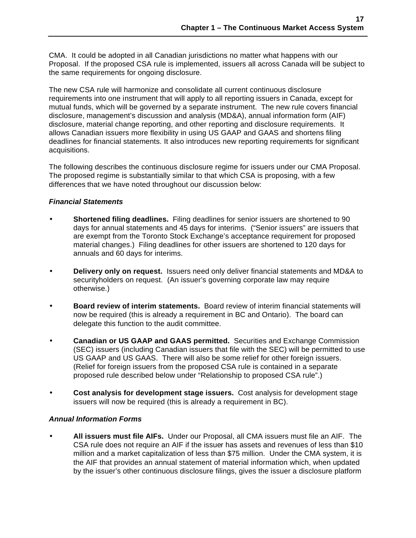CMA. It could be adopted in all Canadian jurisdictions no matter what happens with our Proposal. If the proposed CSA rule is implemented, issuers all across Canada will be subject to the same requirements for ongoing disclosure.

The new CSA rule will harmonize and consolidate all current continuous disclosure requirements into one instrument that will apply to all reporting issuers in Canada, except for mutual funds, which will be governed by a separate instrument. The new rule covers financial disclosure, management's discussion and analysis (MD&A), annual information form (AIF) disclosure, material change reporting, and other reporting and disclosure requirements. It allows Canadian issuers more flexibility in using US GAAP and GAAS and shortens filing deadlines for financial statements. It also introduces new reporting requirements for significant acquisitions.

The following describes the continuous disclosure regime for issuers under our CMA Proposal. The proposed regime is substantially similar to that which CSA is proposing, with a few differences that we have noted throughout our discussion below:

#### *Financial Statements*

- **Shortened filing deadlines.** Filing deadlines for senior issuers are shortened to 90 days for annual statements and 45 days for interims. ("Senior issuers" are issuers that are exempt from the Toronto Stock Exchange's acceptance requirement for proposed material changes.) Filing deadlines for other issuers are shortened to 120 days for annuals and 60 days for interims.
- **Delivery only on request.** Issuers need only deliver financial statements and MD&A to securityholders on request. (An issuer's governing corporate law may require otherwise.)
- **Board review of interim statements.** Board review of interim financial statements will now be required (this is already a requirement in BC and Ontario). The board can delegate this function to the audit committee.
- **Canadian or US GAAP and GAAS permitted.** Securities and Exchange Commission (SEC) issuers (including Canadian issuers that file with the SEC) will be permitted to use US GAAP and US GAAS. There will also be some relief for other foreign issuers. (Relief for foreign issuers from the proposed CSA rule is contained in a separate proposed rule described below under "Relationship to proposed CSA rule".)
- **Cost analysis for development stage issuers.** Cost analysis for development stage issuers will now be required (this is already a requirement in BC).

#### *Annual Information Forms*

• **All issuers must file AIFs.** Under our Proposal, all CMA issuers must file an AIF. The CSA rule does not require an AIF if the issuer has assets and revenues of less than \$10 million and a market capitalization of less than \$75 million. Under the CMA system, it is the AIF that provides an annual statement of material information which, when updated by the issuer's other continuous disclosure filings, gives the issuer a disclosure platform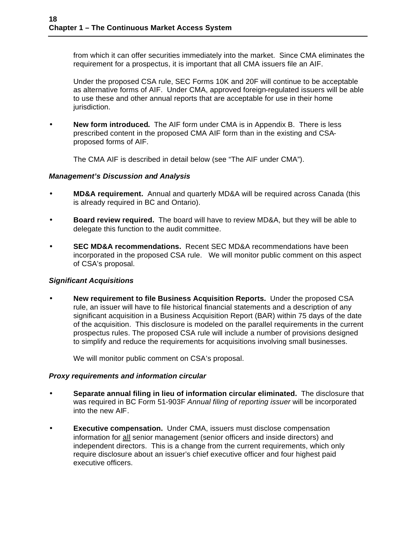from which it can offer securities immediately into the market. Since CMA eliminates the requirement for a prospectus, it is important that all CMA issuers file an AIF.

Under the proposed CSA rule, SEC Forms 10K and 20F will continue to be acceptable as alternative forms of AIF. Under CMA, approved foreign-regulated issuers will be able to use these and other annual reports that are acceptable for use in their home jurisdiction.

• **New form introduced.** The AIF form under CMA is in Appendix B. There is less prescribed content in the proposed CMA AIF form than in the existing and CSAproposed forms of AIF.

The CMA AIF is described in detail below (see "The AIF under CMA").

#### *Management's Discussion and Analysis*

- **MD&A requirement.** Annual and quarterly MD&A will be required across Canada (this is already required in BC and Ontario).
- **Board review required.**The board will have to review MD&A, but they will be able to delegate this function to the audit committee.
- **SEC MD&A recommendations.** Recent SEC MD&A recommendations have been incorporated in the proposed CSA rule. We will monitor public comment on this aspect of CSA's proposal.

#### *Significant Acquisitions*

• **New requirement to file Business Acquisition Reports.** Under the proposed CSA rule, an issuer will have to file historical financial statements and a description of any significant acquisition in a Business Acquisition Report (BAR) within 75 days of the date of the acquisition. This disclosure is modeled on the parallel requirements in the current prospectus rules. The proposed CSA rule will include a number of provisions designed to simplify and reduce the requirements for acquisitions involving small businesses.

We will monitor public comment on CSA's proposal.

#### *Proxy requirements and information circular*

- **Separate annual filing in lieu of information circular eliminated.** The disclosure that was required in BC Form 51-903F *Annual filing of reporting issuer* will be incorporated into the new AIF.
- **Executive compensation.** Under CMA, issuers must disclose compensation information for all senior management (senior officers and inside directors) and independent directors. This is a change from the current requirements, which only require disclosure about an issuer's chief executive officer and four highest paid executive officers.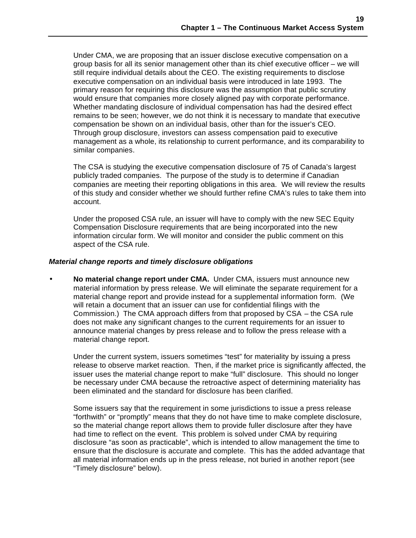Under CMA, we are proposing that an issuer disclose executive compensation on a group basis for all its senior management other than its chief executive officer – we will still require individual details about the CEO. The existing requirements to disclose executive compensation on an individual basis were introduced in late 1993. The primary reason for requiring this disclosure was the assumption that public scrutiny would ensure that companies more closely aligned pay with corporate performance. Whether mandating disclosure of individual compensation has had the desired effect remains to be seen; however, we do not think it is necessary to mandate that executive compensation be shown on an individual basis, other than for the issuer's CEO. Through group disclosure, investors can assess compensation paid to executive management as a whole, its relationship to current performance, and its comparability to similar companies.

The CSA is studying the executive compensation disclosure of 75 of Canada's largest publicly traded companies. The purpose of the study is to determine if Canadian companies are meeting their reporting obligations in this area. We will review the results of this study and consider whether we should further refine CMA's rules to take them into account.

Under the proposed CSA rule, an issuer will have to comply with the new SEC Equity Compensation Disclosure requirements that are being incorporated into the new information circular form. We will monitor and consider the public comment on this aspect of the CSA rule.

#### *Material change reports and timely disclosure obligations*

• **No material change report under CMA.** Under CMA, issuers must announce new material information by press release. We will eliminate the separate requirement for a material change report and provide instead for a supplemental information form. (We will retain a document that an issuer can use for confidential filings with the Commission.) The CMA approach differs from that proposed by CSA – the CSA rule does not make any significant changes to the current requirements for an issuer to announce material changes by press release and to follow the press release with a material change report.

Under the current system, issuers sometimes "test" for materiality by issuing a press release to observe market reaction. Then, if the market price is significantly affected, the issuer uses the material change report to make "full" disclosure. This should no longer be necessary under CMA because the retroactive aspect of determining materiality has been eliminated and the standard for disclosure has been clarified.

Some issuers say that the requirement in some jurisdictions to issue a press release "forthwith" or "promptly" means that they do not have time to make complete disclosure, so the material change report allows them to provide fuller disclosure after they have had time to reflect on the event. This problem is solved under CMA by requiring disclosure "as soon as practicable", which is intended to allow management the time to ensure that the disclosure is accurate and complete. This has the added advantage that all material information ends up in the press release, not buried in another report (see "Timely disclosure" below).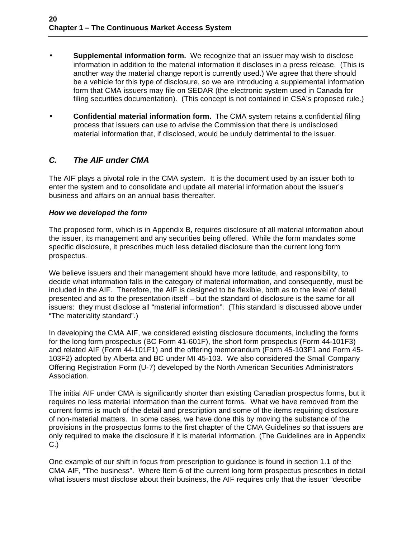- **Supplemental information form.** We recognize that an issuer may wish to disclose information in addition to the material information it discloses in a press release. (This is another way the material change report is currently used.) We agree that there should be a vehicle for this type of disclosure, so we are introducing a supplemental information form that CMA issuers may file on SEDAR (the electronic system used in Canada for filing securities documentation). (This concept is not contained in CSA's proposed rule.)
- **Confidential material information form.**The CMA system retains a confidential filing process that issuers can use to advise the Commission that there is undisclosed material information that, if disclosed, would be unduly detrimental to the issuer.

# *C. The AIF under CMA*

The AIF plays a pivotal role in the CMA system. It is the document used by an issuer both to enter the system and to consolidate and update all material information about the issuer's business and affairs on an annual basis thereafter.

#### *How we developed the form*

The proposed form, which is in Appendix B, requires disclosure of all material information about the issuer, its management and any securities being offered. While the form mandates some specific disclosure, it prescribes much less detailed disclosure than the current long form prospectus.

We believe issuers and their management should have more latitude, and responsibility, to decide what information falls in the category of material information, and consequently, must be included in the AIF. Therefore, the AIF is designed to be flexible, both as to the level of detail presented and as to the presentation itself – but the standard of disclosure is the same for all issuers: they must disclose all "material information". (This standard is discussed above under "The materiality standard".)

In developing the CMA AIF, we considered existing disclosure documents, including the forms for the long form prospectus (BC Form 41-601F), the short form prospectus (Form 44-101F3) and related AIF (Form 44-101F1) and the offering memorandum (Form 45-103F1 and Form 45- 103F2) adopted by Alberta and BC under MI 45-103. We also considered the Small Company Offering Registration Form (U-7) developed by the North American Securities Administrators Association.

The initial AIF under CMA is significantly shorter than existing Canadian prospectus forms, but it requires no less material information than the current forms. What we have removed from the current forms is much of the detail and prescription and some of the items requiring disclosure of non-material matters. In some cases, we have done this by moving the substance of the provisions in the prospectus forms to the first chapter of the CMA Guidelines so that issuers are only required to make the disclosure if it is material information. (The Guidelines are in Appendix C.)

One example of our shift in focus from prescription to guidance is found in section 1.1 of the CMA AIF, "The business". Where Item 6 of the current long form prospectus prescribes in detail what issuers must disclose about their business, the AIF requires only that the issuer "describe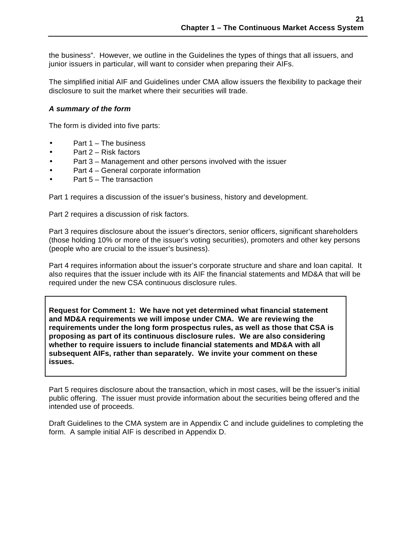the business". However, we outline in the Guidelines the types of things that all issuers, and junior issuers in particular, will want to consider when preparing their AIFs.

The simplified initial AIF and Guidelines under CMA allow issuers the flexibility to package their disclosure to suit the market where their securities will trade.

#### *A summary of the form*

The form is divided into five parts:

- Part  $1 -$  The business
- Part 2 Risk factors
- Part 3 Management and other persons involved with the issuer
- Part 4 General corporate information
- Part 5 The transaction

Part 1 requires a discussion of the issuer's business, history and development.

Part 2 requires a discussion of risk factors.

Part 3 requires disclosure about the issuer's directors, senior officers, significant shareholders (those holding 10% or more of the issuer's voting securities), promoters and other key persons (people who are crucial to the issuer's business).

Part 4 requires information about the issuer's corporate structure and share and loan capital. It also requires that the issuer include with its AIF the financial statements and MD&A that will be required under the new CSA continuous disclosure rules.

**Request for Comment 1: We have not yet determined what financial statement and MD&A requirements we will impose under CMA. We are reviewing the requirements under the long form prospectus rules, as well as those that CSA is proposing as part of its continuous disclosure rules. We are also considering whether to require issuers to include financial statements and MD&A with all subsequent AIFs, rather than separately. We invite your comment on these issues.**

Part 5 requires disclosure about the transaction, which in most cases, will be the issuer's initial public offering. The issuer must provide information about the securities being offered and the intended use of proceeds.

Draft Guidelines to the CMA system are in Appendix C and include guidelines to completing the form. A sample initial AIF is described in Appendix D.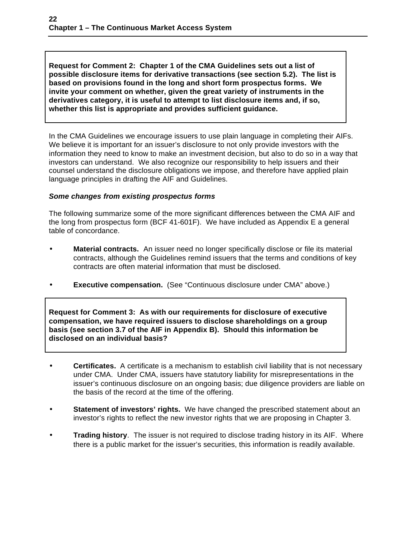**Request for Comment 2: Chapter 1 of the CMA Guidelines sets out a list of possible disclosure items for derivative transactions (see section 5.2). The list is based on provisions found in the long and short form prospectus forms. We invite your comment on whether, given the great variety of instruments in the derivatives category, it is useful to attempt to list disclosure items and, if so, whether this list is appropriate and provides sufficient guidance.** 

In the CMA Guidelines we encourage issuers to use plain language in completing their AIFs. We believe it is important for an issuer's disclosure to not only provide investors with the information they need to know to make an investment decision, but also to do so in a way that investors can understand. We also recognize our responsibility to help issuers and their counsel understand the disclosure obligations we impose, and therefore have applied plain language principles in drafting the AIF and Guidelines.

#### *Some changes from existing prospectus forms*

The following summarize some of the more significant differences between the CMA AIF and the long from prospectus form (BCF 41-601F). We have included as Appendix E a general table of concordance.

- **Material contracts.** An issuer need no longer specifically disclose or file its material contracts, although the Guidelines remind issuers that the terms and conditions of key contracts are often material information that must be disclosed.
- **Executive compensation.** (See "Continuous disclosure under CMA" above.)

**Request for Comment 3: As with our requirements for disclosure of executive compensation, we have required issuers to disclose shareholdings on a group basis (see section 3.7 of the AIF in Appendix B). Should this information be disclosed on an individual basis?**

- **Certificates.** A certificate is a mechanism to establish civil liability that is not necessary under CMA. Under CMA, issuers have statutory liability for misrepresentations in the issuer's continuous disclosure on an ongoing basis; due diligence providers are liable on the basis of the record at the time of the offering.
- **Statement of investors' rights.** We have changed the prescribed statement about an investor's rights to reflect the new investor rights that we are proposing in Chapter 3.
- **Trading history***.*The issuer is not required to disclose trading history in its AIF. Where there is a public market for the issuer's securities, this information is readily available.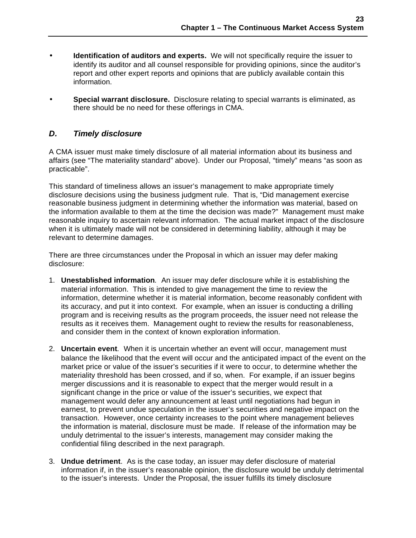- **Identification of auditors and experts.** We will not specifically require the issuer to identify its auditor and all counsel responsible for providing opinions, since the auditor's report and other expert reports and opinions that are publicly available contain this information.
- **Special warrant disclosure.** Disclosure relating to special warrants is eliminated, as there should be no need for these offerings in CMA.

### *D. Timely disclosure*

A CMA issuer must make timely disclosure of all material information about its business and affairs (see "The materiality standard" above). Under our Proposal, "timely" means "as soon as practicable".

This standard of timeliness allows an issuer's management to make appropriate timely disclosure decisions using the business judgment rule. That is, "Did management exercise reasonable business judgment in determining whether the information was material, based on the information available to them at the time the decision was made?" Management must make reasonable inquiry to ascertain relevant information. The actual market impact of the disclosure when it is ultimately made will not be considered in determining liability, although it may be relevant to determine damages.

There are three circumstances under the Proposal in which an issuer may defer making disclosure:

- 1. **Unestablished information***.* An issuer may defer disclosure while it is establishing the material information. This is intended to give management the time to review the information, determine whether it is material information, become reasonably confident with its accuracy, and put it into context. For example, when an issuer is conducting a drilling program and is receiving results as the program proceeds, the issuer need not release the results as it receives them. Management ought to review the results for reasonableness, and consider them in the context of known exploration information.
- 2. **Uncertain event***.* When it is uncertain whether an event will occur, management must balance the likelihood that the event will occur and the anticipated impact of the event on the market price or value of the issuer's securities if it were to occur, to determine whether the materiality threshold has been crossed, and if so, when. For example, if an issuer begins merger discussions and it is reasonable to expect that the merger would result in a significant change in the price or value of the issuer's securities, we expect that management would defer any announcement at least until negotiations had begun in earnest, to prevent undue speculation in the issuer's securities and negative impact on the transaction. However, once certainty increases to the point where management believes the information is material, disclosure must be made. If release of the information may be unduly detrimental to the issuer's interests, management may consider making the confidential filing described in the next paragraph.
- 3. **Undue detriment**. As is the case today, an issuer may defer disclosure of material information if, in the issuer's reasonable opinion, the disclosure would be unduly detrimental to the issuer's interests. Under the Proposal, the issuer fulfills its timely disclosure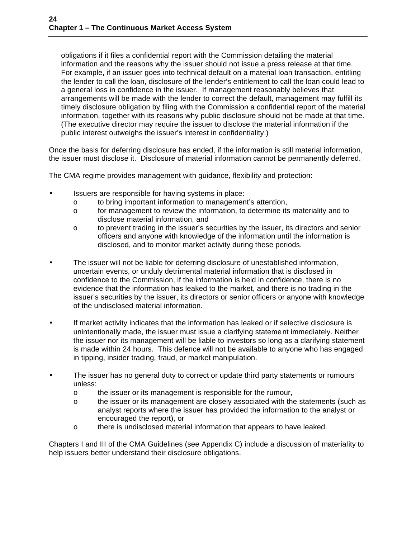obligations if it files a confidential report with the Commission detailing the material information and the reasons why the issuer should not issue a press release at that time. For example, if an issuer goes into technical default on a material loan transaction, entitling the lender to call the loan, disclosure of the lender's entitlement to call the loan could lead to a general loss in confidence in the issuer. If management reasonably believes that arrangements will be made with the lender to correct the default, management may fulfill its timely disclosure obligation by filing with the Commission a confidential report of the material information, together with its reasons why public disclosure should not be made at that time. (The executive director may require the issuer to disclose the material information if the public interest outweighs the issuer's interest in confidentiality.)

Once the basis for deferring disclosure has ended, if the information is still material information, the issuer must disclose it. Disclosure of material information cannot be permanently deferred.

The CMA regime provides management with guidance, flexibility and protection:

- Issuers are responsible for having systems in place:
	- o to bring important information to management's attention,
	- o for management to review the information, to determine its materiality and to disclose material information, and
	- o to prevent trading in the issuer's securities by the issuer, its directors and senior officers and anyone with knowledge of the information until the information is disclosed, and to monitor market activity during these periods.
- The issuer will not be liable for deferring disclosure of unestablished information, uncertain events, or unduly detrimental material information that is disclosed in confidence to the Commission, if the information is held in confidence, there is no evidence that the information has leaked to the market, and there is no trading in the issuer's securities by the issuer, its directors or senior officers or anyone with knowledge of the undisclosed material information.
- If market activity indicates that the information has leaked or if selective disclosure is unintentionally made, the issuer must issue a clarifying statement immediately. Neither the issuer nor its management will be liable to investors so long as a clarifying statement is made within 24 hours. This defence will not be available to anyone who has engaged in tipping, insider trading, fraud, or market manipulation.
- The issuer has no general duty to correct or update third party statements or rumours unless:
	- o the issuer or its management is responsible for the rumour,
	- o the issuer or its management are closely associated with the statements (such as analyst reports where the issuer has provided the information to the analyst or encouraged the report), or
	- o there is undisclosed material information that appears to have leaked.

Chapters I and III of the CMA Guidelines (see Appendix C) include a discussion of materiality to help issuers better understand their disclosure obligations.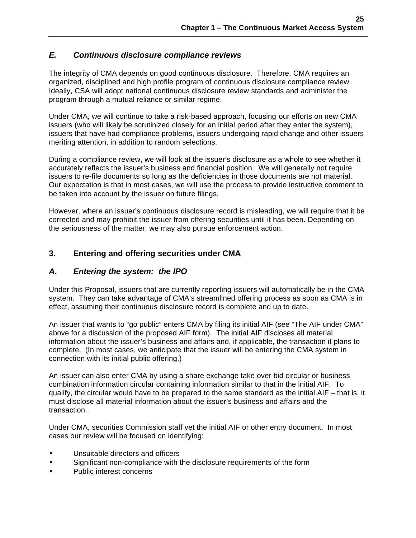# *E. Continuous disclosure compliance reviews*

The integrity of CMA depends on good continuous disclosure. Therefore, CMA requires an organized, disciplined and high profile program of continuous disclosure compliance review. Ideally, CSA will adopt national continuous disclosure review standards and administer the program through a mutual reliance or similar regime.

Under CMA, we will continue to take a risk-based approach, focusing our efforts on new CMA issuers (who will likely be scrutinized closely for an initial period after they enter the system), issuers that have had compliance problems, issuers undergoing rapid change and other issuers meriting attention, in addition to random selections.

During a compliance review, we will look at the issuer's disclosure as a whole to see whether it accurately reflects the issuer's business and financial position. We will generally not require issuers to re-file documents so long as the deficiencies in those documents are not material. Our expectation is that in most cases, we will use the process to provide instructive comment to be taken into account by the issuer on future filings.

However, where an issuer's continuous disclosure record is misleading, we will require that it be corrected and may prohibit the issuer from offering securities until it has been. Depending on the seriousness of the matter, we may also pursue enforcement action.

# **3. Entering and offering securities under CMA**

# *A. Entering the system: the IPO*

Under this Proposal, issuers that are currently reporting issuers will automatically be in the CMA system. They can take advantage of CMA's streamlined offering process as soon as CMA is in effect, assuming their continuous disclosure record is complete and up to date.

An issuer that wants to "go public" enters CMA by filing its initial AIF (see "The AIF under CMA" above for a discussion of the proposed AIF form). The initial AIF discloses all material information about the issuer's business and affairs and, if applicable, the transaction it plans to complete. (In most cases, we anticipate that the issuer will be entering the CMA system in connection with its initial public offering.)

An issuer can also enter CMA by using a share exchange take over bid circular or business combination information circular containing information similar to that in the initial AIF. To qualify, the circular would have to be prepared to the same standard as the initial AIF – that is, it must disclose all material information about the issuer's business and affairs and the transaction.

Under CMA, securities Commission staff vet the initial AIF or other entry document. In most cases our review will be focused on identifying:

- Unsuitable directors and officers
- Significant non-compliance with the disclosure requirements of the form
- Public interest concerns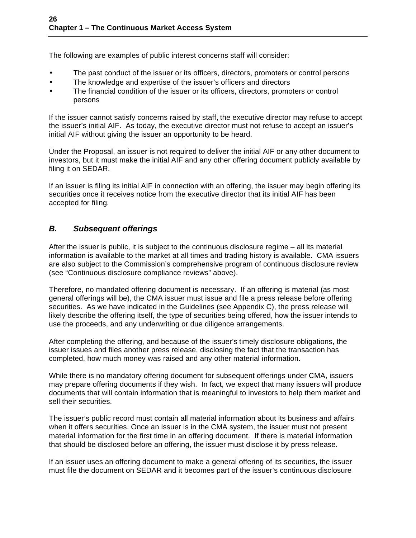The following are examples of public interest concerns staff will consider:

- The past conduct of the issuer or its officers, directors, promoters or control persons
- The knowledge and expertise of the issuer's officers and directors
- The financial condition of the issuer or its officers, directors, promoters or control persons

If the issuer cannot satisfy concerns raised by staff, the executive director may refuse to accept the issuer's initial AIF. As today, the executive director must not refuse to accept an issuer's initial AIF without giving the issuer an opportunity to be heard.

Under the Proposal, an issuer is not required to deliver the initial AIF or any other document to investors, but it must make the initial AIF and any other offering document publicly available by filing it on SEDAR.

If an issuer is filing its initial AIF in connection with an offering, the issuer may begin offering its securities once it receives notice from the executive director that its initial AIF has been accepted for filing.

# *B. Subsequent offerings*

After the issuer is public, it is subject to the continuous disclosure regime – all its material information is available to the market at all times and trading history is available. CMA issuers are also subject to the Commission's comprehensive program of continuous disclosure review (see "Continuous disclosure compliance reviews" above).

Therefore, no mandated offering document is necessary. If an offering is material (as most general offerings will be), the CMA issuer must issue and file a press release before offering securities. As we have indicated in the Guidelines (see Appendix C), the press release will likely describe the offering itself, the type of securities being offered, how the issuer intends to use the proceeds, and any underwriting or due diligence arrangements.

After completing the offering, and because of the issuer's timely disclosure obligations, the issuer issues and files another press release, disclosing the fact that the transaction has completed, how much money was raised and any other material information.

While there is no mandatory offering document for subsequent offerings under CMA, issuers may prepare offering documents if they wish. In fact, we expect that many issuers will produce documents that will contain information that is meaningful to investors to help them market and sell their securities.

The issuer's public record must contain all material information about its business and affairs when it offers securities. Once an issuer is in the CMA system, the issuer must not present material information for the first time in an offering document. If there is material information that should be disclosed before an offering, the issuer must disclose it by press release.

If an issuer uses an offering document to make a general offering of its securities, the issuer must file the document on SEDAR and it becomes part of the issuer's continuous disclosure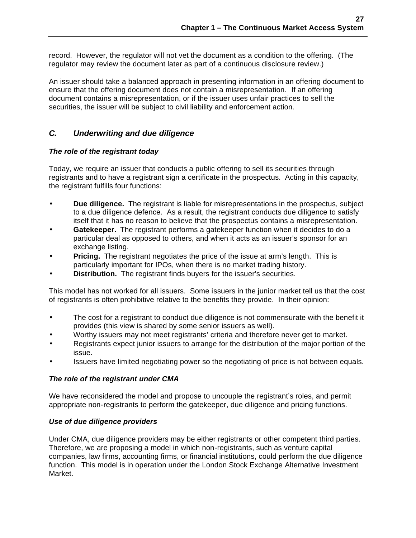record. However, the regulator will not vet the document as a condition to the offering. (The regulator may review the document later as part of a continuous disclosure review.)

An issuer should take a balanced approach in presenting information in an offering document to ensure that the offering document does not contain a misrepresentation. If an offering document contains a misrepresentation, or if the issuer uses unfair practices to sell the securities, the issuer will be subject to civil liability and enforcement action.

# *C. Underwriting and due diligence*

#### *The role of the registrant today*

Today, we require an issuer that conducts a public offering to sell its securities through registrants and to have a registrant sign a certificate in the prospectus. Acting in this capacity, the registrant fulfills four functions:

- **Due diligence.** The registrant is liable for misrepresentations in the prospectus, subject to a due diligence defence. As a result, the registrant conducts due diligence to satisfy itself that it has no reason to believe that the prospectus contains a misrepresentation.
- **Gatekeeper.** The registrant performs a gatekeeper function when it decides to do a particular deal as opposed to others, and when it acts as an issuer's sponsor for an exchange listing.
- **Pricing.** The registrant negotiates the price of the issue at arm's length. This is particularly important for IPOs, when there is no market trading history.
- **Distribution.** The registrant finds buyers for the issuer's securities.

This model has not worked for all issuers. Some issuers in the junior market tell us that the cost of registrants is often prohibitive relative to the benefits they provide. In their opinion:

- The cost for a registrant to conduct due diligence is not commensurate with the benefit it provides (this view is shared by some senior issuers as well).
- Worthy issuers may not meet registrants' criteria and therefore never get to market.
- Registrants expect junior issuers to arrange for the distribution of the major portion of the issue.
- Issuers have limited negotiating power so the negotiating of price is not between equals.

#### *The role of the registrant under CMA*

We have reconsidered the model and propose to uncouple the registrant's roles, and permit appropriate non-registrants to perform the gatekeeper, due diligence and pricing functions.

#### *Use of due diligence providers*

Under CMA, due diligence providers may be either registrants or other competent third parties. Therefore, we are proposing a model in which non-registrants, such as venture capital companies, law firms, accounting firms, or financial institutions, could perform the due diligence function. This model is in operation under the London Stock Exchange Alternative Investment Market.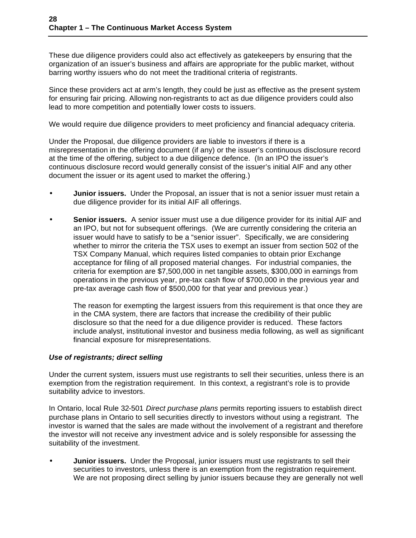These due diligence providers could also act effectively as gatekeepers by ensuring that the organization of an issuer's business and affairs are appropriate for the public market, without barring worthy issuers who do not meet the traditional criteria of registrants.

Since these providers act at arm's length, they could be just as effective as the present system for ensuring fair pricing. Allowing non-registrants to act as due diligence providers could also lead to more competition and potentially lower costs to issuers.

We would require due diligence providers to meet proficiency and financial adequacy criteria.

Under the Proposal, due diligence providers are liable to investors if there is a misrepresentation in the offering document (if any) or the issuer's continuous disclosure record at the time of the offering, subject to a due diligence defence. (In an IPO the issuer's continuous disclosure record would generally consist of the issuer's initial AIF and any other document the issuer or its agent used to market the offering.)

- **Junior issuers.** Under the Proposal, an issuer that is not a senior issuer must retain a due diligence provider for its initial AIF all offerings.
- **Senior issuers.** A senior issuer must use a due diligence provider for its initial AIF and an IPO, but not for subsequent offerings. (We are currently considering the criteria an issuer would have to satisfy to be a "senior issuer". Specifically, we are considering whether to mirror the criteria the TSX uses to exempt an issuer from section 502 of the TSX Company Manual, which requires listed companies to obtain prior Exchange acceptance for filing of all proposed material changes. For industrial companies, the criteria for exemption are \$7,500,000 in net tangible assets, \$300,000 in earnings from operations in the previous year, pre-tax cash flow of \$700,000 in the previous year and pre-tax average cash flow of \$500,000 for that year and previous year.)

The reason for exempting the largest issuers from this requirement is that once they are in the CMA system, there are factors that increase the credibility of their public disclosure so that the need for a due diligence provider is reduced. These factors include analyst, institutional investor and business media following, as well as significant financial exposure for misrepresentations.

#### *Use of registrants; direct selling*

Under the current system, issuers must use registrants to sell their securities, unless there is an exemption from the registration requirement. In this context, a registrant's role is to provide suitability advice to investors.

In Ontario, local Rule 32-501 *Direct purchase plans* permits reporting issuers to establish direct purchase plans in Ontario to sell securities directly to investors without using a registrant. The investor is warned that the sales are made without the involvement of a registrant and therefore the investor will not receive any investment advice and is solely responsible for assessing the suitability of the investment.

• **Junior issuers.** Under the Proposal, junior issuers must use registrants to sell their securities to investors, unless there is an exemption from the registration requirement. We are not proposing direct selling by junior issuers because they are generally not well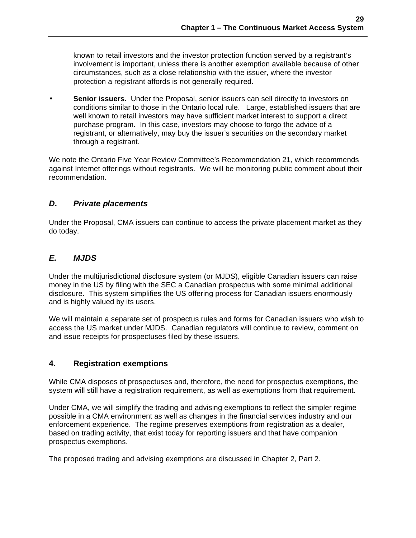known to retail investors and the investor protection function served by a registrant's involvement is important, unless there is another exemption available because of other circumstances, such as a close relationship with the issuer, where the investor protection a registrant affords is not generally required.

• **Senior issuers.** Under the Proposal, senior issuers can sell directly to investors on conditions similar to those in the Ontario local rule. Large, established issuers that are well known to retail investors may have sufficient market interest to support a direct purchase program. In this case, investors may choose to forgo the advice of a registrant, or alternatively, may buy the issuer's securities on the secondary market through a registrant.

We note the Ontario Five Year Review Committee's Recommendation 21, which recommends against Internet offerings without registrants. We will be monitoring public comment about their recommendation.

# *D. Private placements*

Under the Proposal, CMA issuers can continue to access the private placement market as they do today.

# *E. MJDS*

Under the multijurisdictional disclosure system (or MJDS), eligible Canadian issuers can raise money in the US by filing with the SEC a Canadian prospectus with some minimal additional disclosure. This system simplifies the US offering process for Canadian issuers enormously and is highly valued by its users.

We will maintain a separate set of prospectus rules and forms for Canadian issuers who wish to access the US market under MJDS. Canadian regulators will continue to review, comment on and issue receipts for prospectuses filed by these issuers.

# **4. Registration exemptions**

While CMA disposes of prospectuses and, therefore, the need for prospectus exemptions, the system will still have a registration requirement, as well as exemptions from that requirement.

Under CMA, we will simplify the trading and advising exemptions to reflect the simpler regime possible in a CMA environment as well as changes in the financial services industry and our enforcement experience. The regime preserves exemptions from registration as a dealer, based on trading activity, that exist today for reporting issuers and that have companion prospectus exemptions.

The proposed trading and advising exemptions are discussed in Chapter 2, Part 2.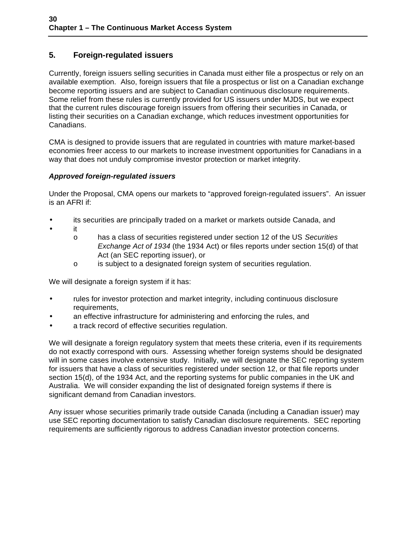# **5. Foreign-regulated issuers**

Currently, foreign issuers selling securities in Canada must either file a prospectus or rely on an available exemption. Also, foreign issuers that file a prospectus or list on a Canadian exchange become reporting issuers and are subject to Canadian continuous disclosure requirements. Some relief from these rules is currently provided for US issuers under MJDS, but we expect that the current rules discourage foreign issuers from offering their securities in Canada, or listing their securities on a Canadian exchange, which reduces investment opportunities for Canadians.

CMA is designed to provide issuers that are regulated in countries with mature market-based economies freer access to our markets to increase investment opportunities for Canadians in a way that does not unduly compromise investor protection or market integrity.

#### *Approved foreign-regulated issuers*

Under the Proposal, CMA opens our markets to "approved foreign-regulated issuers".An issuer is an AFRI if:

- its securities are principally traded on a market or markets outside Canada, and
- 

• it

- o has a class of securities registered under section 12 of the US *Securities Exchange Act of 1934* (the 1934 Act) or files reports under section 15(d) of that Act (an SEC reporting issuer), or
- o is subject to a designated foreign system of securities regulation.

We will designate a foreign system if it has:

- rules for investor protection and market integrity, including continuous disclosure requirements.
- an effective infrastructure for administering and enforcing the rules, and
- a track record of effective securities regulation.

We will designate a foreign regulatory system that meets these criteria, even if its requirements do not exactly correspond with ours. Assessing whether foreign systems should be designated will in some cases involve extensive study. Initially, we will designate the SEC reporting system for issuers that have a class of securities registered under section 12, or that file reports under section 15(d), of the 1934 Act, and the reporting systems for public companies in the UK and Australia. We will consider expanding the list of designated foreign systems if there is significant demand from Canadian investors.

Any issuer whose securities primarily trade outside Canada (including a Canadian issuer) may use SEC reporting documentation to satisfy Canadian disclosure requirements. SEC reporting requirements are sufficiently rigorous to address Canadian investor protection concerns.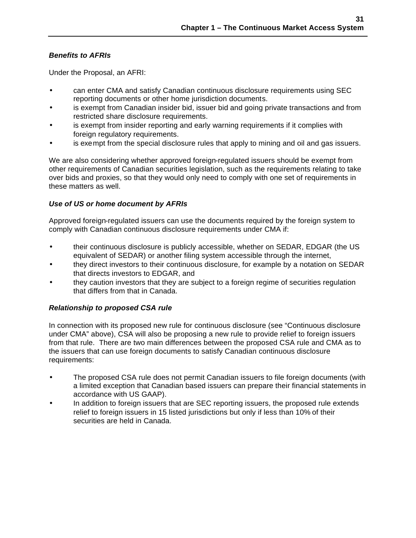### *Benefits to AFRIs*

Under the Proposal, an AFRI:

- can enter CMA and satisfy Canadian continuous disclosure requirements using SEC reporting documents or other home jurisdiction documents.
- is exempt from Canadian insider bid, issuer bid and going private transactions and from restricted share disclosure requirements.
- is exempt from insider reporting and early warning requirements if it complies with foreign regulatory requirements.
- is exempt from the special disclosure rules that apply to mining and oil and gas issuers.

We are also considering whether approved foreign-regulated issuers should be exempt from other requirements of Canadian securities legislation, such as the requirements relating to take over bids and proxies, so that they would only need to comply with one set of requirements in these matters as well.

### *Use of US or home document by AFRIs*

Approved foreign-regulated issuers can use the documents required by the foreign system to comply with Canadian continuous disclosure requirements under CMA if:

- their continuous disclosure is publicly accessible, whether on SEDAR, EDGAR (the US equivalent of SEDAR) or another filing system accessible through the internet,
- they direct investors to their continuous disclosure, for example by a notation on SEDAR that directs investors to EDGAR, and
- they caution investors that they are subject to a foreign regime of securities regulation that differs from that in Canada.

# *Relationship to proposed CSA rule*

In connection with its proposed new rule for continuous disclosure (see "Continuous disclosure under CMA" above), CSA will also be proposing a new rule to provide relief to foreign issuers from that rule. There are two main differences between the proposed CSA rule and CMA as to the issuers that can use foreign documents to satisfy Canadian continuous disclosure requirements:

- The proposed CSA rule does not permit Canadian issuers to file foreign documents (with a limited exception that Canadian based issuers can prepare their financial statements in accordance with US GAAP).
- In addition to foreign issuers that are SEC reporting issuers, the proposed rule extends relief to foreign issuers in 15 listed jurisdictions but only if less than 10% of their securities are held in Canada.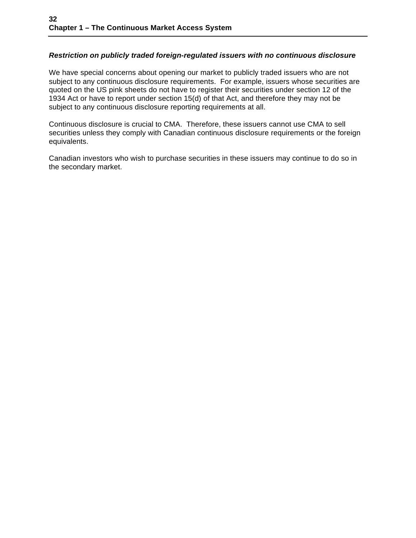#### *Restriction on publicly traded foreign-regulated issuers with no continuous disclosure*

We have special concerns about opening our market to publicly traded issuers who are not subject to any continuous disclosure requirements. For example, issuers whose securities are quoted on the US pink sheets do not have to register their securities under section 12 of the 1934 Act or have to report under section 15(d) of that Act, and therefore they may not be subject to any continuous disclosure reporting requirements at all.

Continuous disclosure is crucial to CMA. Therefore, these issuers cannot use CMA to sell securities unless they comply with Canadian continuous disclosure requirements or the foreign equivalents.

Canadian investors who wish to purchase securities in these issuers may continue to do so in the secondary market.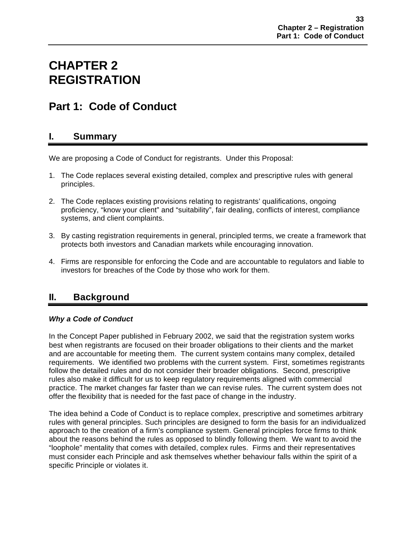# **CHAPTER 2 REGISTRATION**

# **Part 1: Code of Conduct**

# **I. Summary**

We are proposing a Code of Conduct for registrants. Under this Proposal:

- 1. The Code replaces several existing detailed, complex and prescriptive rules with general principles.
- 2. The Code replaces existing provisions relating to registrants' qualifications, ongoing proficiency, "know your client" and "suitability", fair dealing, conflicts of interest, compliance systems, and client complaints.
- 3. By casting registration requirements in general, principled terms, we create a framework that protects both investors and Canadian markets while encouraging innovation.
- 4. Firms are responsible for enforcing the Code and are accountable to regulators and liable to investors for breaches of the Code by those who work for them.

# **II. Background**

### *Why a Code of Conduct*

In the Concept Paper published in February 2002, we said that the registration system works best when registrants are focused on their broader obligations to their clients and the market and are accountable for meeting them. The current system contains many complex, detailed requirements. We identified two problems with the current system. First, sometimes registrants follow the detailed rules and do not consider their broader obligations. Second, prescriptive rules also make it difficult for us to keep regulatory requirements aligned with commercial practice. The market changes far faster than we can revise rules. The current system does not offer the flexibility that is needed for the fast pace of change in the industry.

The idea behind a Code of Conduct is to replace complex, prescriptive and sometimes arbitrary rules with general principles. Such principles are designed to form the basis for an individualized approach to the creation of a firm's compliance system. General principles force firms to think about the reasons behind the rules as opposed to blindly following them. We want to avoid the "loophole" mentality that comes with detailed, complex rules. Firms and their representatives must consider each Principle and ask themselves whether behaviour falls within the spirit of a specific Principle or violates it.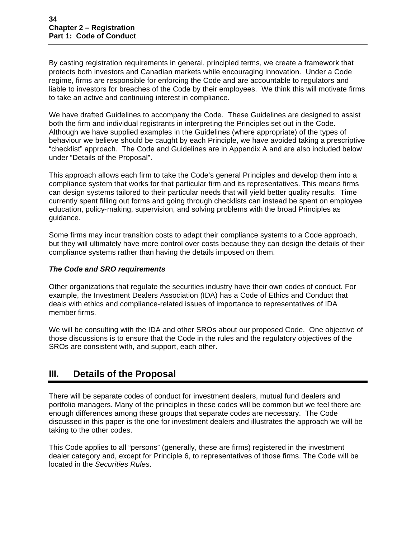By casting registration requirements in general, principled terms, we create a framework that protects both investors and Canadian markets while encouraging innovation. Under a Code regime, firms are responsible for enforcing the Code and are accountable to regulators and liable to investors for breaches of the Code by their employees. We think this will motivate firms to take an active and continuing interest in compliance.

We have drafted Guidelines to accompany the Code. These Guidelines are designed to assist both the firm and individual registrants in interpreting the Principles set out in the Code. Although we have supplied examples in the Guidelines (where appropriate) of the types of behaviour we believe should be caught by each Principle, we have avoided taking a prescriptive "checklist" approach. The Code and Guidelines are in Appendix A and are also included below under "Details of the Proposal".

This approach allows each firm to take the Code's general Principles and develop them into a compliance system that works for that particular firm and its representatives. This means firms can design systems tailored to their particular needs that will yield better quality results. Time currently spent filling out forms and going through checklists can instead be spent on employee education, policy-making, supervision, and solving problems with the broad Principles as guidance.

Some firms may incur transition costs to adapt their compliance systems to a Code approach, but they will ultimately have more control over costs because they can design the details of their compliance systems rather than having the details imposed on them.

### *The Code and SRO requirements*

Other organizations that regulate the securities industry have their own codes of conduct. For example, the Investment Dealers Association (IDA) has a Code of Ethics and Conduct that deals with ethics and compliance-related issues of importance to representatives of IDA member firms.

We will be consulting with the IDA and other SROs about our proposed Code. One objective of those discussions is to ensure that the Code in the rules and the regulatory objectives of the SROs are consistent with, and support, each other.

# **III. Details of the Proposal**

There will be separate codes of conduct for investment dealers, mutual fund dealers and portfolio managers. Many of the principles in these codes will be common but we feel there are enough differences among these groups that separate codes are necessary. The Code discussed in this paper is the one for investment dealers and illustrates the approach we will be taking to the other codes.

This Code applies to all "persons" (generally, these are firms) registered in the investment dealer category and, except for Principle 6, to representatives of those firms. The Code will be located in the *Securities Rules*.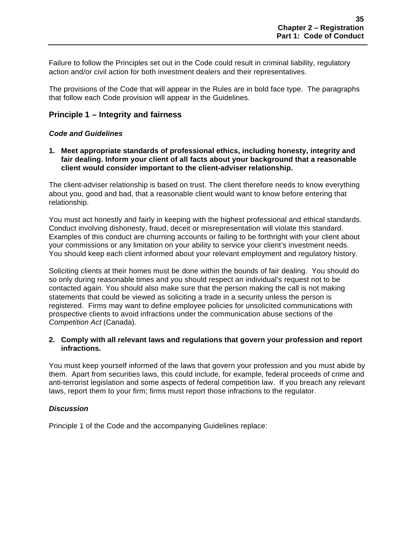Failure to follow the Principles set out in the Code could result in criminal liability, regulatory action and/or civil action for both investment dealers and their representatives.

The provisions of the Code that will appear in the Rules are in bold face type. The paragraphs that follow each Code provision will appear in the Guidelines.

### **Principle 1 – Integrity and fairness**

### *Code and Guidelines*

**1. Meet appropriate standards of professional ethics, including honesty, integrity and fair dealing. Inform your client of all facts about your background that a reasonable client would consider important to the client-adviser relationship.**

The client-adviser relationship is based on trust. The client therefore needs to know everything about you, good and bad, that a reasonable client would want to know before entering that relationship.

You must act honestly and fairly in keeping with the highest professional and ethical standards. Conduct involving dishonesty, fraud, deceit or misrepresentation will violate this standard. Examples of this conduct are churning accounts or failing to be forthright with your client about your commissions or any limitation on your ability to service your client's investment needs. You should keep each client informed about your relevant employment and regulatory history.

Soliciting clients at their homes must be done within the bounds of fair dealing. You should do so only during reasonable times and you should respect an individual's request not to be contacted again. You should also make sure that the person making the call is not making statements that could be viewed as soliciting a trade in a security unless the person is registered. Firms may want to define employee policies for unsolicited communications with prospective clients to avoid infractions under the communication abuse sections of the *Competition Act* (Canada).

### **2. Comply with all relevant laws and regulations that govern your profession and report infractions.**

You must keep yourself informed of the laws that govern your profession and you must abide by them. Apart from securities laws, this could include, for example, federal proceeds of crime and anti-terrorist legislation and some aspects of federal competition law. If you breach any relevant laws, report them to your firm; firms must report those infractions to the regulator.

#### *Discussion*

Principle 1 of the Code and the accompanying Guidelines replace: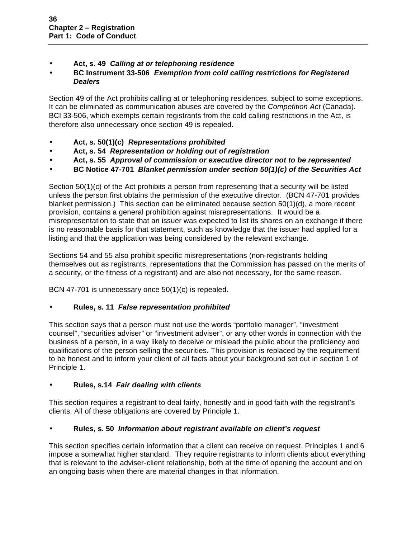• **Act, s. 49** *Calling at or telephoning residence*

# • **BC Instrument 33-506** *Exemption from cold calling restrictions for Registered Dealers*

Section 49 of the Act prohibits calling at or telephoning residences, subject to some exceptions. It can be eliminated as communication abuses are covered by the *Competition Act* (Canada). BCI 33-506, which exempts certain registrants from the cold calling restrictions in the Act, is therefore also unnecessary once section 49 is repealed.

- **Act, s. 50(1)(c)** *Representations prohibited*
- **Act, s. 54** *Representation or holding out of registration*
- **Act, s. 55** *Approval of commission or executive director not to be represented*
- **BC Notice 47-701** *Blanket permission under section 50(1)(c) of the Securities Act*

Section 50(1)(c) of the Act prohibits a person from representing that a security will be listed unless the person first obtains the permission of the executive director. (BCN 47-701 provides blanket permission.) This section can be eliminated because section 50(1)(d), a more recent provision, contains a general prohibition against misrepresentations. It would be a misrepresentation to state that an issuer was expected to list its shares on an exchange if there is no reasonable basis for that statement, such as knowledge that the issuer had applied for a listing and that the application was being considered by the relevant exchange.

Sections 54 and 55 also prohibit specific misrepresentations (non-registrants holding themselves out as registrants, representations that the Commission has passed on the merits of a security, or the fitness of a registrant) and are also not necessary, for the same reason.

BCN 47-701 is unnecessary once 50(1)(c) is repealed.

# • **Rules, s. 11** *False representation prohibited*

This section says that a person must not use the words "portfolio manager", "investment counsel", "securities adviser" or "investment adviser", or any other words in connection with the business of a person, in a way likely to deceive or mislead the public about the proficiency and qualifications of the person selling the securities. This provision is replaced by the requirement to be honest and to inform your client of all facts about your background set out in section 1 of Principle 1.

# • **Rules, s.14** *Fair dealing with clients*

This section requires a registrant to deal fairly, honestly and in good faith with the registrant's clients. All of these obligations are covered by Principle 1.

# • **Rules, s. 50** *Information about registrant available on client's request*

This section specifies certain information that a client can receive on request. Principles 1 and 6 impose a somewhat higher standard. They require registrants to inform clients about everything that is relevant to the adviser-client relationship, both at the time of opening the account and on an ongoing basis when there are material changes in that information.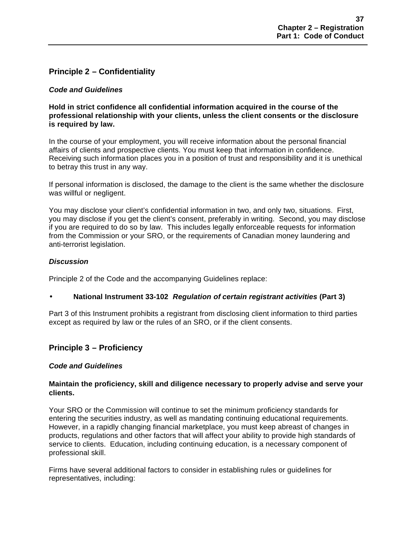# **Principle 2 – Confidentiality**

### *Code and Guidelines*

### **Hold in strict confidence all confidential information acquired in the course of the professional relationship with your clients, unless the client consents or the disclosure is required by law.**

In the course of your employment, you will receive information about the personal financial affairs of clients and prospective clients. You must keep that information in confidence. Receiving such information places you in a position of trust and responsibility and it is unethical to betray this trust in any way.

If personal information is disclosed, the damage to the client is the same whether the disclosure was willful or negligent.

You may disclose your client's confidential information in two, and only two, situations. First, you may disclose if you get the client's consent, preferably in writing. Second, you may disclose if you are required to do so by law. This includes legally enforceable requests for information from the Commission or your SRO, or the requirements of Canadian money laundering and anti-terrorist legislation.

### *Discussion*

Principle 2 of the Code and the accompanying Guidelines replace:

### • **National Instrument 33-102** *Regulation of certain registrant activities* **(Part 3)**

Part 3 of this Instrument prohibits a registrant from disclosing client information to third parties except as required by law or the rules of an SRO, or if the client consents.

# **Principle 3 – Proficiency**

### *Code and Guidelines*

### **Maintain the proficiency, skill and diligence necessary to properly advise and serve your clients.**

Your SRO or the Commission will continue to set the minimum proficiency standards for entering the securities industry, as well as mandating continuing educational requirements. However, in a rapidly changing financial marketplace, you must keep abreast of changes in products, regulations and other factors that will affect your ability to provide high standards of service to clients. Education, including continuing education, is a necessary component of professional skill.

Firms have several additional factors to consider in establishing rules or guidelines for representatives, including: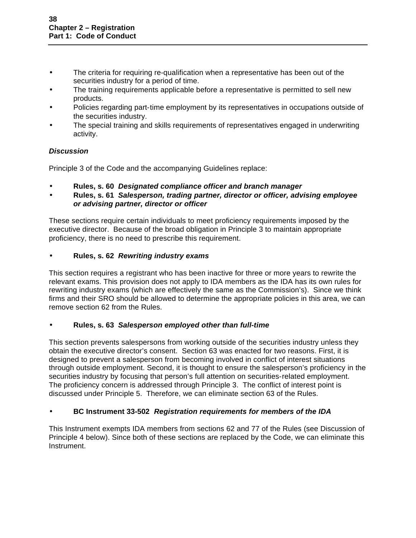- The criteria for requiring re-qualification when a representative has been out of the securities industry for a period of time.
- The training requirements applicable before a representative is permitted to sell new products.
- Policies regarding part-time employment by its representatives in occupations outside of the securities industry.
- The special training and skills requirements of representatives engaged in underwriting activity.

## *Discussion*

Principle 3 of the Code and the accompanying Guidelines replace:

- **Rules, s. 60** *Designated compliance officer and branch manager*
- **Rules, s. 61** *Salesperson, trading partner, director or officer, advising employee or advising partner, director or officer*

These sections require certain individuals to meet proficiency requirements imposed by the executive director. Because of the broad obligation in Principle 3 to maintain appropriate proficiency, there is no need to prescribe this requirement.

• **Rules, s. 62** *Rewriting industry exams*

This section requires a registrant who has been inactive for three or more years to rewrite the relevant exams. This provision does not apply to IDA members as the IDA has its own rules for rewriting industry exams (which are effectively the same as the Commission's). Since we think firms and their SRO should be allowed to determine the appropriate policies in this area, we can remove section 62 from the Rules.

### • **Rules, s. 63** *Salesperson employed other than full-time*

This section prevents salespersons from working outside of the securities industry unless they obtain the executive director's consent. Section 63 was enacted for two reasons. First, it is designed to prevent a salesperson from becoming involved in conflict of interest situations through outside employment. Second, it is thought to ensure the salesperson's proficiency in the securities industry by focusing that person's full attention on securities-related employment. The proficiency concern is addressed through Principle 3. The conflict of interest point is discussed under Principle 5. Therefore, we can eliminate section 63 of the Rules.

### • **BC Instrument 33-502** *Registration requirements for members of the IDA*

This Instrument exempts IDA members from sections 62 and 77 of the Rules (see Discussion of Principle 4 below). Since both of these sections are replaced by the Code, we can eliminate this Instrument.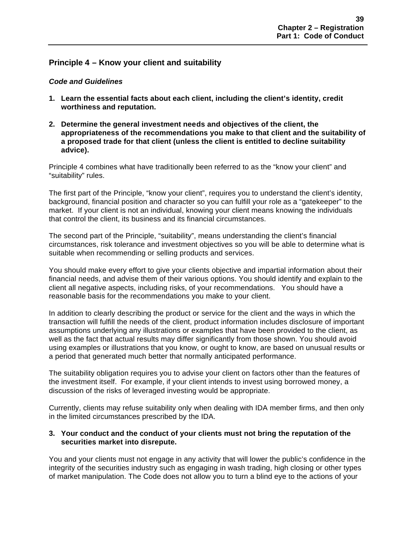## **Principle 4 – Know your client and suitability**

#### *Code and Guidelines*

- **1. Learn the essential facts about each client, including the client's identity, credit worthiness and reputation.**
- **2. Determine the general investment needs and objectives of the client, the appropriateness of the recommendations you make to that client and the suitability of a proposed trade for that client (unless the client is entitled to decline suitability advice).**

Principle 4 combines what have traditionally been referred to as the "know your client" and "suitability" rules.

The first part of the Principle, "know your client", requires you to understand the client's identity, background, financial position and character so you can fulfill your role as a "gatekeeper" to the market. If your client is not an individual, knowing your client means knowing the individuals that control the client, its business and its financial circumstances.

The second part of the Principle, "suitability", means understanding the client's financial circumstances, risk tolerance and investment objectives so you will be able to determine what is suitable when recommending or selling products and services.

You should make every effort to give your clients objective and impartial information about their financial needs, and advise them of their various options. You should identify and explain to the client all negative aspects, including risks, of your recommendations. You should have a reasonable basis for the recommendations you make to your client.

In addition to clearly describing the product or service for the client and the ways in which the transaction will fulfill the needs of the client, product information includes disclosure of important assumptions underlying any illustrations or examples that have been provided to the client, as well as the fact that actual results may differ significantly from those shown. You should avoid using examples or illustrations that you know, or ought to know, are based on unusual results or a period that generated much better that normally anticipated performance.

The suitability obligation requires you to advise your client on factors other than the features of the investment itself. For example, if your client intends to invest using borrowed money, a discussion of the risks of leveraged investing would be appropriate.

Currently, clients may refuse suitability only when dealing with IDA member firms, and then only in the limited circumstances prescribed by the IDA.

#### **3. Your conduct and the conduct of your clients must not bring the reputation of the securities market into disrepute.**

You and your clients must not engage in any activity that will lower the public's confidence in the integrity of the securities industry such as engaging in wash trading, high closing or other types of market manipulation. The Code does not allow you to turn a blind eye to the actions of your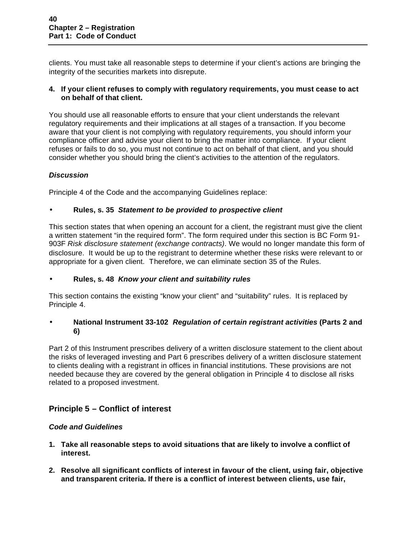clients. You must take all reasonable steps to determine if your client's actions are bringing the integrity of the securities markets into disrepute.

### **4. If your client refuses to comply with regulatory requirements, you must cease to act on behalf of that client.**

You should use all reasonable efforts to ensure that your client understands the relevant regulatory requirements and their implications at all stages of a transaction. If you become aware that your client is not complying with regulatory requirements, you should inform your compliance officer and advise your client to bring the matter into compliance. If your client refuses or fails to do so, you must not continue to act on behalf of that client, and you should consider whether you should bring the client's activities to the attention of the regulators.

### *Discussion*

Principle 4 of the Code and the accompanying Guidelines replace:

### • **Rules, s. 35** *Statement to be provided to prospective client*

This section states that when opening an account for a client, the registrant must give the client a written statement "in the required form". The form required under this section is BC Form 91- 903F *Risk disclosure statement (exchange contracts)*. We would no longer mandate this form of disclosure. It would be up to the registrant to determine whether these risks were relevant to or appropriate for a given client. Therefore, we can eliminate section 35 of the Rules.

### • **Rules, s. 48** *Know your client and suitability rules*

This section contains the existing "know your client" and "suitability" rules. It is replaced by Principle 4.

### • **National Instrument 33-102** *Regulation of certain registrant activities* **(Parts 2 and 6)**

Part 2 of this Instrument prescribes delivery of a written disclosure statement to the client about the risks of leveraged investing and Part 6 prescribes delivery of a written disclosure statement to clients dealing with a registrant in offices in financial institutions. These provisions are not needed because they are covered by the general obligation in Principle 4 to disclose all risks related to a proposed investment.

# **Principle 5 – Conflict of interest**

### *Code and Guidelines*

- **1. Take all reasonable steps to avoid situations that are likely to involve a conflict of interest.**
- **2. Resolve all significant conflicts of interest in favour of the client, using fair, objective and transparent criteria. If there is a conflict of interest between clients, use fair,**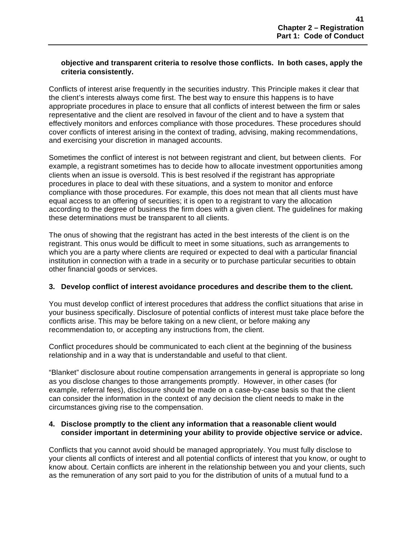### **objective and transparent criteria to resolve those conflicts. In both cases, apply the criteria consistently.**

Conflicts of interest arise frequently in the securities industry. This Principle makes it clear that the client's interests always come first. The best way to ensure this happens is to have appropriate procedures in place to ensure that all conflicts of interest between the firm or sales representative and the client are resolved in favour of the client and to have a system that effectively monitors and enforces compliance with those procedures. These procedures should cover conflicts of interest arising in the context of trading, advising, making recommendations, and exercising your discretion in managed accounts.

Sometimes the conflict of interest is not between registrant and client, but between clients. For example, a registrant sometimes has to decide how to allocate investment opportunities among clients when an issue is oversold. This is best resolved if the registrant has appropriate procedures in place to deal with these situations, and a system to monitor and enforce compliance with those procedures. For example, this does not mean that all clients must have equal access to an offering of securities; it is open to a registrant to vary the allocation according to the degree of business the firm does with a given client. The guidelines for making these determinations must be transparent to all clients.

The onus of showing that the registrant has acted in the best interests of the client is on the registrant. This onus would be difficult to meet in some situations, such as arrangements to which you are a party where clients are required or expected to deal with a particular financial institution in connection with a trade in a security or to purchase particular securities to obtain other financial goods or services.

#### **3. Develop conflict of interest avoidance procedures and describe them to the client.**

You must develop conflict of interest procedures that address the conflict situations that arise in your business specifically. Disclosure of potential conflicts of interest must take place before the conflicts arise. This may be before taking on a new client, or before making any recommendation to, or accepting any instructions from, the client.

Conflict procedures should be communicated to each client at the beginning of the business relationship and in a way that is understandable and useful to that client.

"Blanket" disclosure about routine compensation arrangements in general is appropriate so long as you disclose changes to those arrangements promptly. However, in other cases (for example, referral fees), disclosure should be made on a case-by-case basis so that the client can consider the information in the context of any decision the client needs to make in the circumstances giving rise to the compensation.

#### **4. Disclose promptly to the client any information that a reasonable client would consider important in determining your ability to provide objective service or advice.**

Conflicts that you cannot avoid should be managed appropriately. You must fully disclose to your clients all conflicts of interest and all potential conflicts of interest that you know, or ought to know about. Certain conflicts are inherent in the relationship between you and your clients, such as the remuneration of any sort paid to you for the distribution of units of a mutual fund to a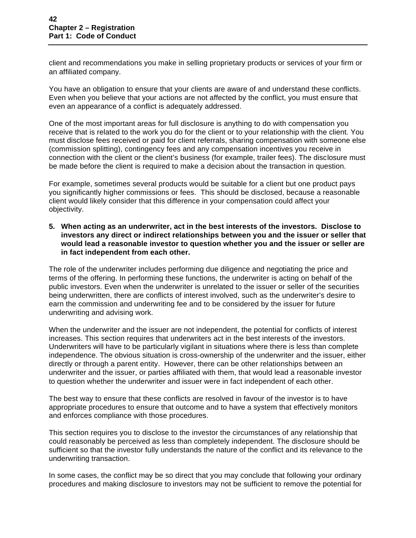client and recommendations you make in selling proprietary products or services of your firm or an affiliated company.

You have an obligation to ensure that your clients are aware of and understand these conflicts. Even when you believe that your actions are not affected by the conflict, you must ensure that even an appearance of a conflict is adequately addressed.

One of the most important areas for full disclosure is anything to do with compensation you receive that is related to the work you do for the client or to your relationship with the client. You must disclose fees received or paid for client referrals, sharing compensation with someone else (commission splitting), contingency fees and any compensation incentives you receive in connection with the client or the client's business (for example, trailer fees). The disclosure must be made before the client is required to make a decision about the transaction in question.

For example, sometimes several products would be suitable for a client but one product pays you significantly higher commissions or fees. This should be disclosed, because a reasonable client would likely consider that this difference in your compensation could affect your objectivity.

**5. When acting as an underwriter, act in the best interests of the investors. Disclose to investors any direct or indirect relationships between you and the issuer or seller that would lead a reasonable investor to question whether you and the issuer or seller are in fact independent from each other.**

The role of the underwriter includes performing due diligence and negotiating the price and terms of the offering. In performing these functions, the underwriter is acting on behalf of the public investors. Even when the underwriter is unrelated to the issuer or seller of the securities being underwritten, there are conflicts of interest involved, such as the underwriter's desire to earn the commission and underwriting fee and to be considered by the issuer for future underwriting and advising work.

When the underwriter and the issuer are not independent, the potential for conflicts of interest increases. This section requires that underwriters act in the best interests of the investors. Underwriters will have to be particularly vigilant in situations where there is less than complete independence. The obvious situation is cross-ownership of the underwriter and the issuer, either directly or through a parent entity. However, there can be other relationships between an underwriter and the issuer, or parties affiliated with them, that would lead a reasonable investor to question whether the underwriter and issuer were in fact independent of each other.

The best way to ensure that these conflicts are resolved in favour of the investor is to have appropriate procedures to ensure that outcome and to have a system that effectively monitors and enforces compliance with those procedures.

This section requires you to disclose to the investor the circumstances of any relationship that could reasonably be perceived as less than completely independent. The disclosure should be sufficient so that the investor fully understands the nature of the conflict and its relevance to the underwriting transaction.

In some cases, the conflict may be so direct that you may conclude that following your ordinary procedures and making disclosure to investors may not be sufficient to remove the potential for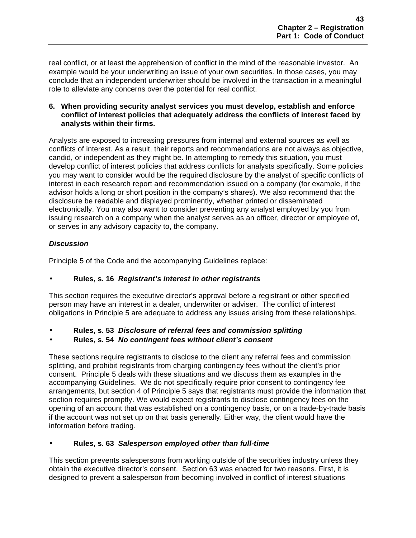real conflict, or at least the apprehension of conflict in the mind of the reasonable investor. An example would be your underwriting an issue of your own securities. In those cases, you may conclude that an independent underwriter should be involved in the transaction in a meaningful role to alleviate any concerns over the potential for real conflict.

### **6. When providing security analyst services you must develop, establish and enforce conflict of interest policies that adequately address the conflicts of interest faced by analysts within their firms.**

Analysts are exposed to increasing pressures from internal and external sources as well as conflicts of interest. As a result, their reports and recommendations are not always as objective, candid, or independent as they might be. In attempting to remedy this situation, you must develop conflict of interest policies that address conflicts for analysts specifically. Some policies you may want to consider would be the required disclosure by the analyst of specific conflicts of interest in each research report and recommendation issued on a company (for example, if the advisor holds a long or short position in the company's shares). We also recommend that the disclosure be readable and displayed prominently, whether printed or disseminated electronically. You may also want to consider preventing any analyst employed by you from issuing research on a company when the analyst serves as an officer, director or employee of, or serves in any advisory capacity to, the company.

### *Discussion*

Principle 5 of the Code and the accompanying Guidelines replace:

# • **Rules, s. 16** *Registrant's interest in other registrants*

This section requires the executive director's approval before a registrant or other specified person may have an interest in a dealer, underwriter or adviser. The conflict of interest obligations in Principle 5 are adequate to address any issues arising from these relationships.

- **Rules, s. 53** *Disclosure of referral fees and commission splitting*
- **Rules, s. 54** *No contingent fees without client's consent*

These sections require registrants to disclose to the client any referral fees and commission splitting, and prohibit registrants from charging contingency fees without the client's prior consent. Principle 5 deals with these situations and we discuss them as examples in the accompanying Guidelines. We do not specifically require prior consent to contingency fee arrangements, but section 4 of Principle 5 says that registrants must provide the information that section requires promptly. We would expect registrants to disclose contingency fees on the opening of an account that was established on a contingency basis, or on a trade-by-trade basis if the account was not set up on that basis generally. Either way, the client would have the information before trading.

### • **Rules, s. 63** *Salesperson employed other than full-time*

This section prevents salespersons from working outside of the securities industry unless they obtain the executive director's consent. Section 63 was enacted for two reasons. First, it is designed to prevent a salesperson from becoming involved in conflict of interest situations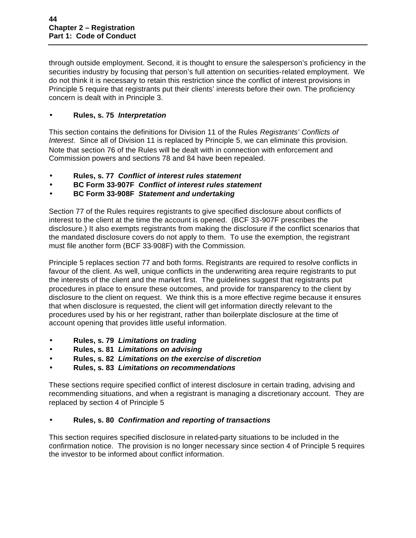through outside employment. Second, it is thought to ensure the salesperson's proficiency in the securities industry by focusing that person's full attention on securities-related employment. We do not think it is necessary to retain this restriction since the conflict of interest provisions in Principle 5 require that registrants put their clients' interests before their own. The proficiency concern is dealt with in Principle 3.

# • **Rules, s. 75** *Interpretation*

This section contains the definitions for Division 11 of the Rules *Registrants' Conflicts of Interest*. Since all of Division 11 is replaced by Principle 5, we can eliminate this provision. Note that section 76 of the Rules will be dealt with in connection with enforcement and Commission powers and sections 78 and 84 have been repealed.

- **Rules, s. 77** *Conflict of interest rules statement*
- **BC Form 33-907F** *Conflict of interest rules statement*
- **BC Form 33-908F** *Statement and undertaking*

Section 77 of the Rules requires registrants to give specified disclosure about conflicts of interest to the client at the time the account is opened. (BCF 33-907F prescribes the disclosure.) It also exempts registrants from making the disclosure if the conflict scenarios that the mandated disclosure covers do not apply to them. To use the exemption, the registrant must file another form (BCF 33-908F) with the Commission.

Principle 5 replaces section 77 and both forms. Registrants are required to resolve conflicts in favour of the client. As well, unique conflicts in the underwriting area require registrants to put the interests of the client and the market first. The guidelines suggest that registrants put procedures in place to ensure these outcomes, and provide for transparency to the client by disclosure to the client on request. We think this is a more effective regime because it ensures that when disclosure is requested, the client will get information directly relevant to the procedures used by his or her registrant, rather than boilerplate disclosure at the time of account opening that provides little useful information.

- **Rules, s. 79** *Limitations on trading*
- **Rules, s. 81** *Limitations on advising*
- **Rules, s. 82** *Limitations on the exercise of discretion*
- **Rules, s. 83** *Limitations on recommendations*

These sections require specified conflict of interest disclosure in certain trading, advising and recommending situations, and when a registrant is managing a discretionary account. They are replaced by section 4 of Principle 5

### • **Rules, s. 80** *Confirmation and reporting of transactions*

This section requires specified disclosure in related-party situations to be included in the confirmation notice. The provision is no longer necessary since section 4 of Principle 5 requires the investor to be informed about conflict information.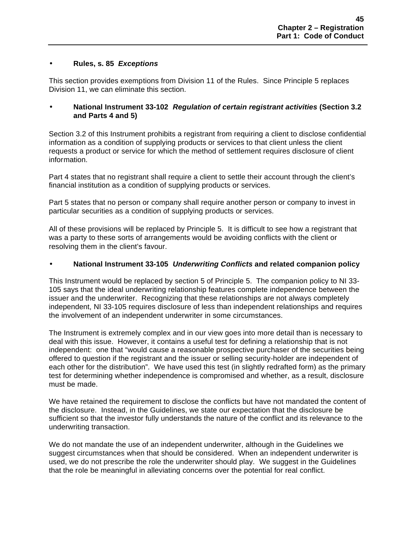## • **Rules, s. 85** *Exceptions*

This section provides exemptions from Division 11 of the Rules. Since Principle 5 replaces Division 11, we can eliminate this section.

## • **National Instrument 33-102** *Regulation of certain registrant activities* **(Section 3.2 and Parts 4 and 5)**

Section 3.2 of this Instrument prohibits a registrant from requiring a client to disclose confidential information as a condition of supplying products or services to that client unless the client requests a product or service for which the method of settlement requires disclosure of client information.

Part 4 states that no registrant shall require a client to settle their account through the client's financial institution as a condition of supplying products or services.

Part 5 states that no person or company shall require another person or company to invest in particular securities as a condition of supplying products or services.

All of these provisions will be replaced by Principle 5. It is difficult to see how a registrant that was a party to these sorts of arrangements would be avoiding conflicts with the client or resolving them in the client's favour.

### • **National Instrument 33-105** *Underwriting Conflicts* **and related companion policy**

This Instrument would be replaced by section 5 of Principle 5. The companion policy to NI 33- 105 says that the ideal underwriting relationship features complete independence between the issuer and the underwriter. Recognizing that these relationships are not always completely independent, NI 33-105 requires disclosure of less than independent relationships and requires the involvement of an independent underwriter in some circumstances.

The Instrument is extremely complex and in our view goes into more detail than is necessary to deal with this issue. However, it contains a useful test for defining a relationship that is not independent: one that "would cause a reasonable prospective purchaser of the securities being offered to question if the registrant and the issuer or selling security-holder are independent of each other for the distribution". We have used this test (in slightly redrafted form) as the primary test for determining whether independence is compromised and whether, as a result, disclosure must be made.

We have retained the requirement to disclose the conflicts but have not mandated the content of the disclosure. Instead, in the Guidelines, we state our expectation that the disclosure be sufficient so that the investor fully understands the nature of the conflict and its relevance to the underwriting transaction.

We do not mandate the use of an independent underwriter, although in the Guidelines we suggest circumstances when that should be considered. When an independent underwriter is used, we do not prescribe the role the underwriter should play. We suggest in the Guidelines that the role be meaningful in alleviating concerns over the potential for real conflict.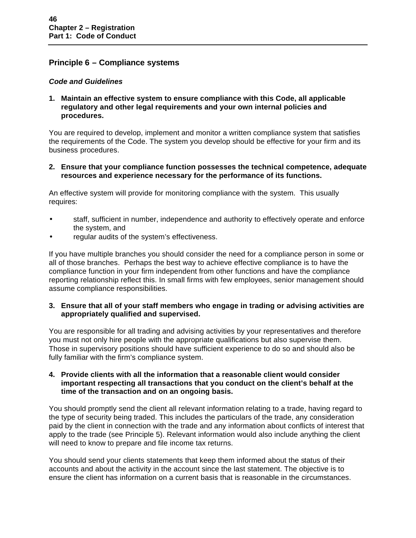# **Principle 6 – Compliance systems**

#### *Code and Guidelines*

**1. Maintain an effective system to ensure compliance with this Code, all applicable regulatory and other legal requirements and your own internal policies and procedures.**

You are required to develop, implement and monitor a written compliance system that satisfies the requirements of the Code. The system you develop should be effective for your firm and its business procedures.

#### **2. Ensure that your compliance function possesses the technical competence, adequate resources and experience necessary for the performance of its functions.**

An effective system will provide for monitoring compliance with the system. This usually requires:

- staff, sufficient in number, independence and authority to effectively operate and enforce the system, and
- regular audits of the system's effectiveness.

If you have multiple branches you should consider the need for a compliance person in some or all of those branches. Perhaps the best way to achieve effective compliance is to have the compliance function in your firm independent from other functions and have the compliance reporting relationship reflect this. In small firms with few employees, senior management should assume compliance responsibilities.

### **3. Ensure that all of your staff members who engage in trading or advising activities are appropriately qualified and supervised.**

You are responsible for all trading and advising activities by your representatives and therefore you must not only hire people with the appropriate qualifications but also supervise them. Those in supervisory positions should have sufficient experience to do so and should also be fully familiar with the firm's compliance system.

#### **4. Provide clients with all the information that a reasonable client would consider important respecting all transactions that you conduct on the client's behalf at the time of the transaction and on an ongoing basis.**

You should promptly send the client all relevant information relating to a trade, having regard to the type of security being traded. This includes the particulars of the trade, any consideration paid by the client in connection with the trade and any information about conflicts of interest that apply to the trade (see Principle 5). Relevant information would also include anything the client will need to know to prepare and file income tax returns.

You should send your clients statements that keep them informed about the status of their accounts and about the activity in the account since the last statement. The objective is to ensure the client has information on a current basis that is reasonable in the circumstances.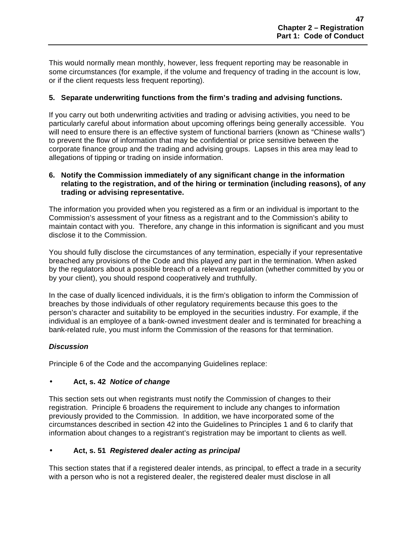This would normally mean monthly, however, less frequent reporting may be reasonable in some circumstances (for example, if the volume and frequency of trading in the account is low, or if the client requests less frequent reporting).

## **5. Separate underwriting functions from the firm's trading and advising functions.**

If you carry out both underwriting activities and trading or advising activities, you need to be particularly careful about information about upcoming offerings being generally accessible. You will need to ensure there is an effective system of functional barriers (known as "Chinese walls") to prevent the flow of information that may be confidential or price sensitive between the corporate finance group and the trading and advising groups. Lapses in this area may lead to allegations of tipping or trading on inside information.

### **6. Notify the Commission immediately of any significant change in the information relating to the registration, and of the hiring or termination (including reasons), of any trading or advising representative.**

The information you provided when you registered as a firm or an individual is important to the Commission's assessment of your fitness as a registrant and to the Commission's ability to maintain contact with you. Therefore, any change in this information is significant and you must disclose it to the Commission.

You should fully disclose the circumstances of any termination, especially if your representative breached any provisions of the Code and this played any part in the termination. When asked by the regulators about a possible breach of a relevant regulation (whether committed by you or by your client), you should respond cooperatively and truthfully.

In the case of dually licenced individuals, it is the firm's obligation to inform the Commission of breaches by those individuals of other regulatory requirements because this goes to the person's character and suitability to be employed in the securities industry. For example, if the individual is an employee of a bank-owned investment dealer and is terminated for breaching a bank-related rule, you must inform the Commission of the reasons for that termination.

### *Discussion*

Principle 6 of the Code and the accompanying Guidelines replace:

### • **Act, s. 42** *Notice of change*

This section sets out when registrants must notify the Commission of changes to their registration. Principle 6 broadens the requirement to include any changes to information previously provided to the Commission. In addition, we have incorporated some of the circumstances described in section 42 into the Guidelines to Principles 1 and 6 to clarify that information about changes to a registrant's registration may be important to clients as well.

### • **Act, s. 51** *Registered dealer acting as principal*

This section states that if a registered dealer intends, as principal, to effect a trade in a security with a person who is not a registered dealer, the registered dealer must disclose in all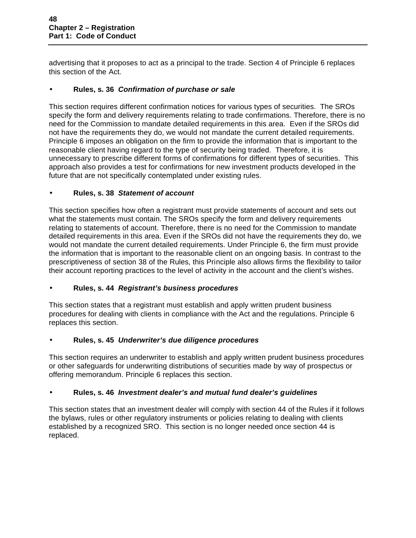advertising that it proposes to act as a principal to the trade. Section 4 of Principle 6 replaces this section of the Act.

# • **Rules, s. 36** *Confirmation of purchase or sale*

This section requires different confirmation notices for various types of securities. The SROs specify the form and delivery requirements relating to trade confirmations. Therefore, there is no need for the Commission to mandate detailed requirements in this area. Even if the SROs did not have the requirements they do, we would not mandate the current detailed requirements. Principle 6 imposes an obligation on the firm to provide the information that is important to the reasonable client having regard to the type of security being traded. Therefore, it is unnecessary to prescribe different forms of confirmations for different types of securities. This approach also provides a test for confirmations for new investment products developed in the future that are not specifically contemplated under existing rules.

## • **Rules, s. 38** *Statement of account*

This section specifies how often a registrant must provide statements of account and sets out what the statements must contain. The SROs specify the form and delivery requirements relating to statements of account. Therefore, there is no need for the Commission to mandate detailed requirements in this area. Even if the SROs did not have the requirements they do, we would not mandate the current detailed requirements. Under Principle 6, the firm must provide the information that is important to the reasonable client on an ongoing basis. In contrast to the prescriptiveness of section 38 of the Rules, this Principle also allows firms the flexibility to tailor their account reporting practices to the level of activity in the account and the client's wishes.

### • **Rules, s. 44** *Registrant's business procedures*

This section states that a registrant must establish and apply written prudent business procedures for dealing with clients in compliance with the Act and the regulations. Principle 6 replaces this section.

### • **Rules, s. 45** *Underwriter's due diligence procedures*

This section requires an underwriter to establish and apply written prudent business procedures or other safeguards for underwriting distributions of securities made by way of prospectus or offering memorandum. Principle 6 replaces this section.

### • **Rules, s. 46** *Investment dealer's and mutual fund dealer's guidelines*

This section states that an investment dealer will comply with section 44 of the Rules if it follows the bylaws, rules or other regulatory instruments or policies relating to dealing with clients established by a recognized SRO. This section is no longer needed once section 44 is replaced.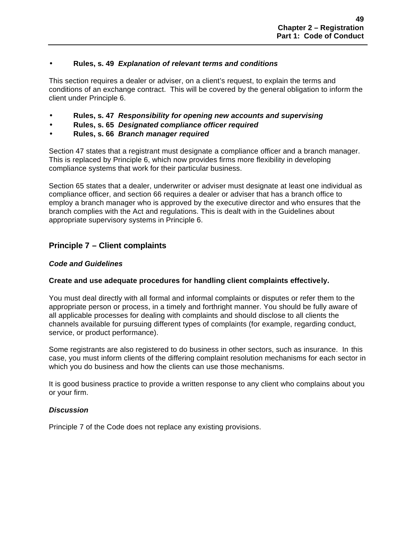## • **Rules, s. 49** *Explanation of relevant terms and conditions*

This section requires a dealer or adviser, on a client's request, to explain the terms and conditions of an exchange contract. This will be covered by the general obligation to inform the client under Principle 6.

- **Rules, s. 47** *Responsibility for opening new accounts and supervising*
- **Rules, s. 65** *Designated compliance officer required*
- **Rules, s. 66** *Branch manager required*

Section 47 states that a registrant must designate a compliance officer and a branch manager. This is replaced by Principle 6, which now provides firms more flexibility in developing compliance systems that work for their particular business.

Section 65 states that a dealer, underwriter or adviser must designate at least one individual as compliance officer, and section 66 requires a dealer or adviser that has a branch office to employ a branch manager who is approved by the executive director and who ensures that the branch complies with the Act and regulations. This is dealt with in the Guidelines about appropriate supervisory systems in Principle 6.

# **Principle 7 – Client complaints**

### *Code and Guidelines*

### **Create and use adequate procedures for handling client complaints effectively.**

You must deal directly with all formal and informal complaints or disputes or refer them to the appropriate person or process, in a timely and forthright manner. You should be fully aware of all applicable processes for dealing with complaints and should disclose to all clients the channels available for pursuing different types of complaints (for example, regarding conduct, service, or product performance).

Some registrants are also registered to do business in other sectors, such as insurance. In this case, you must inform clients of the differing complaint resolution mechanisms for each sector in which you do business and how the clients can use those mechanisms.

It is good business practice to provide a written response to any client who complains about you or your firm.

### *Discussion*

Principle 7 of the Code does not replace any existing provisions.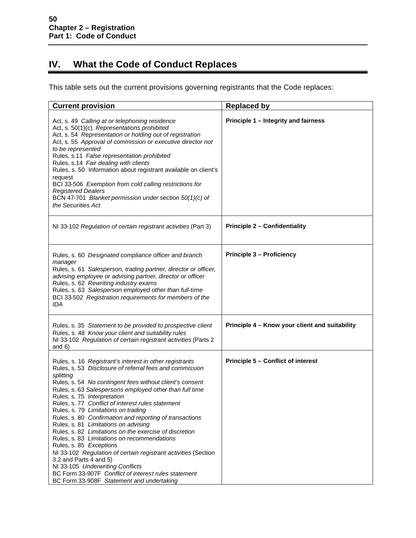# **IV. What the Code of Conduct Replaces**

This table sets out the current provisions governing registrants that the Code replaces:

| <b>Current provision</b>                                                                                                                                                                                                                                                                                                                                                                                                                                                                                                                                                                                                                                                                                                                                                                                                                                      | <b>Replaced by</b>                             |
|---------------------------------------------------------------------------------------------------------------------------------------------------------------------------------------------------------------------------------------------------------------------------------------------------------------------------------------------------------------------------------------------------------------------------------------------------------------------------------------------------------------------------------------------------------------------------------------------------------------------------------------------------------------------------------------------------------------------------------------------------------------------------------------------------------------------------------------------------------------|------------------------------------------------|
| Act, s. 49 Calling at or telephoning residence<br>Act, s. 50(1)(c) Representations prohibited<br>Act, s. 54 Representation or holding out of registration<br>Act, s. 55 Approval of commission or executive director not<br>to be represented<br>Rules, s.11 False representation prohibited<br>Rules, s.14 Fair dealing with clients<br>Rules, s. 50 Information about registrant available on client's<br>request<br>BCI 33-506 Exemption from cold calling restrictions for<br><b>Registered Dealers</b><br>BCN 47-701 Blanket permission under section 50(1)(c) of<br>the Securities Act                                                                                                                                                                                                                                                                  | Principle 1 - Integrity and fairness           |
| NI 33-102 Regulation of certain registrant activities (Part 3)                                                                                                                                                                                                                                                                                                                                                                                                                                                                                                                                                                                                                                                                                                                                                                                                | <b>Principle 2 - Confidentiality</b>           |
| Rules, s. 60 Designated compliance officer and branch<br>manager<br>Rules, s. 61 Salesperson, trading partner, director or officer,<br>advising employee or advising partner, director or officer<br>Rules, s. 62 Rewriting industry exams<br>Rules, s. 63 Salesperson employed other than full-time<br>BCI 33-502 Registration requirements for members of the<br>IDA                                                                                                                                                                                                                                                                                                                                                                                                                                                                                        | <b>Principle 3 - Proficiency</b>               |
| Rules, s. 35 Statement to be provided to prospective client<br>Rules, s. 48 Know your client and suitability rules<br>NI 33-102 Regulation of certain registrant activities (Parts 2<br>and $6)$                                                                                                                                                                                                                                                                                                                                                                                                                                                                                                                                                                                                                                                              | Principle 4 - Know your client and suitability |
| Rules, s. 16 Registrant's interest in other registrants<br>Rules, s. 53 Disclosure of referral fees and commission<br>splitting<br>Rules, s. 54 No contingent fees without client's consent<br>Rules, s. 63 Salespersons employed other than full time<br>Rules, s. 75 Interpretation<br>Rules, s. 77 Conflict of interest rules statement<br>Rules, s. 79 Limitations on trading<br>Rules, s. 80 Confirmation and reporting of transactions<br>Rules, s. 81 Limitations on advising<br>Rules, s. 82 Limitations on the exercise of discretion<br>Rules, s. 83 Limitations on recommendations<br>Rules, s. 85 Exceptions<br>NI 33-102 Regulation of certain registrant activities (Section<br>3.2 and Parts 4 and 5)<br>NI 33-105 Underwriting Conflicts<br>BC Form 33-907F Conflict of interest rules statement<br>BC Form 33-908F Statement and undertaking | Principle 5 - Conflict of interest             |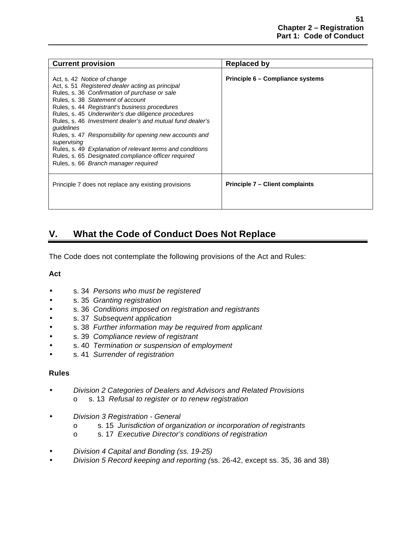| <b>Current provision</b>                                                                                                                                                                                                                                                                                                                                                                                                                                                                                                                                                                        | <b>Replaced by</b>               |
|-------------------------------------------------------------------------------------------------------------------------------------------------------------------------------------------------------------------------------------------------------------------------------------------------------------------------------------------------------------------------------------------------------------------------------------------------------------------------------------------------------------------------------------------------------------------------------------------------|----------------------------------|
| Act, s. 42 Notice of change<br>Act, s. 51 Registered dealer acting as principal<br>Rules, s. 36 Confirmation of purchase or sale<br>Rules, s. 38 Statement of account<br>Rules, s. 44 Registrant's business procedures<br>Rules, s. 45 Underwriter's due diligence procedures<br>Rules, s. 46 Investment dealer's and mutual fund dealer's<br>quidelines<br>Rules, s. 47 Responsibility for opening new accounts and<br>supervising<br>Rules, s. 49 Explanation of relevant terms and conditions<br>Rules, s. 65 Designated compliance officer required<br>Rules, s. 66 Branch manager required | Principle 6 – Compliance systems |
| Principle 7 does not replace any existing provisions                                                                                                                                                                                                                                                                                                                                                                                                                                                                                                                                            | Principle 7 – Client complaints  |

# **V. What the Code of Conduct Does Not Replace**

The Code does not contemplate the following provisions of the Act and Rules:

**Act**

- s. 34 *Persons who must be registered*
- s. 35 *Granting registration*
- s. 36 *Conditions imposed on registration and registrants*
- s. 37 *Subsequent application*
- s. 38 *Further information may be required from applicant*
- s. 39 *Compliance review of registrant*
- s. 40 *Termination or suspension of employment*
- s. 41 *Surrender of registration*

### **Rules**

- *Division 2 Categories of Dealers and Advisors and Related Provisions* o s. 13 *Refusal to register or to renew registration*
- *Division 3 Registration General*
	- o s. 15 *Jurisdiction of organization or incorporation of registrants*
	- o s. 17 *Executive Director's conditions of registration*
- *Division 4 Capital and Bonding (ss. 19-25)*
- *Division 5 Record keeping and reporting (*ss. 26-42, except ss. 35, 36 and 38)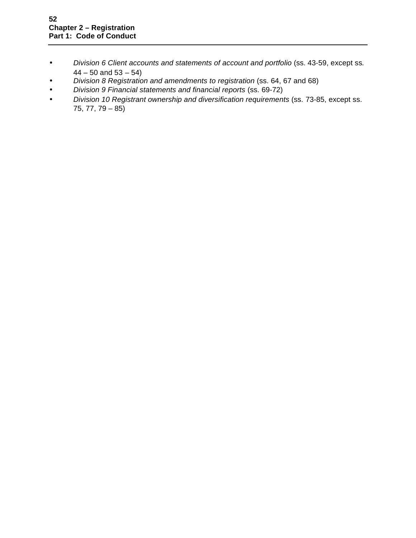- *Division 6 Client accounts and statements of account and portfolio (ss. 43-59, except ss.*  $44 - 50$  and  $53 - 54$ )
- *Division 8 Registration and amendments to registration* (ss. 64, 67 and 68)
- *Division 9 Financial statements and financial reports* (ss. 69-72)
- *Division 10 Registrant ownership and diversification requirements* (ss. 73-85, except ss. 75, 77, 79 – 85)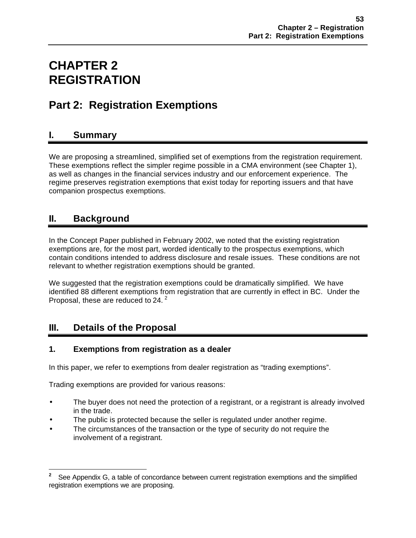# **CHAPTER 2 REGISTRATION**

# **Part 2: Registration Exemptions**

# **I. Summary**

We are proposing a streamlined, simplified set of exemptions from the registration requirement. These exemptions reflect the simpler regime possible in a CMA environment (see Chapter 1), as well as changes in the financial services industry and our enforcement experience. The regime preserves registration exemptions that exist today for reporting issuers and that have companion prospectus exemptions.

# **II. Background**

 $\overline{a}$ 

In the Concept Paper published in February 2002, we noted that the existing registration exemptions are, for the most part, worded identically to the prospectus exemptions, which contain conditions intended to address disclosure and resale issues. These conditions are not relevant to whether registration exemptions should be granted.

We suggested that the registration exemptions could be dramatically simplified. We have identified 88 different exemptions from registration that are currently in effect in BC. Under the Proposal, these are reduced to 24.<sup>2</sup>

# **III. Details of the Proposal**

# **1. Exemptions from registration as a dealer**

In this paper, we refer to exemptions from dealer registration as "trading exemptions".

Trading exemptions are provided for various reasons:

- The buyer does not need the protection of a registrant, or a registrant is already involved in the trade.
- The public is protected because the seller is regulated under another regime.
- The circumstances of the transaction or the type of security do not require the involvement of a registrant.

**<sup>2</sup>** See Appendix G, a table of concordance between current registration exemptions and the simplified registration exemptions we are proposing.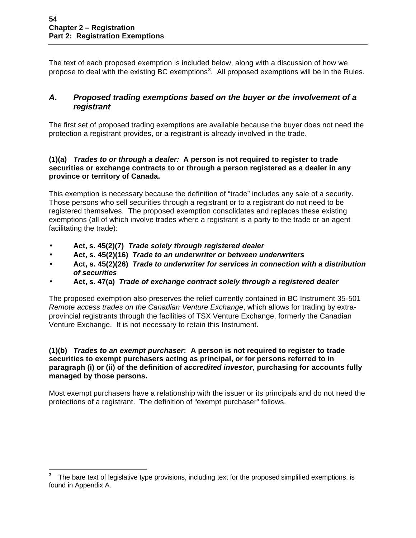The text of each proposed exemption is included below, along with a discussion of how we propose to deal with the existing BC exemptions<sup>3</sup>. All proposed exemptions will be in the Rules.

# *A. Proposed trading exemptions based on the buyer or the involvement of a registrant*

The first set of proposed trading exemptions are available because the buyer does not need the protection a registrant provides, or a registrant is already involved in the trade.

### **(1)(a)** *Trades to or through a dealer:* **A person is not required to register to trade securities or exchange contracts to or through a person registered as a dealer in any province or territory of Canada.**

This exemption is necessary because the definition of "trade" includes any sale of a security. Those persons who sell securities through a registrant or to a registrant do not need to be registered themselves. The proposed exemption consolidates and replaces these existing exemptions (all of which involve trades where a registrant is a party to the trade or an agent facilitating the trade):

- **Act, s. 45(2)(7)** *Trade solely through registered dealer*
- **Act, s. 45(2)(16)** *Trade to an underwriter or between underwriters*
- **Act, s. 45(2)(26)** *Trade to underwriter for services in connection with a distribution of securities*
- **Act, s. 47(a)** *Trade of exchange contract solely through a registered dealer*

The proposed exemption also preserves the relief currently contained in BC Instrument 35-501 *Remote access trades on the Canadian Venture Exchange*, which allows for trading by extraprovincial registrants through the facilities of TSX Venture Exchange, formerly the Canadian Venture Exchange. It is not necessary to retain this Instrument.

#### **(1)(b)** *Trades to an exempt purchaser***: A person is not required to register to trade securities to exempt purchasers acting as principal, or for persons referred to in paragraph (i) or (ii) of the definition of** *accredited investor***, purchasing for accounts fully managed by those persons.**

Most exempt purchasers have a relationship with the issuer or its principals and do not need the protections of a registrant. The definition of "exempt purchaser" follows.

 **3** The bare text of legislative type provisions, including text for the proposed simplified exemptions, is found in Appendix A.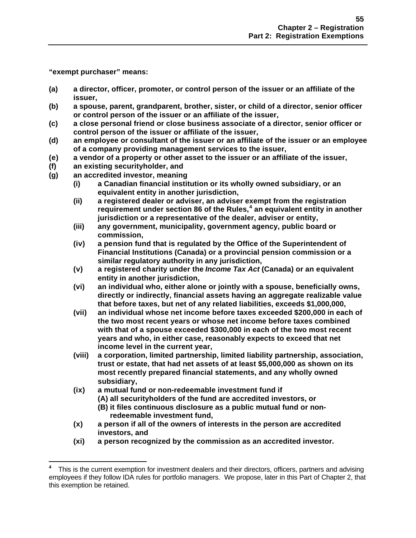**"exempt purchaser" means:**

- **(a) a director, officer, promoter, or control person of the issuer or an affiliate of the issuer,**
- **(b) a spouse, parent, grandparent, brother, sister, or child of a director, senior officer or control person of the issuer or an affiliate of the issuer,**
- **(c) a close personal friend or close business associate of a director, senior officer or control person of the issuer or affiliate of the issuer,**
- **(d) an employee or consultant of the issuer or an affiliate of the issuer or an employee of a company providing management services to the issuer,**
- **(e) a vendor of a property or other asset to the issuer or an affiliate of the issuer,**
- **(f) an existing securityholder, and**

 $\overline{a}$ 

- **(g) an accredited investor, meaning**
	- **(i) a Canadian financial institution or its wholly owned subsidiary, or an equivalent entity in another jurisdiction,**
	- **(ii) a registered dealer or adviser, an adviser exempt from the registration requirement under section 86 of the Rules,<sup>4</sup> an equivalent entity in another jurisdiction or a representative of the dealer, adviser or entity,**
	- **(iii) any government, municipality, government agency, public board or commission,**
	- **(iv) a pension fund that is regulated by the Office of the Superintendent of Financial Institutions (Canada) or a provincial pension commission or a similar regulatory authority in any jurisdiction,**
	- **(v) a registered charity under the** *Income Tax Act* **(Canada) or an equivalent entity in another jurisdiction,**
	- **(vi) an individual who, either alone or jointly with a spouse, beneficially owns, directly or indirectly, financial assets having an aggregate realizable value that before taxes, but net of any related liabilities, exceeds \$1,000,000,**
	- **(vii) an individual whose net income before taxes exceeded \$200,000 in each of the two most recent years or whose net income before taxes combined with that of a spouse exceeded \$300,000 in each of the two most recent years and who, in either case, reasonably expects to exceed that net income level in the current year,**
	- **(viii) a corporation, limited partnership, limited liability partnership, association, trust or estate, that had net assets of at least \$5,000,000 as shown on its most recently prepared financial statements, and any wholly owned subsidiary,**
	- **(ix) a mutual fund or non-redeemable investment fund if (A) all securityholders of the fund are accredited investors, or**
		- **(B) it files continuous disclosure as a public mutual fund or nonredeemable investment fund,**
	- **(x) a person if all of the owners of interests in the person are accredited investors, and**
	- **(xi) a person recognized by the commission as an accredited investor.**

**<sup>4</sup>** This is the current exemption for investment dealers and their directors, officers, partners and advising employees if they follow IDA rules for portfolio managers. We propose, later in this Part of Chapter 2, that this exemption be retained.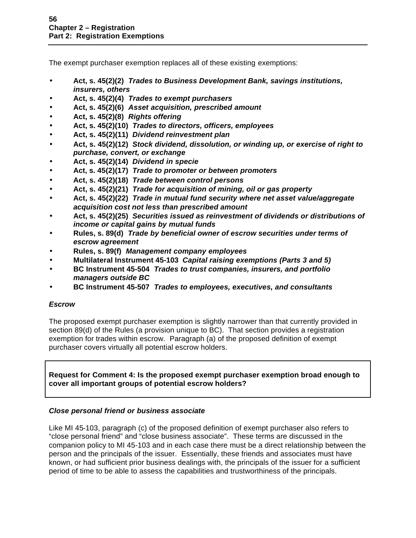The exempt purchaser exemption replaces all of these existing exemptions:

- **Act, s. 45(2)(2)** *Trades to Business Development Bank, savings institutions, insurers, others*
- **Act, s. 45(2)(4)** *Trades to exempt purchasers*
- **Act, s. 45(2)(6)** *Asset acquisition, prescribed amount*
- **Act, s. 45(2)(8)** *Rights offering*
- **Act, s. 45(2)(10)** *Trades to directors, officers, employees*
- **Act, s. 45(2)(11)** *Dividend reinvestment plan*
- **Act, s. 45(2)(12)** *Stock dividend, dissolution, or winding up, or exercise of right to purchase, convert, or exchange*
- **Act, s. 45(2)(14)** *Dividend in specie*
- **Act, s. 45(2)(17)** *Trade to promoter or between promoters*
- **Act, s. 45(2)(18)** *Trade between control persons*
- **Act, s. 45(2)(21)** *Trade for acquisition of mining, oil or gas property*
- **Act, s. 45(2)(22)** *Trade in mutual fund security where net asset value/aggregate acquisition cost not less than prescribed amount*
- **Act, s. 45(2)(25)** *Securities issued as reinvestment of dividends or distributions of income or capital gains by mutual funds*
- **Rules, s. 89(d)** *Trade by beneficial owner of escrow securities under terms of escrow agreement*
- **Rules, s. 89(f)** *Management company employees*
- **Multilateral Instrument 45-103** *Capital raising exemptions (Parts 3 and 5)*
- **BC Instrument 45-504** *Trades to trust companies, insurers, and portfolio managers outside BC*
- **BC Instrument 45-507** *Trades to employees, executives, and consultants*

# *Escrow*

The proposed exempt purchaser exemption is slightly narrower than that currently provided in section 89(d) of the Rules (a provision unique to BC). That section provides a registration exemption for trades within escrow. Paragraph (a) of the proposed definition of exempt purchaser covers virtually all potential escrow holders.

**Request for Comment 4: Is the proposed exempt purchaser exemption broad enough to cover all important groups of potential escrow holders?**

### *Close personal friend or business associate*

Like MI 45-103, paragraph (c) of the proposed definition of exempt purchaser also refers to "close personal friend" and "close business associate". These terms are discussed in the companion policy to MI 45-103 and in each case there must be a direct relationship between the person and the principals of the issuer. Essentially, these friends and associates must have known, or had sufficient prior business dealings with, the principals of the issuer for a sufficient period of time to be able to assess the capabilities and trustworthiness of the principals.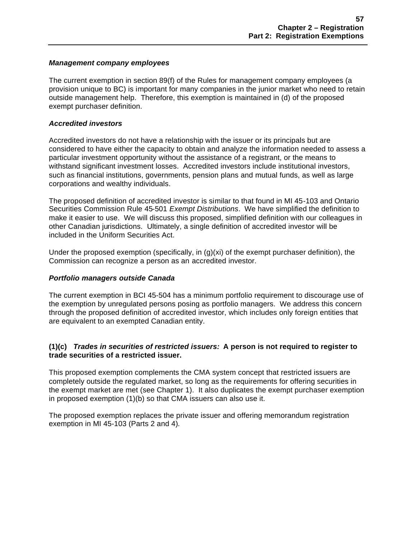#### *Management company employees*

The current exemption in section 89(f) of the Rules for management company employees (a provision unique to BC) is important for many companies in the junior market who need to retain outside management help. Therefore, this exemption is maintained in (d) of the proposed exempt purchaser definition.

#### *Accredited investors*

Accredited investors do not have a relationship with the issuer or its principals but are considered to have either the capacity to obtain and analyze the information needed to assess a particular investment opportunity without the assistance of a registrant, or the means to withstand significant investment losses. Accredited investors include institutional investors, such as financial institutions, governments, pension plans and mutual funds, as well as large corporations and wealthy individuals.

The proposed definition of accredited investor is similar to that found in MI 45-103 and Ontario Securities Commission Rule 45-501 *Exempt Distributions*. We have simplified the definition to make it easier to use. We will discuss this proposed, simplified definition with our colleagues in other Canadian jurisdictions. Ultimately, a single definition of accredited investor will be included in the Uniform Securities Act.

Under the proposed exemption (specifically, in  $(q)(x)$  of the exempt purchaser definition), the Commission can recognize a person as an accredited investor.

#### *Portfolio managers outside Canada*

The current exemption in BCI 45-504 has a minimum portfolio requirement to discourage use of the exemption by unregulated persons posing as portfolio managers. We address this concern through the proposed definition of accredited investor, which includes only foreign entities that are equivalent to an exempted Canadian entity.

### **(1)(c)** *Trades in securities of restricted issuers:* **A person is not required to register to trade securities of a restricted issuer.**

This proposed exemption complements the CMA system concept that restricted issuers are completely outside the regulated market, so long as the requirements for offering securities in the exempt market are met (see Chapter 1). It also duplicates the exempt purchaser exemption in proposed exemption (1)(b) so that CMA issuers can also use it.

The proposed exemption replaces the private issuer and offering memorandum registration exemption in MI 45-103 (Parts 2 and 4)*.*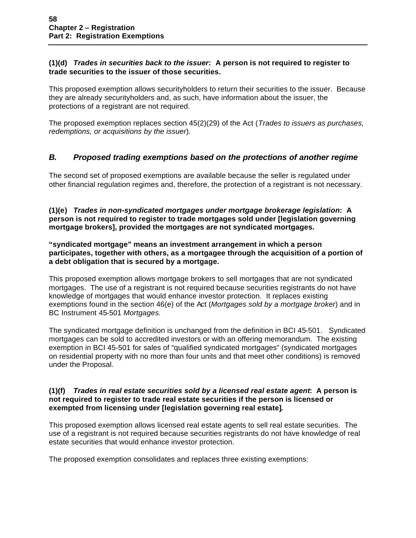### **(1)(d)** *Trades in securities back to the issuer***: A person is not required to register to trade securities to the issuer of those securities.**

This proposed exemption allows securityholders to return their securities to the issuer. Because they are already securityholders and, as such, have information about the issuer, the protections of a registrant are not required.

The proposed exemption replaces section 45(2)(29) of the Act (*Trades to issuers as purchases, redemptions, or acquisitions by the issuer*)*.* 

# *B. Proposed trading exemptions based on the protections of another regime*

The second set of proposed exemptions are available because the seller is regulated under other financial regulation regimes and, therefore, the protection of a registrant is not necessary.

**(1)(e)** *Trades in non-syndicated mortgages under mortgage brokerage legislation***: A person is not required to register to trade mortgages sold under [legislation governing mortgage brokers], provided the mortgages are not syndicated mortgages.**

**"syndicated mortgage" means an investment arrangement in which a person participates, together with others, as a mortgagee through the acquisition of a portion of a debt obligation that is secured by a mortgage.**

This proposed exemption allows mortgage brokers to sell mortgages that are not syndicated mortgages. The use of a registrant is not required because securities registrants do not have knowledge of mortgages that would enhance investor protection. It replaces existing exemptions found in the section 46(e) of the Act (*Mortgages sold by a mortgage broker*) and in BC Instrument 45-501 *Mortgages.*

The syndicated mortgage definition is unchanged from the definition in BCI 45-501. Syndicated mortgages can be sold to accredited investors or with an offering memorandum. The existing exemption in BCI 45-501 for sales of "qualified syndicated mortgages" (syndicated mortgages on residential property with no more than four units and that meet other conditions) is removed under the Proposal.

#### **(1)(f)** *Trades in real estate securities sold by a licensed real estate agent***: A person is not required to register to trade real estate securities if the person is licensed or exempted from licensing under [legislation governing real estate]***.*

This proposed exemption allows licensed real estate agents to sell real estate securities. The use of a registrant is not required because securities registrants do not have knowledge of real estate securities that would enhance investor protection.

The proposed exemption consolidates and replaces three existing exemptions: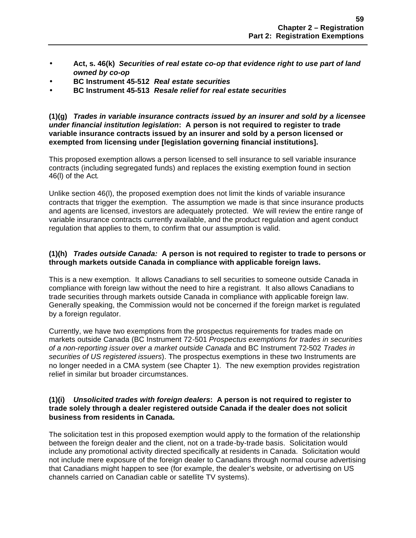- **Act, s. 46(k)** *Securities of real estate co-op that evidence right to use part of land owned by co-op*
- **BC Instrument 45-512** *Real estate securities*
- **BC Instrument 45-513** *Resale relief for real estate securities*

**(1)(g)** *Trades in variable insurance contracts issued by an insurer and sold by a licensee under financial institution legislation***: A person is not required to register to trade variable insurance contracts issued by an insurer and sold by a person licensed or exempted from licensing under [legislation governing financial institutions].**

This proposed exemption allows a person licensed to sell insurance to sell variable insurance contracts (including segregated funds) and replaces the existing exemption found in section 46(l) of the Act*.*

Unlike section 46(l), the proposed exemption does not limit the kinds of variable insurance contracts that trigger the exemption. The assumption we made is that since insurance products and agents are licensed, investors are adequately protected. We will review the entire range of variable insurance contracts currently available, and the product regulation and agent conduct regulation that applies to them, to confirm that our assumption is valid.

## **(1)(h)** *Trades outside Canada:* **A person is not required to register to trade to persons or through markets outside Canada in compliance with applicable foreign laws.**

This is a new exemption. It allows Canadians to sell securities to someone outside Canada in compliance with foreign law without the need to hire a registrant. It also allows Canadians to trade securities through markets outside Canada in compliance with applicable foreign law. Generally speaking, the Commission would not be concerned if the foreign market is regulated by a foreign regulator.

Currently, we have two exemptions from the prospectus requirements for trades made on markets outside Canada (BC Instrument 72-501 *Prospectus exemptions for trades in securities of a non-reporting issuer over a market outside Canada* and BC Instrument 72-502 *Trades in securities of US registered issuers*). The prospectus exemptions in these two Instruments are no longer needed in a CMA system (see Chapter 1). The new exemption provides registration relief in similar but broader circumstances.

### **(1)(i)** *Unsolicited trades with foreign dealers***: A person is not required to register to trade solely through a dealer registered outside Canada if the dealer does not solicit business from residents in Canada.**

The solicitation test in this proposed exemption would apply to the formation of the relationship between the foreign dealer and the client, not on a trade-by-trade basis. Solicitation would include any promotional activity directed specifically at residents in Canada. Solicitation would not include mere exposure of the foreign dealer to Canadians through normal course advertising that Canadians might happen to see (for example, the dealer's website, or advertising on US channels carried on Canadian cable or satellite TV systems).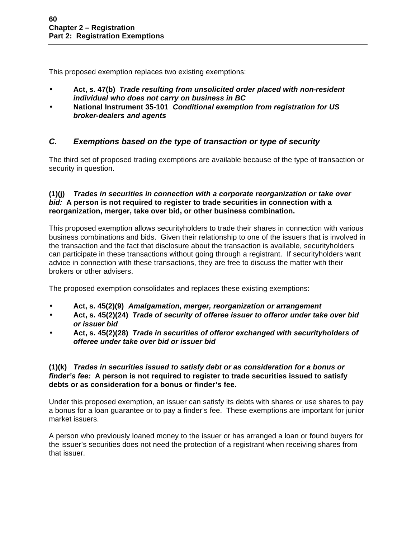This proposed exemption replaces two existing exemptions:

- **Act, s. 47(b)** *Trade resulting from unsolicited order placed with non-resident individual who does not carry on business in BC*
- **National Instrument 35-101** *Conditional exemption from registration for US broker-dealers and agents*

# *C. Exemptions based on the type of transaction or type of security*

The third set of proposed trading exemptions are available because of the type of transaction or security in question.

#### **(1)(j)** *Trades in securities in connection with a corporate reorganization or take over bid:* **A person is not required to register to trade securities in connection with a reorganization, merger, take over bid, or other business combination.**

This proposed exemption allows securityholders to trade their shares in connection with various business combinations and bids. Given their relationship to one of the issuers that is involved in the transaction and the fact that disclosure about the transaction is available, securityholders can participate in these transactions without going through a registrant. If securityholders want advice in connection with these transactions, they are free to discuss the matter with their brokers or other advisers.

The proposed exemption consolidates and replaces these existing exemptions:

- **Act, s. 45(2)(9)** *Amalgamation, merger, reorganization or arrangement*
- **Act, s. 45(2)(24)** *Trade of security of offeree issuer to offeror under take over bid or issuer bid*
- **Act, s. 45(2)(28)** *Trade in securities of offeror exchanged with securityholders of offeree under take over bid or issuer bid*

#### **(1)(k)** *Trades in securities issued to satisfy debt or as consideration for a bonus or finder's fee:* **A person is not required to register to trade securities issued to satisfy debts or as consideration for a bonus or finder's fee.**

Under this proposed exemption, an issuer can satisfy its debts with shares or use shares to pay a bonus for a loan guarantee or to pay a finder's fee. These exemptions are important for junior market issuers.

A person who previously loaned money to the issuer or has arranged a loan or found buyers for the issuer's securities does not need the protection of a registrant when receiving shares from that issuer.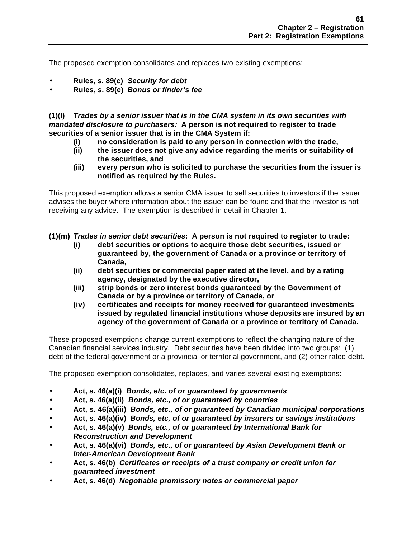The proposed exemption consolidates and replaces two existing exemptions:

- **Rules, s. 89(c)** *Security for debt*
- **Rules, s. 89(e)** *Bonus or finder's fee*

**(1)(l)** *Trades by a senior issuer that is in the CMA system in its own securities with mandated disclosure to purchasers:* **A person is not required to register to trade securities of a senior issuer that is in the CMA System if:**

- **(i) no consideration is paid to any person in connection with the trade,**
- **(ii) the issuer does not give any advice regarding the merits or suitability of the securities, and**
- **(iii) every person who is solicited to purchase the securities from the issuer is notified as required by the Rules.**

This proposed exemption allows a senior CMA issuer to sell securities to investors if the issuer advises the buyer where information about the issuer can be found and that the investor is not receiving any advice. The exemption is described in detail in Chapter 1.

**(1)(m)** *Trades in senior debt securities***: A person is not required to register to trade:**

- **(i) debt securities or options to acquire those debt securities, issued or guaranteed by, the government of Canada or a province or territory of Canada,**
- **(ii) debt securities or commercial paper rated at the level, and by a rating agency, designated by the executive director,**
- **(iii) strip bonds or zero interest bonds guaranteed by the Government of Canada or by a province or territory of Canada, or**
- **(iv) certificates and receipts for money received for guaranteed investments issued by regulated financial institutions whose deposits are insured by an agency of the government of Canada or a province or territory of Canada.**

These proposed exemptions change current exemptions to reflect the changing nature of the Canadian financial services industry. Debt securities have been divided into two groups: (1) debt of the federal government or a provincial or territorial government, and (2) other rated debt.

The proposed exemption consolidates, replaces, and varies several existing exemptions:

- **Act, s. 46(a)(i)** *Bonds, etc. of or guaranteed by governments*
- **Act, s. 46(a)(ii)** *Bonds, etc., of or guaranteed by countries*
- **Act, s. 46(a)(iii)** *Bonds, etc., of or guaranteed by Canadian municipal corporations*
- **Act, s. 46(a)(iv)** *Bonds, etc, of or guaranteed by insurers or savings institutions*
- **Act, s. 46(a)(v)** *Bonds, etc., of or guaranteed by International Bank for Reconstruction and Development*
- **Act, s. 46(a)(vi)** *Bonds, etc., of or guaranteed by Asian Development Bank or Inter-American Development Bank*
- **Act, s. 46(b)** *Certificates or receipts of a trust company or credit union for guaranteed investment*
- **Act, s. 46(d)** *Negotiable promissory notes or commercial paper*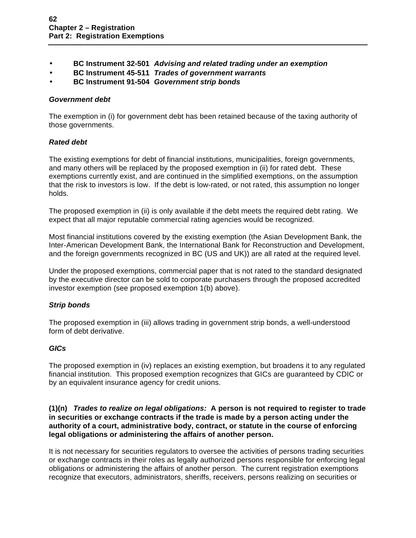- **BC Instrument 32-501** *Advising and related trading under an exemption*
- **BC Instrument 45-511** *Trades of government warrants*
- **BC Instrument 91-504** *Government strip bonds*

### *Government debt*

The exemption in (i) for government debt has been retained because of the taxing authority of those governments.

### *Rated debt*

The existing exemptions for debt of financial institutions, municipalities, foreign governments, and many others will be replaced by the proposed exemption in (ii) for rated debt. These exemptions currently exist, and are continued in the simplified exemptions, on the assumption that the risk to investors is low. If the debt is low-rated, or not rated, this assumption no longer holds.

The proposed exemption in (ii) is only available if the debt meets the required debt rating. We expect that all major reputable commercial rating agencies would be recognized.

Most financial institutions covered by the existing exemption (the Asian Development Bank, the Inter-American Development Bank, the International Bank for Reconstruction and Development, and the foreign governments recognized in BC (US and UK)) are all rated at the required level.

Under the proposed exemptions, commercial paper that is not rated to the standard designated by the executive director can be sold to corporate purchasers through the proposed accredited investor exemption (see proposed exemption 1(b) above).

### *Strip bonds*

The proposed exemption in (iii) allows trading in government strip bonds, a well-understood form of debt derivative.

### *GICs*

The proposed exemption in (iv) replaces an existing exemption, but broadens it to any regulated financial institution. This proposed exemption recognizes that GICs are guaranteed by CDIC or by an equivalent insurance agency for credit unions.

### **(1)(n)** *Trades to realize on legal obligations:* **A person is not required to register to trade in securities or exchange contracts if the trade is made by a person acting under the authority of a court, administrative body, contract, or statute in the course of enforcing legal obligations or administering the affairs of another person.**

It is not necessary for securities regulators to oversee the activities of persons trading securities or exchange contracts in their roles as legally authorized persons responsible for enforcing legal obligations or administering the affairs of another person. The current registration exemptions recognize that executors, administrators, sheriffs, receivers, persons realizing on securities or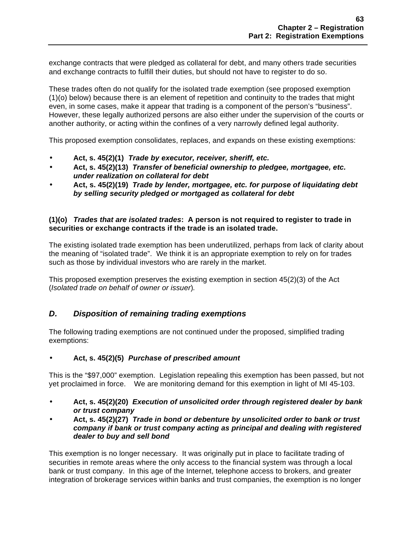exchange contracts that were pledged as collateral for debt, and many others trade securities and exchange contracts to fulfill their duties, but should not have to register to do so.

These trades often do not qualify for the isolated trade exemption (see proposed exemption (1)(o) below) because there is an element of repetition and continuity to the trades that might even, in some cases, make it appear that trading is a component of the person's "business". However, these legally authorized persons are also either under the supervision of the courts or another authority, or acting within the confines of a very narrowly defined legal authority.

This proposed exemption consolidates, replaces, and expands on these existing exemptions:

- **Act, s. 45(2)(1)** *Trade by executor, receiver, sheriff, etc.*
- **Act, s. 45(2)(13)** *Transfer of beneficial ownership to pledgee, mortgagee, etc. under realization on collateral for debt*
- **Act, s. 45(2)(19)** *Trade by lender, mortgagee, etc. for purpose of liquidating debt by selling security pledged or mortgaged as collateral for debt*

#### **(1)(o)** *Trades that are isolated trades***: A person is not required to register to trade in securities or exchange contracts if the trade is an isolated trade.**

The existing isolated trade exemption has been underutilized, perhaps from lack of clarity about the meaning of "isolated trade". We think it is an appropriate exemption to rely on for trades such as those by individual investors who are rarely in the market.

This proposed exemption preserves the existing exemption in section 45(2)(3) of the Act (*Isolated trade on behalf of owner or issuer*)*.* 

# *D. Disposition of remaining trading exemptions*

The following trading exemptions are not continued under the proposed, simplified trading exemptions:

### • **Act, s. 45(2)(5)** *Purchase of prescribed amount*

This is the "\$97,000" exemption. Legislation repealing this exemption has been passed, but not yet proclaimed in force. We are monitoring demand for this exemption in light of MI 45-103.

- **Act, s. 45(2)(20)** *Execution of unsolicited order through registered dealer by bank or trust company*
- **Act, s. 45(2)(27)** *Trade in bond or debenture by unsolicited order to bank or trust company if bank or trust company acting as principal and dealing with registered dealer to buy and sell bond*

This exemption is no longer necessary. It was originally put in place to facilitate trading of securities in remote areas where the only access to the financial system was through a local bank or trust company. In this age of the Internet, telephone access to brokers, and greater integration of brokerage services within banks and trust companies, the exemption is no longer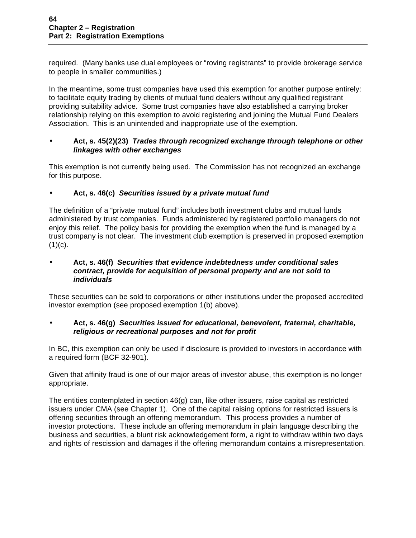required. (Many banks use dual employees or "roving registrants" to provide brokerage service to people in smaller communities.)

In the meantime, some trust companies have used this exemption for another purpose entirely: to facilitate equity trading by clients of mutual fund dealers without any qualified registrant providing suitability advice. Some trust companies have also established a carrying broker relationship relying on this exemption to avoid registering and joining the Mutual Fund Dealers Association. This is an unintended and inappropriate use of the exemption.

## • **Act, s. 45(2)(23)** *Trades through recognized exchange through telephone or other linkages with other exchanges*

This exemption is not currently being used. The Commission has not recognized an exchange for this purpose.

## • **Act, s. 46(c)** *Securities issued by a private mutual fund*

The definition of a "private mutual fund" includes both investment clubs and mutual funds administered by trust companies. Funds administered by registered portfolio managers do not enjoy this relief. The policy basis for providing the exemption when the fund is managed by a trust company is not clear. The investment club exemption is preserved in proposed exemption  $(1)(c)$ .

### • **Act, s. 46(f)** *Securities that evidence indebtedness under conditional sales contract, provide for acquisition of personal property and are not sold to individuals*

These securities can be sold to corporations or other institutions under the proposed accredited investor exemption (see proposed exemption 1(b) above).

### • **Act, s. 46(g)** *Securities issued for educational, benevolent, fraternal, charitable, religious or recreational purposes and not for profit*

In BC, this exemption can only be used if disclosure is provided to investors in accordance with a required form (BCF 32-901).

Given that affinity fraud is one of our major areas of investor abuse, this exemption is no longer appropriate.

The entities contemplated in section 46(g) can, like other issuers, raise capital as restricted issuers under CMA (see Chapter 1). One of the capital raising options for restricted issuers is offering securities through an offering memorandum. This process provides a number of investor protections. These include an offering memorandum in plain language describing the business and securities, a blunt risk acknowledgement form, a right to withdraw within two days and rights of rescission and damages if the offering memorandum contains a misrepresentation.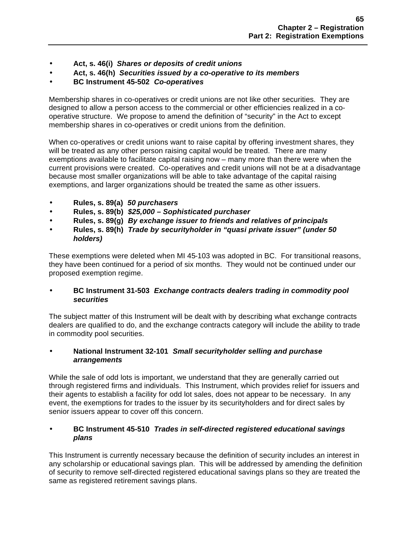- **Act, s. 46(i)** *Shares or deposits of credit unions*
- **Act, s. 46(h)** *Securities issued by a co-operative to its members*
- **BC Instrument 45-502** *Co-operatives*

Membership shares in co-operatives or credit unions are not like other securities. They are designed to allow a person access to the commercial or other efficiencies realized in a cooperative structure. We propose to amend the definition of "security" in the Act to except membership shares in co-operatives or credit unions from the definition.

When co-operatives or credit unions want to raise capital by offering investment shares, they will be treated as any other person raising capital would be treated. There are many exemptions available to facilitate capital raising now – many more than there were when the current provisions were created. Co-operatives and credit unions will not be at a disadvantage because most smaller organizations will be able to take advantage of the capital raising exemptions, and larger organizations should be treated the same as other issuers.

- **Rules, s. 89(a)** *50 purchasers*
- **Rules, s. 89(b)** *\$25,000 Sophisticated purchaser*
- **Rules, s. 89(g)** *By exchange issuer to friends and relatives of principals*
- **Rules, s. 89(h)** *Trade by securityholder in "quasi private issuer" (under 50 holders)*

These exemptions were deleted when MI 45-103 was adopted in BC. For transitional reasons, they have been continued for a period of six months. They would not be continued under our proposed exemption regime.

### • **BC Instrument 31-503** *Exchange contracts dealers trading in commodity pool securities*

The subject matter of this Instrument will be dealt with by describing what exchange contracts dealers are qualified to do, and the exchange contracts category will include the ability to trade in commodity pool securities.

### • **National Instrument 32-101** *Small securityholder selling and purchase arrangements*

While the sale of odd lots is important, we understand that they are generally carried out through registered firms and individuals. This Instrument, which provides relief for issuers and their agents to establish a facility for odd lot sales, does not appear to be necessary. In any event, the exemptions for trades to the issuer by its securityholders and for direct sales by senior issuers appear to cover off this concern.

### • **BC Instrument 45-510** *Trades in self-directed registered educational savings plans*

This Instrument is currently necessary because the definition of security includes an interest in any scholarship or educational savings plan. This will be addressed by amending the definition of security to remove self-directed registered educational savings plans so they are treated the same as registered retirement savings plans.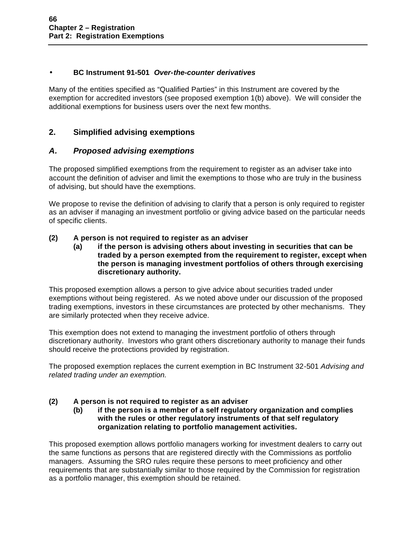## • **BC Instrument 91-501** *Over-the-counter derivatives*

Many of the entities specified as "Qualified Parties" in this Instrument are covered by the exemption for accredited investors (see proposed exemption 1(b) above). We will consider the additional exemptions for business users over the next few months.

# **2. Simplified advising exemptions**

## *A. Proposed advising exemptions*

The proposed simplified exemptions from the requirement to register as an adviser take into account the definition of adviser and limit the exemptions to those who are truly in the business of advising, but should have the exemptions.

We propose to revise the definition of advising to clarify that a person is only required to register as an adviser if managing an investment portfolio or giving advice based on the particular needs of specific clients.

### **(2) A person is not required to register as an adviser**

**(a) if the person is advising others about investing in securities that can be traded by a person exempted from the requirement to register, except when the person is managing investment portfolios of others through exercising discretionary authority.**

This proposed exemption allows a person to give advice about securities traded under exemptions without being registered. As we noted above under our discussion of the proposed trading exemptions, investors in these circumstances are protected by other mechanisms. They are similarly protected when they receive advice.

This exemption does not extend to managing the investment portfolio of others through discretionary authority. Investors who grant others discretionary authority to manage their funds should receive the protections provided by registration.

The proposed exemption replaces the current exemption in BC Instrument 32-501 *Advising and related trading under an exemption.* 

### **(2) A person is not required to register as an adviser**

**(b) if the person is a member of a self regulatory organization and complies with the rules or other regulatory instruments of that self regulatory organization relating to portfolio management activities.**

This proposed exemption allows portfolio managers working for investment dealers to carry out the same functions as persons that are registered directly with the Commissions as portfolio managers. Assuming the SRO rules require these persons to meet proficiency and other requirements that are substantially similar to those required by the Commission for registration as a portfolio manager, this exemption should be retained.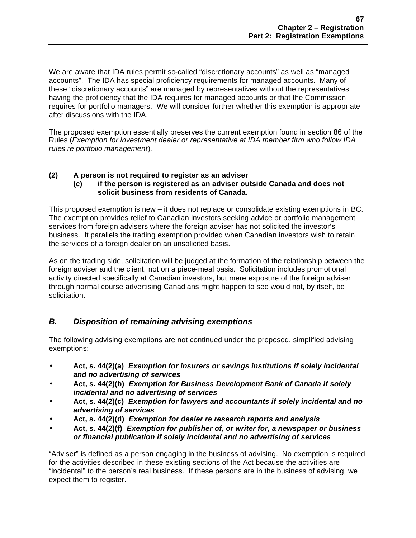We are aware that IDA rules permit so-called "discretionary accounts" as well as "managed accounts". The IDA has special proficiency requirements for managed accounts. Many of these "discretionary accounts" are managed by representatives without the representatives having the proficiency that the IDA requires for managed accounts or that the Commission requires for portfolio managers. We will consider further whether this exemption is appropriate after discussions with the IDA.

The proposed exemption essentially preserves the current exemption found in section 86 of the Rules (*Exemption for investment dealer or representative at IDA member firm who follow IDA rules re portfolio management*)*.*

## **(2) A person is not required to register as an adviser**

### **(c) if the person is registered as an adviser outside Canada and does not solicit business from residents of Canada.**

This proposed exemption is new – it does not replace or consolidate existing exemptions in BC. The exemption provides relief to Canadian investors seeking advice or portfolio management services from foreign advisers where the foreign adviser has not solicited the investor's business. It parallels the trading exemption provided when Canadian investors wish to retain the services of a foreign dealer on an unsolicited basis.

As on the trading side, solicitation will be judged at the formation of the relationship between the foreign adviser and the client, not on a piece-meal basis. Solicitation includes promotional activity directed specifically at Canadian investors, but mere exposure of the foreign adviser through normal course advertising Canadians might happen to see would not, by itself, be solicitation.

# *B. Disposition of remaining advising exemptions*

The following advising exemptions are not continued under the proposed, simplified advising exemptions:

- **Act, s. 44(2)(a)** *Exemption for insurers or savings institutions if solely incidental and no advertising of services*
- **Act, s. 44(2)(b)** *Exemption for Business Development Bank of Canada if solely incidental and no advertising of services*
- **Act, s. 44(2)(c)** *Exemption for lawyers and accountants if solely incidental and no advertising of services*
- **Act, s. 44(2)(d)** *Exemption for dealer re research reports and analysis*
- **Act, s. 44(2)(f)** *Exemption for publisher of, or writer for, a newspaper or business or financial publication if solely incidental and no advertising of services*

"Adviser" is defined as a person engaging in the business of advising. No exemption is required for the activities described in these existing sections of the Act because the activities are "incidental" to the person's real business. If these persons are in the business of advising, we expect them to register.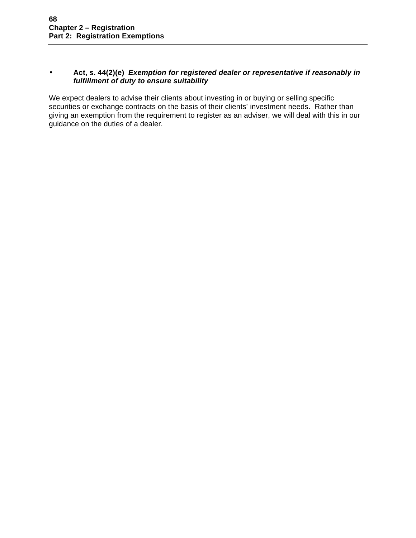### • **Act, s. 44(2)(e)** *Exemption for registered dealer or representative if reasonably in fulfillment of duty to ensure suitability*

We expect dealers to advise their clients about investing in or buying or selling specific securities or exchange contracts on the basis of their clients' investment needs. Rather than giving an exemption from the requirement to register as an adviser, we will deal with this in our guidance on the duties of a dealer.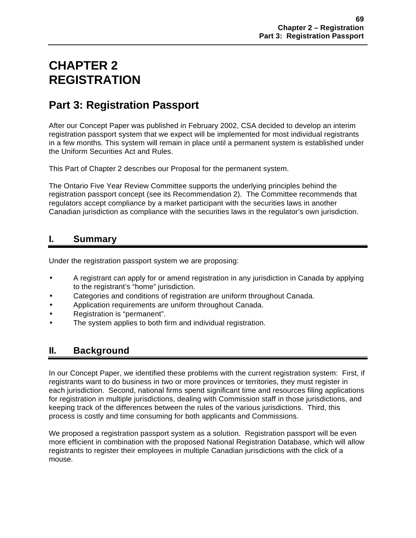# **CHAPTER 2 REGISTRATION**

# **Part 3: Registration Passport**

After our Concept Paper was published in February 2002, CSA decided to develop an interim registration passport system that we expect will be implemented for most individual registrants in a few months. This system will remain in place until a permanent system is established under the Uniform Securities Act and Rules.

This Part of Chapter 2 describes our Proposal for the permanent system.

The Ontario Five Year Review Committee supports the underlying principles behind the registration passport concept (see its Recommendation 2). The Committee recommends that regulators accept compliance by a market participant with the securities laws in another Canadian jurisdiction as compliance with the securities laws in the regulator's own jurisdiction.

## **I. Summary**

Under the registration passport system we are proposing:

- A registrant can apply for or amend registration in any jurisdiction in Canada by applying to the registrant's "home" jurisdiction.
- Categories and conditions of registration are uniform throughout Canada.
- Application requirements are uniform throughout Canada.
- Registration is "permanent".
- The system applies to both firm and individual registration.

## **II. Background**

In our Concept Paper, we identified these problems with the current registration system: First, if registrants want to do business in two or more provinces or territories, they must register in each jurisdiction. Second, national firms spend significant time and resources filing applications for registration in multiple jurisdictions, dealing with Commission staff in those jurisdictions, and keeping track of the differences between the rules of the various jurisdictions. Third, this process is costly and time consuming for both applicants and Commissions.

We proposed a registration passport system as a solution. Registration passport will be even more efficient in combination with the proposed National Registration Database, which will allow registrants to register their employees in multiple Canadian jurisdictions with the click of a mouse.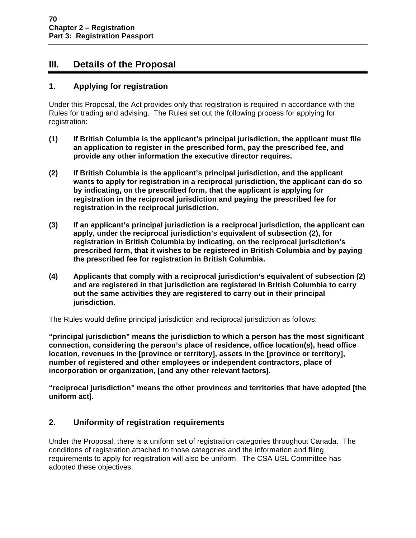## **III. Details of the Proposal**

## **1. Applying for registration**

Under this Proposal, the Act provides only that registration is required in accordance with the Rules for trading and advising. The Rules set out the following process for applying for registration:

- **(1) If British Columbia is the applicant's principal jurisdiction, the applicant must file an application to register in the prescribed form, pay the prescribed fee, and provide any other information the executive director requires.**
- **(2) If British Columbia is the applicant's principal jurisdiction, and the applicant wants to apply for registration in a reciprocal jurisdiction, the applicant can do so by indicating, on the prescribed form, that the applicant is applying for registration in the reciprocal jurisdiction and paying the prescribed fee for registration in the reciprocal jurisdiction.**
- **(3) If an applicant's principal jurisdiction is a reciprocal jurisdiction, the applicant can apply, under the reciprocal jurisdiction's equivalent of subsection (2), for registration in British Columbia by indicating, on the reciprocal jurisdiction's prescribed form, that it wishes to be registered in British Columbia and by paying the prescribed fee for registration in British Columbia.**
- **(4) Applicants that comply with a reciprocal jurisdiction's equivalent of subsection (2) and are registered in that jurisdiction are registered in British Columbia to carry out the same activities they are registered to carry out in their principal jurisdiction.**

The Rules would define principal jurisdiction and reciprocal jurisdiction as follows:

**"principal jurisdiction" means the jurisdiction to which a person has the most significant connection, considering the person's place of residence, office location(s), head office location, revenues in the [province or territory], assets in the [province or territory], number of registered and other employees or independent contractors, place of incorporation or organization, [and any other relevant factors].**

**"reciprocal jurisdiction" means the other provinces and territories that have adopted [the uniform act].**

## **2. Uniformity of registration requirements**

Under the Proposal, there is a uniform set of registration categories throughout Canada. The conditions of registration attached to those categories and the information and filing requirements to apply for registration will also be uniform. The CSA USL Committee has adopted these objectives.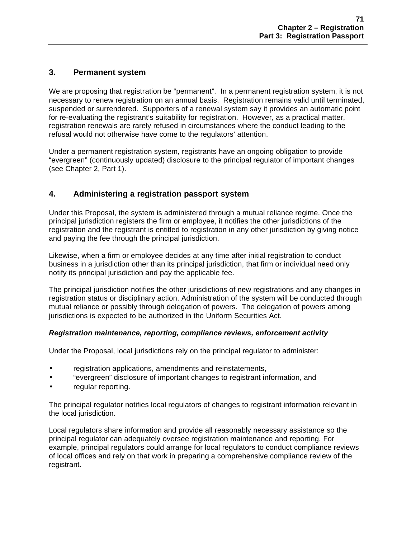## **3. Permanent system**

We are proposing that registration be "permanent". In a permanent registration system, it is not necessary to renew registration on an annual basis. Registration remains valid until terminated, suspended or surrendered. Supporters of a renewal system say it provides an automatic point for re-evaluating the registrant's suitability for registration. However, as a practical matter, registration renewals are rarely refused in circumstances where the conduct leading to the refusal would not otherwise have come to the regulators' attention.

Under a permanent registration system, registrants have an ongoing obligation to provide "evergreen" (continuously updated) disclosure to the principal regulator of important changes (see Chapter 2, Part 1).

## **4. Administering a registration passport system**

Under this Proposal, the system is administered through a mutual reliance regime. Once the principal jurisdiction registers the firm or employee, it notifies the other jurisdictions of the registration and the registrant is entitled to registration in any other jurisdiction by giving notice and paying the fee through the principal jurisdiction.

Likewise, when a firm or employee decides at any time after initial registration to conduct business in a jurisdiction other than its principal jurisdiction, that firm or individual need only notify its principal jurisdiction and pay the applicable fee.

The principal jurisdiction notifies the other jurisdictions of new registrations and any changes in registration status or disciplinary action. Administration of the system will be conducted through mutual reliance or possibly through delegation of powers. The delegation of powers among jurisdictions is expected to be authorized in the Uniform Securities Act.

#### *Registration maintenance, reporting, compliance reviews, enforcement activity*

Under the Proposal, local jurisdictions rely on the principal regulator to administer:

- registration applications, amendments and reinstatements,
- "evergreen" disclosure of important changes to registrant information, and
- regular reporting.

The principal regulator notifies local regulators of changes to registrant information relevant in the local jurisdiction.

Local regulators share information and provide all reasonably necessary assistance so the principal regulator can adequately oversee registration maintenance and reporting. For example, principal regulators could arrange for local regulators to conduct compliance reviews of local offices and rely on that work in preparing a comprehensive compliance review of the registrant.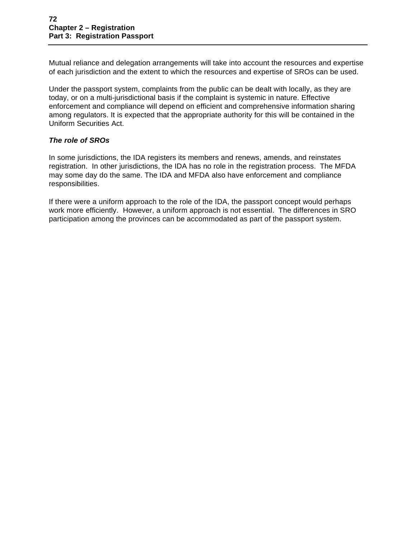Mutual reliance and delegation arrangements will take into account the resources and expertise of each jurisdiction and the extent to which the resources and expertise of SROs can be used.

Under the passport system, complaints from the public can be dealt with locally, as they are today, or on a multi-jurisdictional basis if the complaint is systemic in nature. Effective enforcement and compliance will depend on efficient and comprehensive information sharing among regulators. It is expected that the appropriate authority for this will be contained in the Uniform Securities Act.

#### *The role of SROs*

In some jurisdictions, the IDA registers its members and renews, amends, and reinstates registration. In other jurisdictions, the IDA has no role in the registration process. The MFDA may some day do the same. The IDA and MFDA also have enforcement and compliance responsibilities.

If there were a uniform approach to the role of the IDA, the passport concept would perhaps work more efficiently. However, a uniform approach is not essential. The differences in SRO participation among the provinces can be accommodated as part of the passport system.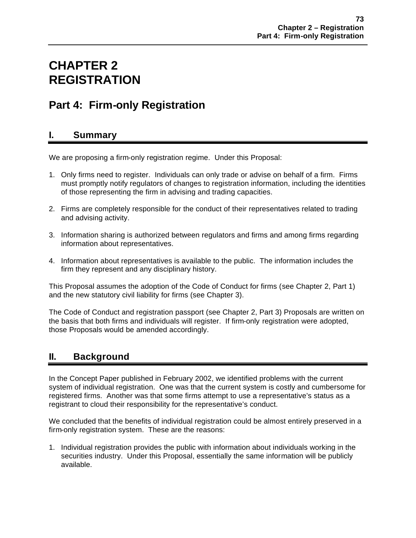# **CHAPTER 2 REGISTRATION**

# **Part 4: Firm-only Registration**

## **I. Summary**

We are proposing a firm-only registration regime. Under this Proposal:

- 1. Only firms need to register. Individuals can only trade or advise on behalf of a firm. Firms must promptly notify regulators of changes to registration information, including the identities of those representing the firm in advising and trading capacities.
- 2. Firms are completely responsible for the conduct of their representatives related to trading and advising activity.
- 3. Information sharing is authorized between regulators and firms and among firms regarding information about representatives.
- 4. Information about representatives is available to the public. The information includes the firm they represent and any disciplinary history.

This Proposal assumes the adoption of the Code of Conduct for firms (see Chapter 2, Part 1) and the new statutory civil liability for firms (see Chapter 3).

The Code of Conduct and registration passport (see Chapter 2, Part 3) Proposals are written on the basis that both firms and individuals will register. If firm-only registration were adopted, those Proposals would be amended accordingly.

## **II. Background**

In the Concept Paper published in February 2002, we identified problems with the current system of individual registration. One was that the current system is costly and cumbersome for registered firms. Another was that some firms attempt to use a representative's status as a registrant to cloud their responsibility for the representative's conduct.

We concluded that the benefits of individual registration could be almost entirely preserved in a firm-only registration system. These are the reasons:

1. Individual registration provides the public with information about individuals working in the securities industry. Under this Proposal, essentially the same information will be publicly available.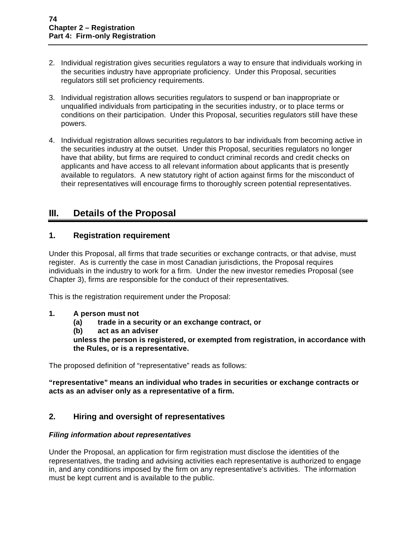- 2. Individual registration gives securities regulators a way to ensure that individuals working in the securities industry have appropriate proficiency. Under this Proposal, securities regulators still set proficiency requirements.
- 3. Individual registration allows securities regulators to suspend or ban inappropriate or unqualified individuals from participating in the securities industry, or to place terms or conditions on their participation. Under this Proposal, securities regulators still have these powers.
- 4. Individual registration allows securities regulators to bar individuals from becoming active in the securities industry at the outset. Under this Proposal, securities regulators no longer have that ability, but firms are required to conduct criminal records and credit checks on applicants and have access to all relevant information about applicants that is presently available to regulators. A new statutory right of action against firms for the misconduct of their representatives will encourage firms to thoroughly screen potential representatives.

## **III. Details of the Proposal**

## **1. Registration requirement**

Under this Proposal, all firms that trade securities or exchange contracts, or that advise, must register. As is currently the case in most Canadian jurisdictions, the Proposal requires individuals in the industry to work for a firm. Under the new investor remedies Proposal (see Chapter 3), firms are responsible for the conduct of their representatives.

This is the registration requirement under the Proposal:

#### **1. A person must not**

**(a) trade in a security or an exchange contract, or**

**(b) act as an adviser**

**unless the person is registered, or exempted from registration, in accordance with the Rules, or is a representative.**

The proposed definition of "representative" reads as follows:

**"representative" means an individual who trades in securities or exchange contracts or acts as an adviser only as a representative of a firm.** 

## **2. Hiring and oversight of representatives**

## *Filing information about representatives*

Under the Proposal, an application for firm registration must disclose the identities of the representatives, the trading and advising activities each representative is authorized to engage in, and any conditions imposed by the firm on any representative's activities. The information must be kept current and is available to the public.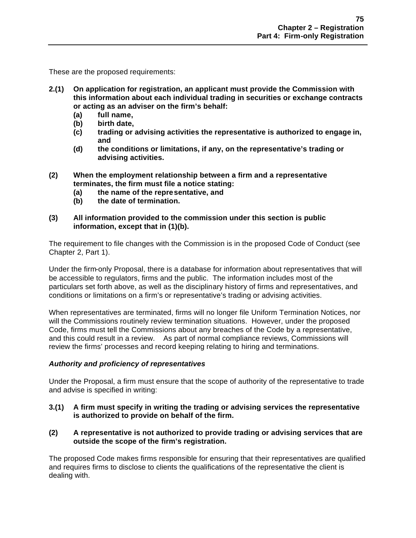These are the proposed requirements:

- **2.(1) On application for registration, an applicant must provide the Commission with this information about each individual trading in securities or exchange contracts or acting as an adviser on the firm's behalf:**
	- **(a) full name,**
	- **(b) birth date,**
	- **(c) trading or advising activities the representative is authorized to engage in, and**
	- **(d) the conditions or limitations, if any, on the representative's trading or advising activities.**
- **(2) When the employment relationship between a firm and a representative terminates, the firm must file a notice stating:**
	- **(a) the name of the representative, and**
	- **(b) the date of termination.**
- **(3) All information provided to the commission under this section is public information, except that in (1)(b).**

The requirement to file changes with the Commission is in the proposed Code of Conduct (see Chapter 2, Part 1).

Under the firm-only Proposal, there is a database for information about representatives that will be accessible to regulators, firms and the public. The information includes most of the particulars set forth above, as well as the disciplinary history of firms and representatives, and conditions or limitations on a firm's or representative's trading or advising activities.

When representatives are terminated, firms will no longer file Uniform Termination Notices, nor will the Commissions routinely review termination situations. However, under the proposed Code, firms must tell the Commissions about any breaches of the Code by a representative, and this could result in a review. As part of normal compliance reviews, Commissions will review the firms' processes and record keeping relating to hiring and terminations.

#### *Authority and proficiency of representatives*

Under the Proposal, a firm must ensure that the scope of authority of the representative to trade and advise is specified in writing:

**3.(1) A firm must specify in writing the trading or advising services the representative is authorized to provide on behalf of the firm.**

#### **(2) A representative is not authorized to provide trading or advising services that are outside the scope of the firm's registration.**

The proposed Code makes firms responsible for ensuring that their representatives are qualified and requires firms to disclose to clients the qualifications of the representative the client is dealing with.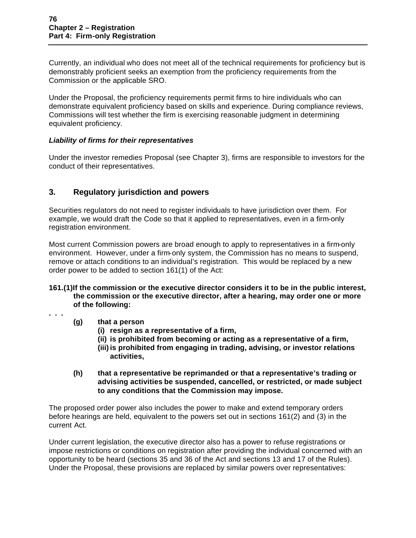Currently, an individual who does not meet all of the technical requirements for proficiency but is demonstrably proficient seeks an exemption from the proficiency requirements from the Commission or the applicable SRO.

Under the Proposal, the proficiency requirements permit firms to hire individuals who can demonstrate equivalent proficiency based on skills and experience. During compliance reviews, Commissions will test whether the firm is exercising reasonable judgment in determining equivalent proficiency.

#### *Liability of firms for their representatives*

Under the investor remedies Proposal (see Chapter 3), firms are responsible to investors for the conduct of their representatives.

## **3. Regulatory jurisdiction and powers**

Securities regulators do not need to register individuals to have jurisdiction over them. For example, we would draft the Code so that it applied to representatives, even in a firm-only registration environment.

Most current Commission powers are broad enough to apply to representatives in a firm-only environment. However, under a firm-only system, the Commission has no means to suspend, remove or attach conditions to an individual's registration. This would be replaced by a new order power to be added to section 161(1) of the Act:

**161.(1)If the commission or the executive director considers it to be in the public interest, the commission or the executive director, after a hearing, may order one or more of the following:**

**. . .**

- **(g) that a person** 
	- **(i) resign as a representative of a firm,**
	- **(ii) is prohibited from becoming or acting as a representative of a firm,**
	- **(iii) is prohibited from engaging in trading, advising, or investor relations activities,**
- **(h) that a representative be reprimanded or that a representative's trading or advising activities be suspended, cancelled, or restricted, or made subject to any conditions that the Commission may impose.**

The proposed order power also includes the power to make and extend temporary orders before hearings are held, equivalent to the powers set out in sections 161(2) and (3) in the current Act.

Under current legislation, the executive director also has a power to refuse registrations or impose restrictions or conditions on registration after providing the individual concerned with an opportunity to be heard (sections 35 and 36 of the Act and sections 13 and 17 of the Rules). Under the Proposal, these provisions are replaced by similar powers over representatives: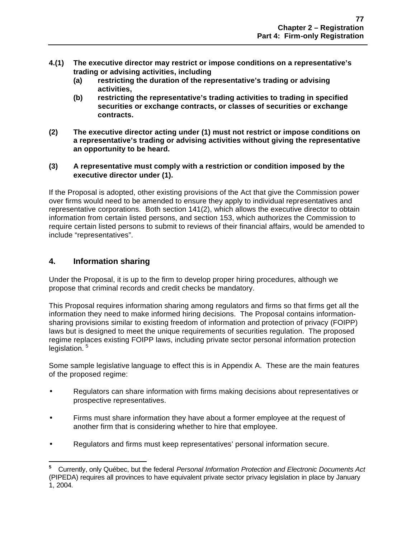- **4.(1) The executive director may restrict or impose conditions on a representative's trading or advising activities, including**
	- **(a) restricting the duration of the representative's trading or advising activities,**
	- **(b) restricting the representative's trading activities to trading in specified securities or exchange contracts, or classes of securities or exchange contracts.**
- **(2) The executive director acting under (1) must not restrict or impose conditions on a representative's trading or advising activities without giving the representative an opportunity to be heard.**
- **(3) A representative must comply with a restriction or condition imposed by the executive director under (1).**

If the Proposal is adopted, other existing provisions of the Act that give the Commission power over firms would need to be amended to ensure they apply to individual representatives and representative corporations. Both section 141(2), which allows the executive director to obtain information from certain listed persons, and section 153, which authorizes the Commission to require certain listed persons to submit to reviews of their financial affairs, would be amended to include "representatives".

## **4. Information sharing**

Under the Proposal, it is up to the firm to develop proper hiring procedures, although we propose that criminal records and credit checks be mandatory.

This Proposal requires information sharing among regulators and firms so that firms get all the information they need to make informed hiring decisions. The Proposal contains informationsharing provisions similar to existing freedom of information and protection of privacy (FOIPP) laws but is designed to meet the unique requirements of securities regulation. The proposed regime replaces existing FOIPP laws, including private sector personal information protection legislation.<sup>5</sup>

Some sample legislative language to effect this is in Appendix A. These are the main features of the proposed regime:

- Regulators can share information with firms making decisions about representatives or prospective representatives.
- Firms must share information they have about a former employee at the request of another firm that is considering whether to hire that employee.
- Regulators and firms must keep representatives' personal information secure.

 $\overline{a}$ **<sup>5</sup>** Currently, only Québec, but the federal *Personal Information Protection and Electronic Documents Act* (PIPEDA) requires all provinces to have equivalent private sector privacy legislation in place by January 1, 2004.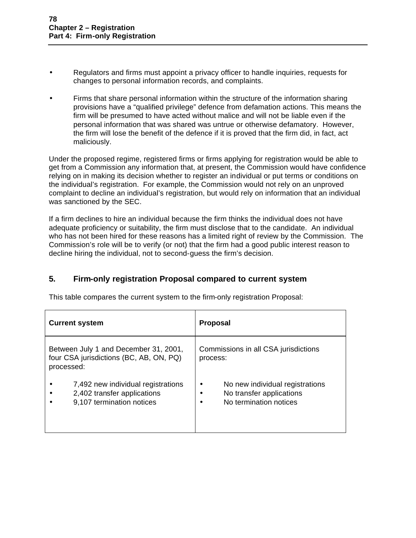- Regulators and firms must appoint a privacy officer to handle inquiries, requests for changes to personal information records, and complaints.
- Firms that share personal information within the structure of the information sharing provisions have a "qualified privilege" defence from defamation actions. This means the firm will be presumed to have acted without malice and will not be liable even if the personal information that was shared was untrue or otherwise defamatory. However, the firm will lose the benefit of the defence if it is proved that the firm did, in fact, act maliciously.

Under the proposed regime, registered firms or firms applying for registration would be able to get from a Commission any information that, at present, the Commission would have confidence relying on in making its decision whether to register an individual or put terms or conditions on the individual's registration. For example, the Commission would not rely on an unproved complaint to decline an individual's registration, but would rely on information that an individual was sanctioned by the SEC.

If a firm declines to hire an individual because the firm thinks the individual does not have adequate proficiency or suitability, the firm must disclose that to the candidate. An individual who has not been hired for these reasons has a limited right of review by the Commission. The Commission's role will be to verify (or not) that the firm had a good public interest reason to decline hiring the individual, not to second-guess the firm's decision.

## **5. Firm-only registration Proposal compared to current system**

This table compares the current system to the firm-only registration Proposal:

| <b>Current system</b>                                                                          | <b>Proposal</b>                                                                       |
|------------------------------------------------------------------------------------------------|---------------------------------------------------------------------------------------|
| Between July 1 and December 31, 2001,<br>four CSA jurisdictions (BC, AB, ON, PQ)<br>processed: | Commissions in all CSA jurisdictions<br>process:                                      |
| 7,492 new individual registrations<br>2,402 transfer applications<br>9,107 termination notices | No new individual registrations<br>No transfer applications<br>No termination notices |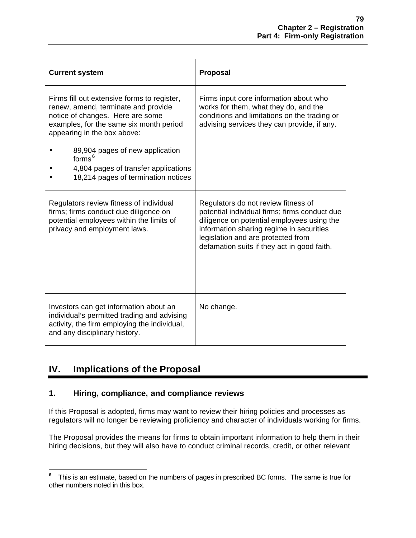| <b>Current system</b>                                                                                                                                                                            | <b>Proposal</b>                                                                                                                                                                                                                                                     |
|--------------------------------------------------------------------------------------------------------------------------------------------------------------------------------------------------|---------------------------------------------------------------------------------------------------------------------------------------------------------------------------------------------------------------------------------------------------------------------|
| Firms fill out extensive forms to register,<br>renew, amend, terminate and provide<br>notice of changes. Here are some<br>examples, for the same six month period<br>appearing in the box above: | Firms input core information about who<br>works for them, what they do, and the<br>conditions and limitations on the trading or<br>advising services they can provide, if any.                                                                                      |
| 89,904 pages of new application<br>forms $6$<br>4,804 pages of transfer applications<br>18,214 pages of termination notices                                                                      |                                                                                                                                                                                                                                                                     |
| Regulators review fitness of individual<br>firms; firms conduct due diligence on<br>potential employees within the limits of<br>privacy and employment laws.                                     | Regulators do not review fitness of<br>potential individual firms; firms conduct due<br>diligence on potential employees using the<br>information sharing regime in securities<br>legislation and are protected from<br>defamation suits if they act in good faith. |
| Investors can get information about an<br>individual's permitted trading and advising<br>activity, the firm employing the individual,<br>and any disciplinary history.                           | No change.                                                                                                                                                                                                                                                          |

# **IV. Implications of the Proposal**

## **1. Hiring, compliance, and compliance reviews**

If this Proposal is adopted, firms may want to review their hiring policies and processes as regulators will no longer be reviewing proficiency and character of individuals working for firms.

The Proposal provides the means for firms to obtain important information to help them in their hiring decisions, but they will also have to conduct criminal records, credit, or other relevant

 **6** This is an estimate, based on the numbers of pages in prescribed BC forms. The same is true for other numbers noted in this box.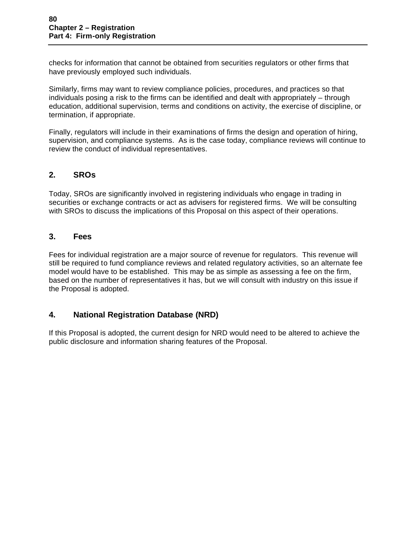checks for information that cannot be obtained from securities regulators or other firms that have previously employed such individuals.

Similarly, firms may want to review compliance policies, procedures, and practices so that individuals posing a risk to the firms can be identified and dealt with appropriately – through education, additional supervision, terms and conditions on activity, the exercise of discipline, or termination, if appropriate.

Finally, regulators will include in their examinations of firms the design and operation of hiring, supervision, and compliance systems. As is the case today, compliance reviews will continue to review the conduct of individual representatives.

## **2. SROs**

Today, SROs are significantly involved in registering individuals who engage in trading in securities or exchange contracts or act as advisers for registered firms. We will be consulting with SROs to discuss the implications of this Proposal on this aspect of their operations.

### **3. Fees**

Fees for individual registration are a major source of revenue for regulators. This revenue will still be required to fund compliance reviews and related regulatory activities, so an alternate fee model would have to be established. This may be as simple as assessing a fee on the firm, based on the number of representatives it has, but we will consult with industry on this issue if the Proposal is adopted.

## **4. National Registration Database (NRD)**

If this Proposal is adopted, the current design for NRD would need to be altered to achieve the public disclosure and information sharing features of the Proposal.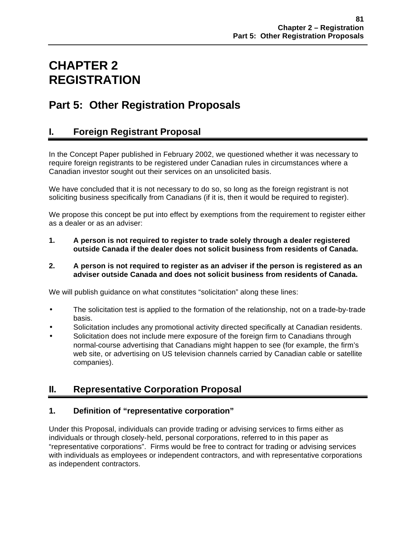# **CHAPTER 2 REGISTRATION**

# **Part 5: Other Registration Proposals**

# **I. Foreign Registrant Proposal**

In the Concept Paper published in February 2002, we questioned whether it was necessary to require foreign registrants to be registered under Canadian rules in circumstances where a Canadian investor sought out their services on an unsolicited basis.

We have concluded that it is not necessary to do so, so long as the foreign registrant is not soliciting business specifically from Canadians (if it is, then it would be required to register).

We propose this concept be put into effect by exemptions from the requirement to register either as a dealer or as an adviser:

**1. A person is not required to register to trade solely through a dealer registered outside Canada if the dealer does not solicit business from residents of Canada.**

#### **2. A person is not required to register as an adviser if the person is registered as an adviser outside Canada and does not solicit business from residents of Canada.**

We will publish quidance on what constitutes "solicitation" along these lines:

- The solicitation test is applied to the formation of the relationship, not on a trade-by-trade basis.
- Solicitation includes any promotional activity directed specifically at Canadian residents.
- Solicitation does not include mere exposure of the foreign firm to Canadians through normal-course advertising that Canadians might happen to see (for example, the firm's web site, or advertising on US television channels carried by Canadian cable or satellite companies).

# **II. Representative Corporation Proposal**

## **1. Definition of "representative corporation"**

Under this Proposal, individuals can provide trading or advising services to firms either as individuals or through closely-held, personal corporations, referred to in this paper as "representative corporations". Firms would be free to contract for trading or advising services with individuals as employees or independent contractors, and with representative corporations as independent contractors.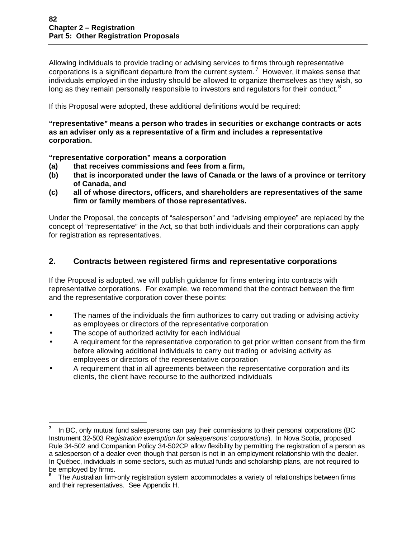Allowing individuals to provide trading or advising services to firms through representative corporations is a significant departure from the current system.<sup>7</sup> However, it makes sense that individuals employed in the industry should be allowed to organize themselves as they wish, so long as they remain personally responsible to investors and regulators for their conduct.<sup>8</sup>

If this Proposal were adopted, these additional definitions would be required:

**"representative" means a person who trades in securities or exchange contracts or acts as an adviser only as a representative of a firm and includes a representative corporation.**

**"representative corporation" means a corporation**

- **(a) that receives commissions and fees from a firm,**
- **(b) that is incorporated under the laws of Canada or the laws of a province or territory of Canada, and**
- **(c) all of whose directors, officers, and shareholders are representatives of the same firm or family members of those representatives.**

Under the Proposal, the concepts of "salesperson" and "advising employee" are replaced by the concept of "representative" in the Act, so that both individuals and their corporations can apply for registration as representatives.

## **2. Contracts between registered firms and representative corporations**

If the Proposal is adopted, we will publish guidance for firms entering into contracts with representative corporations. For example, we recommend that the contract between the firm and the representative corporation cover these points:

- The names of the individuals the firm authorizes to carry out trading or advising activity as employees or directors of the representative corporation
- The scope of authorized activity for each individual

 $\overline{a}$ 

- A requirement for the representative corporation to get prior written consent from the firm before allowing additional individuals to carry out trading or advising activity as employees or directors of the representative corporation
- A requirement that in all agreements between the representative corporation and its clients, the client have recourse to the authorized individuals

**<sup>7</sup>** In BC, only mutual fund salespersons can pay their commissions to their personal corporations (BC Instrument 32-503 *Registration exemption for salespersons' corporations*). In Nova Scotia, proposed Rule 34-502 and Companion Policy 34-502CP allow flexibility by permitting the registration of a person as a salesperson of a dealer even though that person is not in an employment relationship with the dealer. In Québec, individuals in some sectors, such as mutual funds and scholarship plans, are not required to be employed by firms.

**<sup>8</sup>** The Australian firm-only registration system accommodates a variety of relationships between firms and their representatives. See Appendix H.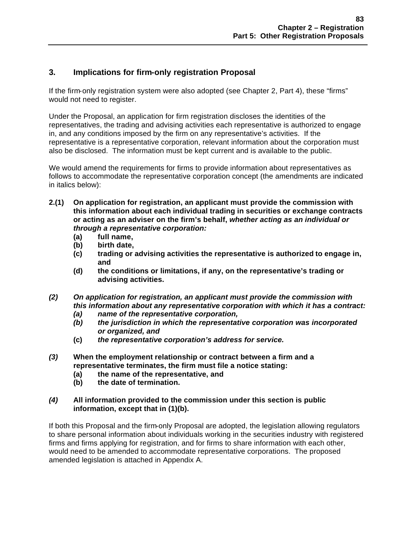## **3. Implications for firm-only registration Proposal**

If the firm-only registration system were also adopted (see Chapter 2, Part 4), these "firms" would not need to register.

Under the Proposal, an application for firm registration discloses the identities of the representatives, the trading and advising activities each representative is authorized to engage in, and any conditions imposed by the firm on any representative's activities. If the representative is a representative corporation, relevant information about the corporation must also be disclosed. The information must be kept current and is available to the public.

We would amend the requirements for firms to provide information about representatives as follows to accommodate the representative corporation concept (the amendments are indicated in italics below):

- **2.(1) On application for registration, an applicant must provide the commission with this information about each individual trading in securities or exchange contracts or acting as an adviser on the firm's behalf,** *whether acting as an individual or through a representative corporation:*
	- **(a) full name,**
	- **(b) birth date,**
	- **(c) trading or advising activities the representative is authorized to engage in, and**
	- **(d) the conditions or limitations, if any, on the representative's trading or advising activities.**
- *(2) On application for registration, an applicant must provide the commission with this information about any representative corporation with which it has a contract:*
	- *(a) name of the representative corporation,*
	- *(b) the jurisdiction in which the representative corporation was incorporated or organized, and*
	- **(c)** *the representative corporation's address for service.*
- *(3)* **When the employment relationship or contract between a firm and a representative terminates, the firm must file a notice stating:**
	- **(a) the name of the representative, and**
	- **(b) the date of termination.**
- *(4)* **All information provided to the commission under this section is public information, except that in (1)(b).**

If both this Proposal and the firm-only Proposal are adopted, the legislation allowing regulators to share personal information about individuals working in the securities industry with registered firms and firms applying for registration, and for firms to share information with each other, would need to be amended to accommodate representative corporations. The proposed amended legislation is attached in Appendix A.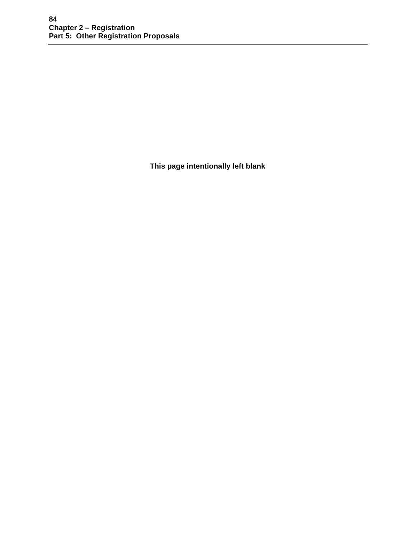**This page intentionally left blank**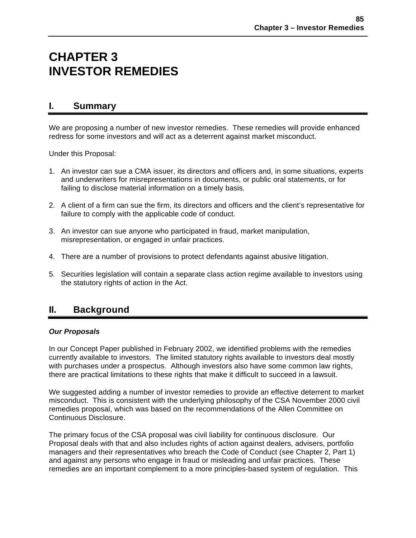# **CHAPTER 3 INVESTOR REMEDIES**

## **I. Summary**

We are proposing a number of new investor remedies. These remedies will provide enhanced redress for some investors and will act as a deterrent against market misconduct.

Under this Proposal:

- 1. An investor can sue a CMA issuer, its directors and officers and, in some situations, experts and underwriters for misrepresentations in documents, or public oral statements, or for failing to disclose material information on a timely basis.
- 2. A client of a firm can sue the firm, its directors and officers and the client's representative for failure to comply with the applicable code of conduct.
- 3. An investor can sue anyone who participated in fraud, market manipulation, misrepresentation, or engaged in unfair practices.
- 4. There are a number of provisions to protect defendants against abusive litigation.
- 5. Securities legislation will contain a separate class action regime available to investors using the statutory rights of action in the Act.

## **II. Background**

#### *Our Proposals*

In our Concept Paper published in February 2002, we identified problems with the remedies currently available to investors. The limited statutory rights available to investors deal mostly with purchases under a prospectus. Although investors also have some common law rights, there are practical limitations to these rights that make it difficult to succeed in a lawsuit.

We suggested adding a number of investor remedies to provide an effective deterrent to market misconduct. This is consistent with the underlying philosophy of the CSA November 2000 civil remedies proposal, which was based on the recommendations of the Allen Committee on Continuous Disclosure.

The primary focus of the CSA proposal was civil liability for continuous disclosure. Our Proposal deals with that and also includes rights of action against dealers, advisers, portfolio managers and their representatives who breach the Code of Conduct (see Chapter 2, Part 1) and against any persons who engage in fraud or misleading and unfair practices. These remedies are an important complement to a more principles-based system of regulation. This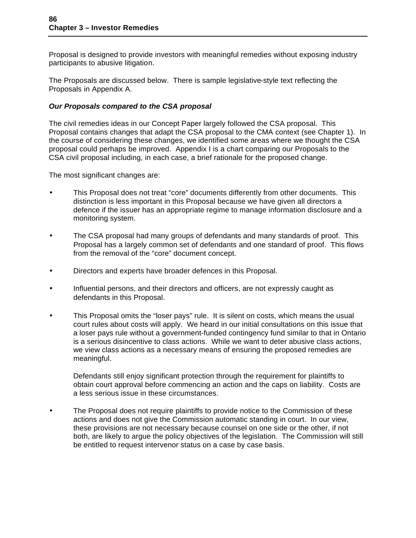Proposal is designed to provide investors with meaningful remedies without exposing industry participants to abusive litigation.

The Proposals are discussed below. There is sample legislative-style text reflecting the Proposals in Appendix A.

#### *Our Proposals compared to the CSA proposal*

The civil remedies ideas in our Concept Paper largely followed the CSA proposal. This Proposal contains changes that adapt the CSA proposal to the CMA context (see Chapter 1). In the course of considering these changes, we identified some areas where we thought the CSA proposal could perhaps be improved. Appendix I is a chart comparing our Proposals to the CSA civil proposal including, in each case, a brief rationale for the proposed change.

The most significant changes are:

- This Proposal does not treat "core" documents differently from other documents. This distinction is less important in this Proposal because we have given all directors a defence if the issuer has an appropriate regime to manage information disclosure and a monitoring system.
- The CSA proposal had many groups of defendants and many standards of proof. This Proposal has a largely common set of defendants and one standard of proof. This flows from the removal of the "core" document concept.
- Directors and experts have broader defences in this Proposal.
- Influential persons, and their directors and officers, are not expressly caught as defendants in this Proposal.
- This Proposal omits the "loser pays" rule. It is silent on costs, which means the usual court rules about costs will apply. We heard in our initial consultations on this issue that a loser pays rule without a government-funded contingency fund similar to that in Ontario is a serious disincentive to class actions. While we want to deter abusive class actions, we view class actions as a necessary means of ensuring the proposed remedies are meaningful.

Defendants still enjoy significant protection through the requirement for plaintiffs to obtain court approval before commencing an action and the caps on liability. Costs are a less serious issue in these circumstances.

The Proposal does not require plaintiffs to provide notice to the Commission of these actions and does not give the Commission automatic standing in court. In our view, these provisions are not necessary because counsel on one side or the other, if not both, are likely to argue the policy objectives of the legislation. The Commission will still be entitled to request intervenor status on a case by case basis.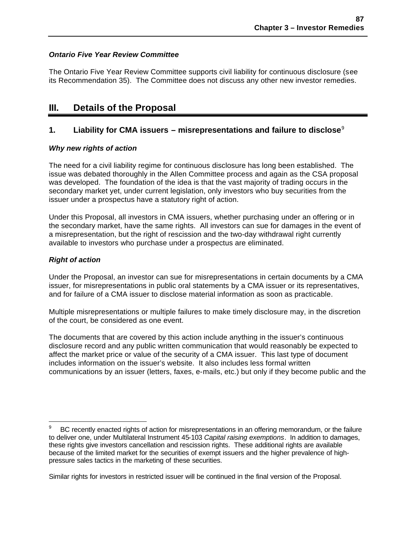#### *Ontario Five Year Review Committee*

The Ontario Five Year Review Committee supports civil liability for continuous disclosure (see its Recommendation 35). The Committee does not discuss any other new investor remedies.

## **III. Details of the Proposal**

### **1. Liability for CMA issuers – misrepresentations and failure to disclose**<sup>9</sup>

#### *Why new rights of action*

The need for a civil liability regime for continuous disclosure has long been established. The issue was debated thoroughly in the Allen Committee process and again as the CSA proposal was developed. The foundation of the idea is that the vast majority of trading occurs in the secondary market yet, under current legislation, only investors who buy securities from the issuer under a prospectus have a statutory right of action.

Under this Proposal, all investors in CMA issuers, whether purchasing under an offering or in the secondary market, have the same rights. All investors can sue for damages in the event of a misrepresentation, but the right of rescission and the two-day withdrawal right currently available to investors who purchase under a prospectus are eliminated.

#### *Right of action*

 $\overline{a}$ 

Under the Proposal, an investor can sue for misrepresentations in certain documents by a CMA issuer, for misrepresentations in public oral statements by a CMA issuer or its representatives, and for failure of a CMA issuer to disclose material information as soon as practicable.

Multiple misrepresentations or multiple failures to make timely disclosure may, in the discretion of the court, be considered as one event.

The documents that are covered by this action include anything in the issuer's continuous disclosure record and any public written communication that would reasonably be expected to affect the market price or value of the security of a CMA issuer. This last type of document includes information on the issuer's website. It also includes less formal written communications by an issuer (letters, faxes, e-mails, etc.) but only if they become public and the

Similar rights for investors in restricted issuer will be continued in the final version of the Proposal.

<sup>9</sup> BC recently enacted rights of action for misrepresentations in an offering memorandum, or the failure to deliver one, under Multilateral Instrument 45-103 *Capital raising exemptions*. In addition to damages, these rights give investors cancellation and rescission rights. These additional rights are available because of the limited market for the securities of exempt issuers and the higher prevalence of highpressure sales tactics in the marketing of these securities.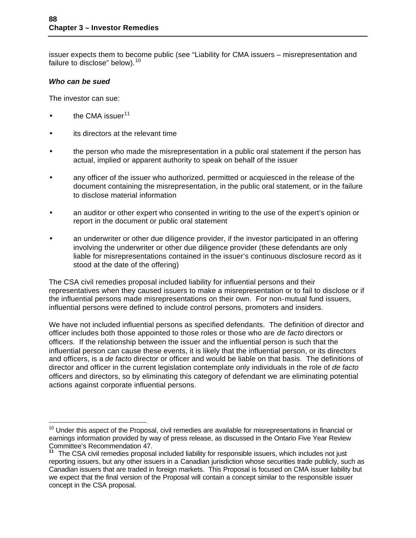issuer expects them to become public (see "Liability for CMA issuers – misrepresentation and failure to disclose" below).  $10$ 

#### *Who can be sued*

 $\overline{a}$ 

The investor can sue:

- the CMA issuer<sup>11</sup>
- its directors at the relevant time
- the person who made the misrepresentation in a public oral statement if the person has actual, implied or apparent authority to speak on behalf of the issuer
- any officer of the issuer who authorized, permitted or acquiesced in the release of the document containing the misrepresentation, in the public oral statement, or in the failure to disclose material information
- an auditor or other expert who consented in writing to the use of the expert's opinion or report in the document or public oral statement
- an underwriter or other due diligence provider, if the investor participated in an offering involving the underwriter or other due diligence provider (these defendants are only liable for misrepresentations contained in the issuer's continuous disclosure record as it stood at the date of the offering)

The CSA civil remedies proposal included liability for influential persons and their representatives when they caused issuers to make a misrepresentation or to fail to disclose or if the influential persons made misrepresentations on their own. For non-mutual fund issuers, influential persons were defined to include control persons, promoters and insiders.

We have not included influential persons as specified defendants. The definition of director and officer includes both those appointed to those roles or those who are *de facto* directors or officers. If the relationship between the issuer and the influential person is such that the influential person can cause these events, it is likely that the influential person, or its directors and officers, is a *de facto* director or officer and would be liable on that basis. The definitions of director and officer in the current legislation contemplate only individuals in the role of *de facto*  officers and directors, so by eliminating this category of defendant we are eliminating potential actions against corporate influential persons.

<sup>&</sup>lt;sup>10</sup> Under this aspect of the Proposal, civil remedies are available for misrepresentations in financial or earnings information provided by way of press release, as discussed in the Ontario Five Year Review Committee's Recommendation 47.

<sup>&</sup>lt;sup>11</sup> The CSA civil remedies proposal included liability for responsible issuers, which includes not just reporting issuers, but any other issuers in a Canadian jurisdiction whose securities trade publicly, such as Canadian issuers that are traded in foreign markets. This Proposal is focused on CMA issuer liability but we expect that the final version of the Proposal will contain a concept similar to the responsible issuer concept in the CSA proposal.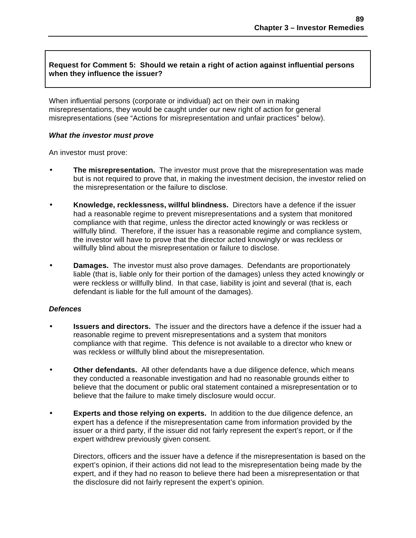### **Request for Comment 5: Should we retain a right of action against influential persons when they influence the issuer?**

When influential persons (corporate or individual) act on their own in making misrepresentations, they would be caught under our new right of action for general misrepresentations (see "Actions for misrepresentation and unfair practices" below).

#### *What the investor must prove*

An investor must prove:

- **The misrepresentation.** The investor must prove that the misrepresentation was made but is not required to prove that, in making the investment decision, the investor relied on the misrepresentation or the failure to disclose.
- **Knowledge, recklessness, willful blindness.** Directors have a defence if the issuer had a reasonable regime to prevent misrepresentations and a system that monitored compliance with that regime, unless the director acted knowingly or was reckless or willfully blind. Therefore, if the issuer has a reasonable regime and compliance system, the investor will have to prove that the director acted knowingly or was reckless or willfully blind about the misrepresentation or failure to disclose.
- **Damages.** The investor must also prove damages. Defendants are proportionately liable (that is, liable only for their portion of the damages) unless they acted knowingly or were reckless or willfully blind. In that case, liability is joint and several (that is, each defendant is liable for the full amount of the damages).

#### *Defences*

- **Issuers and directors.** The issuer and the directors have a defence if the issuer had a reasonable regime to prevent misrepresentations and a system that monitors compliance with that regime. This defence is not available to a director who knew or was reckless or willfully blind about the misrepresentation.
- **Other defendants.** All other defendants have a due diligence defence, which means they conducted a reasonable investigation and had no reasonable grounds either to believe that the document or public oral statement contained a misrepresentation or to believe that the failure to make timely disclosure would occur.
- **Experts and those relying on experts.** In addition to the due diligence defence, an expert has a defence if the misrepresentation came from information provided by the issuer or a third party, if the issuer did not fairly represent the expert's report, or if the expert withdrew previously given consent.

Directors, officers and the issuer have a defence if the misrepresentation is based on the expert's opinion, if their actions did not lead to the misrepresentation being made by the expert, and if they had no reason to believe there had been a misrepresentation or that the disclosure did not fairly represent the expert's opinion.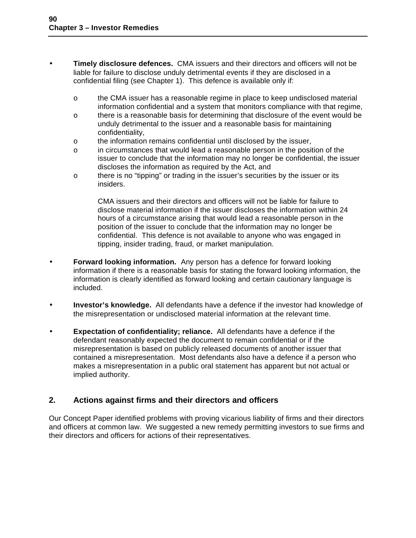- **Timely disclosure defences.** CMA issuers and their directors and officers will not be liable for failure to disclose unduly detrimental events if they are disclosed in a confidential filing (see Chapter 1). This defence is available only if:
	- o the CMA issuer has a reasonable regime in place to keep undisclosed material information confidential and a system that monitors compliance with that regime,
	- o there is a reasonable basis for determining that disclosure of the event would be unduly detrimental to the issuer and a reasonable basis for maintaining confidentiality,
	- o the information remains confidential until disclosed by the issuer,
	- o in circumstances that would lead a reasonable person in the position of the issuer to conclude that the information may no longer be confidential, the issuer discloses the information as required by the Act, and
	- o there is no "tipping" or trading in the issuer's securities by the issuer or its insiders.

CMA issuers and their directors and officers will not be liable for failure to disclose material information if the issuer discloses the information within 24 hours of a circumstance arising that would lead a reasonable person in the position of the issuer to conclude that the information may no longer be confidential. This defence is not available to anyone who was engaged in tipping, insider trading, fraud, or market manipulation.

- **Forward looking information.** Any person has a defence for forward looking information if there is a reasonable basis for stating the forward looking information, the information is clearly identified as forward looking and certain cautionary language is included.
- **Investor's knowledge.** All defendants have a defence if the investor had knowledge of the misrepresentation or undisclosed material information at the relevant time.
- **Expectation of confidentiality; reliance.** All defendants have a defence if the defendant reasonably expected the document to remain confidential or if the misrepresentation is based on publicly released documents of another issuer that contained a misrepresentation. Most defendants also have a defence if a person who makes a misrepresentation in a public oral statement has apparent but not actual or implied authority.

## **2. Actions against firms and their directors and officers**

Our Concept Paper identified problems with proving vicarious liability of firms and their directors and officers at common law. We suggested a new remedy permitting investors to sue firms and their directors and officers for actions of their representatives.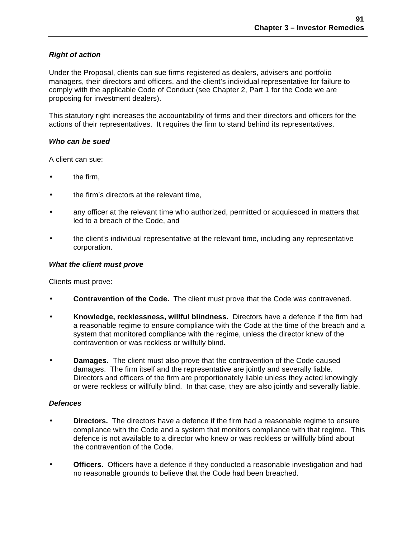#### *Right of action*

Under the Proposal, clients can sue firms registered as dealers, advisers and portfolio managers, their directors and officers, and the client's individual representative for failure to comply with the applicable Code of Conduct (see Chapter 2, Part 1 for the Code we are proposing for investment dealers).

This statutory right increases the accountability of firms and their directors and officers for the actions of their representatives. It requires the firm to stand behind its representatives.

#### *Who can be sued*

A client can sue:

- the firm,
- the firm's directors at the relevant time,
- any officer at the relevant time who authorized, permitted or acquiesced in matters that led to a breach of the Code, and
- the client's individual representative at the relevant time, including any representative corporation.

#### *What the client must prove*

Clients must prove:

- **Contravention of the Code.** The client must prove that the Code was contravened.
- **Knowledge, recklessness, willful blindness.** Directors have a defence if the firm had a reasonable regime to ensure compliance with the Code at the time of the breach and a system that monitored compliance with the regime, unless the director knew of the contravention or was reckless or willfully blind.
- **Damages.** The client must also prove that the contravention of the Code caused damages. The firm itself and the representative are jointly and severally liable. Directors and officers of the firm are proportionately liable unless they acted knowingly or were reckless or willfully blind. In that case, they are also jointly and severally liable.

#### *Defences*

- **Directors.** The directors have a defence if the firm had a reasonable regime to ensure compliance with the Code and a system that monitors compliance with that regime. This defence is not available to a director who knew or was reckless or willfully blind about the contravention of the Code.
- **Officers.** Officers have a defence if they conducted a reasonable investigation and had no reasonable grounds to believe that the Code had been breached.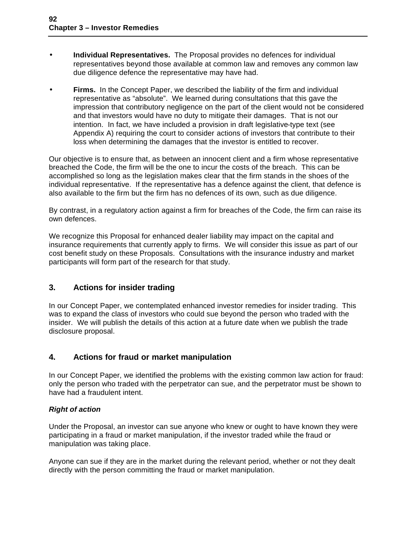- **Individual Representatives.** The Proposal provides no defences for individual representatives beyond those available at common law and removes any common law due diligence defence the representative may have had.
- **Firms.** In the Concept Paper, we described the liability of the firm and individual representative as "absolute". We learned during consultations that this gave the impression that contributory negligence on the part of the client would not be considered and that investors would have no duty to mitigate their damages. That is not our intention. In fact, we have included a provision in draft legislative-type text (see Appendix A) requiring the court to consider actions of investors that contribute to their loss when determining the damages that the investor is entitled to recover.

Our objective is to ensure that, as between an innocent client and a firm whose representative breached the Code, the firm will be the one to incur the costs of the breach. This can be accomplished so long as the legislation makes clear that the firm stands in the shoes of the individual representative. If the representative has a defence against the client, that defence is also available to the firm but the firm has no defences of its own, such as due diligence.

By contrast, in a regulatory action against a firm for breaches of the Code, the firm can raise its own defences.

We recognize this Proposal for enhanced dealer liability may impact on the capital and insurance requirements that currently apply to firms. We will consider this issue as part of our cost benefit study on these Proposals. Consultations with the insurance industry and market participants will form part of the research for that study.

## **3. Actions for insider trading**

In our Concept Paper, we contemplated enhanced investor remedies for insider trading. This was to expand the class of investors who could sue beyond the person who traded with the insider. We will publish the details of this action at a future date when we publish the trade disclosure proposal.

## **4. Actions for fraud or market manipulation**

In our Concept Paper, we identified the problems with the existing common law action for fraud: only the person who traded with the perpetrator can sue, and the perpetrator must be shown to have had a fraudulent intent.

#### *Right of action*

Under the Proposal, an investor can sue anyone who knew or ought to have known they were participating in a fraud or market manipulation, if the investor traded while the fraud or manipulation was taking place.

Anyone can sue if they are in the market during the relevant period, whether or not they dealt directly with the person committing the fraud or market manipulation.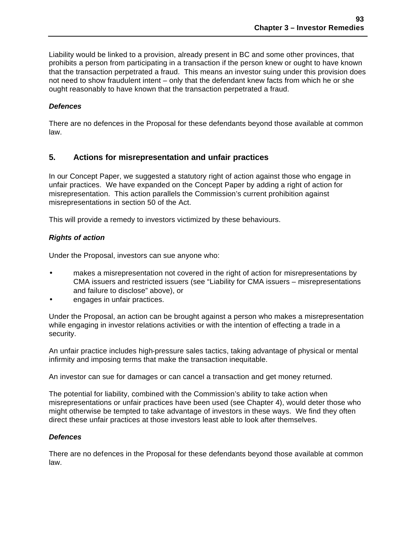Liability would be linked to a provision, already present in BC and some other provinces, that prohibits a person from participating in a transaction if the person knew or ought to have known that the transaction perpetrated a fraud. This means an investor suing under this provision does not need to show fraudulent intent – only that the defendant knew facts from which he or she ought reasonably to have known that the transaction perpetrated a fraud.

### *Defences*

There are no defences in the Proposal for these defendants beyond those available at common law.

## **5. Actions for misrepresentation and unfair practices**

In our Concept Paper, we suggested a statutory right of action against those who engage in unfair practices. We have expanded on the Concept Paper by adding a right of action for misrepresentation. This action parallels the Commission's current prohibition against misrepresentations in section 50 of the Act.

This will provide a remedy to investors victimized by these behaviours.

#### *Rights of action*

Under the Proposal, investors can sue anyone who:

- makes a misrepresentation not covered in the right of action for misrepresentations by CMA issuers and restricted issuers (see "Liability for CMA issuers – misrepresentations and failure to disclose" above), or
- engages in unfair practices.

Under the Proposal, an action can be brought against a person who makes a misrepresentation while engaging in investor relations activities or with the intention of effecting a trade in a security.

An unfair practice includes high-pressure sales tactics, taking advantage of physical or mental infirmity and imposing terms that make the transaction inequitable.

An investor can sue for damages or can cancel a transaction and get money returned.

The potential for liability, combined with the Commission's ability to take action when misrepresentations or unfair practices have been used (see Chapter 4), would deter those who might otherwise be tempted to take advantage of investors in these ways. We find they often direct these unfair practices at those investors least able to look after themselves.

#### *Defences*

There are no defences in the Proposal for these defendants beyond those available at common law.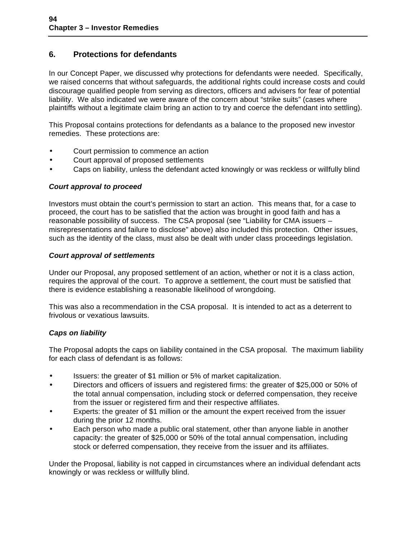## **6. Protections for defendants**

In our Concept Paper, we discussed why protections for defendants were needed. Specifically, we raised concerns that without safeguards, the additional rights could increase costs and could discourage qualified people from serving as directors, officers and advisers for fear of potential liability. We also indicated we were aware of the concern about "strike suits" (cases where plaintiffs without a legitimate claim bring an action to try and coerce the defendant into settling).

This Proposal contains protections for defendants as a balance to the proposed new investor remedies. These protections are:

- Court permission to commence an action
- Court approval of proposed settlements
- Caps on liability, unless the defendant acted knowingly or was reckless or willfully blind

#### *Court approval to proceed*

Investors must obtain the court's permission to start an action. This means that, for a case to proceed, the court has to be satisfied that the action was brought in good faith and has a reasonable possibility of success. The CSA proposal (see "Liability for CMA issuers – misrepresentations and failure to disclose" above) also included this protection. Other issues, such as the identity of the class, must also be dealt with under class proceedings legislation.

#### *Court approval of settlements*

Under our Proposal, any proposed settlement of an action, whether or not it is a class action, requires the approval of the court. To approve a settlement, the court must be satisfied that there is evidence establishing a reasonable likelihood of wrongdoing.

This was also a recommendation in the CSA proposal. It is intended to act as a deterrent to frivolous or vexatious lawsuits.

#### *Caps on liability*

The Proposal adopts the caps on liability contained in the CSA proposal. The maximum liability for each class of defendant is as follows:

- Issuers: the greater of \$1 million or 5% of market capitalization.
- Directors and officers of issuers and registered firms: the greater of \$25,000 or 50% of the total annual compensation, including stock or deferred compensation, they receive from the issuer or registered firm and their respective affiliates.
- Experts: the greater of \$1 million or the amount the expert received from the issuer during the prior 12 months.
- Each person who made a public oral statement, other than anyone liable in another capacity: the greater of \$25,000 or 50% of the total annual compensation, including stock or deferred compensation, they receive from the issuer and its affiliates.

Under the Proposal, liability is not capped in circumstances where an individual defendant acts knowingly or was reckless or willfully blind.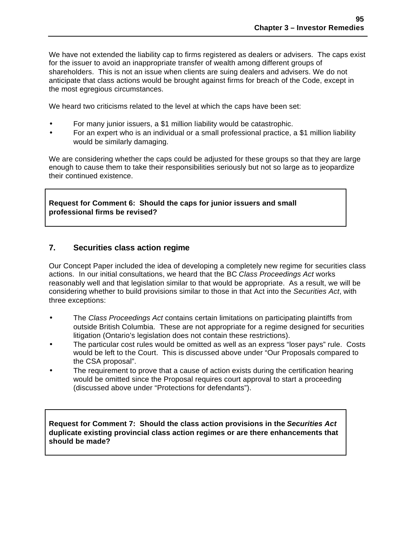We have not extended the liability cap to firms registered as dealers or advisers. The caps exist for the issuer to avoid an inappropriate transfer of wealth among different groups of shareholders. This is not an issue when clients are suing dealers and advisers. We do not anticipate that class actions would be brought against firms for breach of the Code, except in the most egregious circumstances.

We heard two criticisms related to the level at which the caps have been set:

- For many junior issuers, a \$1 million liability would be catastrophic.
- For an expert who is an individual or a small professional practice, a \$1 million liability would be similarly damaging.

We are considering whether the caps could be adjusted for these groups so that they are large enough to cause them to take their responsibilities seriously but not so large as to jeopardize their continued existence.

**Request for Comment 6: Should the caps for junior issuers and small professional firms be revised?**

## **7. Securities class action regime**

Our Concept Paper included the idea of developing a completely new regime for securities class actions. In our initial consultations, we heard that the BC *Class Proceedings Act* works reasonably well and that legislation similar to that would be appropriate. As a result, we will be considering whether to build provisions similar to those in that Act into the *Securities Act*, with three exceptions:

- The *Class Proceedings Act* contains certain limitations on participating plaintiffs from outside British Columbia. These are not appropriate for a regime designed for securities litigation (Ontario's legislation does not contain these restrictions).
- The particular cost rules would be omitted as well as an express "loser pays" rule. Costs would be left to the Court. This is discussed above under "Our Proposals compared to the CSA proposal".
- The requirement to prove that a cause of action exists during the certification hearing would be omitted since the Proposal requires court approval to start a proceeding (discussed above under "Protections for defendants").

**Request for Comment 7: Should the class action provisions in the** *Securities Act* **duplicate existing provincial class action regimes or are there enhancements that should be made?**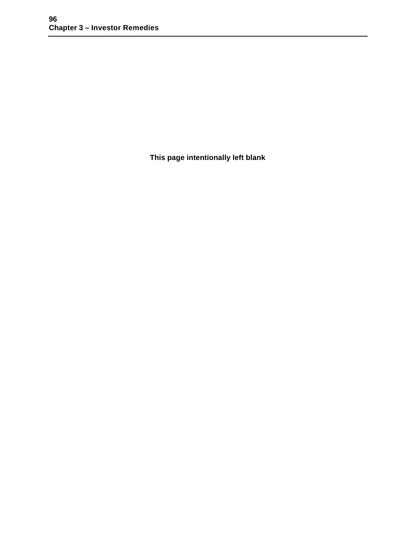**This page intentionally left blank**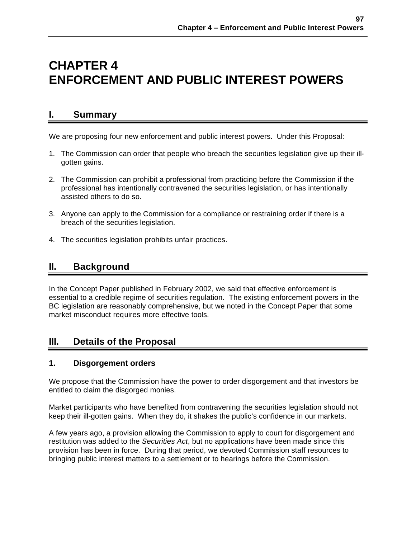# **CHAPTER 4 ENFORCEMENT AND PUBLIC INTEREST POWERS**

## **I. Summary**

We are proposing four new enforcement and public interest powers. Under this Proposal:

- 1. The Commission can order that people who breach the securities legislation give up their illgotten gains.
- 2. The Commission can prohibit a professional from practicing before the Commission if the professional has intentionally contravened the securities legislation, or has intentionally assisted others to do so.
- 3. Anyone can apply to the Commission for a compliance or restraining order if there is a breach of the securities legislation.
- 4. The securities legislation prohibits unfair practices.

## **II. Background**

In the Concept Paper published in February 2002, we said that effective enforcement is essential to a credible regime of securities regulation. The existing enforcement powers in the BC legislation are reasonably comprehensive, but we noted in the Concept Paper that some market misconduct requires more effective tools.

## **III. Details of the Proposal**

## **1. Disgorgement orders**

We propose that the Commission have the power to order disgorgement and that investors be entitled to claim the disgorged monies.

Market participants who have benefited from contravening the securities legislation should not keep their ill-gotten gains. When they do, it shakes the public's confidence in our markets.

A few years ago, a provision allowing the Commission to apply to court for disgorgement and restitution was added to the *Securities Act*, but no applications have been made since this provision has been in force. During that period, we devoted Commission staff resources to bringing public interest matters to a settlement or to hearings before the Commission.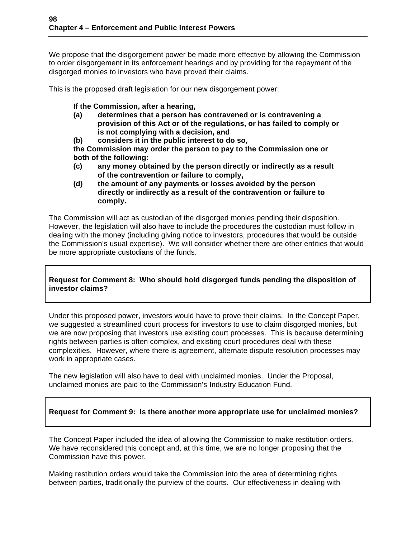We propose that the disgorgement power be made more effective by allowing the Commission to order disgorgement in its enforcement hearings and by providing for the repayment of the disgorged monies to investors who have proved their claims.

This is the proposed draft legislation for our new disgorgement power:

**If the Commission, after a hearing,**

- **(a) determines that a person has contravened or is contravening a provision of this Act or of the regulations, or has failed to comply or is not complying with a decision, and**
- **(b) considers it in the public interest to do so,**

**the Commission may order the person to pay to the Commission one or both of the following:**

- **(c) any money obtained by the person directly or indirectly as a result of the contravention or failure to comply,**
- **(d) the amount of any payments or losses avoided by the person directly or indirectly as a result of the contravention or failure to comply.**

The Commission will act as custodian of the disgorged monies pending their disposition. However, the legislation will also have to include the procedures the custodian must follow in dealing with the money (including giving notice to investors, procedures that would be outside the Commission's usual expertise). We will consider whether there are other entities that would be more appropriate custodians of the funds.

#### **Request for Comment 8: Who should hold disgorged funds pending the disposition of investor claims?**

Under this proposed power, investors would have to prove their claims. In the Concept Paper, we suggested a streamlined court process for investors to use to claim disgorged monies, but we are now proposing that investors use existing court processes. This is because determining rights between parties is often complex, and existing court procedures deal with these complexities. However, where there is agreement, alternate dispute resolution processes may work in appropriate cases.

The new legislation will also have to deal with unclaimed monies. Under the Proposal, unclaimed monies are paid to the Commission's Industry Education Fund.

## **Request for Comment 9: Is there another more appropriate use for unclaimed monies?**

The Concept Paper included the idea of allowing the Commission to make restitution orders. We have reconsidered this concept and, at this time, we are no longer proposing that the Commission have this power.

Making restitution orders would take the Commission into the area of determining rights between parties, traditionally the purview of the courts. Our effectiveness in dealing with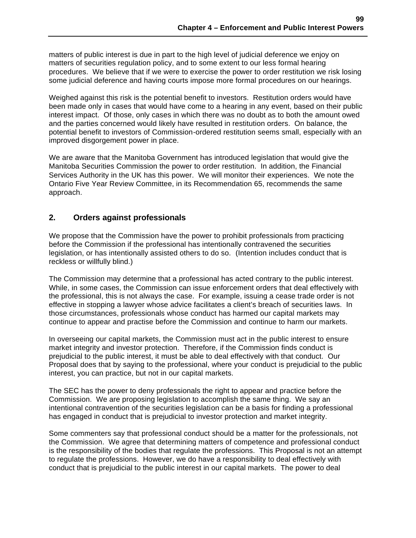matters of public interest is due in part to the high level of judicial deference we enjoy on matters of securities regulation policy, and to some extent to our less formal hearing procedures. We believe that if we were to exercise the power to order restitution we risk losing some judicial deference and having courts impose more formal procedures on our hearings.

Weighed against this risk is the potential benefit to investors. Restitution orders would have been made only in cases that would have come to a hearing in any event, based on their public interest impact. Of those, only cases in which there was no doubt as to both the amount owed and the parties concerned would likely have resulted in restitution orders. On balance, the potential benefit to investors of Commission-ordered restitution seems small, especially with an improved disgorgement power in place.

We are aware that the Manitoba Government has introduced legislation that would give the Manitoba Securities Commission the power to order restitution. In addition, the Financial Services Authority in the UK has this power. We will monitor their experiences. We note the Ontario Five Year Review Committee, in its Recommendation 65, recommends the same approach.

## **2. Orders against professionals**

We propose that the Commission have the power to prohibit professionals from practicing before the Commission if the professional has intentionally contravened the securities legislation, or has intentionally assisted others to do so. (Intention includes conduct that is reckless or willfully blind.)

The Commission may determine that a professional has acted contrary to the public interest. While, in some cases, the Commission can issue enforcement orders that deal effectively with the professional, this is not always the case. For example, issuing a cease trade order is not effective in stopping a lawyer whose advice facilitates a client's breach of securities laws. In those circumstances, professionals whose conduct has harmed our capital markets may continue to appear and practise before the Commission and continue to harm our markets.

In overseeing our capital markets, the Commission must act in the public interest to ensure market integrity and investor protection. Therefore, if the Commission finds conduct is prejudicial to the public interest, it must be able to deal effectively with that conduct. Our Proposal does that by saying to the professional, where your conduct is prejudicial to the public interest, you can practice, but not in our capital markets.

The SEC has the power to deny professionals the right to appear and practice before the Commission. We are proposing legislation to accomplish the same thing. We say an intentional contravention of the securities legislation can be a basis for finding a professional has engaged in conduct that is prejudicial to investor protection and market integrity.

Some commenters say that professional conduct should be a matter for the professionals, not the Commission. We agree that determining matters of competence and professional conduct is the responsibility of the bodies that regulate the professions. This Proposal is not an attempt to regulate the professions. However, we do have a responsibility to deal effectively with conduct that is prejudicial to the public interest in our capital markets. The power to deal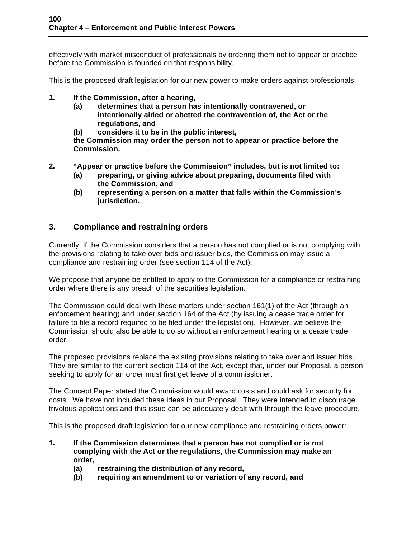effectively with market misconduct of professionals by ordering them not to appear or practice before the Commission is founded on that responsibility.

This is the proposed draft legislation for our new power to make orders against professionals:

- **1. If the Commission, after a hearing,**
	- **(a) determines that a person has intentionally contravened, or intentionally aided or abetted the contravention of, the Act or the regulations, and**
	- **(b) considers it to be in the public interest,**

**the Commission may order the person not to appear or practice before the Commission.**

- **2. "Appear or practice before the Commission" includes, but is not limited to:**
	- **(a) preparing, or giving advice about preparing, documents filed with the Commission, and**
	- **(b) representing a person on a matter that falls within the Commission's jurisdiction.**

## **3. Compliance and restraining orders**

Currently, if the Commission considers that a person has not complied or is not complying with the provisions relating to take over bids and issuer bids, the Commission may issue a compliance and restraining order (see section 114 of the Act).

We propose that anyone be entitled to apply to the Commission for a compliance or restraining order where there is any breach of the securities legislation.

The Commission could deal with these matters under section 161(1) of the Act (through an enforcement hearing) and under section 164 of the Act (by issuing a cease trade order for failure to file a record required to be filed under the legislation). However, we believe the Commission should also be able to do so without an enforcement hearing or a cease trade order.

The proposed provisions replace the existing provisions relating to take over and issuer bids. They are similar to the current section 114 of the Act, except that, under our Proposal, a person seeking to apply for an order must first get leave of a commissioner.

The Concept Paper stated the Commission would award costs and could ask for security for costs. We have not included these ideas in our Proposal. They were intended to discourage frivolous applications and this issue can be adequately dealt with through the leave procedure.

This is the proposed draft legislation for our new compliance and restraining orders power:

- **1. If the Commission determines that a person has not complied or is not complying with the Act or the regulations, the Commission may make an order,**
	- **(a) restraining the distribution of any record,**
	- **(b) requiring an amendment to or variation of any record, and**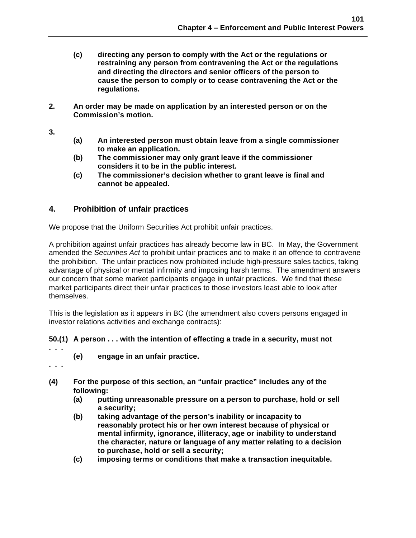- **(c) directing any person to comply with the Act or the regulations or restraining any person from contravening the Act or the regulations and directing the directors and senior officers of the person to cause the person to comply or to cease contravening the Act or the regulations.**
- **2. An order may be made on application by an interested person or on the Commission's motion.**
- **3.**
- **(a) An interested person must obtain leave from a single commissioner to make an application.**
- **(b) The commissioner may only grant leave if the commissioner considers it to be in the public interest.**
- **(c) The commissioner's decision whether to grant leave is final and cannot be appealed.**

## **4. Prohibition of unfair practices**

We propose that the Uniform Securities Act prohibit unfair practices.

A prohibition against unfair practices has already become law in BC. In May, the Government amended the *Securities Act* to prohibit unfair practices and to make it an offence to contravene the prohibition. The unfair practices now prohibited include high-pressure sales tactics, taking advantage of physical or mental infirmity and imposing harsh terms. The amendment answers our concern that some market participants engage in unfair practices. We find that these market participants direct their unfair practices to those investors least able to look after themselves.

This is the legislation as it appears in BC (the amendment also covers persons engaged in investor relations activities and exchange contracts):

**50.(1) A person . . . with the intention of effecting a trade in a security, must not** 

**. . .**

**(e) engage in an unfair practice.**

- **. . .**
- **(4) For the purpose of this section, an "unfair practice" includes any of the following:**
	- **(a) putting unreasonable pressure on a person to purchase, hold or sell a security;**
	- **(b) taking advantage of the person's inability or incapacity to reasonably protect his or her own interest because of physical or mental infirmity, ignorance, illiteracy, age or inability to understand the character, nature or language of any matter relating to a decision to purchase, hold or sell a security;**
	- **(c) imposing terms or conditions that make a transaction inequitable.**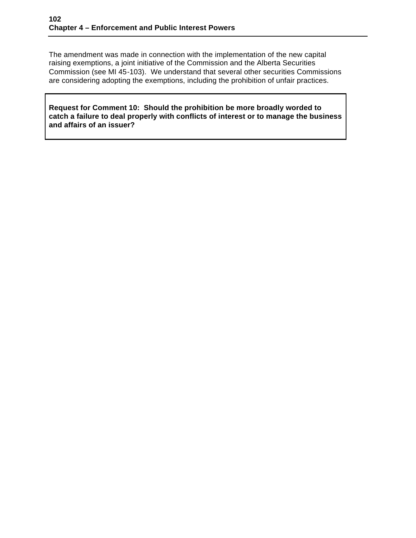The amendment was made in connection with the implementation of the new capital raising exemptions, a joint initiative of the Commission and the Alberta Securities Commission (see MI 45-103). We understand that several other securities Commissions are considering adopting the exemptions, including the prohibition of unfair practices.

**Request for Comment 10: Should the prohibition be more broadly worded to catch a failure to deal properly with conflicts of interest or to manage the business and affairs of an issuer?**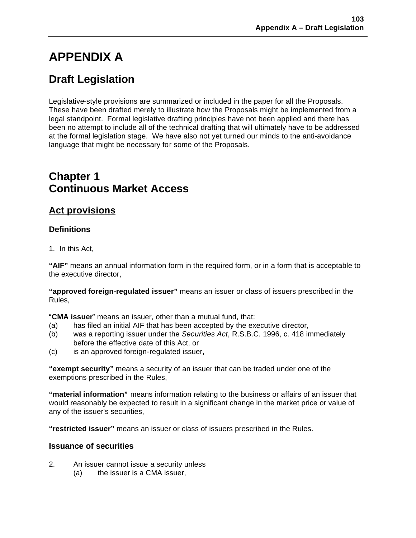# **APPENDIX A**

# **Draft Legislation**

Legislative-style provisions are summarized or included in the paper for all the Proposals. These have been drafted merely to illustrate how the Proposals might be implemented from a legal standpoint. Formal legislative drafting principles have not been applied and there has been no attempt to include all of the technical drafting that will ultimately have to be addressed at the formal legislation stage. We have also not yet turned our minds to the anti-avoidance language that might be necessary for some of the Proposals.

# **Chapter 1 Continuous Market Access**

# **Act provisions**

## **Definitions**

1.In this Act,

**"AIF"** means an annual information form in the required form, or in a form that is acceptable to the executive director,

**"approved foreign-regulated issuer"** means an issuer or class of issuers prescribed in the Rules,

"**CMA issuer**" means an issuer, other than a mutual fund, that:

- (a) has filed an initial AIF that has been accepted by the executive director,
- (b) was a reporting issuer under the *Securities Act*, R.S.B.C. 1996, c. 418 immediately before the effective date of this Act, or
- (c) is an approved foreign-regulated issuer,

**"exempt security"** means a security of an issuer that can be traded under one of the exemptions prescribed in the Rules,

**"material information"** means information relating to the business or affairs of an issuer that would reasonably be expected to result in a significant change in the market price or value of any of the issuer's securities,

**"restricted issuer"** means an issuer or class of issuers prescribed in the Rules.

#### **Issuance of securities**

- 2. An issuer cannot issue a security unless
	- (a) the issuer is a CMA issuer,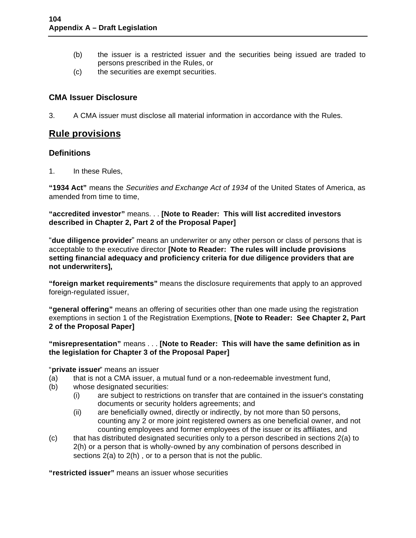- (b) the issuer is a restricted issuer and the securities being issued are traded to persons prescribed in the Rules, or
- (c) the securities are exempt securities.

### **CMA Issuer Disclosure**

3. A CMA issuer must disclose all material information in accordance with the Rules.

## **Rule provisions**

#### **Definitions**

1. In these Rules,

**"1934 Act"** means the *Securities and Exchange Act of 1934* of the United States of America, as amended from time to time,

**"accredited investor"** means. . . **[Note to Reader: This will list accredited investors described in Chapter 2, Part 2 of the Proposal Paper]**

"**due diligence provider**" means an underwriter or any other person or class of persons that is acceptable to the executive director **[Note to Reader: The rules will include provisions setting financial adequacy and proficiency criteria for due diligence providers that are not underwriters],**

**"foreign market requirements"** means the disclosure requirements that apply to an approved foreign-regulated issuer,

**"general offering"** means an offering of securities other than one made using the registration exemptions in section 1 of the Registration Exemptions, **[Note to Reader: See Chapter 2, Part 2 of the Proposal Paper]**

**"misrepresentation"** means . . . **[Note to Reader: This will have the same definition as in the legislation for Chapter 3 of the Proposal Paper]**

#### "**private issuer**" means an issuer

- (a) that is not a CMA issuer, a mutual fund or a non-redeemable investment fund,
- (b) whose designated securities:
	- (i) are subject to restrictions on transfer that are contained in the issuer's constating documents or security holders agreements; and
	- (ii) are beneficially owned, directly or indirectly, by not more than 50 persons, counting any 2 or more joint registered owners as one beneficial owner, and not counting employees and former employees of the issuer or its affiliates, and
- (c) that has distributed designated securities only to a person described in sections 2(a) to 2(h) or a person that is wholly-owned by any combination of persons described in sections 2(a) to 2(h) , or to a person that is not the public.

**"restricted issuer"** means an issuer whose securities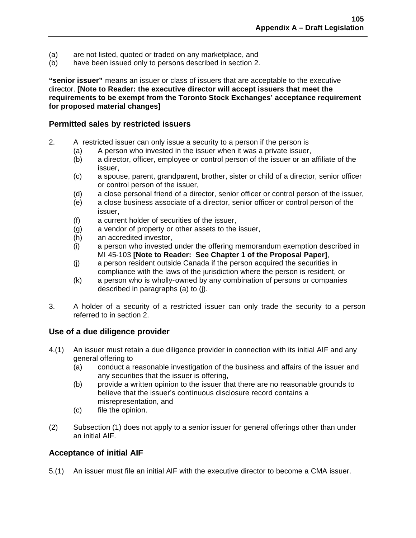- (a) are not listed, quoted or traded on any marketplace, and
- (b) have been issued only to persons described in section 2.

**"senior issuer"** means an issuer or class of issuers that are acceptable to the executive director. **[Note to Reader: the executive director will accept issuers that meet the requirements to be exempt from the Toronto Stock Exchanges' acceptance requirement for proposed material changes]**

#### **Permitted sales by restricted issuers**

- 2. A restricted issuer can only issue a security to a person if the person is
	- (a) A person who invested in the issuer when it was a private issuer,
	- (b) a director, officer, employee or control person of the issuer or an affiliate of the issuer,
	- (c) a spouse, parent, grandparent, brother, sister or child of a director, senior officer or control person of the issuer,
	- (d) a close personal friend of a director, senior officer or control person of the issuer,
	- (e) a close business associate of a director, senior officer or control person of the issuer,
	- (f) a current holder of securities of the issuer,
	- (g) a vendor of property or other assets to the issuer,
	- (h) an accredited investor,
	- (i) a person who invested under the offering memorandum exemption described in MI 45-103 **[Note to Reader: See Chapter 1 of the Proposal Paper]**,
	- (j) a person resident outside Canada if the person acquired the securities in compliance with the laws of the jurisdiction where the person is resident, or
	- (k) a person who is wholly-owned by any combination of persons or companies described in paragraphs (a) to (j).
- 3. A holder of a security of a restricted issuer can only trade the security to a person referred to in section 2.

### **Use of a due diligence provider**

- 4.(1) An issuer must retain a due diligence provider in connection with its initial AIF and any general offering to
	- (a) conduct a reasonable investigation of the business and affairs of the issuer and any securities that the issuer is offering,
	- (b) provide a written opinion to the issuer that there are no reasonable grounds to believe that the issuer's continuous disclosure record contains a misrepresentation, and
	- (c) file the opinion.
- (2) Subsection (1) does not apply to a senior issuer for general offerings other than under an initial AIF.

# **Acceptance of initial AIF**

5.(1) An issuer must file an initial AIF with the executive director to become a CMA issuer.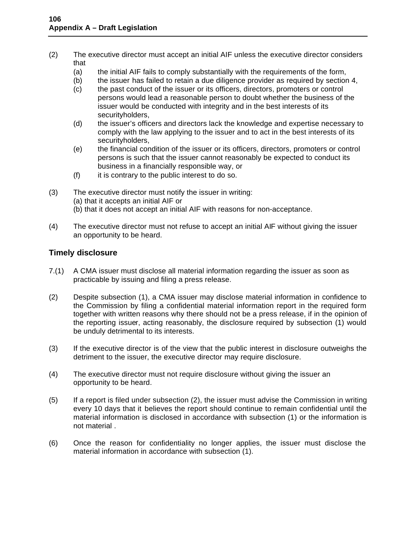- (2) The executive director must accept an initial AIF unless the executive director considers that
	- (a) the initial AIF fails to comply substantially with the requirements of the form,
	- (b) the issuer has failed to retain a due diligence provider as required by section 4,
	- (c) the past conduct of the issuer or its officers, directors, promoters or control persons would lead a reasonable person to doubt whether the business of the issuer would be conducted with integrity and in the best interests of its securityholders,
	- (d) the issuer's officers and directors lack the knowledge and expertise necessary to comply with the law applying to the issuer and to act in the best interests of its securityholders,
	- (e) the financial condition of the issuer or its officers, directors, promoters or control persons is such that the issuer cannot reasonably be expected to conduct its business in a financially responsible way, or
	- (f) it is contrary to the public interest to do so.
- (3) The executive director must notify the issuer in writing: (a) that it accepts an initial AIF or (b) that it does not accept an initial AIF with reasons for non-acceptance.
- (4) The executive director must not refuse to accept an initial AIF without giving the issuer an opportunity to be heard.

### **Timely disclosure**

- 7.(1) A CMA issuer must disclose all material information regarding the issuer as soon as practicable by issuing and filing a press release.
- (2) Despite subsection (1), a CMA issuer may disclose material information in confidence to the Commission by filing a confidential material information report in the required form together with written reasons why there should not be a press release, if in the opinion of the reporting issuer, acting reasonably, the disclosure required by subsection (1) would be unduly detrimental to its interests.
- (3) If the executive director is of the view that the public interest in disclosure outweighs the detriment to the issuer, the executive director may require disclosure.
- (4) The executive director must not require disclosure without giving the issuer an opportunity to be heard.
- (5) If a report is filed under subsection (2), the issuer must advise the Commission in writing every 10 days that it believes the report should continue to remain confidential until the material information is disclosed in accordance with subsection (1) or the information is not material .
- (6) Once the reason for confidentiality no longer applies, the issuer must disclose the material information in accordance with subsection (1).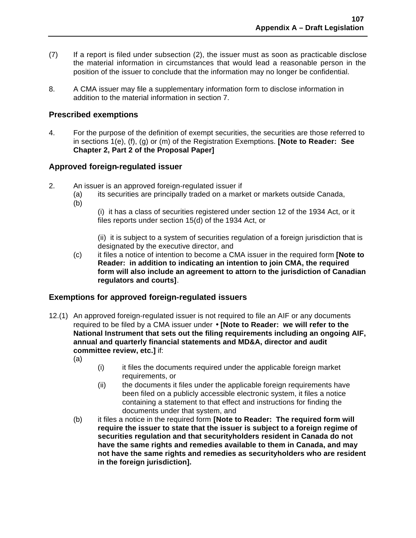- (7) If a report is filed under subsection (2), the issuer must as soon as practicable disclose the material information in circumstances that would lead a reasonable person in the position of the issuer to conclude that the information may no longer be confidential.
- 8. A CMA issuer may file a supplementary information form to disclose information in addition to the material information in section 7.

### **Prescribed exemptions**

4. For the purpose of the definition of exempt securities, the securities are those referred to in sections 1(e), (f), (g) or (m) of the Registration Exemptions. **[Note to Reader: See Chapter 2, Part 2 of the Proposal Paper]**

### **Approved foreign-regulated issuer**

- 2. An issuer is an approved foreign-regulated issuer if
	- (a) its securities are principally traded on a market or markets outside Canada, (b)

(i) it has a class of securities registered under section 12 of the 1934 Act, or it files reports under section 15(d) of the 1934 Act, or

(ii) it is subject to a system of securities regulation of a foreign jurisdiction that is designated by the executive director, and

(c) it files a notice of intention to become a CMA issuer in the required form **[Note to Reader: in addition to indicating an intention to join CMA, the required form will also include an agreement to attorn to the jurisdiction of Canadian regulators and courts]**.

### **Exemptions for approved foreign-regulated issuers**

- 12.(1) An approved foreign-regulated issuer is not required to file an AIF or any documents required to be filed by a CMA issuer under • **[Note to Reader: we will refer to the National Instrument that sets out the filing requirements including an ongoing AIF, annual and quarterly financial statements and MD&A, director and audit committee review, etc.]** if:
	- (a)
- (i) it files the documents required under the applicable foreign market requirements, or
- (ii) the documents it files under the applicable foreign requirements have been filed on a publicly accessible electronic system, it files a notice containing a statement to that effect and instructions for finding the documents under that system, and
- (b) it files a notice in the required form **[Note to Reader: The required form will require the issuer to state that the issuer is subject to a foreign regime of securities regulation and that securityholders resident in Canada do not have the same rights and remedies available to them in Canada, and may not have the same rights and remedies as securityholders who are resident in the foreign jurisdiction].**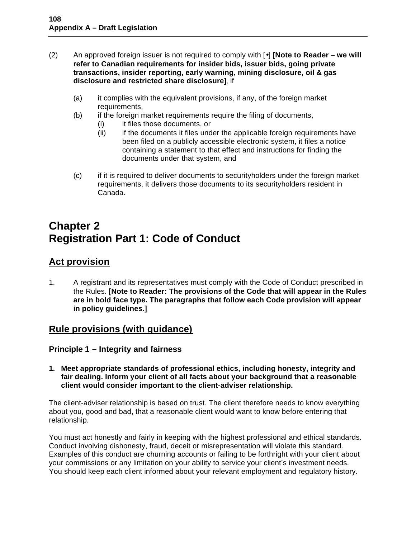- (2) An approved foreign issuer is not required to comply with [•] **[Note to Reader we will refer to Canadian requirements for insider bids, issuer bids, going private transactions, insider reporting, early warning, mining disclosure, oil & gas disclosure and restricted share disclosure]**, if
	- (a) it complies with the equivalent provisions, if any, of the foreign market requirements,
	- (b) if the foreign market requirements require the filing of documents,
		- (i) it files those documents, or
		- (ii) if the documents it files under the applicable foreign requirements have been filed on a publicly accessible electronic system, it files a notice containing a statement to that effect and instructions for finding the documents under that system, and
	- (c) if it is required to deliver documents to securityholders under the foreign market requirements, it delivers those documents to its securityholders resident in Canada.

# **Chapter 2 Registration Part 1: Code of Conduct**

# **Act provision**

1. A registrant and its representatives must comply with the Code of Conduct prescribed in the Rules. **[Note to Reader: The provisions of the Code that will appear in the Rules are in bold face type. The paragraphs that follow each Code provision will appear in policy guidelines.]**

# **Rule provisions (with guidance)**

# **Principle 1 – Integrity and fairness**

**1. Meet appropriate standards of professional ethics, including honesty, integrity and fair dealing. Inform your client of all facts about your background that a reasonable client would consider important to the client-adviser relationship.**

The client-adviser relationship is based on trust. The client therefore needs to know everything about you, good and bad, that a reasonable client would want to know before entering that relationship.

You must act honestly and fairly in keeping with the highest professional and ethical standards. Conduct involving dishonesty, fraud, deceit or misrepresentation will violate this standard. Examples of this conduct are churning accounts or failing to be forthright with your client about your commissions or any limitation on your ability to service your client's investment needs. You should keep each client informed about your relevant employment and regulatory history.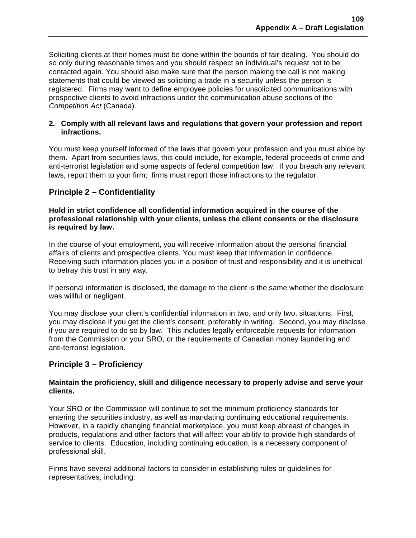Soliciting clients at their homes must be done within the bounds of fair dealing. You should do so only during reasonable times and you should respect an individual's request not to be contacted again. You should also make sure that the person making the call is not making statements that could be viewed as soliciting a trade in a security unless the person is registered. Firms may want to define employee policies for unsolicited communications with prospective clients to avoid infractions under the communication abuse sections of the *Competition Act* (Canada).

### **2. Comply with all relevant laws and regulations that govern your profession and report infractions.**

You must keep yourself informed of the laws that govern your profession and you must abide by them. Apart from securities laws, this could include, for example, federal proceeds of crime and anti-terrorist legislation and some aspects of federal competition law. If you breach any relevant laws, report them to your firm; firms must report those infractions to the regulator.

# **Principle 2 – Confidentiality**

**Hold in strict confidence all confidential information acquired in the course of the professional relationship with your clients, unless the client consents or the disclosure is required by law.**

In the course of your employment, you will receive information about the personal financial affairs of clients and prospective clients. You must keep that information in confidence. Receiving such information places you in a position of trust and responsibility and it is unethical to betray this trust in any way.

If personal information is disclosed, the damage to the client is the same whether the disclosure was willful or negligent.

You may disclose your client's confidential information in two, and only two, situations. First, you may disclose if you get the client's consent, preferably in writing. Second, you may disclose if you are required to do so by law. This includes legally enforceable requests for information from the Commission or your SRO, or the requirements of Canadian money laundering and anti-terrorist legislation.

# **Principle 3 – Proficiency**

### **Maintain the proficiency, skill and diligence necessary to properly advise and serve your clients.**

Your SRO or the Commission will continue to set the minimum proficiency standards for entering the securities industry, as well as mandating continuing educational requirements. However, in a rapidly changing financial marketplace, you must keep abreast of changes in products, regulations and other factors that will affect your ability to provide high standards of service to clients. Education, including continuing education, is a necessary component of professional skill.

Firms have several additional factors to consider in establishing rules or guidelines for representatives, including: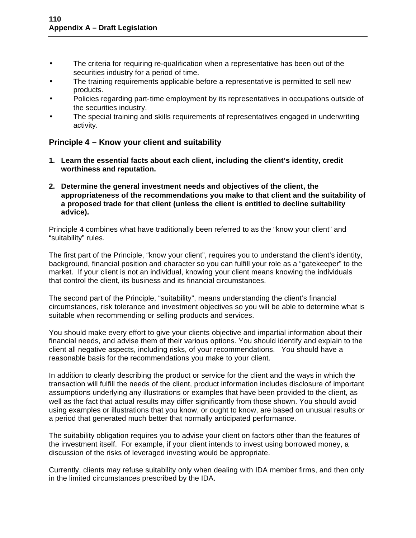- The criteria for requiring re-qualification when a representative has been out of the securities industry for a period of time.
- The training requirements applicable before a representative is permitted to sell new products.
- Policies regarding part-time employment by its representatives in occupations outside of the securities industry.
- The special training and skills requirements of representatives engaged in underwriting activity.

# **Principle 4 – Know your client and suitability**

- **1. Learn the essential facts about each client, including the client's identity, credit worthiness and reputation.**
- **2. Determine the general investment needs and objectives of the client, the appropriateness of the recommendations you make to that client and the suitability of a proposed trade for that client (unless the client is entitled to decline suitability advice).**

Principle 4 combines what have traditionally been referred to as the "know your client" and "suitability" rules.

The first part of the Principle, "know your client", requires you to understand the client's identity, background, financial position and character so you can fulfill your role as a "gatekeeper" to the market. If your client is not an individual, knowing your client means knowing the individuals that control the client, its business and its financial circumstances.

The second part of the Principle, "suitability", means understanding the client's financial circumstances, risk tolerance and investment objectives so you will be able to determine what is suitable when recommending or selling products and services.

You should make every effort to give your clients objective and impartial information about their financial needs, and advise them of their various options. You should identify and explain to the client all negative aspects, including risks, of your recommendations. You should have a reasonable basis for the recommendations you make to your client.

In addition to clearly describing the product or service for the client and the ways in which the transaction will fulfill the needs of the client, product information includes disclosure of important assumptions underlying any illustrations or examples that have been provided to the client, as well as the fact that actual results may differ significantly from those shown. You should avoid using examples or illustrations that you know, or ought to know, are based on unusual results or a period that generated much better that normally anticipated performance.

The suitability obligation requires you to advise your client on factors other than the features of the investment itself. For example, if your client intends to invest using borrowed money, a discussion of the risks of leveraged investing would be appropriate.

Currently, clients may refuse suitability only when dealing with IDA member firms, and then only in the limited circumstances prescribed by the IDA.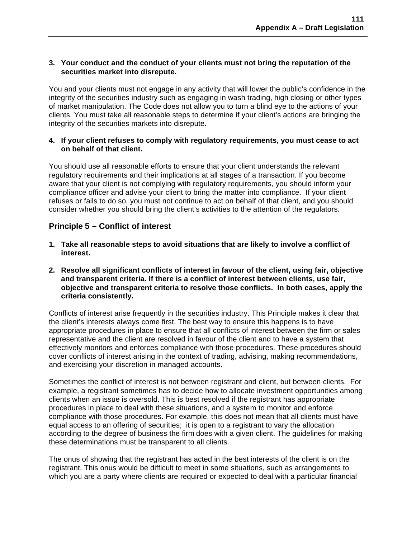### **3. Your conduct and the conduct of your clients must not bring the reputation of the securities market into disrepute.**

You and your clients must not engage in any activity that will lower the public's confidence in the integrity of the securities industry such as engaging in wash trading, high closing or other types of market manipulation. The Code does not allow you to turn a blind eye to the actions of your clients. You must take all reasonable steps to determine if your client's actions are bringing the integrity of the securities markets into disrepute.

### **4. If your client refuses to comply with regulatory requirements, you must cease to act on behalf of that client.**

You should use all reasonable efforts to ensure that your client understands the relevant regulatory requirements and their implications at all stages of a transaction. If you become aware that your client is not complying with regulatory requirements, you should inform your compliance officer and advise your client to bring the matter into compliance. If your client refuses or fails to do so, you must not continue to act on behalf of that client, and you should consider whether you should bring the client's activities to the attention of the regulators.

# **Principle 5 – Conflict of interest**

- **1. Take all reasonable steps to avoid situations that are likely to involve a conflict of interest.**
- **2. Resolve all significant conflicts of interest in favour of the client, using fair, objective and transparent criteria. If there is a conflict of interest between clients, use fair, objective and transparent criteria to resolve those conflicts. In both cases, apply the criteria consistently.**

Conflicts of interest arise frequently in the securities industry. This Principle makes it clear that the client's interests always come first. The best way to ensure this happens is to have appropriate procedures in place to ensure that all conflicts of interest between the firm or sales representative and the client are resolved in favour of the client and to have a system that effectively monitors and enforces compliance with those procedures. These procedures should cover conflicts of interest arising in the context of trading, advising, making recommendations, and exercising your discretion in managed accounts.

Sometimes the conflict of interest is not between registrant and client, but between clients. For example, a registrant sometimes has to decide how to allocate investment opportunities among clients when an issue is oversold. This is best resolved if the registrant has appropriate procedures in place to deal with these situations, and a system to monitor and enforce compliance with those procedures. For example, this does not mean that all clients must have equal access to an offering of securities; it is open to a registrant to vary the allocation according to the degree of business the firm does with a given client. The guidelines for making these determinations must be transparent to all clients.

The onus of showing that the registrant has acted in the best interests of the client is on the registrant. This onus would be difficult to meet in some situations, such as arrangements to which you are a party where clients are required or expected to deal with a particular financial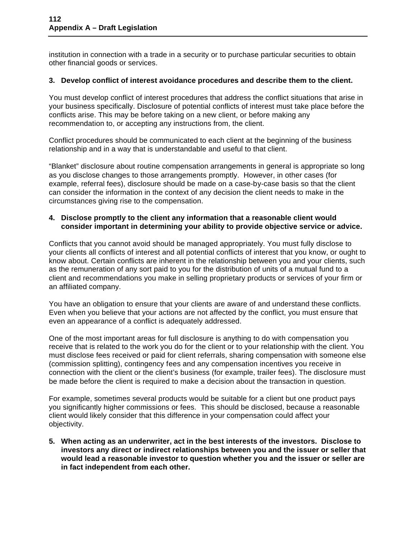institution in connection with a trade in a security or to purchase particular securities to obtain other financial goods or services.

### **3. Develop conflict of interest avoidance procedures and describe them to the client.**

You must develop conflict of interest procedures that address the conflict situations that arise in your business specifically. Disclosure of potential conflicts of interest must take place before the conflicts arise. This may be before taking on a new client, or before making any recommendation to, or accepting any instructions from, the client.

Conflict procedures should be communicated to each client at the beginning of the business relationship and in a way that is understandable and useful to that client.

"Blanket" disclosure about routine compensation arrangements in general is appropriate so long as you disclose changes to those arrangements promptly. However, in other cases (for example, referral fees), disclosure should be made on a case-by-case basis so that the client can consider the information in the context of any decision the client needs to make in the circumstances giving rise to the compensation.

### **4. Disclose promptly to the client any information that a reasonable client would consider important in determining your ability to provide objective service or advice.**

Conflicts that you cannot avoid should be managed appropriately. You must fully disclose to your clients all conflicts of interest and all potential conflicts of interest that you know, or ought to know about. Certain conflicts are inherent in the relationship between you and your clients, such as the remuneration of any sort paid to you for the distribution of units of a mutual fund to a client and recommendations you make in selling proprietary products or services of your firm or an affiliated company.

You have an obligation to ensure that your clients are aware of and understand these conflicts. Even when you believe that your actions are not affected by the conflict, you must ensure that even an appearance of a conflict is adequately addressed.

One of the most important areas for full disclosure is anything to do with compensation you receive that is related to the work you do for the client or to your relationship with the client. You must disclose fees received or paid for client referrals, sharing compensation with someone else (commission splitting), contingency fees and any compensation incentives you receive in connection with the client or the client's business (for example, trailer fees). The disclosure must be made before the client is required to make a decision about the transaction in question.

For example, sometimes several products would be suitable for a client but one product pays you significantly higher commissions or fees. This should be disclosed, because a reasonable client would likely consider that this difference in your compensation could affect your objectivity.

**5. When acting as an underwriter, act in the best interests of the investors. Disclose to investors any direct or indirect relationships between you and the issuer or seller that would lead a reasonable investor to question whether you and the issuer or seller are in fact independent from each other.**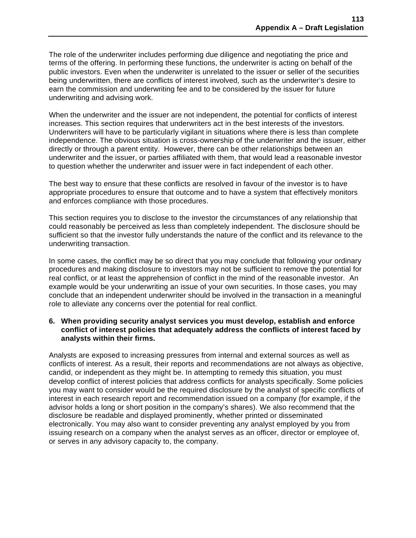The role of the underwriter includes performing due diligence and negotiating the price and terms of the offering. In performing these functions, the underwriter is acting on behalf of the public investors. Even when the underwriter is unrelated to the issuer or seller of the securities being underwritten, there are conflicts of interest involved, such as the underwriter's desire to earn the commission and underwriting fee and to be considered by the issuer for future underwriting and advising work.

When the underwriter and the issuer are not independent, the potential for conflicts of interest increases. This section requires that underwriters act in the best interests of the investors. Underwriters will have to be particularly vigilant in situations where there is less than complete independence. The obvious situation is cross-ownership of the underwriter and the issuer, either directly or through a parent entity. However, there can be other relationships between an underwriter and the issuer, or parties affiliated with them, that would lead a reasonable investor to question whether the underwriter and issuer were in fact independent of each other.

The best way to ensure that these conflicts are resolved in favour of the investor is to have appropriate procedures to ensure that outcome and to have a system that effectively monitors and enforces compliance with those procedures.

This section requires you to disclose to the investor the circumstances of any relationship that could reasonably be perceived as less than completely independent. The disclosure should be sufficient so that the investor fully understands the nature of the conflict and its relevance to the underwriting transaction.

In some cases, the conflict may be so direct that you may conclude that following your ordinary procedures and making disclosure to investors may not be sufficient to remove the potential for real conflict, or at least the apprehension of conflict in the mind of the reasonable investor. An example would be your underwriting an issue of your own securities. In those cases, you may conclude that an independent underwriter should be involved in the transaction in a meaningful role to alleviate any concerns over the potential for real conflict.

#### **6. When providing security analyst services you must develop, establish and enforce conflict of interest policies that adequately address the conflicts of interest faced by analysts within their firms.**

Analysts are exposed to increasing pressures from internal and external sources as well as conflicts of interest. As a result, their reports and recommendations are not always as objective, candid, or independent as they might be. In attempting to remedy this situation, you must develop conflict of interest policies that address conflicts for analysts specifically. Some policies you may want to consider would be the required disclosure by the analyst of specific conflicts of interest in each research report and recommendation issued on a company (for example, if the advisor holds a long or short position in the company's shares). We also recommend that the disclosure be readable and displayed prominently, whether printed or disseminated electronically. You may also want to consider preventing any analyst employed by you from issuing research on a company when the analyst serves as an officer, director or employee of, or serves in any advisory capacity to, the company.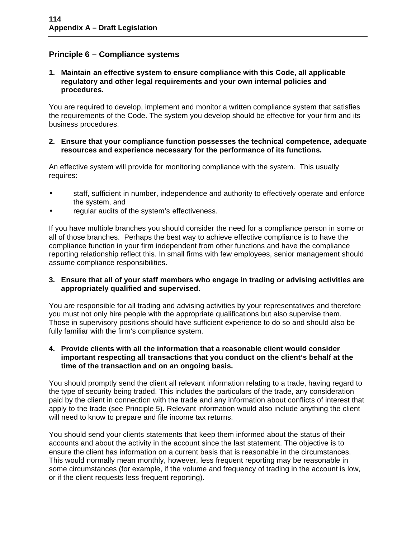# **Principle 6 – Compliance systems**

### **1. Maintain an effective system to ensure compliance with this Code, all applicable regulatory and other legal requirements and your own internal policies and procedures.**

You are required to develop, implement and monitor a written compliance system that satisfies the requirements of the Code. The system you develop should be effective for your firm and its business procedures.

### **2. Ensure that your compliance function possesses the technical competence, adequate resources and experience necessary for the performance of its functions.**

An effective system will provide for monitoring compliance with the system. This usually requires:

- staff, sufficient in number, independence and authority to effectively operate and enforce the system, and
- regular audits of the system's effectiveness.

If you have multiple branches you should consider the need for a compliance person in some or all of those branches. Perhaps the best way to achieve effective compliance is to have the compliance function in your firm independent from other functions and have the compliance reporting relationship reflect this. In small firms with few employees, senior management should assume compliance responsibilities.

### **3. Ensure that all of your staff members who engage in trading or advising activities are appropriately qualified and supervised.**

You are responsible for all trading and advising activities by your representatives and therefore you must not only hire people with the appropriate qualifications but also supervise them. Those in supervisory positions should have sufficient experience to do so and should also be fully familiar with the firm's compliance system.

#### **4. Provide clients with all the information that a reasonable client would consider important respecting all transactions that you conduct on the client's behalf at the time of the transaction and on an ongoing basis.**

You should promptly send the client all relevant information relating to a trade, having regard to the type of security being traded. This includes the particulars of the trade, any consideration paid by the client in connection with the trade and any information about conflicts of interest that apply to the trade (see Principle 5). Relevant information would also include anything the client will need to know to prepare and file income tax returns.

You should send your clients statements that keep them informed about the status of their accounts and about the activity in the account since the last statement. The objective is to ensure the client has information on a current basis that is reasonable in the circumstances. This would normally mean monthly, however, less frequent reporting may be reasonable in some circumstances (for example, if the volume and frequency of trading in the account is low, or if the client requests less frequent reporting).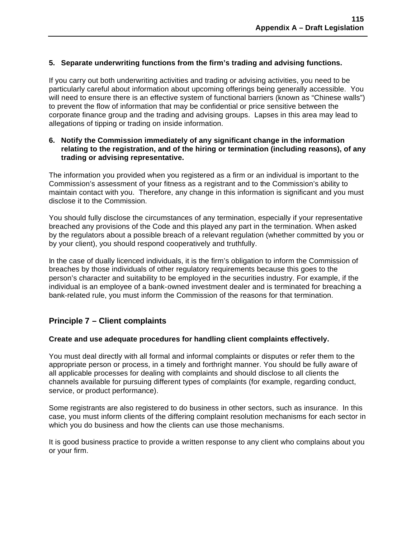### **5. Separate underwriting functions from the firm's trading and advising functions.**

If you carry out both underwriting activities and trading or advising activities, you need to be particularly careful about information about upcoming offerings being generally accessible. You will need to ensure there is an effective system of functional barriers (known as "Chinese walls") to prevent the flow of information that may be confidential or price sensitive between the corporate finance group and the trading and advising groups. Lapses in this area may lead to allegations of tipping or trading on inside information.

### **6. Notify the Commission immediately of any significant change in the information relating to the registration, and of the hiring or termination (including reasons), of any trading or advising representative.**

The information you provided when you registered as a firm or an individual is important to the Commission's assessment of your fitness as a registrant and to the Commission's ability to maintain contact with you. Therefore, any change in this information is significant and you must disclose it to the Commission.

You should fully disclose the circumstances of any termination, especially if your representative breached any provisions of the Code and this played any part in the termination. When asked by the regulators about a possible breach of a relevant regulation (whether committed by you or by your client), you should respond cooperatively and truthfully.

In the case of dually licenced individuals, it is the firm's obligation to inform the Commission of breaches by those individuals of other regulatory requirements because this goes to the person's character and suitability to be employed in the securities industry. For example, if the individual is an employee of a bank-owned investment dealer and is terminated for breaching a bank-related rule, you must inform the Commission of the reasons for that termination.

# **Principle 7 – Client complaints**

#### **Create and use adequate procedures for handling client complaints effectively.**

You must deal directly with all formal and informal complaints or disputes or refer them to the appropriate person or process, in a timely and forthright manner. You should be fully aware of all applicable processes for dealing with complaints and should disclose to all clients the channels available for pursuing different types of complaints (for example, regarding conduct, service, or product performance).

Some registrants are also registered to do business in other sectors, such as insurance. In this case, you must inform clients of the differing complaint resolution mechanisms for each sector in which you do business and how the clients can use those mechanisms.

It is good business practice to provide a written response to any client who complains about you or your firm.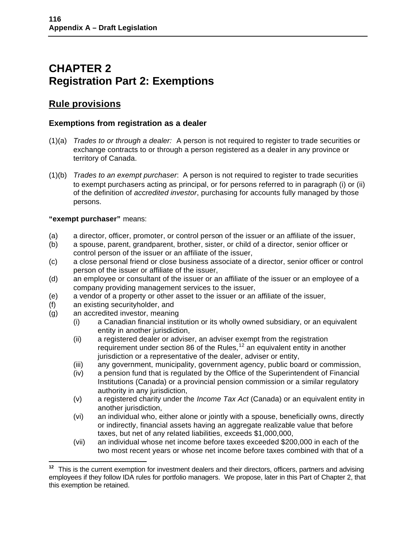# **CHAPTER 2 Registration Part 2: Exemptions**

# **Rule provisions**

# **Exemptions from registration as a dealer**

- (1)(a) *Trades to or through a dealer:* A person is not required to register to trade securities or exchange contracts to or through a person registered as a dealer in any province or territory of Canada.
- (1)(b) *Trades to an exempt purchaser*: A person is not required to register to trade securities to exempt purchasers acting as principal, or for persons referred to in paragraph (i) or (ii) of the definition of *accredited investor*, purchasing for accounts fully managed by those persons.

### **"exempt purchaser"** means:

- (a) a director, officer, promoter, or control person of the issuer or an affiliate of the issuer,
- (b) a spouse, parent, grandparent, brother, sister, or child of a director, senior officer or control person of the issuer or an affiliate of the issuer,
- (c) a close personal friend or close business associate of a director, senior officer or control person of the issuer or affiliate of the issuer,
- (d) an employee or consultant of the issuer or an affiliate of the issuer or an employee of a company providing management services to the issuer,
- (e) a vendor of a property or other asset to the issuer or an affiliate of the issuer,
- (f) an existing securityholder, and
- (g) an accredited investor, meaning
	- (i) a Canadian financial institution or its wholly owned subsidiary, or an equivalent entity in another jurisdiction,
	- (ii) a registered dealer or adviser, an adviser exempt from the registration requirement under section 86 of the Rules,  $12$  an equivalent entity in another jurisdiction or a representative of the dealer, adviser or entity,
	- (iii) any government, municipality, government agency, public board or commission,
	- (iv) a pension fund that is regulated by the Office of the Superintendent of Financial Institutions (Canada) or a provincial pension commission or a similar regulatory authority in any jurisdiction.
	- (v) a registered charity under the *Income Tax Act* (Canada) or an equivalent entity in another jurisdiction,
	- (vi) an individual who, either alone or jointly with a spouse, beneficially owns, directly or indirectly, financial assets having an aggregate realizable value that before taxes, but net of any related liabilities, exceeds \$1,000,000,
	- (vii) an individual whose net income before taxes exceeded \$200,000 in each of the two most recent years or whose net income before taxes combined with that of a

 $\overline{a}$ <sup>12</sup> This is the current exemption for investment dealers and their directors, officers, partners and advising employees if they follow IDA rules for portfolio managers. We propose, later in this Part of Chapter 2, that this exemption be retained.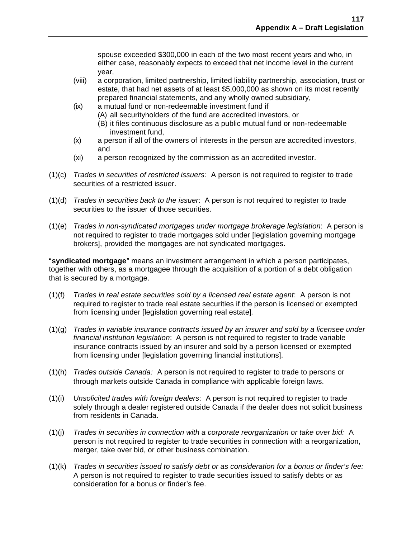spouse exceeded \$300,000 in each of the two most recent years and who, in either case, reasonably expects to exceed that net income level in the current year,

- (viii) a corporation, limited partnership, limited liability partnership, association, trust or estate, that had net assets of at least \$5,000,000 as shown on its most recently prepared financial statements, and any wholly owned subsidiary,
- (ix) a mutual fund or non-redeemable investment fund if
	- (A) all securityholders of the fund are accredited investors, or
	- (B) it files continuous disclosure as a public mutual fund or non-redeemable investment fund,
- (x) a person if all of the owners of interests in the person are accredited investors, and
- (xi) a person recognized by the commission as an accredited investor.
- (1)(c) *Trades in securities of restricted issuers:* A person is not required to register to trade securities of a restricted issuer.
- (1)(d) *Trades in securities back to the issuer*: A person is not required to register to trade securities to the issuer of those securities.
- (1)(e) *Trades in non-syndicated mortgages under mortgage brokerage legislation*: A person is not required to register to trade mortgages sold under [legislation governing mortgage brokers], provided the mortgages are not syndicated mortgages.

"**syndicated mortgage**" means an investment arrangement in which a person participates, together with others, as a mortgagee through the acquisition of a portion of a debt obligation that is secured by a mortgage.

- (1)(f) *Trades in real estate securities sold by a licensed real estate agent*: A person is not required to register to trade real estate securities if the person is licensed or exempted from licensing under [legislation governing real estate]*.*
- (1)(g) *Trades in variable insurance contracts issued by an insurer and sold by a licensee under financial institution legislation*: A person is not required to register to trade variable insurance contracts issued by an insurer and sold by a person licensed or exempted from licensing under [legislation governing financial institutions].
- (1)(h) *Trades outside Canada:* A person is not required to register to trade to persons or through markets outside Canada in compliance with applicable foreign laws.
- (1)(i) *Unsolicited trades with foreign dealers*: A person is not required to register to trade solely through a dealer registered outside Canada if the dealer does not solicit business from residents in Canada.
- (1)(j) *Trades in securities in connection with a corporate reorganization or take over bid:* A person is not required to register to trade securities in connection with a reorganization, merger, take over bid, or other business combination.
- (1)(k) *Trades in securities issued to satisfy debt or as consideration for a bonus or finder's fee:*  A person is not required to register to trade securities issued to satisfy debts or as consideration for a bonus or finder's fee.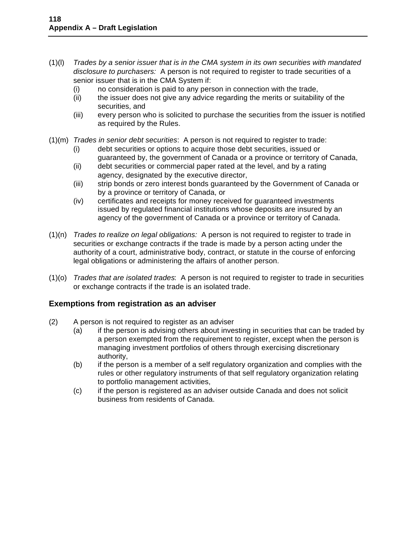- (1)(l) *Trades by a senior issuer that is in the CMA system in its own securities with mandated disclosure to purchasers:* A person is not required to register to trade securities of a senior issuer that is in the CMA System if:
	- (i) no consideration is paid to any person in connection with the trade,
	- (ii) the issuer does not give any advice regarding the merits or suitability of the securities, and
	- (iii) every person who is solicited to purchase the securities from the issuer is notified as required by the Rules.
- (1)(m) *Trades in senior debt securities*: A person is not required to register to trade:
	- (i) debt securities or options to acquire those debt securities, issued or guaranteed by, the government of Canada or a province or territory of Canada,
	- (ii) debt securities or commercial paper rated at the level, and by a rating agency, designated by the executive director,
	- (iii) strip bonds or zero interest bonds guaranteed by the Government of Canada or by a province or territory of Canada, or
	- (iv) certificates and receipts for money received for guaranteed investments issued by regulated financial institutions whose deposits are insured by an agency of the government of Canada or a province or territory of Canada.
- (1)(n) *Trades to realize on legal obligations:* A person is not required to register to trade in securities or exchange contracts if the trade is made by a person acting under the authority of a court, administrative body, contract, or statute in the course of enforcing legal obligations or administering the affairs of another person.
- (1)(o) *Trades that are isolated trades*: A person is not required to register to trade in securities or exchange contracts if the trade is an isolated trade.

# **Exemptions from registration as an adviser**

- (2) A person is not required to register as an adviser
	- (a) if the person is advising others about investing in securities that can be traded by a person exempted from the requirement to register, except when the person is managing investment portfolios of others through exercising discretionary authority,
	- (b) if the person is a member of a self regulatory organization and complies with the rules or other regulatory instruments of that self regulatory organization relating to portfolio management activities,
	- (c) if the person is registered as an adviser outside Canada and does not solicit business from residents of Canada.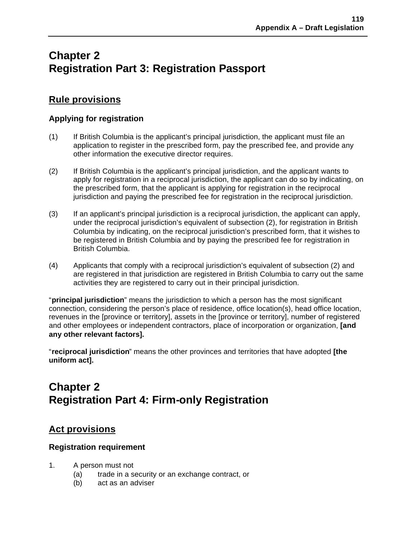# **Chapter 2 Registration Part 3: Registration Passport**

# **Rule provisions**

# **Applying for registration**

- (1) If British Columbia is the applicant's principal jurisdiction, the applicant must file an application to register in the prescribed form, pay the prescribed fee, and provide any other information the executive director requires.
- (2) If British Columbia is the applicant's principal jurisdiction, and the applicant wants to apply for registration in a reciprocal jurisdiction, the applicant can do so by indicating, on the prescribed form, that the applicant is applying for registration in the reciprocal jurisdiction and paying the prescribed fee for registration in the reciprocal jurisdiction.
- (3) If an applicant's principal jurisdiction is a reciprocal jurisdiction, the applicant can apply, under the reciprocal jurisdiction's equivalent of subsection (2), for registration in British Columbia by indicating, on the reciprocal jurisdiction's prescribed form, that it wishes to be registered in British Columbia and by paying the prescribed fee for registration in British Columbia.
- (4) Applicants that comply with a reciprocal jurisdiction's equivalent of subsection (2) and are registered in that jurisdiction are registered in British Columbia to carry out the same activities they are registered to carry out in their principal jurisdiction.

"**principal jurisdiction**" means the jurisdiction to which a person has the most significant connection, considering the person's place of residence, office location(s), head office location, revenues in the [province or territory], assets in the [province or territory], number of registered and other employees or independent contractors, place of incorporation or organization, **[and any other relevant factors].**

"**reciprocal jurisdiction**" means the other provinces and territories that have adopted **[the uniform act].**

# **Chapter 2 Registration Part 4: Firm-only Registration**

# **Act provisions**

# **Registration requirement**

- 1. A person must not
	- (a) trade in a security or an exchange contract, or
	- (b) act as an adviser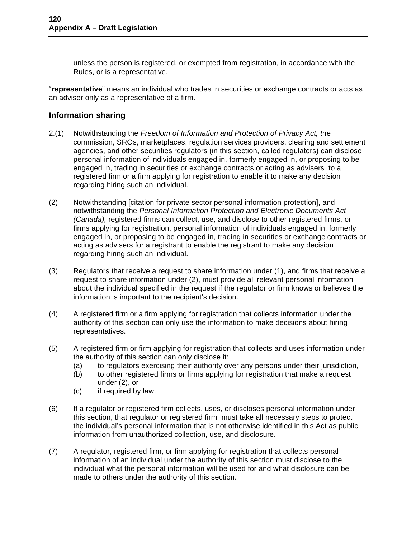unless the person is registered, or exempted from registration, in accordance with the Rules, or is a representative.

"**representative**" means an individual who trades in securities or exchange contracts or acts as an adviser only as a representative of a firm.

### **Information sharing**

- 2.(1) Notwithstanding the *Freedom of Information and Protection of Privacy Act, t*he commission, SROs, marketplaces, regulation services providers, clearing and settlement agencies, and other securities regulators (in this section, called regulators) can disclose personal information of individuals engaged in, formerly engaged in, or proposing to be engaged in, trading in securities or exchange contracts or acting as advisers to a registered firm or a firm applying for registration to enable it to make any decision regarding hiring such an individual.
- (2) Notwithstanding [citation for private sector personal information protection], and notwithstanding the *Personal Information Protection and Electronic Documents Act (Canada),* registered firms can collect, use, and disclose to other registered firms, or firms applying for registration, personal information of individuals engaged in, formerly engaged in, or proposing to be engaged in, trading in securities or exchange contracts or acting as advisers for a registrant to enable the registrant to make any decision regarding hiring such an individual.
- (3) Regulators that receive a request to share information under (1), and firms that receive a request to share information under (2), must provide all relevant personal information about the individual specified in the request if the regulator or firm knows or believes the information is important to the recipient's decision.
- (4) A registered firm or a firm applying for registration that collects information under the authority of this section can only use the information to make decisions about hiring representatives.
- (5) A registered firm or firm applying for registration that collects and uses information under the authority of this section can only disclose it:
	- (a) to regulators exercising their authority over any persons under their jurisdiction,
	- (b) to other registered firms or firms applying for registration that make a request under (2), or
	- (c) if required by law.
- (6) If a regulator or registered firm collects, uses, or discloses personal information under this section, that regulator or registered firm must take all necessary steps to protect the individual's personal information that is not otherwise identified in this Act as public information from unauthorized collection, use, and disclosure.
- (7) A regulator, registered firm, or firm applying for registration that collects personal information of an individual under the authority of this section must disclose to the individual what the personal information will be used for and what disclosure can be made to others under the authority of this section.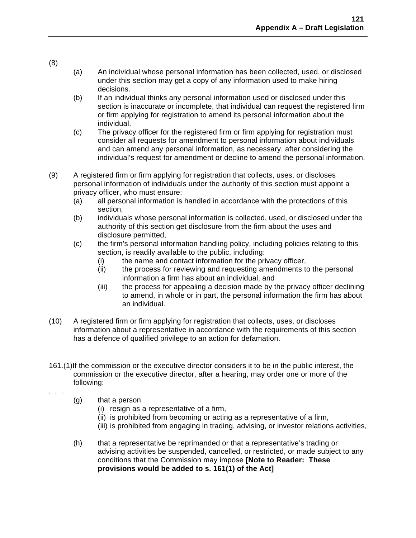- (a) An individual whose personal information has been collected, used, or disclosed under this section may get a copy of any information used to make hiring decisions.
- (b) If an individual thinks any personal information used or disclosed under this section is inaccurate or incomplete, that individual can request the registered firm or firm applying for registration to amend its personal information about the individual.
- (c) The privacy officer for the registered firm or firm applying for registration must consider all requests for amendment to personal information about individuals and can amend any personal information, as necessary, after considering the individual's request for amendment or decline to amend the personal information.
- (9) A registered firm or firm applying for registration that collects, uses, or discloses personal information of individuals under the authority of this section must appoint a privacy officer, who must ensure:
	- (a) all personal information is handled in accordance with the protections of this section,
	- (b) individuals whose personal information is collected, used, or disclosed under the authority of this section get disclosure from the firm about the uses and disclosure permitted,
	- (c) the firm's personal information handling policy, including policies relating to this section, is readily available to the public, including:
		- (i) the name and contact information for the privacy officer,
		- (ii) the process for reviewing and requesting amendments to the personal information a firm has about an individual, and
		- (iii) the process for appealing a decision made by the privacy officer declining to amend, in whole or in part, the personal information the firm has about an individual.
- (10) A registered firm or firm applying for registration that collects, uses, or discloses information about a representative in accordance with the requirements of this section has a defence of qualified privilege to an action for defamation.
- 161.(1)If the commission or the executive director considers it to be in the public interest, the commission or the executive director, after a hearing, may order one or more of the following:
- . . .
- (g) that a person
	- (i) resign as a representative of a firm,
	- (ii) is prohibited from becoming or acting as a representative of a firm,
	- (iii) is prohibited from engaging in trading, advising, or investor relations activities,
- (h) that a representative be reprimanded or that a representative's trading or advising activities be suspended, cancelled, or restricted, or made subject to any conditions that the Commission may impose **[Note to Reader: These provisions would be added to s. 161(1) of the Act]**

(8)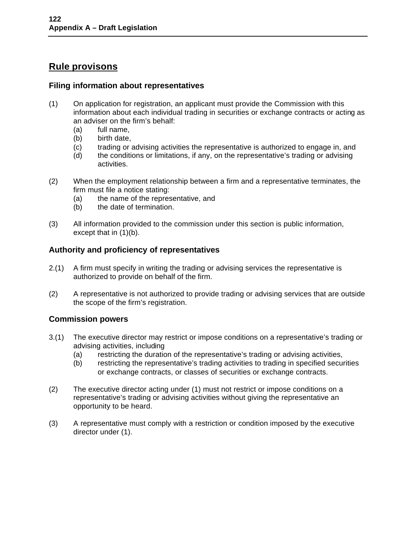# **Rule provisons**

# **Filing information about representatives**

- (1) On application for registration, an applicant must provide the Commission with this information about each individual trading in securities or exchange contracts or acting as an adviser on the firm's behalf:
	- (a) full name,
	- (b) birth date,
	- (c) trading or advising activities the representative is authorized to engage in, and
	- (d) the conditions or limitations, if any, on the representative's trading or advising activities.
- (2) When the employment relationship between a firm and a representative terminates, the firm must file a notice stating:
	- (a) the name of the representative, and
	- (b) the date of termination.
- (3) All information provided to the commission under this section is public information, except that in (1)(b).

# **Authority and proficiency of representatives**

- 2.(1) A firm must specify in writing the trading or advising services the representative is authorized to provide on behalf of the firm.
- (2) A representative is not authorized to provide trading or advising services that are outside the scope of the firm's registration.

# **Commission powers**

- 3.(1) The executive director may restrict or impose conditions on a representative's trading or advising activities, including
	- (a) restricting the duration of the representative's trading or advising activities,
	- (b) restricting the representative's trading activities to trading in specified securities or exchange contracts, or classes of securities or exchange contracts.
- (2) The executive director acting under (1) must not restrict or impose conditions on a representative's trading or advising activities without giving the representative an opportunity to be heard.
- (3) A representative must comply with a restriction or condition imposed by the executive director under (1).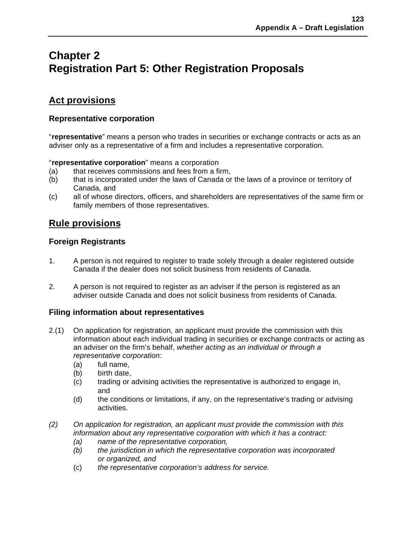# **Chapter 2 Registration Part 5: Other Registration Proposals**

# **Act provisions**

# **Representative corporation**

"**representative**" means a person who trades in securities or exchange contracts or acts as an adviser only as a representative of a firm and includes a representative corporation.

### "**representative corporation**" means a corporation

- (a) that receives commissions and fees from a firm,
- (b) that is incorporated under the laws of Canada or the laws of a province or territory of Canada, and
- (c) all of whose directors, officers, and shareholders are representatives of the same firm or family members of those representatives.

# **Rule provisions**

# **Foreign Registrants**

- 1. A person is not required to register to trade solely through a dealer registered outside Canada if the dealer does not solicit business from residents of Canada.
- 2. A person is not required to register as an adviser if the person is registered as an adviser outside Canada and does not solicit business from residents of Canada.

# **Filing information about representatives**

- 2.(1) On application for registration, an applicant must provide the commission with this information about each individual trading in securities or exchange contracts or acting as an adviser on the firm's behalf, *whether acting as an individual or through a representative corporation:*
	- (a) full name,
	- (b) birth date,
	- (c) trading or advising activities the representative is authorized to engage in, and
	- (d) the conditions or limitations, if any, on the representative's trading or advising activities.
- *(2) On application for registration, an applicant must provide the commission with this information about any representative corporation with which it has a contract:*
	- *(a) name of the representative corporation,*
	- *(b) the jurisdiction in which the representative corporation was incorporated or organized, and*
	- (c) *the representative corporation's address for service.*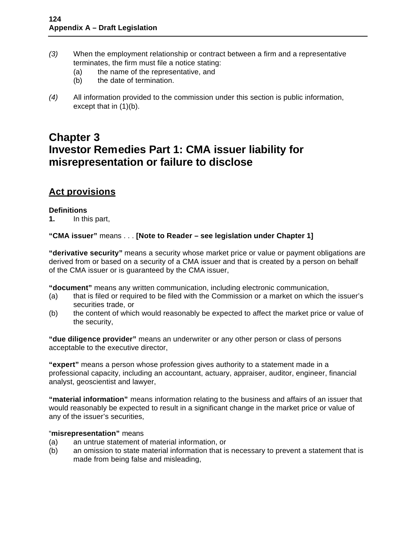- *(3)* When the employment relationship or contract between a firm and a representative terminates, the firm must file a notice stating:
	- (a) the name of the representative, and
	- (b) the date of termination.
- *(4)* All information provided to the commission under this section is public information, except that in (1)(b).

# **Chapter 3 Investor Remedies Part 1: CMA issuer liability for misrepresentation or failure to disclose**

# **Act provisions**

### **Definitions**

**1.** In this part,

### **"CMA issuer"** means . . . **[Note to Reader – see legislation under Chapter 1]**

**"derivative security"** means a security whose market price or value or payment obligations are derived from or based on a security of a CMA issuer and that is created by a person on behalf of the CMA issuer or is guaranteed by the CMA issuer,

**"document"** means any written communication, including electronic communication,

- (a) that is filed or required to be filed with the Commission or a market on which the issuer's securities trade, or
- (b) the content of which would reasonably be expected to affect the market price or value of the security,

**"due diligence provider"** means an underwriter or any other person or class of persons acceptable to the executive director,

**"expert"** means a person whose profession gives authority to a statement made in a professional capacity, including an accountant, actuary, appraiser, auditor, engineer, financial analyst, geoscientist and lawyer,

**"material information"** means information relating to the business and affairs of an issuer that would reasonably be expected to result in a significant change in the market price or value of any of the issuer's securities,

#### "**misrepresentation"** means

- (a) an untrue statement of material information, or
- (b) an omission to state material information that is necessary to prevent a statement that is made from being false and misleading,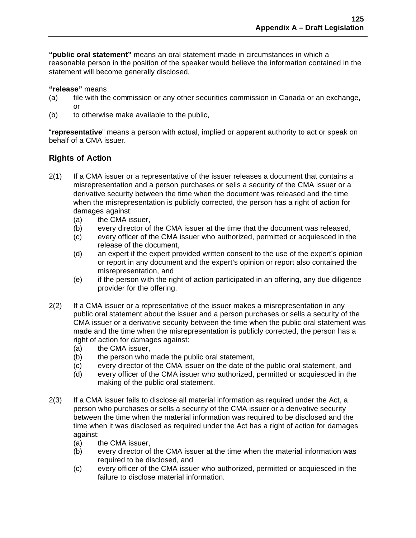**"public oral statement"** means an oral statement made in circumstances in which a reasonable person in the position of the speaker would believe the information contained in the statement will become generally disclosed,

#### **"release"** means

- (a) file with the commission or any other securities commission in Canada or an exchange, or
- (b) to otherwise make available to the public,

"**representative**" means a person with actual, implied or apparent authority to act or speak on behalf of a CMA issuer.

### **Rights of Action**

- 2(1) If a CMA issuer or a representative of the issuer releases a document that contains a misrepresentation and a person purchases or sells a security of the CMA issuer or a derivative security between the time when the document was released and the time when the misrepresentation is publicly corrected, the person has a right of action for damages against:
	- (a) the CMA issuer,
	- (b) every director of the CMA issuer at the time that the document was released,
	- (c) every officer of the CMA issuer who authorized, permitted or acquiesced in the release of the document,
	- (d) an expert if the expert provided written consent to the use of the expert's opinion or report in any document and the expert's opinion or report also contained the misrepresentation, and
	- (e) if the person with the right of action participated in an offering, any due diligence provider for the offering.
- 2(2) If a CMA issuer or a representative of the issuer makes a misrepresentation in any public oral statement about the issuer and a person purchases or sells a security of the CMA issuer or a derivative security between the time when the public oral statement was made and the time when the misrepresentation is publicly corrected, the person has a right of action for damages against:
	- (a) the CMA issuer,
	- (b) the person who made the public oral statement,
	- (c) every director of the CMA issuer on the date of the public oral statement, and
	- (d) every officer of the CMA issuer who authorized, permitted or acquiesced in the making of the public oral statement.
- 2(3) If a CMA issuer fails to disclose all material information as required under the Act, a person who purchases or sells a security of the CMA issuer or a derivative security between the time when the material information was required to be disclosed and the time when it was disclosed as required under the Act has a right of action for damages against:
	- (a) the CMA issuer,
	- (b) every director of the CMA issuer at the time when the material information was required to be disclosed, and
	- (c) every officer of the CMA issuer who authorized, permitted or acquiesced in the failure to disclose material information.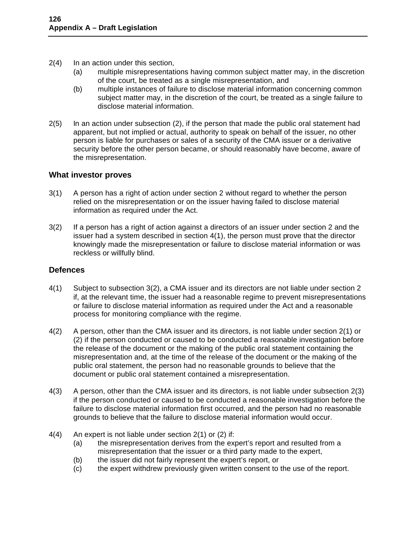- 2(4) In an action under this section,
	- (a) multiple misrepresentations having common subject matter may, in the discretion of the court, be treated as a single misrepresentation, and
	- (b) multiple instances of failure to disclose material information concerning common subject matter may, in the discretion of the court, be treated as a single failure to disclose material information.
- 2(5) In an action under subsection (2), if the person that made the public oral statement had apparent, but not implied or actual, authority to speak on behalf of the issuer, no other person is liable for purchases or sales of a security of the CMA issuer or a derivative security before the other person became, or should reasonably have become, aware of the misrepresentation.

### **What investor proves**

- 3(1) A person has a right of action under section 2 without regard to whether the person relied on the misrepresentation or on the issuer having failed to disclose material information as required under the Act.
- 3(2) If a person has a right of action against a directors of an issuer under section 2 and the issuer had a system described in section 4(1), the person must prove that the director knowingly made the misrepresentation or failure to disclose material information or was reckless or willfully blind.

### **Defences**

- 4(1) Subject to subsection 3(2), a CMA issuer and its directors are not liable under section 2 if, at the relevant time, the issuer had a reasonable regime to prevent misrepresentations or failure to disclose material information as required under the Act and a reasonable process for monitoring compliance with the regime.
- 4(2) A person, other than the CMA issuer and its directors, is not liable under section 2(1) or (2) if the person conducted or caused to be conducted a reasonable investigation before the release of the document or the making of the public oral statement containing the misrepresentation and, at the time of the release of the document or the making of the public oral statement, the person had no reasonable grounds to believe that the document or public oral statement contained a misrepresentation.
- 4(3) A person, other than the CMA issuer and its directors, is not liable under subsection 2(3) if the person conducted or caused to be conducted a reasonable investigation before the failure to disclose material information first occurred, and the person had no reasonable grounds to believe that the failure to disclose material information would occur.
- 4(4) An expert is not liable under section 2(1) or (2) if:
	- (a) the misrepresentation derives from the expert's report and resulted from a misrepresentation that the issuer or a third party made to the expert,
	- (b) the issuer did not fairly represent the expert's report, or
	- (c) the expert withdrew previously given written consent to the use of the report.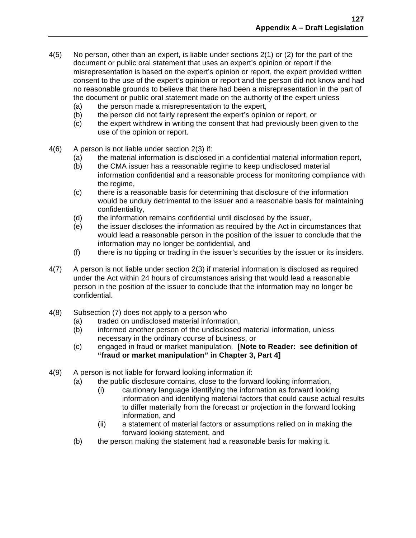- 4(5) No person, other than an expert, is liable under sections 2(1) or (2) for the part of the document or public oral statement that uses an expert's opinion or report if the misrepresentation is based on the expert's opinion or report, the expert provided written consent to the use of the expert's opinion or report and the person did not know and had no reasonable grounds to believe that there had been a misrepresentation in the part of the document or public oral statement made on the authority of the expert unless
	- (a) the person made a misrepresentation to the expert,
	- (b) the person did not fairly represent the expert's opinion or report, or
	- (c) the expert withdrew in writing the consent that had previously been given to the use of the opinion or report.
- 4(6) A person is not liable under section 2(3) if:
	- (a) the material information is disclosed in a confidential material information report,
	- (b) the CMA issuer has a reasonable regime to keep undisclosed material information confidential and a reasonable process for monitoring compliance with the regime,
	- (c) there is a reasonable basis for determining that disclosure of the information would be unduly detrimental to the issuer and a reasonable basis for maintaining confidentiality,
	- (d) the information remains confidential until disclosed by the issuer,
	- (e) the issuer discloses the information as required by the Act in circumstances that would lead a reasonable person in the position of the issuer to conclude that the information may no longer be confidential, and
	- (f) there is no tipping or trading in the issuer's securities by the issuer or its insiders.
- 4(7) A person is not liable under section 2(3) if material information is disclosed as required under the Act within 24 hours of circumstances arising that would lead a reasonable person in the position of the issuer to conclude that the information may no longer be confidential.
- 4(8) Subsection (7) does not apply to a person who
	- (a) traded on undisclosed material information,
	- (b) informed another person of the undisclosed material information, unless necessary in the ordinary course of business, or
	- (c) engaged in fraud or market manipulation. **[Note to Reader: see definition of "fraud or market manipulation" in Chapter 3, Part 4]**
- 4(9) A person is not liable for forward looking information if:
	- (a) the public disclosure contains, close to the forward looking information,
		- (i) cautionary language identifying the information as forward looking information and identifying material factors that could cause actual results to differ materially from the forecast or projection in the forward looking information, and
		- (ii) a statement of material factors or assumptions relied on in making the forward looking statement, and
	- (b) the person making the statement had a reasonable basis for making it.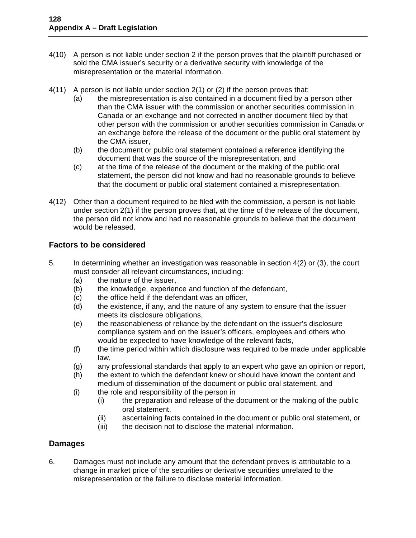- 4(10) A person is not liable under section 2 if the person proves that the plaintiff purchased or sold the CMA issuer's security or a derivative security with knowledge of the misrepresentation or the material information.
- 4(11) A person is not liable under section 2(1) or (2) if the person proves that:
	- (a) the misrepresentation is also contained in a document filed by a person other than the CMA issuer with the commission or another securities commission in Canada or an exchange and not corrected in another document filed by that other person with the commission or another securities commission in Canada or an exchange before the release of the document or the public oral statement by the CMA issuer,
	- (b) the document or public oral statement contained a reference identifying the document that was the source of the misrepresentation, and
	- (c) at the time of the release of the document or the making of the public oral statement, the person did not know and had no reasonable grounds to believe that the document or public oral statement contained a misrepresentation.
- 4(12) Other than a document required to be filed with the commission, a person is not liable under section 2(1) if the person proves that, at the time of the release of the document, the person did not know and had no reasonable grounds to believe that the document would be released.

# **Factors to be considered**

- 5. In determining whether an investigation was reasonable in section 4(2) or (3), the court must consider all relevant circumstances, including:
	- (a) the nature of the issuer,
	- (b) the knowledge, experience and function of the defendant,
	- (c) the office held if the defendant was an officer,
	- (d) the existence, if any, and the nature of any system to ensure that the issuer meets its disclosure obligations,
	- (e) the reasonableness of reliance by the defendant on the issuer's disclosure compliance system and on the issuer's officers, employees and others who would be expected to have knowledge of the relevant facts,
	- (f) the time period within which disclosure was required to be made under applicable law,
	- (g) any professional standards that apply to an expert who gave an opinion or report,
	- (h) the extent to which the defendant knew or should have known the content and medium of dissemination of the document or public oral statement, and
	- (i) the role and responsibility of the person in
		- (i) the preparation and release of the document or the making of the public oral statement,
		- (ii) ascertaining facts contained in the document or public oral statement, or
		- (iii) the decision not to disclose the material information.

### **Damages**

6. Damages must not include any amount that the defendant proves is attributable to a change in market price of the securities or derivative securities unrelated to the misrepresentation or the failure to disclose material information.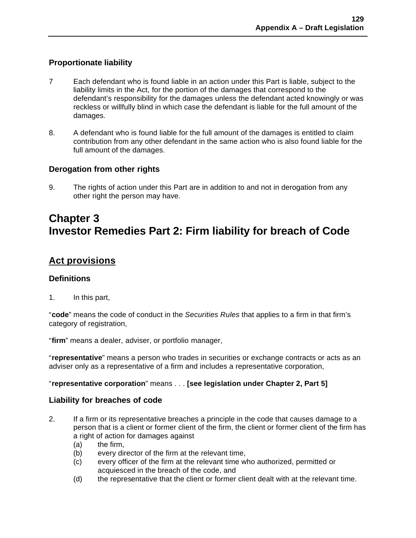# **Proportionate liability**

- 7 Each defendant who is found liable in an action under this Part is liable, subject to the liability limits in the Act, for the portion of the damages that correspond to the defendant's responsibility for the damages unless the defendant acted knowingly or was reckless or willfully blind in which case the defendant is liable for the full amount of the damages.
- 8. A defendant who is found liable for the full amount of the damages is entitled to claim contribution from any other defendant in the same action who is also found liable for the full amount of the damages.

# **Derogation from other rights**

9. The rights of action under this Part are in addition to and not in derogation from any other right the person may have.

# **Chapter 3 Investor Remedies Part 2: Firm liability for breach of Code**

# **Act provisions**

# **Definitions**

1. In this part,

"**code**" means the code of conduct in the *Securities Rules* that applies to a firm in that firm's category of registration,

"**firm**" means a dealer, adviser, or portfolio manager,

"**representative**" means a person who trades in securities or exchange contracts or acts as an adviser only as a representative of a firm and includes a representative corporation,

# "**representative corporation**" means . . . **[see legislation under Chapter 2, Part 5]**

# **Liability for breaches of code**

- 2. If a firm or its representative breaches a principle in the code that causes damage to a person that is a client or former client of the firm, the client or former client of the firm has a right of action for damages against
	- (a) the firm,
	- (b) every director of the firm at the relevant time,
	- (c) every officer of the firm at the relevant time who authorized, permitted or acquiesced in the breach of the code, and
	- (d) the representative that the client or former client dealt with at the relevant time.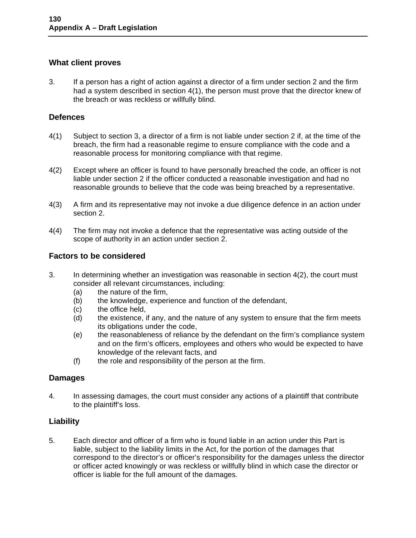### **What client proves**

3. If a person has a right of action against a director of a firm under section 2 and the firm had a system described in section 4(1), the person must prove that the director knew of the breach or was reckless or willfully blind.

### **Defences**

- 4(1) Subject to section 3, a director of a firm is not liable under section 2 if, at the time of the breach, the firm had a reasonable regime to ensure compliance with the code and a reasonable process for monitoring compliance with that regime.
- 4(2) Except where an officer is found to have personally breached the code, an officer is not liable under section 2 if the officer conducted a reasonable investigation and had no reasonable grounds to believe that the code was being breached by a representative.
- 4(3) A firm and its representative may not invoke a due diligence defence in an action under section 2.
- 4(4) The firm may not invoke a defence that the representative was acting outside of the scope of authority in an action under section 2.

### **Factors to be considered**

- 3. In determining whether an investigation was reasonable in section 4(2), the court must consider all relevant circumstances, including:
	- (a) the nature of the firm,
	- (b) the knowledge, experience and function of the defendant,
	- (c) the office held,
	- (d) the existence, if any, and the nature of any system to ensure that the firm meets its obligations under the code,
	- (e) the reasonableness of reliance by the defendant on the firm's compliance system and on the firm's officers, employees and others who would be expected to have knowledge of the relevant facts, and
	- (f) the role and responsibility of the person at the firm.

### **Damages**

4. In assessing damages, the court must consider any actions of a plaintiff that contribute to the plaintiff's loss.

### **Liability**

5. Each director and officer of a firm who is found liable in an action under this Part is liable, subject to the liability limits in the Act, for the portion of the damages that correspond to the director's or officer's responsibility for the damages unless the director or officer acted knowingly or was reckless or willfully blind in which case the director or officer is liable for the full amount of the damages.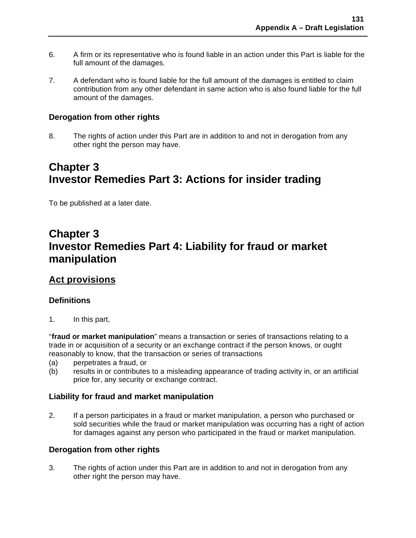- 6. A firm or its representative who is found liable in an action under this Part is liable for the full amount of the damages.
- 7. A defendant who is found liable for the full amount of the damages is entitled to claim contribution from any other defendant in same action who is also found liable for the full amount of the damages.

### **Derogation from other rights**

8. The rights of action under this Part are in addition to and not in derogation from any other right the person may have.

# **Chapter 3 Investor Remedies Part 3: Actions for insider trading**

To be published at a later date.

# **Chapter 3 Investor Remedies Part 4: Liability for fraud or market manipulation**

# **Act provisions**

# **Definitions**

1. In this part,

"**fraud or market manipulation**" means a transaction or series of transactions relating to a trade in or acquisition of a security or an exchange contract if the person knows, or ought reasonably to know, that the transaction or series of transactions

- (a) perpetrates a fraud, or
- (b) results in or contributes to a misleading appearance of trading activity in, or an artificial price for, any security or exchange contract.

# **Liability for fraud and market manipulation**

2. If a person participates in a fraud or market manipulation, a person who purchased or sold securities while the fraud or market manipulation was occurring has a right of action for damages against any person who participated in the fraud or market manipulation.

### **Derogation from other rights**

3. The rights of action under this Part are in addition to and not in derogation from any other right the person may have.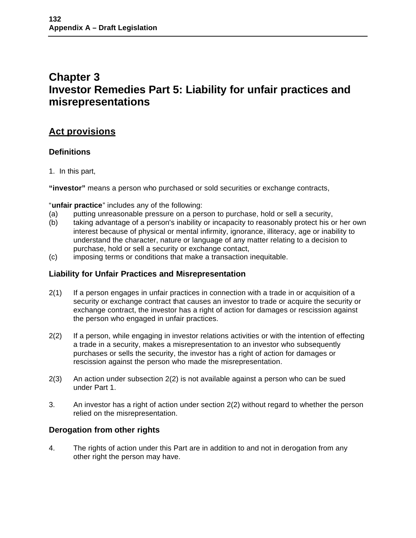# **Chapter 3 Investor Remedies Part 5: Liability for unfair practices and misrepresentations**

# **Act provisions**

# **Definitions**

1. In this part,

**"investor"** means a person who purchased or sold securities or exchange contracts,

### "**unfair practice**" includes any of the following:

- (a) putting unreasonable pressure on a person to purchase, hold or sell a security,
- (b) taking advantage of a person's inability or incapacity to reasonably protect his or her own interest because of physical or mental infirmity, ignorance, illiteracy, age or inability to understand the character, nature or language of any matter relating to a decision to purchase, hold or sell a security or exchange contact,
- (c) imposing terms or conditions that make a transaction inequitable.

# **Liability for Unfair Practices and Misrepresentation**

- 2(1) If a person engages in unfair practices in connection with a trade in or acquisition of a security or exchange contract that causes an investor to trade or acquire the security or exchange contract, the investor has a right of action for damages or rescission against the person who engaged in unfair practices.
- 2(2) If a person, while engaging in investor relations activities or with the intention of effecting a trade in a security, makes a misrepresentation to an investor who subsequently purchases or sells the security, the investor has a right of action for damages or rescission against the person who made the misrepresentation.
- 2(3) An action under subsection 2(2) is not available against a person who can be sued under Part 1.
- 3. An investor has a right of action under section 2(2) without regard to whether the person relied on the misrepresentation.

# **Derogation from other rights**

4. The rights of action under this Part are in addition to and not in derogation from any other right the person may have.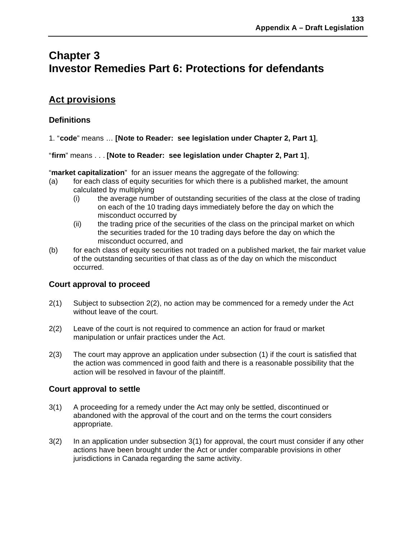# **Chapter 3 Investor Remedies Part 6: Protections for defendants**

# **Act provisions**

# **Definitions**

### 1. "**code**" means … **[Note to Reader: see legislation under Chapter 2, Part 1]**,

"**firm**" means . . . **[Note to Reader: see legislation under Chapter 2, Part 1]**,

"**market capitalization**" for an issuer means the aggregate of the following:

- (a) for each class of equity securities for which there is a published market, the amount calculated by multiplying
	- (i) the average number of outstanding securities of the class at the close of trading on each of the 10 trading days immediately before the day on which the misconduct occurred by
	- (ii) the trading price of the securities of the class on the principal market on which the securities traded for the 10 trading days before the day on which the misconduct occurred, and
- (b) for each class of equity securities not traded on a published market, the fair market value of the outstanding securities of that class as of the day on which the misconduct occurred.

# **Court approval to proceed**

- 2(1) Subject to subsection 2(2), no action may be commenced for a remedy under the Act without leave of the court.
- 2(2) Leave of the court is not required to commence an action for fraud or market manipulation or unfair practices under the Act.
- 2(3) The court may approve an application under subsection (1) if the court is satisfied that the action was commenced in good faith and there is a reasonable possibility that the action will be resolved in favour of the plaintiff.

# **Court approval to settle**

- 3(1) A proceeding for a remedy under the Act may only be settled, discontinued or abandoned with the approval of the court and on the terms the court considers appropriate.
- 3(2) In an application under subsection 3(1) for approval, the court must consider if any other actions have been brought under the Act or under comparable provisions in other jurisdictions in Canada regarding the same activity.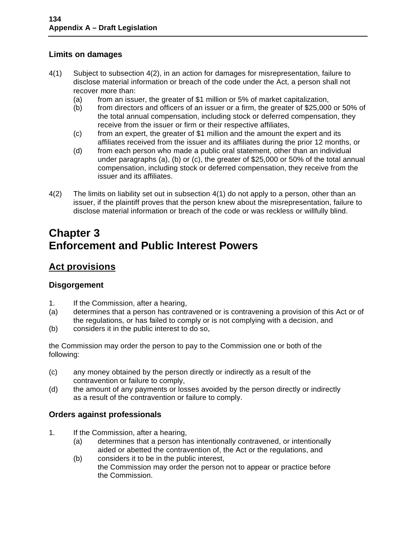# **Limits on damages**

- 4(1) Subject to subsection 4(2), in an action for damages for misrepresentation, failure to disclose material information or breach of the code under the Act, a person shall not recover more than:
	- (a) from an issuer, the greater of \$1 million or 5% of market capitalization,
	- (b) from directors and officers of an issuer or a firm, the greater of \$25,000 or 50% of the total annual compensation, including stock or deferred compensation, they receive from the issuer or firm or their respective affiliates,
	- (c) from an expert, the greater of \$1 million and the amount the expert and its affiliates received from the issuer and its affiliates during the prior 12 months, or
	- (d) from each person who made a public oral statement, other than an individual under paragraphs (a), (b) or (c), the greater of \$25,000 or 50% of the total annual compensation, including stock or deferred compensation, they receive from the issuer and its affiliates.
- 4(2) The limits on liability set out in subsection 4(1) do not apply to a person, other than an issuer, if the plaintiff proves that the person knew about the misrepresentation, failure to disclose material information or breach of the code or was reckless or willfully blind.

# **Chapter 3 Enforcement and Public Interest Powers**

# **Act provisions**

# **Disgorgement**

- 1. If the Commission, after a hearing,
- (a) determines that a person has contravened or is contravening a provision of this Act or of the regulations, or has failed to comply or is not complying with a decision, and
- (b) considers it in the public interest to do so,

the Commission may order the person to pay to the Commission one or both of the following:

- (c) any money obtained by the person directly or indirectly as a result of the contravention or failure to comply,
- (d) the amount of any payments or losses avoided by the person directly or indirectly as a result of the contravention or failure to comply.

# **Orders against professionals**

- 1. If the Commission, after a hearing,
	- (a) determines that a person has intentionally contravened, or intentionally aided or abetted the contravention of, the Act or the regulations, and
	- (b) considers it to be in the public interest, the Commission may order the person not to appear or practice before the Commission.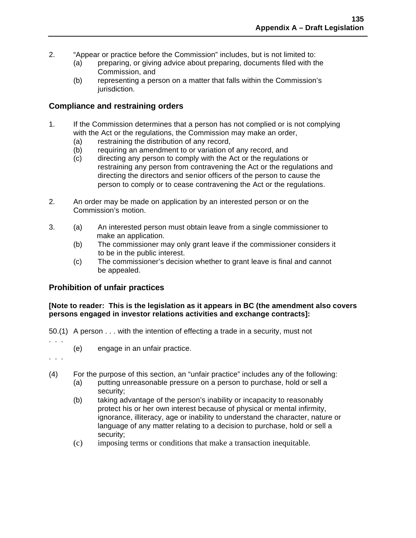- 2. "Appear or practice before the Commission" includes, but is not limited to:
	- (a) preparing, or giving advice about preparing, documents filed with the Commission, and
	- (b) representing a person on a matter that falls within the Commission's jurisdiction.

### **Compliance and restraining orders**

- 1. If the Commission determines that a person has not complied or is not complying with the Act or the regulations, the Commission may make an order,
	- (a) restraining the distribution of any record,
	- (b) requiring an amendment to or variation of any record, and
	- (c) directing any person to comply with the Act or the regulations or restraining any person from contravening the Act or the regulations and directing the directors and senior officers of the person to cause the person to comply or to cease contravening the Act or the regulations.
- 2. An order may be made on application by an interested person or on the Commission's motion.
- 3. (a) An interested person must obtain leave from a single commissioner to make an application.
	- (b) The commissioner may only grant leave if the commissioner considers it to be in the public interest.
	- (c) The commissioner's decision whether to grant leave is final and cannot be appealed.

# **Prohibition of unfair practices**

### **[Note to reader: This is the legislation as it appears in BC (the amendment also covers persons engaged in investor relations activities and exchange contracts]:**

50.(1) A person . . . with the intention of effecting a trade in a security, must not

- . . .
- (e) engage in an unfair practice.
- . . .
- (4) For the purpose of this section, an "unfair practice" includes any of the following:
	- (a) putting unreasonable pressure on a person to purchase, hold or sell a security;
	- (b) taking advantage of the person's inability or incapacity to reasonably protect his or her own interest because of physical or mental infirmity, ignorance, illiteracy, age or inability to understand the character, nature or language of any matter relating to a decision to purchase, hold or sell a security;
	- (c) imposing terms or conditions that make a transaction inequitable.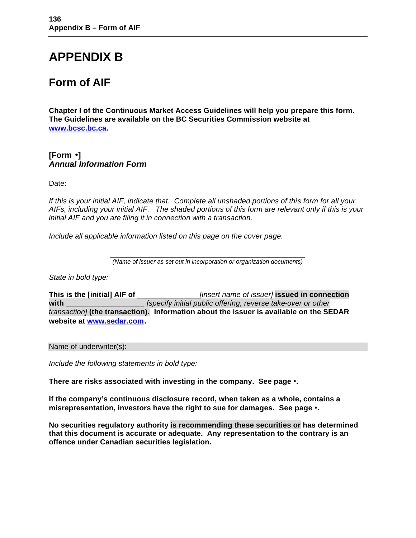# **APPENDIX B**

# **Form of AIF**

**Chapter I of the Continuous Market Access Guidelines will help you prepare this form. The Guidelines are available on the BC Securities Commission website at www.bcsc.bc.ca.** 

**[Form ·]** *Annual Information Form*

Date:

*If this is your initial AIF, indicate that. Complete all unshaded portions of this form for all your AIFs, including your initial AIF. The shaded portions of this form are relevant only if this is your initial AIF and you are filing it in connection with a transaction.*

*Include all applicable information listed on this page on the cover page.*

\_\_\_\_\_\_\_\_\_\_\_\_\_\_\_\_\_\_\_\_\_\_\_\_\_\_\_\_\_\_\_\_\_\_\_\_\_\_\_\_\_\_\_\_\_\_\_ *(Name of issuer as set out in incorporation or organization documents)*

*State in bold type:*

**This is the [initial] AIF of** \_\_\_\_\_\_\_\_\_\_\_\_\_\_\_*[insert name of issuer]* **issued in connection with** \_\_\_\_\_\_\_\_\_\_\_\_\_\_\_\_\_\_\_ *[specify initial public offering, reverse take-over or other transaction]* **(the transaction). Information about the issuer is available on the SEDAR website at www.sedar.com.**

Name of underwriter(s):

*Include the following statements in bold type:*

**There are risks associated with investing in the company. See page ·.** 

**If the company's continuous disclosure record, when taken as a whole, contains a misrepresentation, investors have the right to sue for damages. See page ·.** 

**No securities regulatory authority is recommending these securities or has determined that this document is accurate or adequate. Any representation to the contrary is an offence under Canadian securities legislation.**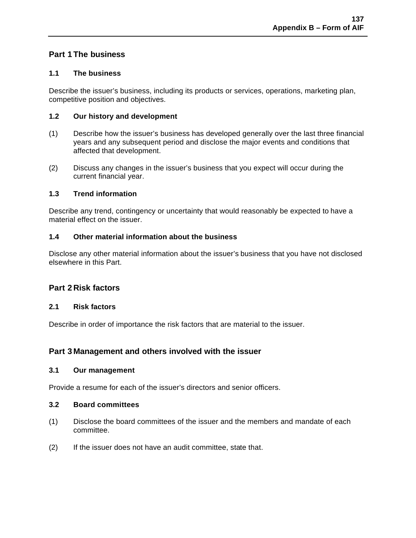### **Part 1 The business**

### **1.1 The business**

Describe the issuer's business, including its products or services, operations, marketing plan, competitive position and objectives.

### **1.2 Our history and development**

- (1) Describe how the issuer's business has developed generally over the last three financial years and any subsequent period and disclose the major events and conditions that affected that development.
- (2) Discuss any changes in the issuer's business that you expect will occur during the current financial year.

### **1.3 Trend information**

Describe any trend, contingency or uncertainty that would reasonably be expected to have a material effect on the issuer.

### **1.4 Other material information about the business**

Disclose any other material information about the issuer's business that you have not disclosed elsewhere in this Part.

### **Part 2 Risk factors**

#### **2.1 Risk factors**

Describe in order of importance the risk factors that are material to the issuer.

### **Part 3 Management and others involved with the issuer**

#### **3.1 Our management**

Provide a resume for each of the issuer's directors and senior officers.

#### **3.2 Board committees**

- (1) Disclose the board committees of the issuer and the members and mandate of each committee.
- (2) If the issuer does not have an audit committee, state that.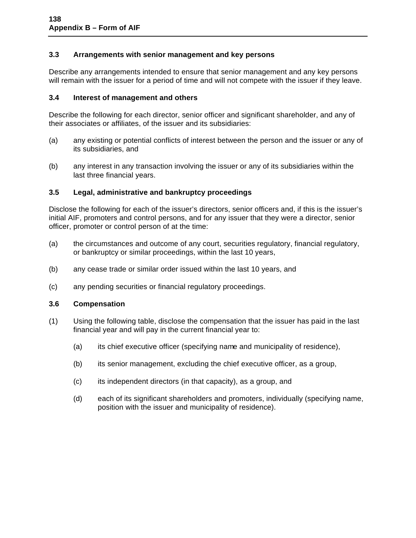### **3.3 Arrangements with senior management and key persons**

Describe any arrangements intended to ensure that senior management and any key persons will remain with the issuer for a period of time and will not compete with the issuer if they leave.

#### **3.4 Interest of management and others**

Describe the following for each director, senior officer and significant shareholder, and any of their associates or affiliates, of the issuer and its subsidiaries:

- (a) any existing or potential conflicts of interest between the person and the issuer or any of its subsidiaries, and
- (b) any interest in any transaction involving the issuer or any of its subsidiaries within the last three financial years.

### **3.5 Legal, administrative and bankruptcy proceedings**

Disclose the following for each of the issuer's directors, senior officers and, if this is the issuer's initial AIF, promoters and control persons, and for any issuer that they were a director, senior officer, promoter or control person of at the time:

- (a) the circumstances and outcome of any court, securities regulatory, financial regulatory, or bankruptcy or similar proceedings, within the last 10 years,
- (b) any cease trade or similar order issued within the last 10 years, and
- (c) any pending securities or financial regulatory proceedings.

#### **3.6 Compensation**

- (1) Using the following table, disclose the compensation that the issuer has paid in the last financial year and will pay in the current financial year to:
	- (a) its chief executive officer (specifying name and municipality of residence),
	- (b) its senior management, excluding the chief executive officer, as a group,
	- (c) its independent directors (in that capacity), as a group, and
	- (d) each of its significant shareholders and promoters, individually (specifying name, position with the issuer and municipality of residence).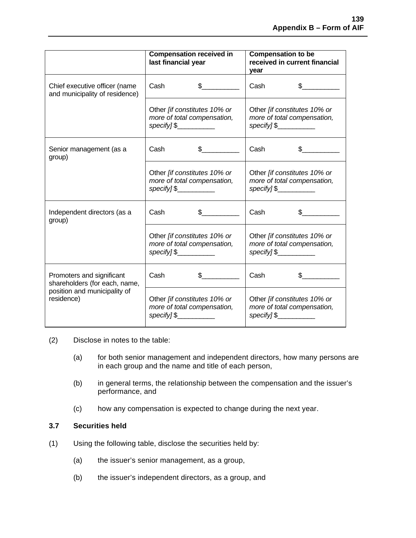|                                                                                                          | <b>Compensation received in</b><br>last financial year                                | <b>Compensation to be</b><br>received in current financial<br>year           |
|----------------------------------------------------------------------------------------------------------|---------------------------------------------------------------------------------------|------------------------------------------------------------------------------|
| Chief executive officer (name<br>and municipality of residence)                                          | Cash<br>$\mathbb{S}$                                                                  | Cash<br>$\mathbb{S}$                                                         |
|                                                                                                          | Other [if constitutes 10% or<br>more of total compensation,<br>$specify]$ \$          | Other [if constitutes 10% or<br>more of total compensation,<br>$specify]$ \$ |
| Senior management (as a<br>group)                                                                        | $\mathbb{S}$<br>Cash                                                                  | Cash<br>$$$                                                                  |
|                                                                                                          | Other [if constitutes 10% or<br>more of total compensation,<br>specify] \$___________ | Other [if constitutes 10% or<br>more of total compensation,<br>$specify]$ \$ |
| Independent directors (as a<br>group)                                                                    | Cash<br>$\mathbb{S}$                                                                  | Cash<br>$\mathbb{S}$ and $\mathbb{S}$                                        |
|                                                                                                          | Other [if constitutes 10% or<br>more of total compensation,<br>$specify]$ \$          | Other [if constitutes 10% or<br>more of total compensation,<br>$specify]$ \$ |
| Promoters and significant<br>shareholders (for each, name,<br>position and municipality of<br>residence) | Cash<br>$\sim$                                                                        | Cash<br>$\mathbb{S}$ and $\mathbb{S}$                                        |
|                                                                                                          | Other [if constitutes 10% or<br>more of total compensation,<br>$specify]$ \$          | Other [if constitutes 10% or<br>more of total compensation,<br>$specify]$ \$ |

- (2) Disclose in notes to the table:
	- (a) for both senior management and independent directors, how many persons are in each group and the name and title of each person,
	- (b) in general terms, the relationship between the compensation and the issuer's performance, and
	- (c) how any compensation is expected to change during the next year.

### **3.7 Securities held**

- (1) Using the following table, disclose the securities held by:
	- (a) the issuer's senior management, as a group,
	- (b) the issuer's independent directors, as a group, and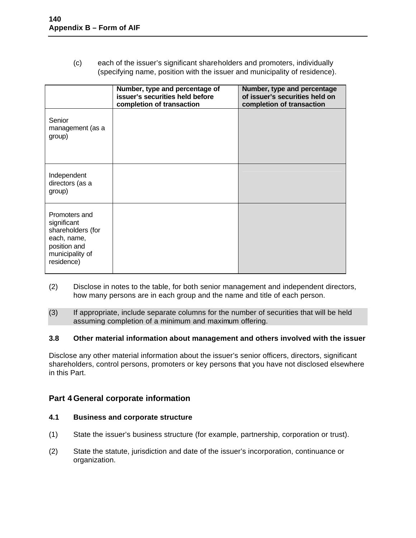(c) each of the issuer's significant shareholders and promoters, individually (specifying name, position with the issuer and municipality of residence).

|                                                                                                                   | Number, type and percentage of<br>issuer's securities held before<br>completion of transaction | Number, type and percentage<br>of issuer's securities held on<br>completion of transaction |
|-------------------------------------------------------------------------------------------------------------------|------------------------------------------------------------------------------------------------|--------------------------------------------------------------------------------------------|
| Senior<br>management (as a<br>group)                                                                              |                                                                                                |                                                                                            |
| Independent<br>directors (as a<br>group)                                                                          |                                                                                                |                                                                                            |
| Promoters and<br>significant<br>shareholders (for<br>each, name,<br>position and<br>municipality of<br>residence) |                                                                                                |                                                                                            |

- (2) Disclose in notes to the table, for both senior management and independent directors, how many persons are in each group and the name and title of each person.
- (3) If appropriate, include separate columns for the number of securities that will be held assuming completion of a minimum and maximum offering.

#### **3.8 Other material information about management and others involved with the issuer**

Disclose any other material information about the issuer's senior officers, directors, significant shareholders, control persons, promoters or key persons that you have not disclosed elsewhere in this Part.

# **Part 4 General corporate information**

#### **4.1 Business and corporate structure**

- (1) State the issuer's business structure (for example, partnership, corporation or trust).
- (2) State the statute, jurisdiction and date of the issuer's incorporation, continuance or organization.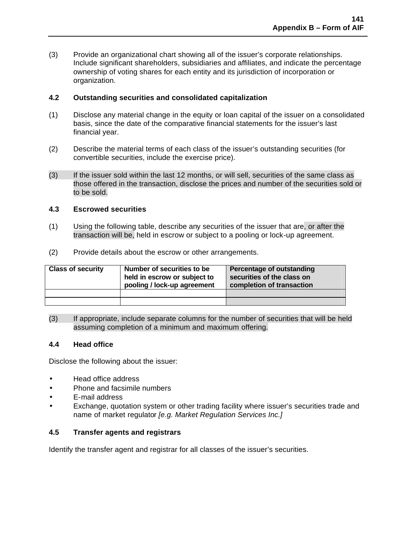(3) Provide an organizational chart showing all of the issuer's corporate relationships. Include significant shareholders, subsidiaries and affiliates, and indicate the percentage ownership of voting shares for each entity and its jurisdiction of incorporation or organization.

### **4.2 Outstanding securities and consolidated capitalization**

- (1) Disclose any material change in the equity or loan capital of the issuer on a consolidated basis, since the date of the comparative financial statements for the issuer's last financial year.
- (2) Describe the material terms of each class of the issuer's outstanding securities (for convertible securities, include the exercise price).
- (3) If the issuer sold within the last 12 months, or will sell, securities of the same class as those offered in the transaction, disclose the prices and number of the securities sold or to be sold.

#### **4.3 Escrowed securities**

- (1) Using the following table, describe any securities of the issuer that are, or after the transaction will be, held in escrow or subject to a pooling or lock-up agreement.
- (2) Provide details about the escrow or other arrangements.

| <b>Class of security</b> | Number of securities to be<br>held in escrow or subject to<br>pooling / lock-up agreement | Percentage of outstanding<br>securities of the class on<br>completion of transaction |
|--------------------------|-------------------------------------------------------------------------------------------|--------------------------------------------------------------------------------------|
|                          |                                                                                           |                                                                                      |

(3) If appropriate, include separate columns for the number of securities that will be held assuming completion of a minimum and maximum offering.

#### **4.4 Head office**

Disclose the following about the issuer:

- Head office address
- Phone and facsimile numbers
- E-mail address
- Exchange, quotation system or other trading facility where issuer's securities trade and name of market regulator *[e.g. Market Regulation Services Inc.]*

#### **4.5 Transfer agents and registrars**

Identify the transfer agent and registrar for all classes of the issuer's securities.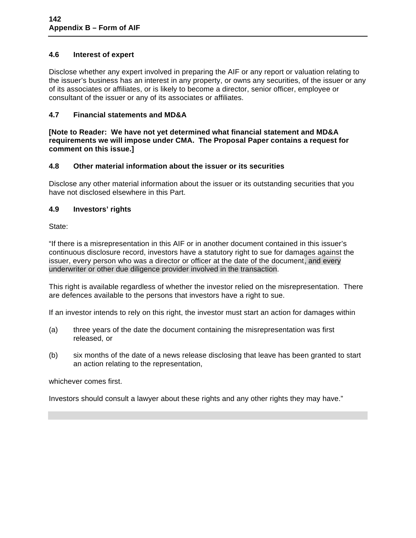## **4.6 Interest of expert**

Disclose whether any expert involved in preparing the AIF or any report or valuation relating to the issuer's business has an interest in any property, or owns any securities, of the issuer or any of its associates or affiliates, or is likely to become a director, senior officer, employee or consultant of the issuer or any of its associates or affiliates.

## **4.7 Financial statements and MD&A**

**[Note to Reader: We have not yet determined what financial statement and MD&A requirements we will impose under CMA. The Proposal Paper contains a request for comment on this issue.]**

## **4.8 Other material information about the issuer or its securities**

Disclose any other material information about the issuer or its outstanding securities that you have not disclosed elsewhere in this Part.

## **4.9 Investors' rights**

State:

"If there is a misrepresentation in this AIF or in another document contained in this issuer's continuous disclosure record, investors have a statutory right to sue for damages against the issuer, every person who was a director or officer at the date of the document, and every underwriter or other due diligence provider involved in the transaction.

This right is available regardless of whether the investor relied on the misrepresentation. There are defences available to the persons that investors have a right to sue.

If an investor intends to rely on this right, the investor must start an action for damages within

- (a) three years of the date the document containing the misrepresentation was first released, or
- (b) six months of the date of a news release disclosing that leave has been granted to start an action relating to the representation,

whichever comes first.

Investors should consult a lawyer about these rights and any other rights they may have."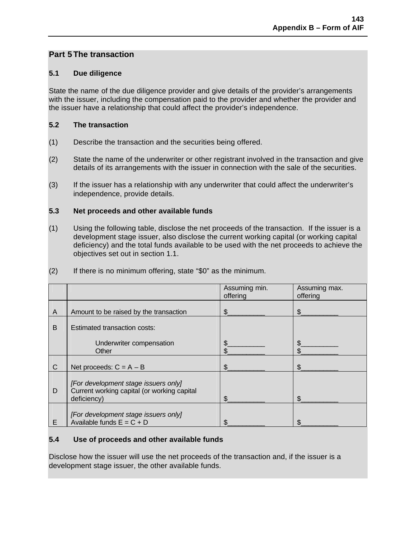## **Part 5 The transaction**

### **5.1 Due diligence**

State the name of the due diligence provider and give details of the provider's arrangements with the issuer, including the compensation paid to the provider and whether the provider and the issuer have a relationship that could affect the provider's independence.

### **5.2 The transaction**

- (1) Describe the transaction and the securities being offered.
- (2) State the name of the underwriter or other registrant involved in the transaction and give details of its arrangements with the issuer in connection with the sale of the securities.
- (3) If the issuer has a relationship with any underwriter that could affect the underwriter's independence, provide details.

### **5.3 Net proceeds and other available funds**

(1) Using the following table, disclose the net proceeds of the transaction. If the issuer is a development stage issuer, also disclose the current working capital (or working capital deficiency) and the total funds available to be used with the net proceeds to achieve the objectives set out in section 1.1.

|   |                                                                                                    | Assuming min.<br>offering | Assuming max.<br>offering |
|---|----------------------------------------------------------------------------------------------------|---------------------------|---------------------------|
| A | Amount to be raised by the transaction                                                             | \$.                       | \$.                       |
| B | Estimated transaction costs:                                                                       |                           |                           |
|   | Underwriter compensation<br>Other                                                                  |                           |                           |
| C | Net proceeds: $C = A - B$                                                                          |                           |                           |
| D | [For development stage issuers only]<br>Current working capital (or working capital<br>deficiency) |                           |                           |
| E | [For development stage issuers only]<br>Available funds $E = C + D$                                | S                         |                           |

(2) If there is no minimum offering, state "\$0" as the minimum.

## **5.4 Use of proceeds and other available funds**

Disclose how the issuer will use the net proceeds of the transaction and, if the issuer is a development stage issuer, the other available funds.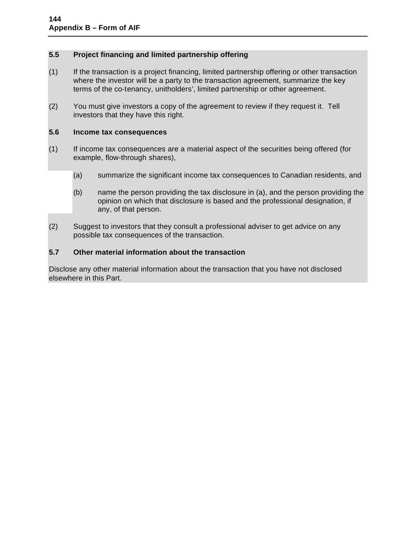## **5.5 Project financing and limited partnership offering**

- (1) If the transaction is a project financing, limited partnership offering or other transaction where the investor will be a party to the transaction agreement, summarize the key terms of the co-tenancy, unitholders', limited partnership or other agreement.
- (2) You must give investors a copy of the agreement to review if they request it. Tell investors that they have this right.

#### **5.6 Income tax consequences**

- (1) If income tax consequences are a material aspect of the securities being offered (for example, flow-through shares),
	- (a) summarize the significant income tax consequences to Canadian residents, and
	- (b) name the person providing the tax disclosure in (a), and the person providing the opinion on which that disclosure is based and the professional designation, if any, of that person.
- (2) Suggest to investors that they consult a professional adviser to get advice on any possible tax consequences of the transaction.

#### **5.7 Other material information about the transaction**

Disclose any other material information about the transaction that you have not disclosed elsewhere in this Part.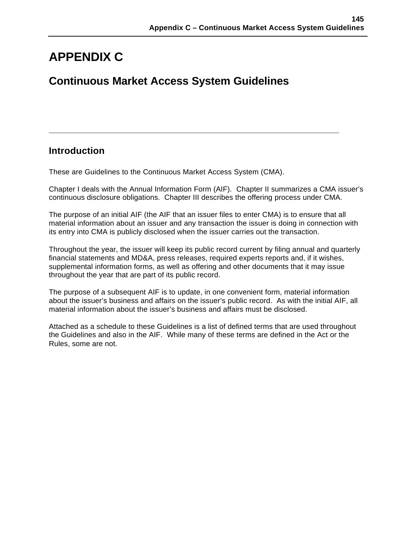# **APPENDIX C**

# **Continuous Market Access System Guidelines**

## **Introduction**

These are Guidelines to the Continuous Market Access System (CMA).

Chapter I deals with the Annual Information Form (AIF). Chapter II summarizes a CMA issuer's continuous disclosure obligations. Chapter III describes the offering process under CMA.

**\_\_\_\_\_\_\_\_\_\_\_\_\_\_\_\_\_\_\_\_\_\_\_\_\_\_\_\_\_\_\_\_\_\_\_\_\_\_\_\_\_\_\_\_\_\_\_\_\_\_\_\_\_\_\_\_\_\_\_\_\_\_\_\_**

The purpose of an initial AIF (the AIF that an issuer files to enter CMA) is to ensure that all material information about an issuer and any transaction the issuer is doing in connection with its entry into CMA is publicly disclosed when the issuer carries out the transaction.

Throughout the year, the issuer will keep its public record current by filing annual and quarterly financial statements and MD&A, press releases, required experts reports and, if it wishes, supplemental information forms, as well as offering and other documents that it may issue throughout the year that are part of its public record.

The purpose of a subsequent AIF is to update, in one convenient form, material information about the issuer's business and affairs on the issuer's public record. As with the initial AIF, all material information about the issuer's business and affairs must be disclosed.

Attached as a schedule to these Guidelines is a list of defined terms that are used throughout the Guidelines and also in the AIF. While many of these terms are defined in the Act or the Rules, some are not.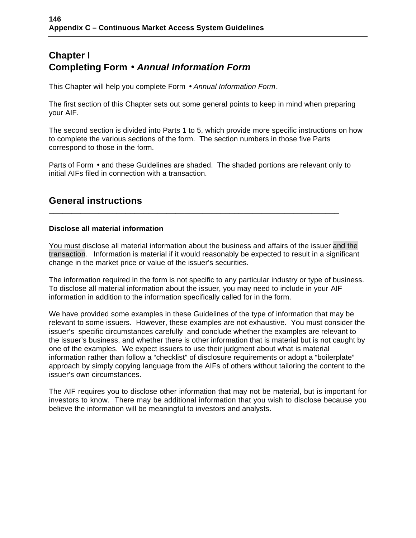## **Chapter I Completing Form ·** *Annual Information Form*

This Chapter will help you complete Form • *Annual Information Form*.

The first section of this Chapter sets out some general points to keep in mind when preparing your AIF.

The second section is divided into Parts 1 to 5, which provide more specific instructions on how to complete the various sections of the form. The section numbers in those five Parts correspond to those in the form.

Parts of Form • and these Guidelines are shaded. The shaded portions are relevant only to initial AIFs filed in connection with a transaction.

**\_\_\_\_\_\_\_\_\_\_\_\_\_\_\_\_\_\_\_\_\_\_\_\_\_\_\_\_\_\_\_\_\_\_\_\_\_\_\_\_\_\_\_\_\_\_\_\_\_\_\_\_\_\_\_\_\_\_\_\_\_\_\_\_**

## **General instructions**

## **Disclose all material information**

You must disclose all material information about the business and affairs of the issuer and the transaction. Information is material if it would reasonably be expected to result in a significant change in the market price or value of the issuer's securities.

The information required in the form is not specific to any particular industry or type of business. To disclose all material information about the issuer, you may need to include in your AIF information in addition to the information specifically called for in the form.

We have provided some examples in these Guidelines of the type of information that may be relevant to some issuers. However, these examples are not exhaustive. You must consider the issuer's specific circumstances carefully and conclude whether the examples are relevant to the issuer's business, and whether there is other information that is material but is not caught by one of the examples. We expect issuers to use their judgment about what is material information rather than follow a "checklist" of disclosure requirements or adopt a "boilerplate" approach by simply copying language from the AIFs of others without tailoring the content to the issuer's own circumstances.

The AIF requires you to disclose other information that may not be material, but is important for investors to know. There may be additional information that you wish to disclose because you believe the information will be meaningful to investors and analysts.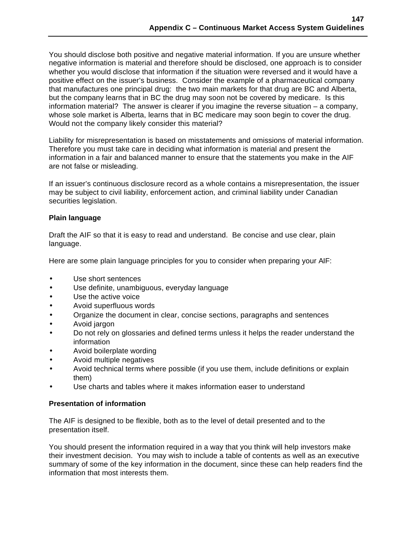You should disclose both positive and negative material information. If you are unsure whether negative information is material and therefore should be disclosed, one approach is to consider whether you would disclose that information if the situation were reversed and it would have a positive effect on the issuer's business. Consider the example of a pharmaceutical company that manufactures one principal drug: the two main markets for that drug are BC and Alberta, but the company learns that in BC the drug may soon not be covered by medicare. Is this information material? The answer is clearer if you imagine the reverse situation – a company, whose sole market is Alberta, learns that in BC medicare may soon begin to cover the drug. Would not the company likely consider this material?

Liability for misrepresentation is based on misstatements and omissions of material information. Therefore you must take care in deciding what information is material and present the information in a fair and balanced manner to ensure that the statements you make in the AIF are not false or misleading.

If an issuer's continuous disclosure record as a whole contains a misrepresentation, the issuer may be subject to civil liability, enforcement action, and criminal liability under Canadian securities legislation.

## **Plain language**

Draft the AIF so that it is easy to read and understand. Be concise and use clear, plain language.

Here are some plain language principles for you to consider when preparing your AIF:

- Use short sentences
- Use definite, unambiguous, everyday language
- Use the active voice
- Avoid superfluous words
- Organize the document in clear, concise sections, paragraphs and sentences
- Avoid jargon
- Do not rely on glossaries and defined terms unless it helps the reader understand the information
- Avoid boilerplate wording
- Avoid multiple negatives
- Avoid technical terms where possible (if you use them, include definitions or explain them)
- Use charts and tables where it makes information easer to understand

## **Presentation of information**

The AIF is designed to be flexible, both as to the level of detail presented and to the presentation itself.

You should present the information required in a way that you think will help investors make their investment decision. You may wish to include a table of contents as well as an executive summary of some of the key information in the document, since these can help readers find the information that most interests them.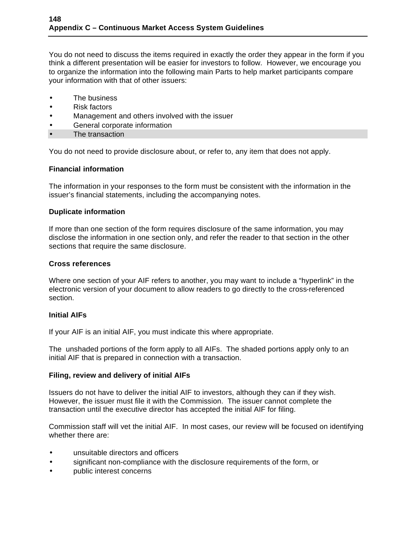You do not need to discuss the items required in exactly the order they appear in the form if you think a different presentation will be easier for investors to follow. However, we encourage you to organize the information into the following main Parts to help market participants compare your information with that of other issuers:

- The business
- Risk factors
- Management and others involved with the issuer
- General corporate information
- The transaction

You do not need to provide disclosure about, or refer to, any item that does not apply.

### **Financial information**

The information in your responses to the form must be consistent with the information in the issuer's financial statements, including the accompanying notes.

### **Duplicate information**

If more than one section of the form requires disclosure of the same information, you may disclose the information in one section only, and refer the reader to that section in the other sections that require the same disclosure.

### **Cross references**

Where one section of your AIF refers to another, you may want to include a "hyperlink" in the electronic version of your document to allow readers to go directly to the cross-referenced section.

#### **Initial AIFs**

If your AIF is an initial AIF, you must indicate this where appropriate.

The unshaded portions of the form apply to all AIFs. The shaded portions apply only to an initial AIF that is prepared in connection with a transaction.

#### **Filing, review and delivery of initial AIFs**

Issuers do not have to deliver the initial AIF to investors, although they can if they wish. However, the issuer must file it with the Commission. The issuer cannot complete the transaction until the executive director has accepted the initial AIF for filing.

Commission staff will vet the initial AIF. In most cases, our review will be focused on identifying whether there are:

- unsuitable directors and officers
- significant non-compliance with the disclosure requirements of the form, or
- public interest concerns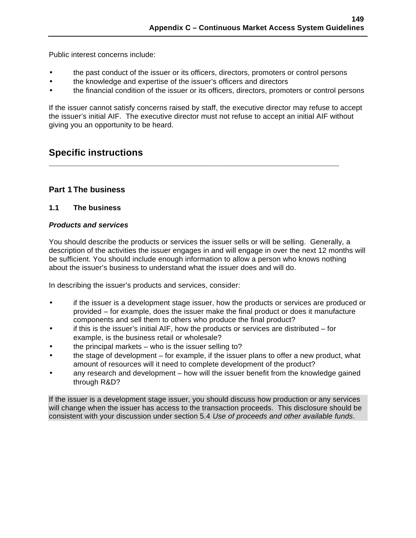Public interest concerns include:

- the past conduct of the issuer or its officers, directors, promoters or control persons
- the knowledge and expertise of the issuer's officers and directors
- the financial condition of the issuer or its officers, directors, promoters or control persons

If the issuer cannot satisfy concerns raised by staff, the executive director may refuse to accept the issuer's initial AIF. The executive director must not refuse to accept an initial AIF without giving you an opportunity to be heard.

**\_\_\_\_\_\_\_\_\_\_\_\_\_\_\_\_\_\_\_\_\_\_\_\_\_\_\_\_\_\_\_\_\_\_\_\_\_\_\_\_\_\_\_\_\_\_\_\_\_\_\_\_\_\_\_\_\_\_\_\_\_\_\_\_**

## **Specific instructions**

## **Part 1 The business**

## **1.1 The business**

### *Products and services*

You should describe the products or services the issuer sells or will be selling. Generally, a description of the activities the issuer engages in and will engage in over the next 12 months will be sufficient. You should include enough information to allow a person who knows nothing about the issuer's business to understand what the issuer does and will do.

In describing the issuer's products and services, consider:

- if the issuer is a development stage issuer, how the products or services are produced or provided – for example, does the issuer make the final product or does it manufacture components and sell them to others who produce the final product?
- if this is the issuer's initial AIF, how the products or services are distributed for example, is the business retail or wholesale?
- the principal markets  $-$  who is the issuer selling to?
- the stage of development for example, if the issuer plans to offer a new product, what amount of resources will it need to complete development of the product?
- any research and development how will the issuer benefit from the knowledge gained through R&D?

If the issuer is a development stage issuer, you should discuss how production or any services will change when the issuer has access to the transaction proceeds. This disclosure should be consistent with your discussion under section 5.4 *Use of proceeds and other available funds*.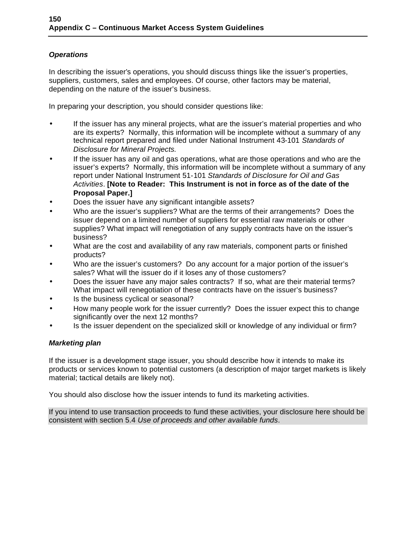## *Operations*

In describing the issuer's operations, you should discuss things like the issuer's properties, suppliers, customers, sales and employees. Of course, other factors may be material, depending on the nature of the issuer's business.

In preparing your description, you should consider questions like:

- If the issuer has any mineral projects, what are the issuer's material properties and who are its experts? Normally, this information will be incomplete without a summary of any technical report prepared and filed under National Instrument 43-101 *Standards of Disclosure for Mineral Projects.*
- If the issuer has any oil and gas operations, what are those operations and who are the issuer's experts? Normally, this information will be incomplete without a summary of any report under National Instrument 51-101 *Standards of Disclosure for Oil and Gas Activities*. **[Note to Reader: This Instrument is not in force as of the date of the Proposal Paper.]**
- Does the issuer have any significant intangible assets?
- Who are the issuer's suppliers? What are the terms of their arrangements? Does the issuer depend on a limited number of suppliers for essential raw materials or other supplies? What impact will renegotiation of any supply contracts have on the issuer's business?
- What are the cost and availability of any raw materials, component parts or finished products?
- Who are the issuer's customers? Do any account for a major portion of the issuer's sales? What will the issuer do if it loses any of those customers?
- Does the issuer have any major sales contracts? If so, what are their material terms? What impact will renegotiation of these contracts have on the issuer's business?
- Is the business cyclical or seasonal?
- How many people work for the issuer currently? Does the issuer expect this to change significantly over the next 12 months?
- Is the issuer dependent on the specialized skill or knowledge of any individual or firm?

## *Marketing plan*

If the issuer is a development stage issuer, you should describe how it intends to make its products or services known to potential customers (a description of major target markets is likely material; tactical details are likely not).

You should also disclose how the issuer intends to fund its marketing activities.

If you intend to use transaction proceeds to fund these activities, your disclosure here should be consistent with section 5.4 *Use of proceeds and other available funds*.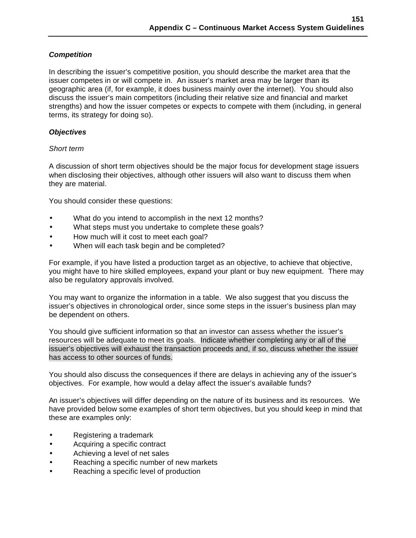## *Competition*

In describing the issuer's competitive position, you should describe the market area that the issuer competes in or will compete in. An issuer's market area may be larger than its geographic area (if, for example, it does business mainly over the internet). You should also discuss the issuer's main competitors (including their relative size and financial and market strengths) and how the issuer competes or expects to compete with them (including, in general terms, its strategy for doing so).

## *Objectives*

### *Short term*

A discussion of short term objectives should be the major focus for development stage issuers when disclosing their objectives, although other issuers will also want to discuss them when they are material.

You should consider these questions:

- What do you intend to accomplish in the next 12 months?
- What steps must you undertake to complete these goals?
- How much will it cost to meet each goal?
- When will each task begin and be completed?

For example, if you have listed a production target as an objective, to achieve that objective, you might have to hire skilled employees, expand your plant or buy new equipment. There may also be regulatory approvals involved.

You may want to organize the information in a table. We also suggest that you discuss the issuer's objectives in chronological order, since some steps in the issuer's business plan may be dependent on others.

You should give sufficient information so that an investor can assess whether the issuer's resources will be adequate to meet its goals. Indicate whether completing any or all of the issuer's objectives will exhaust the transaction proceeds and, if so, discuss whether the issuer has access to other sources of funds.

You should also discuss the consequences if there are delays in achieving any of the issuer's objectives. For example, how would a delay affect the issuer's available funds?

An issuer's objectives will differ depending on the nature of its business and its resources. We have provided below some examples of short term objectives, but you should keep in mind that these are examples only:

- Registering a trademark
- Acquiring a specific contract
- Achieving a level of net sales
- Reaching a specific number of new markets
- Reaching a specific level of production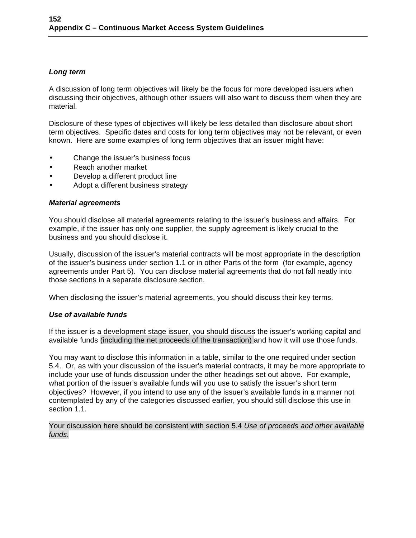### *Long term*

A discussion of long term objectives will likely be the focus for more developed issuers when discussing their objectives, although other issuers will also want to discuss them when they are material.

Disclosure of these types of objectives will likely be less detailed than disclosure about short term objectives. Specific dates and costs for long term objectives may not be relevant, or even known. Here are some examples of long term objectives that an issuer might have:

- Change the issuer's business focus
- Reach another market
- Develop a different product line
- Adopt a different business strategy

#### *Material agreements*

You should disclose all material agreements relating to the issuer's business and affairs. For example, if the issuer has only one supplier, the supply agreement is likely crucial to the business and you should disclose it.

Usually, discussion of the issuer's material contracts will be most appropriate in the description of the issuer's business under section 1.1 or in other Parts of the form (for example, agency agreements under Part 5). You can disclose material agreements that do not fall neatly into those sections in a separate disclosure section.

When disclosing the issuer's material agreements, you should discuss their key terms.

#### *Use of available funds*

If the issuer is a development stage issuer, you should discuss the issuer's working capital and available funds (including the net proceeds of the transaction) and how it will use those funds.

You may want to disclose this information in a table, similar to the one required under section 5.4. Or, as with your discussion of the issuer's material contracts, it may be more appropriate to include your use of funds discussion under the other headings set out above. For example, what portion of the issuer's available funds will you use to satisfy the issuer's short term objectives? However, if you intend to use any of the issuer's available funds in a manner not contemplated by any of the categories discussed earlier, you should still disclose this use in section 1.1.

Your discussion here should be consistent with section 5.4 *Use of proceeds and other available funds*.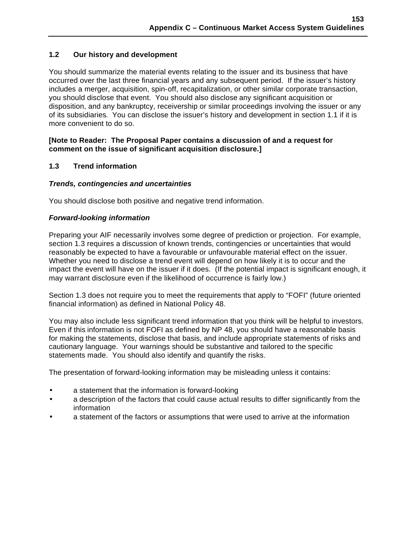## **1.2 Our history and development**

You should summarize the material events relating to the issuer and its business that have occurred over the last three financial years and any subsequent period. If the issuer's history includes a merger, acquisition, spin-off, recapitalization, or other similar corporate transaction, you should disclose that event. You should also disclose any significant acquisition or disposition, and any bankruptcy, receivership or similar proceedings involving the issuer or any of its subsidiaries. You can disclose the issuer's history and development in section 1.1 if it is more convenient to do so.

## **[Note to Reader: The Proposal Paper contains a discussion of and a request for comment on the issue of significant acquisition disclosure.]**

## **1.3 Trend information**

### *Trends, contingencies and uncertainties*

You should disclose both positive and negative trend information.

## *Forward-looking information*

Preparing your AIF necessarily involves some degree of prediction or projection. For example, section 1.3 requires a discussion of known trends, contingencies or uncertainties that would reasonably be expected to have a favourable or unfavourable material effect on the issuer. Whether you need to disclose a trend event will depend on how likely it is to occur and the impact the event will have on the issuer if it does. (If the potential impact is significant enough, it may warrant disclosure even if the likelihood of occurrence is fairly low.)

Section 1.3 does not require you to meet the requirements that apply to "FOFI" (future oriented financial information) as defined in National Policy 48.

You may also include less significant trend information that you think will be helpful to investors. Even if this information is not FOFI as defined by NP 48, you should have a reasonable basis for making the statements, disclose that basis, and include appropriate statements of risks and cautionary language. Your warnings should be substantive and tailored to the specific statements made. You should also identify and quantify the risks.

The presentation of forward-looking information may be misleading unless it contains:

- a statement that the information is forward-looking
- a description of the factors that could cause actual results to differ significantly from the information
- a statement of the factors or assumptions that were used to arrive at the information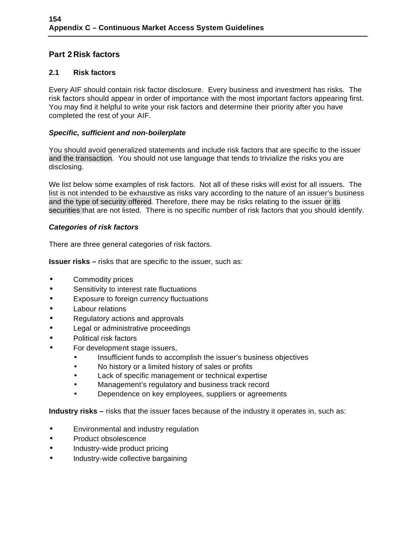## **Part 2 Risk factors**

## **2.1 Risk factors**

Every AIF should contain risk factor disclosure. Every business and investment has risks. The risk factors should appear in order of importance with the most important factors appearing first. You may find it helpful to write your risk factors and determine their priority after you have completed the rest of your AIF.

## *Specific, sufficient and non-boilerplate*

You should avoid generalized statements and include risk factors that are specific to the issuer and the transaction. You should not use language that tends to trivialize the risks you are disclosing.

We list below some examples of risk factors. Not all of these risks will exist for all issuers. The list is not intended to be exhaustive as risks vary according to the nature of an issuer's business and the type of security offered. Therefore, there may be risks relating to the issuer or its securities that are not listed. There is no specific number of risk factors that you should identify.

### *Categories of risk factors*

There are three general categories of risk factors.

**Issuer risks –** risks that are specific to the issuer, such as:

- Commodity prices
- Sensitivity to interest rate fluctuations
- Exposure to foreign currency fluctuations
- Labour relations
- Regulatory actions and approvals
- Legal or administrative proceedings
- Political risk factors
- For development stage issuers,
	- Insufficient funds to accomplish the issuer's business objectives
	- No history or a limited history of sales or profits
	- Lack of specific management or technical expertise
	- Management's regulatory and business track record
	- Dependence on key employees, suppliers or agreements

**Industry risks –** risks that the issuer faces because of the industry it operates in, such as:

- Environmental and industry regulation
- Product obsolescence
- Industry-wide product pricing
- Industry-wide collective bargaining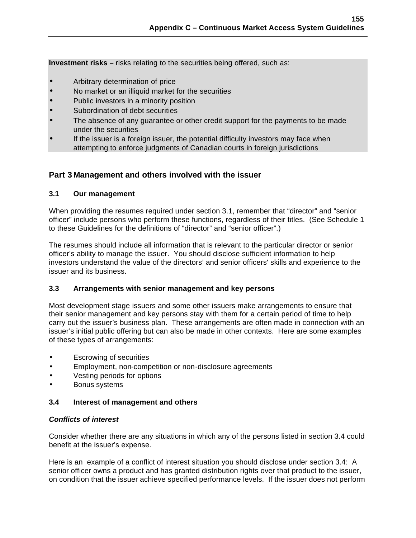**Investment risks –** risks relating to the securities being offered, such as:

- Arbitrary determination of price
- No market or an illiquid market for the securities
- Public investors in a minority position
- Subordination of debt securities
- The absence of any guarantee or other credit support for the payments to be made under the securities
- If the issuer is a foreign issuer, the potential difficulty investors may face when attempting to enforce judgments of Canadian courts in foreign jurisdictions

## **Part 3 Management and others involved with the issuer**

## **3.1 Our management**

When providing the resumes required under section 3.1, remember that "director" and "senior officer" include persons who perform these functions, regardless of their titles. (See Schedule 1 to these Guidelines for the definitions of "director" and "senior officer".)

The resumes should include all information that is relevant to the particular director or senior officer's ability to manage the issuer. You should disclose sufficient information to help investors understand the value of the directors' and senior officers' skills and experience to the issuer and its business.

## **3.3 Arrangements with senior management and key persons**

Most development stage issuers and some other issuers make arrangements to ensure that their senior management and key persons stay with them for a certain period of time to help carry out the issuer's business plan. These arrangements are often made in connection with an issuer's initial public offering but can also be made in other contexts. Here are some examples of these types of arrangements:

- Escrowing of securities
- Employment, non-competition or non-disclosure agreements
- Vesting periods for options
- Bonus systems

## **3.4 Interest of management and others**

## *Conflicts of interest*

Consider whether there are any situations in which any of the persons listed in section 3.4 could benefit at the issuer's expense.

Here is an example of a conflict of interest situation you should disclose under section 3.4: A senior officer owns a product and has granted distribution rights over that product to the issuer, on condition that the issuer achieve specified performance levels. If the issuer does not perform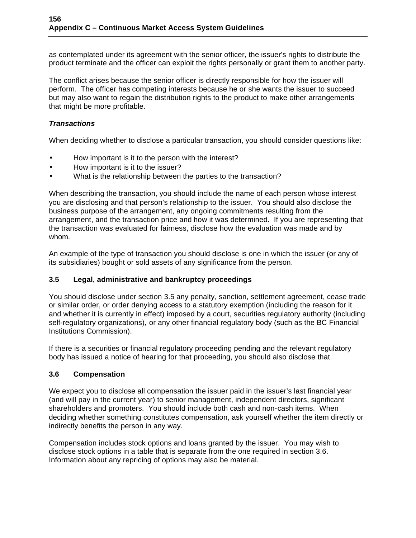as contemplated under its agreement with the senior officer, the issuer's rights to distribute the product terminate and the officer can exploit the rights personally or grant them to another party.

The conflict arises because the senior officer is directly responsible for how the issuer will perform. The officer has competing interests because he or she wants the issuer to succeed but may also want to regain the distribution rights to the product to make other arrangements that might be more profitable.

## *Transactions*

When deciding whether to disclose a particular transaction, you should consider questions like:

- How important is it to the person with the interest?
- How important is it to the issuer?
- What is the relationship between the parties to the transaction?

When describing the transaction, you should include the name of each person whose interest you are disclosing and that person's relationship to the issuer. You should also disclose the business purpose of the arrangement, any ongoing commitments resulting from the arrangement, and the transaction price and how it was determined. If you are representing that the transaction was evaluated for fairness, disclose how the evaluation was made and by whom.

An example of the type of transaction you should disclose is one in which the issuer (or any of its subsidiaries) bought or sold assets of any significance from the person.

## **3.5 Legal, administrative and bankruptcy proceedings**

You should disclose under section 3.5 any penalty, sanction, settlement agreement, cease trade or similar order, or order denying access to a statutory exemption (including the reason for it and whether it is currently in effect) imposed by a court, securities regulatory authority (including self-regulatory organizations), or any other financial regulatory body (such as the BC Financial Institutions Commission).

If there is a securities or financial regulatory proceeding pending and the relevant regulatory body has issued a notice of hearing for that proceeding, you should also disclose that.

## **3.6 Compensation**

We expect you to disclose all compensation the issuer paid in the issuer's last financial year (and will pay in the current year) to senior management, independent directors, significant shareholders and promoters. You should include both cash and non-cash items. When deciding whether something constitutes compensation, ask yourself whether the item directly or indirectly benefits the person in any way.

Compensation includes stock options and loans granted by the issuer. You may wish to disclose stock options in a table that is separate from the one required in section 3.6. Information about any repricing of options may also be material.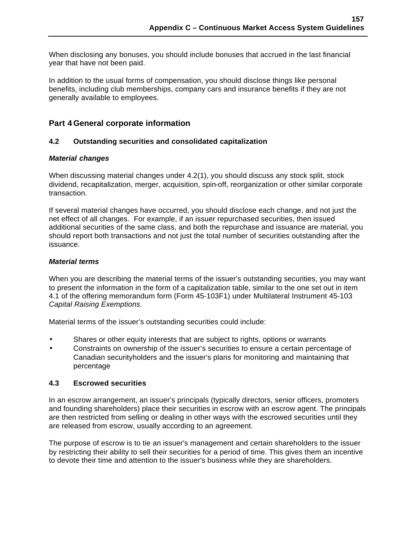When disclosing any bonuses, you should include bonuses that accrued in the last financial year that have not been paid.

In addition to the usual forms of compensation, you should disclose things like personal benefits, including club memberships, company cars and insurance benefits if they are not generally available to employees.

## **Part 4 General corporate information**

## **4.2 Outstanding securities and consolidated capitalization**

### *Material changes*

When discussing material changes under 4.2(1), you should discuss any stock split, stock dividend, recapitalization, merger, acquisition, spin-off, reorganization or other similar corporate transaction.

If several material changes have occurred, you should disclose each change, and not just the net effect of all changes. For example, if an issuer repurchased securities, then issued additional securities of the same class, and both the repurchase and issuance are material, you should report both transactions and not just the total number of securities outstanding after the issuance.

## *Material terms*

When you are describing the material terms of the issuer's outstanding securities, you may want to present the information in the form of a capitalization table, similar to the one set out in item 4.1 of the offering memorandum form (Form 45-103F1) under Multilateral Instrument 45-103 *Capital Raising Exemptions*.

Material terms of the issuer's outstanding securities could include:

- Shares or other equity interests that are subject to rights, options or warrants
- Constraints on ownership of the issuer's securities to ensure a certain percentage of Canadian securityholders and the issuer's plans for monitoring and maintaining that percentage

## **4.3 Escrowed securities**

In an escrow arrangement, an issuer's principals (typically directors, senior officers, promoters and founding shareholders) place their securities in escrow with an escrow agent. The principals are then restricted from selling or dealing in other ways with the escrowed securities until they are released from escrow, usually according to an agreement.

The purpose of escrow is to tie an issuer's management and certain shareholders to the issuer by restricting their ability to sell their securities for a period of time. This gives them an incentive to devote their time and attention to the issuer's business while they are shareholders.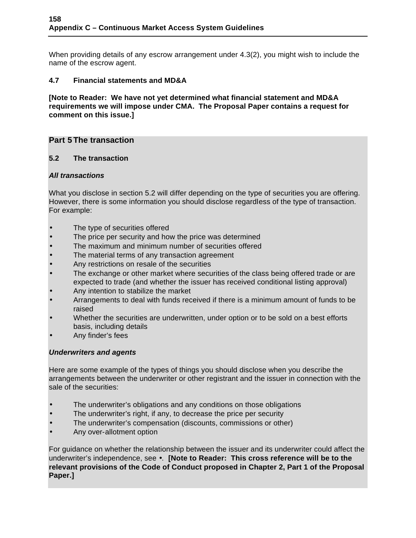When providing details of any escrow arrangement under 4.3(2), you might wish to include the name of the escrow agent.

## **4.7 Financial statements and MD&A**

**[Note to Reader: We have not yet determined what financial statement and MD&A requirements we will impose under CMA. The Proposal Paper contains a request for comment on this issue.]**

## **Part 5 The transaction**

## **5.2 The transaction**

## *All transactions*

What you disclose in section 5.2 will differ depending on the type of securities you are offering. However, there is some information you should disclose regardless of the type of transaction. For example:

- The type of securities offered
- The price per security and how the price was determined
- The maximum and minimum number of securities offered
- The material terms of any transaction agreement
- Any restrictions on resale of the securities
- The exchange or other market where securities of the class being offered trade or are expected to trade (and whether the issuer has received conditional listing approval)
- Any intention to stabilize the market
- Arrangements to deal with funds received if there is a minimum amount of funds to be raised
- Whether the securities are underwritten, under option or to be sold on a best efforts basis, including details
- Any finder's fees

## *Underwriters and agents*

Here are some example of the types of things you should disclose when you describe the arrangements between the underwriter or other registrant and the issuer in connection with the sale of the securities:

- The underwriter's obligations and any conditions on those obligations
- The underwriter's right, if any, to decrease the price per security
- The underwriter's compensation (discounts, commissions or other)
- Any over-allotment option

For guidance on whether the relationship between the issuer and its underwriter could affect the underwriter's independence, see •. **[Note to Reader: This cross reference will be to the relevant provisions of the Code of Conduct proposed in Chapter 2, Part 1 of the Proposal Paper.]**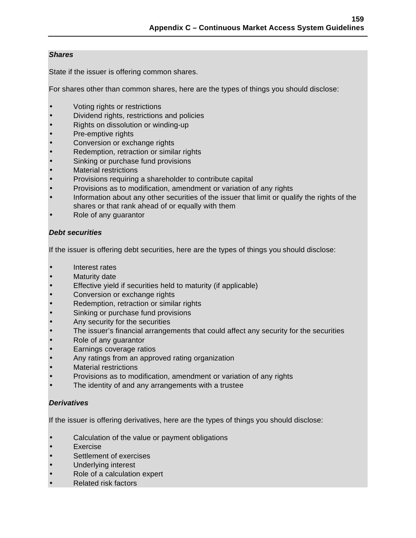## *Shares*

State if the issuer is offering common shares.

For shares other than common shares, here are the types of things you should disclose:

- Voting rights or restrictions
- Dividend rights, restrictions and policies
- Rights on dissolution or winding-up
- Pre-emptive rights
- Conversion or exchange rights
- Redemption, retraction or similar rights
- Sinking or purchase fund provisions
- **Material restrictions**
- Provisions requiring a shareholder to contribute capital
- Provisions as to modification, amendment or variation of any rights
- Information about any other securities of the issuer that limit or qualify the rights of the shares or that rank ahead of or equally with them
- Role of any guarantor

## *Debt securities*

If the issuer is offering debt securities, here are the types of things you should disclose:

- Interest rates
- **Maturity date**
- Effective yield if securities held to maturity (if applicable)
- Conversion or exchange rights
- Redemption, retraction or similar rights
- Sinking or purchase fund provisions
- Any security for the securities
- The issuer's financial arrangements that could affect any security for the securities
- Role of any guarantor
- Earnings coverage ratios
- Any ratings from an approved rating organization
- **Material restrictions**
- Provisions as to modification, amendment or variation of any rights
- The identity of and any arrangements with a trustee

## *Derivatives*

If the issuer is offering derivatives, here are the types of things you should disclose:

- Calculation of the value or payment obligations
- Exercise
- Settlement of exercises
- Underlying interest
- Role of a calculation expert
- Related risk factors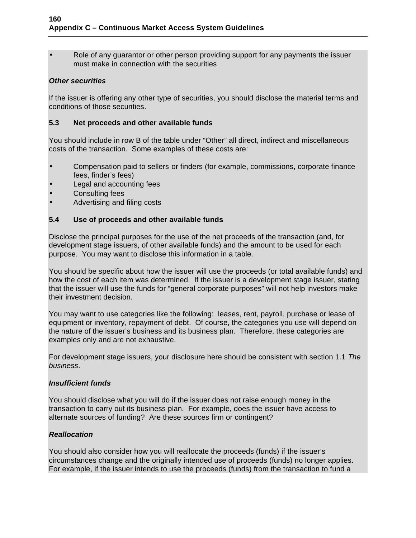• Role of any guarantor or other person providing support for any payments the issuer must make in connection with the securities

### *Other securities*

If the issuer is offering any other type of securities, you should disclose the material terms and conditions of those securities.

#### **5.3 Net proceeds and other available funds**

You should include in row B of the table under "Other" all direct, indirect and miscellaneous costs of the transaction. Some examples of these costs are:

- Compensation paid to sellers or finders (for example, commissions, corporate finance fees, finder's fees)
- Legal and accounting fees
- Consulting fees
- Advertising and filing costs

### **5.4 Use of proceeds and other available funds**

Disclose the principal purposes for the use of the net proceeds of the transaction (and, for development stage issuers, of other available funds) and the amount to be used for each purpose. You may want to disclose this information in a table.

You should be specific about how the issuer will use the proceeds (or total available funds) and how the cost of each item was determined. If the issuer is a development stage issuer, stating that the issuer will use the funds for "general corporate purposes" will not help investors make their investment decision.

You may want to use categories like the following: leases, rent, payroll, purchase or lease of equipment or inventory, repayment of debt. Of course, the categories you use will depend on the nature of the issuer's business and its business plan. Therefore, these categories are examples only and are not exhaustive.

For development stage issuers, your disclosure here should be consistent with section 1.1 *The business*.

#### *Insufficient funds*

You should disclose what you will do if the issuer does not raise enough money in the transaction to carry out its business plan. For example, does the issuer have access to alternate sources of funding? Are these sources firm or contingent?

#### *Reallocation*

You should also consider how you will reallocate the proceeds (funds) if the issuer's circumstances change and the originally intended use of proceeds (funds) no longer applies. For example, if the issuer intends to use the proceeds (funds) from the transaction to fund a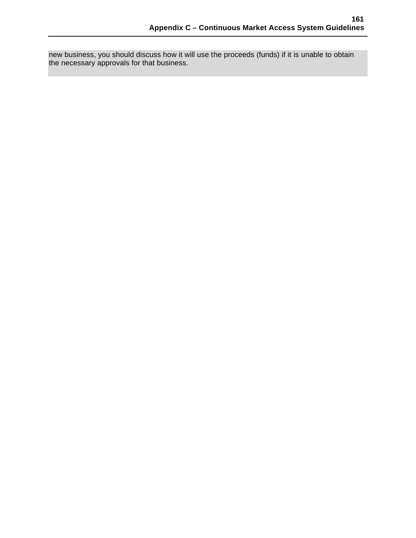new business, you should discuss how it will use the proceeds (funds) if it is unable to obtain the necessary approvals for that business.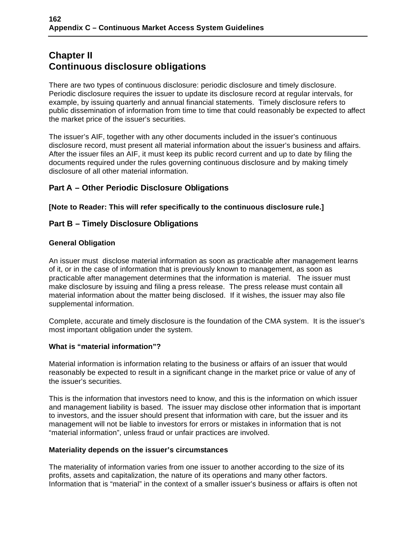## **Chapter II Continuous disclosure obligations**

There are two types of continuous disclosure: periodic disclosure and timely disclosure. Periodic disclosure requires the issuer to update its disclosure record at regular intervals, for example, by issuing quarterly and annual financial statements. Timely disclosure refers to public dissemination of information from time to time that could reasonably be expected to affect the market price of the issuer's securities.

The issuer's AIF, together with any other documents included in the issuer's continuous disclosure record, must present all material information about the issuer's business and affairs. After the issuer files an AIF, it must keep its public record current and up to date by filing the documents required under the rules governing continuous disclosure and by making timely disclosure of all other material information.

## **Part A – Other Periodic Disclosure Obligations**

**[Note to Reader: This will refer specifically to the continuous disclosure rule.]**

## **Part B – Timely Disclosure Obligations**

## **General Obligation**

An issuer must disclose material information as soon as practicable after management learns of it, or in the case of information that is previously known to management, as soon as practicable after management determines that the information is material. The issuer must make disclosure by issuing and filing a press release. The press release must contain all material information about the matter being disclosed. If it wishes, the issuer may also file supplemental information.

Complete, accurate and timely disclosure is the foundation of the CMA system. It is the issuer's most important obligation under the system.

## **What is "material information"?**

Material information is information relating to the business or affairs of an issuer that would reasonably be expected to result in a significant change in the market price or value of any of the issuer's securities.

This is the information that investors need to know, and this is the information on which issuer and management liability is based. The issuer may disclose other information that is important to investors, and the issuer should present that information with care, but the issuer and its management will not be liable to investors for errors or mistakes in information that is not "material information", unless fraud or unfair practices are involved.

## **Materiality depends on the issuer's circumstances**

The materiality of information varies from one issuer to another according to the size of its profits, assets and capitalization, the nature of its operations and many other factors. Information that is "material" in the context of a smaller issuer's business or affairs is often not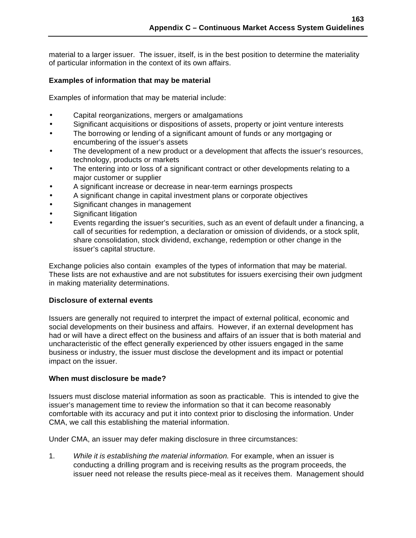material to a larger issuer. The issuer, itself, is in the best position to determine the materiality of particular information in the context of its own affairs.

## **Examples of information that may be material**

Examples of information that may be material include:

- Capital reorganizations, mergers or amalgamations
- Significant acquisitions or dispositions of assets, property or joint venture interests
- The borrowing or lending of a significant amount of funds or any mortgaging or encumbering of the issuer's assets
- The development of a new product or a development that affects the issuer's resources, technology, products or markets
- The entering into or loss of a significant contract or other developments relating to a major customer or supplier
- A significant increase or decrease in near-term earnings prospects
- A significant change in capital investment plans or corporate objectives
- Significant changes in management
- Significant litigation
- Events regarding the issuer's securities, such as an event of default under a financing, a call of securities for redemption, a declaration or omission of dividends, or a stock split, share consolidation, stock dividend, exchange, redemption or other change in the issuer's capital structure.

Exchange policies also contain examples of the types of information that may be material. These lists are not exhaustive and are not substitutes for issuers exercising their own judgment in making materiality determinations.

## **Disclosure of external events**

Issuers are generally not required to interpret the impact of external political, economic and social developments on their business and affairs. However, if an external development has had or will have a direct effect on the business and affairs of an issuer that is both material and uncharacteristic of the effect generally experienced by other issuers engaged in the same business or industry, the issuer must disclose the development and its impact or potential impact on the issuer.

## **When must disclosure be made?**

Issuers must disclose material information as soon as practicable. This is intended to give the issuer's management time to review the information so that it can become reasonably comfortable with its accuracy and put it into context prior to disclosing the information. Under CMA, we call this establishing the material information.

Under CMA, an issuer may defer making disclosure in three circumstances:

1. *While it is establishing the material information.* For example, when an issuer is conducting a drilling program and is receiving results as the program proceeds, the issuer need not release the results piece-meal as it receives them. Management should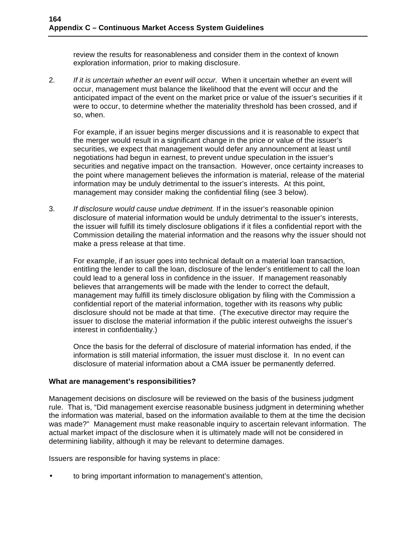review the results for reasonableness and consider them in the context of known exploration information, prior to making disclosure.

2. *If it is uncertain whether an event will occur.* When it uncertain whether an event will occur, management must balance the likelihood that the event will occur and the anticipated impact of the event on the market price or value of the issuer's securities if it were to occur, to determine whether the materiality threshold has been crossed, and if so, when.

For example, if an issuer begins merger discussions and it is reasonable to expect that the merger would result in a significant change in the price or value of the issuer's securities, we expect that management would defer any announcement at least until negotiations had begun in earnest, to prevent undue speculation in the issuer's securities and negative impact on the transaction. However, once certainty increases to the point where management believes the information is material, release of the material information may be unduly detrimental to the issuer's interests. At this point, management may consider making the confidential filing (see 3 below).

3. *If disclosure would cause undue detriment.* If in the issuer's reasonable opinion disclosure of material information would be unduly detrimental to the issuer's interests, the issuer will fulfill its timely disclosure obligations if it files a confidential report with the Commission detailing the material information and the reasons why the issuer should not make a press release at that time.

For example, if an issuer goes into technical default on a material loan transaction, entitling the lender to call the loan, disclosure of the lender's entitlement to call the loan could lead to a general loss in confidence in the issuer. If management reasonably believes that arrangements will be made with the lender to correct the default, management may fulfill its timely disclosure obligation by filing with the Commission a confidential report of the material information, together with its reasons why public disclosure should not be made at that time. (The executive director may require the issuer to disclose the material information if the public interest outweighs the issuer's interest in confidentiality.)

Once the basis for the deferral of disclosure of material information has ended, if the information is still material information, the issuer must disclose it. In no event can disclosure of material information about a CMA issuer be permanently deferred.

#### **What are management's responsibilities?**

Management decisions on disclosure will be reviewed on the basis of the business judgment rule. That is, "Did management exercise reasonable business judgment in determining whether the information was material, based on the information available to them at the time the decision was made?" Management must make reasonable inquiry to ascertain relevant information. The actual market impact of the disclosure when it is ultimately made will not be considered in determining liability, although it may be relevant to determine damages.

Issuers are responsible for having systems in place:

• to bring important information to management's attention,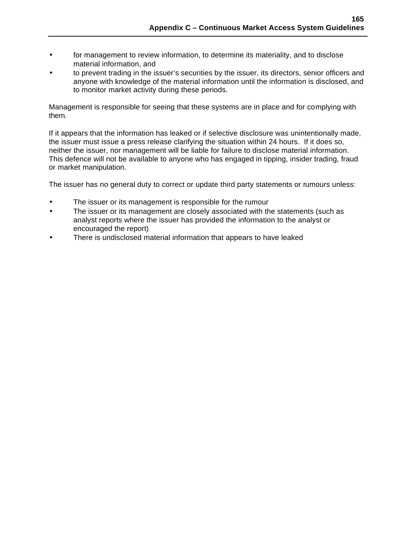- for management to review information, to determine its materiality, and to disclose material information, and
- to prevent trading in the issuer's securities by the issuer, its directors, senior officers and anyone with knowledge of the material information until the information is disclosed, and to monitor market activity during these periods.

Management is responsible for seeing that these systems are in place and for complying with them.

If it appears that the information has leaked or if selective disclosure was unintentionally made, the issuer must issue a press release clarifying the situation within 24 hours. If it does so, neither the issuer, nor management will be liable for failure to disclose material information. This defence will not be available to anyone who has engaged in tipping, insider trading, fraud or market manipulation.

The issuer has no general duty to correct or update third party statements or rumours unless:

- The issuer or its management is responsible for the rumour
- The issuer or its management are closely associated with the statements (such as analyst reports where the issuer has provided the information to the analyst or encouraged the report)
- There is undisclosed material information that appears to have leaked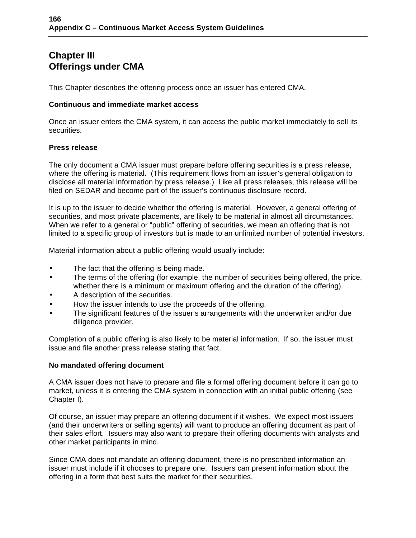## **Chapter III Offerings under CMA**

This Chapter describes the offering process once an issuer has entered CMA.

### **Continuous and immediate market access**

Once an issuer enters the CMA system, it can access the public market immediately to sell its securities.

### **Press release**

The only document a CMA issuer must prepare before offering securities is a press release, where the offering is material. (This requirement flows from an issuer's general obligation to disclose all material information by press release.) Like all press releases, this release will be filed on SEDAR and become part of the issuer's continuous disclosure record.

It is up to the issuer to decide whether the offering is material. However, a general offering of securities, and most private placements, are likely to be material in almost all circumstances. When we refer to a general or "public" offering of securities, we mean an offering that is not limited to a specific group of investors but is made to an unlimited number of potential investors.

Material information about a public offering would usually include:

- The fact that the offering is being made.
- The terms of the offering (for example, the number of securities being offered, the price, whether there is a minimum or maximum offering and the duration of the offering).
- A description of the securities.
- How the issuer intends to use the proceeds of the offering.
- The significant features of the issuer's arrangements with the underwriter and/or due diligence provider.

Completion of a public offering is also likely to be material information. If so, the issuer must issue and file another press release stating that fact.

#### **No mandated offering document**

A CMA issuer does not have to prepare and file a formal offering document before it can go to market, unless it is entering the CMA system in connection with an initial public offering (see Chapter I).

Of course, an issuer may prepare an offering document if it wishes. We expect most issuers (and their underwriters or selling agents) will want to produce an offering document as part of their sales effort. Issuers may also want to prepare their offering documents with analysts and other market participants in mind.

Since CMA does not mandate an offering document, there is no prescribed information an issuer must include if it chooses to prepare one. Issuers can present information about the offering in a form that best suits the market for their securities.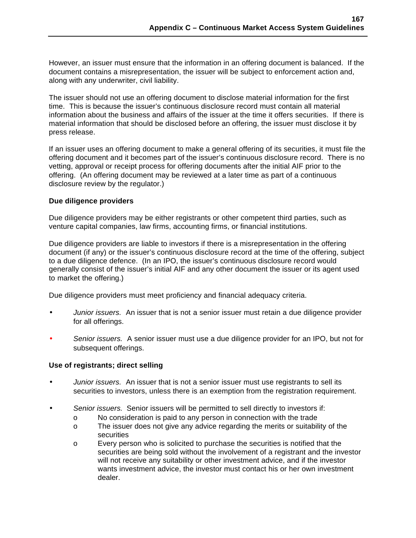However, an issuer must ensure that the information in an offering document is balanced. If the document contains a misrepresentation, the issuer will be subject to enforcement action and, along with any underwriter, civil liability.

The issuer should not use an offering document to disclose material information for the first time. This is because the issuer's continuous disclosure record must contain all material information about the business and affairs of the issuer at the time it offers securities. If there is material information that should be disclosed before an offering, the issuer must disclose it by press release.

If an issuer uses an offering document to make a general offering of its securities, it must file the offering document and it becomes part of the issuer's continuous disclosure record. There is no vetting, approval or receipt process for offering documents after the initial AIF prior to the offering. (An offering document may be reviewed at a later time as part of a continuous disclosure review by the regulator.)

## **Due diligence providers**

Due diligence providers may be either registrants or other competent third parties, such as venture capital companies, law firms, accounting firms, or financial institutions.

Due diligence providers are liable to investors if there is a misrepresentation in the offering document (if any) or the issuer's continuous disclosure record at the time of the offering, subject to a due diligence defence. (In an IPO, the issuer's continuous disclosure record would generally consist of the issuer's initial AIF and any other document the issuer or its agent used to market the offering.)

Due diligence providers must meet proficiency and financial adequacy criteria.

- *Junior issuers.*An issuer that is not a senior issuer must retain a due diligence provider for all offerings.
- *Senior issuers.*A senior issuer must use a due diligence provider for an IPO, but not for subsequent offerings.

## **Use of registrants; direct selling**

- *Junior issuers.* An issuer that is not a senior issuer must use registrants to sell its securities to investors, unless there is an exemption from the registration requirement.
- *Senior issuers.*Senior issuers will be permitted to sell directly to investors if:
	- o No consideration is paid to any person in connection with the trade
	- o The issuer does not give any advice regarding the merits or suitability of the securities
	- o Every person who is solicited to purchase the securities is notified that the securities are being sold without the involvement of a registrant and the investor will not receive any suitability or other investment advice, and if the investor wants investment advice, the investor must contact his or her own investment dealer.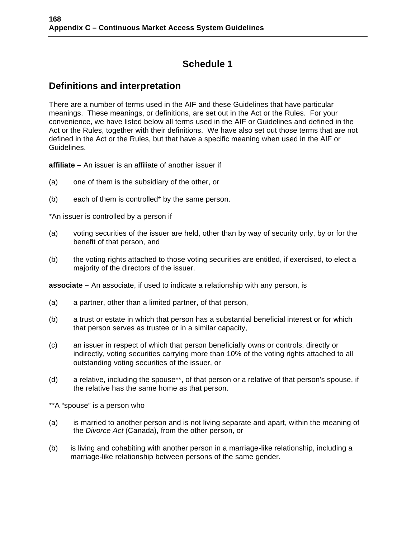## **Schedule 1**

## **Definitions and interpretation**

There are a number of terms used in the AIF and these Guidelines that have particular meanings. These meanings, or definitions, are set out in the Act or the Rules. For your convenience, we have listed below all terms used in the AIF or Guidelines and defined in the Act or the Rules, together with their definitions. We have also set out those terms that are not defined in the Act or the Rules, but that have a specific meaning when used in the AIF or Guidelines.

**affiliate –** An issuer is an affiliate of another issuer if

- (a) one of them is the subsidiary of the other, or
- (b) each of them is controlled\* by the same person.

\*An issuer is controlled by a person if

- (a) voting securities of the issuer are held, other than by way of security only, by or for the benefit of that person, and
- (b) the voting rights attached to those voting securities are entitled, if exercised, to elect a majority of the directors of the issuer.

**associate –** An associate, if used to indicate a relationship with any person, is

- (a) a partner, other than a limited partner, of that person,
- (b) a trust or estate in which that person has a substantial beneficial interest or for which that person serves as trustee or in a similar capacity,
- (c) an issuer in respect of which that person beneficially owns or controls, directly or indirectly, voting securities carrying more than 10% of the voting rights attached to all outstanding voting securities of the issuer, or
- (d) a relative, including the spouse\*\*, of that person or a relative of that person's spouse, if the relative has the same home as that person.

\*\*A "spouse" is a person who

- (a) is married to another person and is not living separate and apart, within the meaning of the *Divorce Act* (Canada), from the other person, or
- (b) is living and cohabiting with another person in a marriage-like relationship, including a marriage-like relationship between persons of the same gender.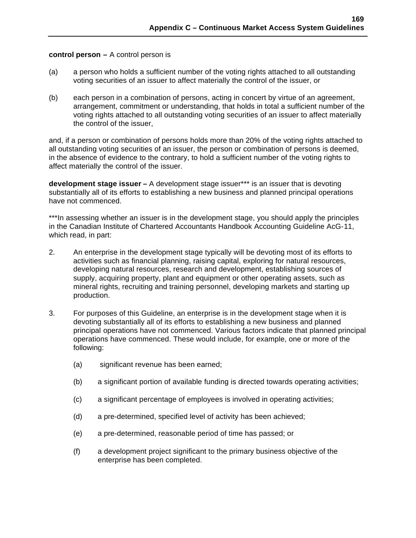#### **control person –** A control person is

- (a) a person who holds a sufficient number of the voting rights attached to all outstanding voting securities of an issuer to affect materially the control of the issuer, or
- (b) each person in a combination of persons, acting in concert by virtue of an agreement, arrangement, commitment or understanding, that holds in total a sufficient number of the voting rights attached to all outstanding voting securities of an issuer to affect materially the control of the issuer,

and, if a person or combination of persons holds more than 20% of the voting rights attached to all outstanding voting securities of an issuer, the person or combination of persons is deemed, in the absence of evidence to the contrary, to hold a sufficient number of the voting rights to affect materially the control of the issuer.

**development stage issuer –** A development stage issuer\*\*\* is an issuer that is devoting substantially all of its efforts to establishing a new business and planned principal operations have not commenced.

\*\*\*In assessing whether an issuer is in the development stage, you should apply the principles in the Canadian Institute of Chartered Accountants Handbook Accounting Guideline AcG-11, which read, in part:

- 2. An enterprise in the development stage typically will be devoting most of its efforts to activities such as financial planning, raising capital, exploring for natural resources, developing natural resources, research and development, establishing sources of supply, acquiring property, plant and equipment or other operating assets, such as mineral rights, recruiting and training personnel, developing markets and starting up production.
- 3. For purposes of this Guideline, an enterprise is in the development stage when it is devoting substantially all of its efforts to establishing a new business and planned principal operations have not commenced. Various factors indicate that planned principal operations have commenced. These would include, for example, one or more of the following:
	- (a) significant revenue has been earned;
	- (b) a significant portion of available funding is directed towards operating activities;
	- (c) a significant percentage of employees is involved in operating activities;
	- (d) a pre-determined, specified level of activity has been achieved;
	- (e) a pre-determined, reasonable period of time has passed; or
	- (f) a development project significant to the primary business objective of the enterprise has been completed.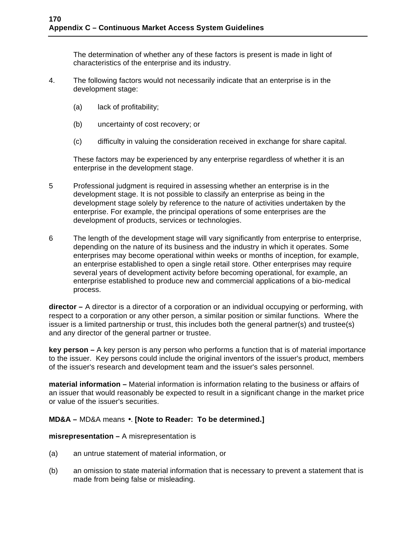The determination of whether any of these factors is present is made in light of characteristics of the enterprise and its industry.

- 4. The following factors would not necessarily indicate that an enterprise is in the development stage:
	- (a) lack of profitability;
	- (b) uncertainty of cost recovery; or
	- (c) difficulty in valuing the consideration received in exchange for share capital.

These factors may be experienced by any enterprise regardless of whether it is an enterprise in the development stage.

- 5 Professional judgment is required in assessing whether an enterprise is in the development stage. It is not possible to classify an enterprise as being in the development stage solely by reference to the nature of activities undertaken by the enterprise. For example, the principal operations of some enterprises are the development of products, services or technologies.
- 6 The length of the development stage will vary significantly from enterprise to enterprise, depending on the nature of its business and the industry in which it operates. Some enterprises may become operational within weeks or months of inception, for example, an enterprise established to open a single retail store. Other enterprises may require several years of development activity before becoming operational, for example, an enterprise established to produce new and commercial applications of a bio-medical process.

**director –** A director is a director of a corporation or an individual occupying or performing, with respect to a corporation or any other person, a similar position or similar functions. Where the issuer is a limited partnership or trust, this includes both the general partner(s) and trustee(s) and any director of the general partner or trustee.

**key person –** A key person is any person who performs a function that is of material importance to the issuer. Key persons could include the original inventors of the issuer's product, members of the issuer's research and development team and the issuer's sales personnel.

**material information –** Material information is information relating to the business or affairs of an issuer that would reasonably be expected to result in a significant change in the market price or value of the issuer's securities.

## **MD&A –** MD&A means •. **[Note to Reader: To be determined.]**

## **misrepresentation –** A misrepresentation is

- (a) an untrue statement of material information, or
- (b) an omission to state material information that is necessary to prevent a statement that is made from being false or misleading.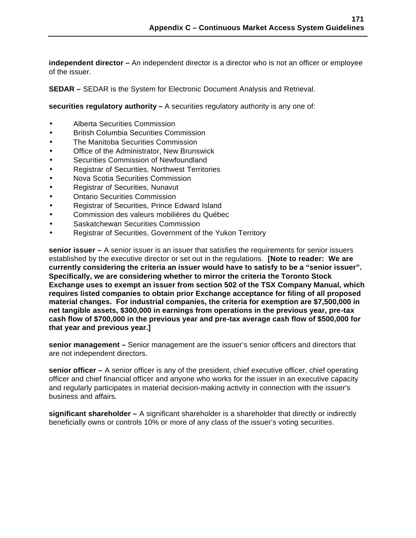**independent director –** An independent director is a director who is not an officer or employee of the issuer.

**SEDAR –** SEDAR is the System for Electronic Document Analysis and Retrieval.

**securities regulatory authority –** A securities regulatory authority is any one of:

- Alberta Securities Commission
- British Columbia Securities Commission
- The Manitoba Securities Commission
- Office of the Administrator, New Brunswick
- Securities Commission of Newfoundland
- Registrar of Securities, Northwest Territories
- Nova Scotia Securities Commission
- Registrar of Securities, Nunavut
- Ontario Securities Commission
- Registrar of Securities, Prince Edward Island
- Commission des valeurs mobilières du Québec
- Saskatchewan Securities Commission
- Registrar of Securities, Government of the Yukon Territory

**senior issuer –** A senior issuer is an issuer that satisfies the requirements for senior issuers established by the executive director or set out in the regulations. **[Note to reader: We are currently considering the criteria an issuer would have to satisfy to be a "senior issuer". Specifically, we are considering whether to mirror the criteria the Toronto Stock Exchange uses to exempt an issuer from section 502 of the TSX Company Manual, which requires listed companies to obtain prior Exchange acceptance for filing of all proposed material changes. For industrial companies, the criteria for exemption are \$7,500,000 in net tangible assets, \$300,000 in earnings from operations in the previous year, pre-tax cash flow of \$700,000 in the previous year and pre-tax average cash flow of \$500,000 for that year and previous year.]**

**senior management –** Senior management are the issuer's senior officers and directors that are not independent directors.

**senior officer –** A senior officer is any of the president, chief executive officer, chief operating officer and chief financial officer and anyone who works for the issuer in an executive capacity and regularly participates in material decision-making activity in connection with the issuer's business and affairs.

**significant shareholder –** A significant shareholder is a shareholder that directly or indirectly beneficially owns or controls 10% or more of any class of the issuer's voting securities.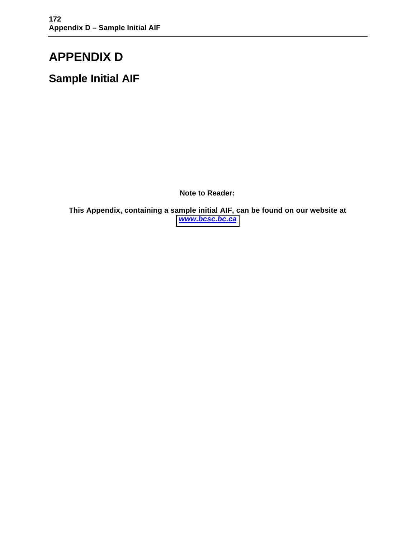# **APPENDIX D**

**Sample Initial AIF**

**Note to Reader:**

**This Appendix, containing a sample initial AIF, can be found on our website at**  *www.bcsc.bc.ca*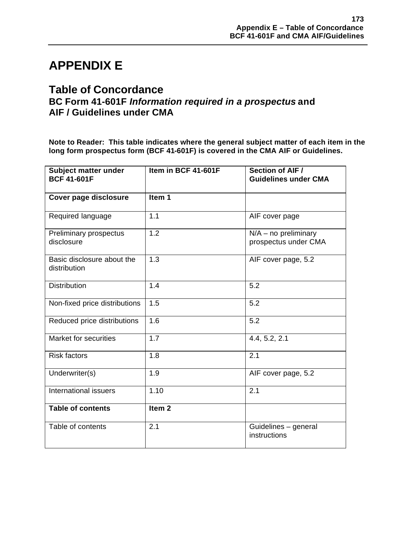# **APPENDIX E**

## **Table of Concordance**

## **BC Form 41-601F** *Information required in a prospectus* **and AIF / Guidelines under CMA**

**Note to Reader: This table indicates where the general subject matter of each item in the long form prospectus form (BCF 41-601F) is covered in the CMA AIF or Guidelines.**

| Subject matter under<br><b>BCF 41-601F</b> | Item in BCF 41-601F | Section of AIF /<br><b>Guidelines under CMA</b> |
|--------------------------------------------|---------------------|-------------------------------------------------|
| <b>Cover page disclosure</b>               | Item 1              |                                                 |
| Required language                          | 1.1                 | AIF cover page                                  |
| Preliminary prospectus<br>disclosure       | 1.2                 | $N/A$ – no preliminary<br>prospectus under CMA  |
| Basic disclosure about the<br>distribution | 1.3                 | AIF cover page, 5.2                             |
| <b>Distribution</b>                        | 1.4                 | 5.2                                             |
| Non-fixed price distributions              | 1.5                 | 5.2                                             |
| Reduced price distributions                | 1.6                 | 5.2                                             |
| Market for securities                      | 1.7                 | 4.4, 5.2, 2.1                                   |
| <b>Risk factors</b>                        | 1.8                 | 2.1                                             |
| Underwriter(s)                             | 1.9                 | AIF cover page, 5.2                             |
| International issuers                      | 1.10                | 2.1                                             |
| <b>Table of contents</b>                   | Item <sub>2</sub>   |                                                 |
| Table of contents                          | 2.1                 | Guidelines - general<br>instructions            |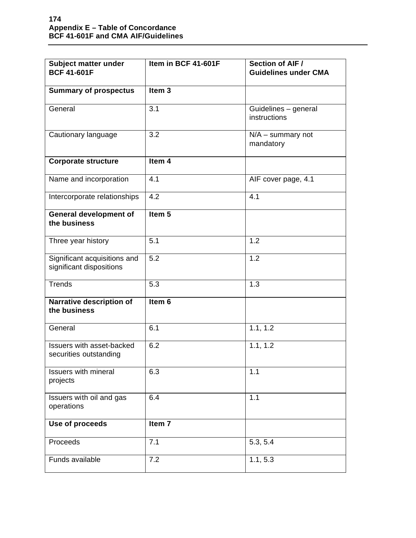| Subject matter under<br><b>BCF 41-601F</b>               | Item in BCF 41-601F | Section of AIF /<br><b>Guidelines under CMA</b> |
|----------------------------------------------------------|---------------------|-------------------------------------------------|
| <b>Summary of prospectus</b>                             | Item <sub>3</sub>   |                                                 |
| General                                                  | 3.1                 | Guidelines - general<br>instructions            |
| Cautionary language                                      | 3.2                 | $N/A -$ summary not<br>mandatory                |
| <b>Corporate structure</b>                               | Item 4              |                                                 |
| Name and incorporation                                   | 4.1                 | AIF cover page, 4.1                             |
| Intercorporate relationships                             | 4.2                 | 4.1                                             |
| <b>General development of</b><br>the business            | Item <sub>5</sub>   |                                                 |
| Three year history                                       | 5.1                 | 1.2                                             |
| Significant acquisitions and<br>significant dispositions | 5.2                 | 1.2                                             |
| <b>Trends</b>                                            | 5.3                 | 1.3                                             |
| Narrative description of<br>the business                 | Item <sub>6</sub>   |                                                 |
| General                                                  | 6.1                 | 1.1, 1.2                                        |
| Issuers with asset-backed<br>securities outstanding      | 6.2                 | 1.1, 1.2                                        |
| <b>Issuers with mineral</b><br>projects                  | 6.3                 | 1.1                                             |
| Issuers with oil and gas<br>operations                   | 6.4                 | 1.1                                             |
| Use of proceeds                                          | Item <sub>7</sub>   |                                                 |
| Proceeds                                                 | 7.1                 | 5.3, 5.4                                        |
| Funds available                                          | 7.2                 | 1.1, 5.3                                        |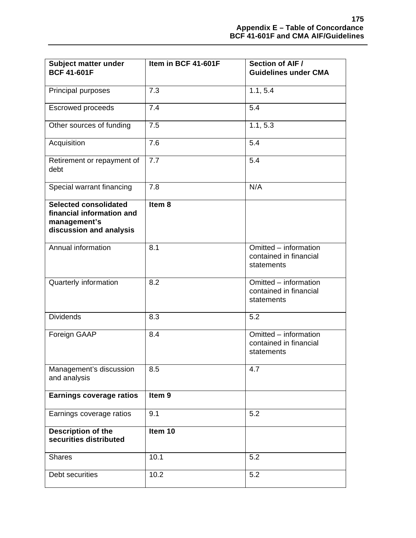| Subject matter under<br><b>BCF 41-601F</b>                                                           | Item in BCF 41-601F | Section of AIF /<br><b>Guidelines under CMA</b>               |
|------------------------------------------------------------------------------------------------------|---------------------|---------------------------------------------------------------|
| Principal purposes                                                                                   | 7.3                 | 1.1, 5.4                                                      |
| <b>Escrowed proceeds</b>                                                                             | 7.4                 | 5.4                                                           |
| Other sources of funding                                                                             | 7.5                 | 1.1, 5.3                                                      |
| Acquisition                                                                                          | 7.6                 | 5.4                                                           |
| Retirement or repayment of<br>debt                                                                   | 7.7                 | 5.4                                                           |
| Special warrant financing                                                                            | 7.8                 | N/A                                                           |
| <b>Selected consolidated</b><br>financial information and<br>management's<br>discussion and analysis | Item <sub>8</sub>   |                                                               |
| Annual information                                                                                   | 8.1                 | Omitted - information<br>contained in financial<br>statements |
| Quarterly information                                                                                | 8.2                 | Omitted - information<br>contained in financial<br>statements |
| <b>Dividends</b>                                                                                     | 8.3                 | 5.2                                                           |
| Foreign GAAP                                                                                         | 8.4                 | Omitted - information<br>contained in financial<br>statements |
| Management's discussion<br>and analysis                                                              | 8.5                 | 4.7                                                           |
| <b>Earnings coverage ratios</b>                                                                      | Item <sub>9</sub>   |                                                               |
| Earnings coverage ratios                                                                             | 9.1                 | 5.2                                                           |
| Description of the<br>securities distributed                                                         | Item 10             |                                                               |
| <b>Shares</b>                                                                                        | 10.1                | 5.2                                                           |
| Debt securities                                                                                      | 10.2                | 5.2                                                           |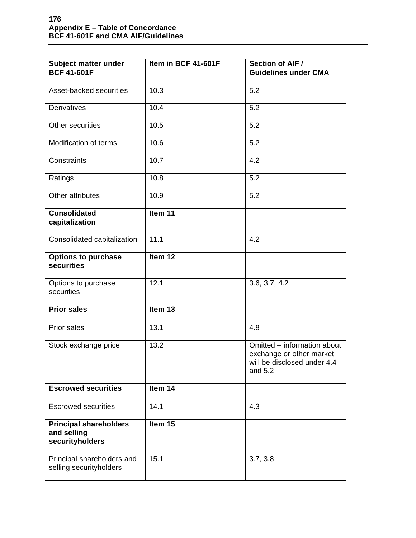| Subject matter under<br><b>BCF 41-601F</b>                      | Item in BCF 41-601F | Section of AIF /<br><b>Guidelines under CMA</b>                                                   |
|-----------------------------------------------------------------|---------------------|---------------------------------------------------------------------------------------------------|
| Asset-backed securities                                         | 10.3                | 5.2                                                                                               |
| Derivatives                                                     | 10.4                | 5.2                                                                                               |
| Other securities                                                | 10.5                | 5.2                                                                                               |
| Modification of terms                                           | 10.6                | 5.2                                                                                               |
| Constraints                                                     | 10.7                | 4.2                                                                                               |
| Ratings                                                         | 10.8                | 5.2                                                                                               |
| Other attributes                                                | 10.9                | 5.2                                                                                               |
| <b>Consolidated</b><br>capitalization                           | Item 11             |                                                                                                   |
| Consolidated capitalization                                     | 11.1                | 4.2                                                                                               |
| <b>Options to purchase</b><br><b>securities</b>                 | Item 12             |                                                                                                   |
| Options to purchase<br>securities                               | 12.1                | 3.6, 3.7, 4.2                                                                                     |
| <b>Prior sales</b>                                              | Item 13             |                                                                                                   |
| Prior sales                                                     | 13.1                | 4.8                                                                                               |
| Stock exchange price                                            | 13.2                | Omitted - information about<br>exchange or other market<br>will be disclosed under 4.4<br>and 5.2 |
| <b>Escrowed securities</b>                                      | Item 14             |                                                                                                   |
| <b>Escrowed securities</b>                                      | 14.1                | 4.3                                                                                               |
| <b>Principal shareholders</b><br>and selling<br>securityholders | Item 15             |                                                                                                   |
| Principal shareholders and<br>selling securityholders           | 15.1                | 3.7, 3.8                                                                                          |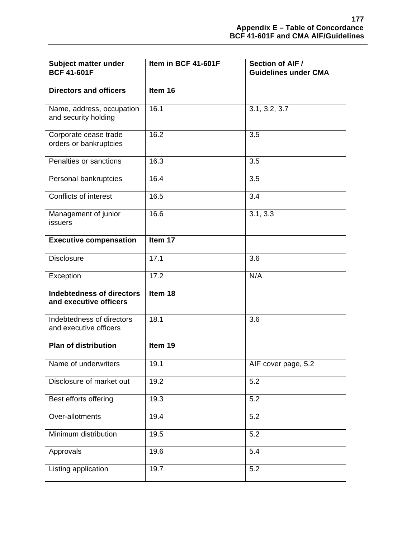| Subject matter under<br><b>BCF 41-601F</b>                 | Item in BCF 41-601F | Section of AIF /<br><b>Guidelines under CMA</b> |
|------------------------------------------------------------|---------------------|-------------------------------------------------|
| <b>Directors and officers</b>                              | Item 16             |                                                 |
| Name, address, occupation<br>and security holding          | 16.1                | 3.1, 3.2, 3.7                                   |
| Corporate cease trade<br>orders or bankruptcies            | 16.2                | 3.5                                             |
| Penalties or sanctions                                     | 16.3                | 3.5                                             |
| Personal bankruptcies                                      | 16.4                | 3.5                                             |
| Conflicts of interest                                      | 16.5                | 3.4                                             |
| Management of junior<br><b>issuers</b>                     | 16.6                | 3.1, 3.3                                        |
| <b>Executive compensation</b>                              | Item 17             |                                                 |
| <b>Disclosure</b>                                          | 17.1                | 3.6                                             |
| Exception                                                  | 17.2                | N/A                                             |
| <b>Indebtedness of directors</b><br>and executive officers | Item 18             |                                                 |
| Indebtedness of directors<br>and executive officers        | 18.1                | 3.6                                             |
| <b>Plan of distribution</b>                                | Item 19             |                                                 |
| Name of underwriters                                       | 19.1                | AIF cover page, 5.2                             |
| Disclosure of market out                                   | 19.2                | 5.2                                             |
| Best efforts offering                                      | 19.3                | 5.2                                             |
| Over-allotments                                            | 19.4                | 5.2                                             |
| Minimum distribution                                       | 19.5                | 5.2                                             |
| Approvals                                                  | 19.6                | 5.4                                             |
| Listing application                                        | 19.7                | 5.2                                             |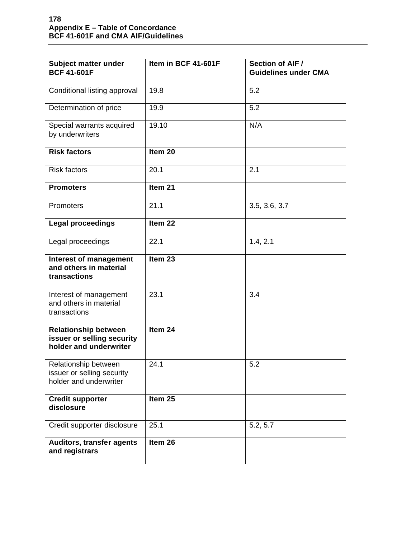| Subject matter under<br><b>BCF 41-601F</b>                                          | Item in BCF 41-601F | Section of AIF /<br><b>Guidelines under CMA</b> |
|-------------------------------------------------------------------------------------|---------------------|-------------------------------------------------|
| Conditional listing approval                                                        | 19.8                | 5.2                                             |
| Determination of price                                                              | 19.9                | 5.2                                             |
| Special warrants acquired<br>by underwriters                                        | 19.10               | N/A                                             |
| <b>Risk factors</b>                                                                 | Item 20             |                                                 |
| <b>Risk factors</b>                                                                 | 20.1                | 2.1                                             |
| <b>Promoters</b>                                                                    | Item <sub>21</sub>  |                                                 |
| Promoters                                                                           | 21.1                | 3.5, 3.6, 3.7                                   |
| <b>Legal proceedings</b>                                                            | Item <sub>22</sub>  |                                                 |
| Legal proceedings                                                                   | 22.1                | 1.4, 2.1                                        |
| <b>Interest of management</b><br>and others in material<br>transactions             | Item <sub>23</sub>  |                                                 |
| Interest of management<br>and others in material<br>transactions                    | 23.1                | 3.4                                             |
| <b>Relationship between</b><br>issuer or selling security<br>holder and underwriter | Item 24             |                                                 |
| Relationship between<br>issuer or selling security<br>holder and underwriter        | 24.1                | 5.2                                             |
| <b>Credit supporter</b><br>disclosure                                               | Item 25             |                                                 |
| Credit supporter disclosure                                                         | 25.1                | 5.2, 5.7                                        |
| Auditors, transfer agents<br>and registrars                                         | Item 26             |                                                 |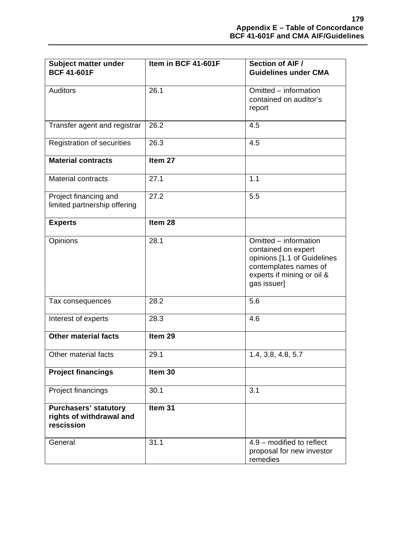| Subject matter under<br><b>BCF 41-601F</b>                             | Item in BCF 41-601F | Section of AIF /<br><b>Guidelines under CMA</b>                                                                                                   |
|------------------------------------------------------------------------|---------------------|---------------------------------------------------------------------------------------------------------------------------------------------------|
| <b>Auditors</b>                                                        | 26.1                | Omitted - information<br>contained on auditor's<br>report                                                                                         |
| Transfer agent and registrar                                           | 26.2                | 4.5                                                                                                                                               |
| Registration of securities                                             | 26.3                | 4.5                                                                                                                                               |
| <b>Material contracts</b>                                              | Item 27             |                                                                                                                                                   |
| <b>Material contracts</b>                                              | 27.1                | 1.1                                                                                                                                               |
| Project financing and<br>limited partnership offering                  | 27.2                | 5.5                                                                                                                                               |
| <b>Experts</b>                                                         | Item 28             |                                                                                                                                                   |
| Opinions                                                               | 28.1                | Omitted - information<br>contained on expert<br>opinions [1.1 of Guidelines<br>contemplates names of<br>experts if mining or oil &<br>gas issuer] |
| Tax consequences                                                       | 28.2                | 5.6                                                                                                                                               |
| Interest of experts                                                    | 28.3                | 4.6                                                                                                                                               |
| <b>Other material facts</b>                                            | Item 29             |                                                                                                                                                   |
| Other material facts                                                   | 29.1                | 1.4, 3.8, 4.8, 5.7                                                                                                                                |
| <b>Project financings</b>                                              | Item 30             |                                                                                                                                                   |
| Project financings                                                     | 30.1                | 3.1                                                                                                                                               |
| <b>Purchasers' statutory</b><br>rights of withdrawal and<br>rescission | Item 31             |                                                                                                                                                   |
| General                                                                | 31.1                | $4.9$ – modified to reflect<br>proposal for new investor<br>remedies                                                                              |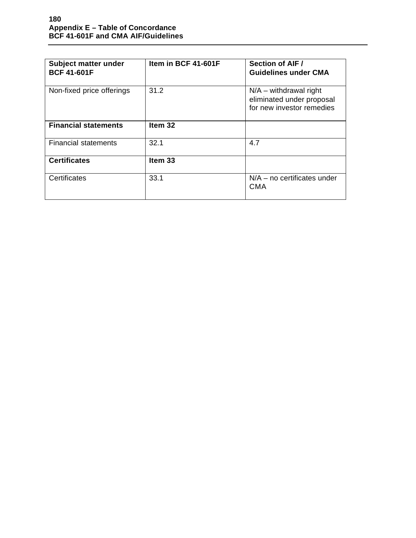| Subject matter under<br><b>BCF 41-601F</b> | Item in BCF 41-601F | Section of AIF /<br><b>Guidelines under CMA</b>                                      |
|--------------------------------------------|---------------------|--------------------------------------------------------------------------------------|
| Non-fixed price offerings                  | 31.2                | $N/A - with drawnal$ right<br>eliminated under proposal<br>for new investor remedies |
| <b>Financial statements</b>                | Item 32             |                                                                                      |
| <b>Financial statements</b>                | 32.1                | 4.7                                                                                  |
| <b>Certificates</b>                        | Item 33             |                                                                                      |
| Certificates                               | 33.1                | $N/A$ – no certificates under<br><b>CMA</b>                                          |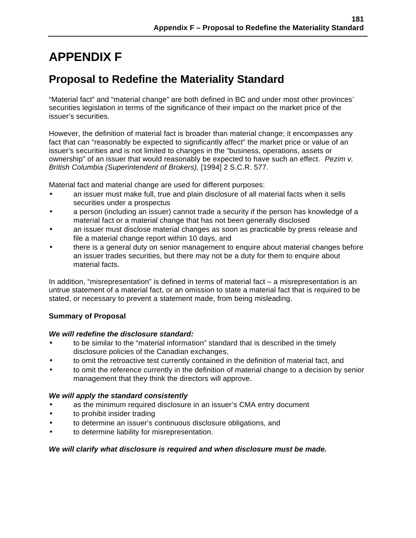# **APPENDIX F**

### **Proposal to Redefine the Materiality Standard**

"Material fact" and "material change" are both defined in BC and under most other provinces' securities legislation in terms of the significance of their impact on the market price of the issuer's securities.

However, the definition of material fact is broader than material change; it encompasses any fact that can "reasonably be expected to significantly affect" the market price or value of an issuer's securities and is not limited to changes in the "business, operations, assets or ownership" of an issuer that would reasonably be expected to have such an effect. *Pezim v. British Columbia (Superintendent of Brokers),* [1994] 2 S.C.R. 577.

Material fact and material change are used for different purposes:

- an issuer must make full, true and plain disclosure of all material facts when it sells securities under a prospectus
- a person (including an issuer) cannot trade a security if the person has knowledge of a material fact or a material change that has not been generally disclosed
- an issuer must disclose material changes as soon as practicable by press release and file a material change report within 10 days, and
- there is a general duty on senior management to enquire about material changes before an issuer trades securities, but there may not be a duty for them to enquire about material facts.

In addition, "misrepresentation" is defined in terms of material fact – a misrepresentation is an untrue statement of a material fact, or an omission to state a material fact that is required to be stated, or necessary to prevent a statement made, from being misleading.

#### **Summary of Proposal**

#### *We will redefine the disclosure standard:*

- to be similar to the "material information" standard that is described in the timely disclosure policies of the Canadian exchanges,
- to omit the retroactive test currently contained in the definition of material fact, and
- to omit the reference currently in the definition of material change to a decision by senior management that they think the directors will approve.

#### *We will apply the standard consistently*

- as the minimum required disclosure in an issuer's CMA entry document
- to prohibit insider trading
- to determine an issuer's continuous disclosure obligations, and
- to determine liability for misrepresentation.

#### *We will clarify what disclosure is required and when disclosure must be made.*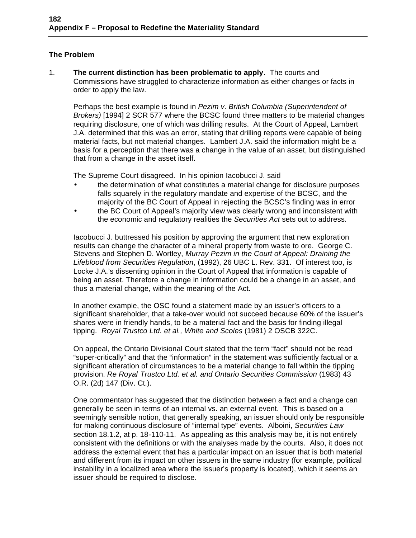#### **The Problem**

1. **The current distinction has been problematic to apply**.The courts and Commissions have struggled to characterize information as either changes or facts in order to apply the law.

Perhaps the best example is found in *Pezim v. British Columbia (Superintendent of Brokers)* [1994] 2 SCR 577 where the BCSC found three matters to be material changes requiring disclosure, one of which was drilling results. At the Court of Appeal, Lambert J.A. determined that this was an error, stating that drilling reports were capable of being material facts, but not material changes. Lambert J.A. said the information might be a basis for a perception that there was a change in the value of an asset, but distinguished that from a change in the asset itself.

The Supreme Court disagreed. In his opinion Iacobucci J. said

- the determination of what constitutes a material change for disclosure purposes falls squarely in the regulatory mandate and expertise of the BCSC, and the majority of the BC Court of Appeal in rejecting the BCSC's finding was in error
- the BC Court of Appeal's majority view was clearly wrong and inconsistent with the economic and regulatory realities the *Securities Act* sets out to address.

Iacobucci J. buttressed his position by approving the argument that new exploration results can change the character of a mineral property from waste to ore. George C. Stevens and Stephen D. Wortley, *Murray Pezim in the Court of Appeal: Draining the Lifeblood from Securities Regulation*, (1992), 26 UBC L. Rev. 331. Of interest too, is Locke J.A.'s dissenting opinion in the Court of Appeal that information is capable of being an asset. Therefore a change in information could be a change in an asset, and thus a material change, within the meaning of the Act.

In another example, the OSC found a statement made by an issuer's officers to a significant shareholder, that a take-over would not succeed because 60% of the issuer's shares were in friendly hands, to be a material fact and the basis for finding illegal tipping. *Royal Trustco Ltd. et al., White and Scoles* (1981) 2 OSCB 322C.

On appeal, the Ontario Divisional Court stated that the term "fact" should not be read "super-critically" and that the "information" in the statement was sufficiently factual or a significant alteration of circumstances to be a material change to fall within the tipping provision. *Re Royal Trustco Ltd. et al. and Ontario Securities Commission* (1983) 43 O.R. (2d) 147 (Div. Ct.).

One commentator has suggested that the distinction between a fact and a change can generally be seen in terms of an internal vs. an external event. This is based on a seemingly sensible notion, that generally speaking, an issuer should only be responsible for making continuous disclosure of "internal type" events. Alboini, *Securities Law*  section 18.1.2, at p. 18-110-11. As appealing as this analysis may be, it is not entirely consistent with the definitions or with the analyses made by the courts. Also, it does not address the external event that has a particular impact on an issuer that is both material and different from its impact on other issuers in the same industry (for example, political instability in a localized area where the issuer's property is located), which it seems an issuer should be required to disclose.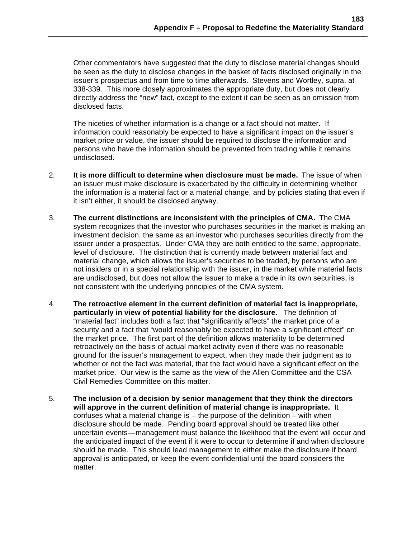Other commentators have suggested that the duty to disclose material changes should be seen as the duty to disclose changes in the basket of facts disclosed originally in the issuer's prospectus and from time to time afterwards. Stevens and Wortley, supra. at 338-339. This more closely approximates the appropriate duty, but does not clearly directly address the "new" fact, except to the extent it can be seen as an omission from disclosed facts.

The niceties of whether information is a change or a fact should not matter. If information could reasonably be expected to have a significant impact on the issuer's market price or value, the issuer should be required to disclose the information and persons who have the information should be prevented from trading while it remains undisclosed.

- 2. **It is more difficult to determine when disclosure must be made.** The issue of when an issuer must make disclosure is exacerbated by the difficulty in determining whether the information is a material fact or a material change, and by policies stating that even if it isn't either, it should be disclosed anyway.
- 3. **The current distinctions are inconsistent with the principles of CMA.** The CMA system recognizes that the investor who purchases securities in the market is making an investment decision, the same as an investor who purchases securities directly from the issuer under a prospectus. Under CMA they are both entitled to the same, appropriate, level of disclosure. The distinction that is currently made between material fact and material change, which allows the issuer's securities to be traded, by persons who are not insiders or in a special relationship with the issuer, in the market while material facts are undisclosed, but does not allow the issuer to make a trade in its own securities, is not consistent with the underlying principles of the CMA system.
- 4. **The retroactive element in the current definition of material fact is inappropriate, particularly in view of potential liability for the disclosure.** The definition of "material fact" includes both a fact that "significantly affects" the market price of a security and a fact that "would reasonably be expected to have a significant effect" on the market price. The first part of the definition allows materiality to be determined retroactively on the basis of actual market activity even if there was no reasonable ground for the issuer's management to expect, when they made their judgment as to whether or not the fact was material, that the fact would have a significant effect on the market price. Our view is the same as the view of the Allen Committee and the CSA Civil Remedies Committee on this matter.
- 5. **The inclusion of a decision by senior management that they think the directors will approve in the current definition of material change is inappropriate.** It confuses what a material change is  $-$  the purpose of the definition  $-$  with when disclosure should be made. Pending board approval should be treated like other uncertain events—management must balance the likelihood that the event will occur and the anticipated impact of the event if it were to occur to determine if and when disclosure should be made. This should lead management to either make the disclosure if board approval is anticipated, or keep the event confidential until the board considers the matter.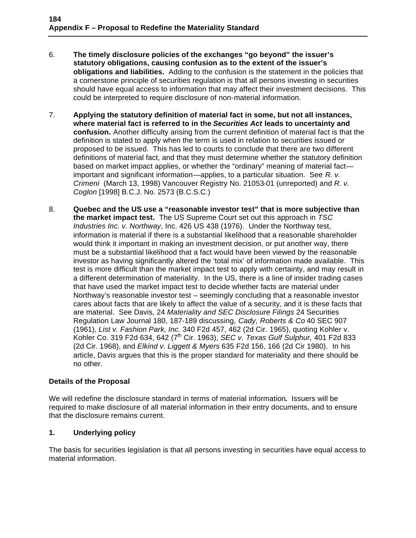- 6. **The timely disclosure policies of the exchanges "go beyond" the issuer's statutory obligations, causing confusion as to the extent of the issuer's obligations and liabilities.** Adding to the confusion is the statement in the policies that a cornerstone principle of securities regulation is that all persons investing in securities should have equal access to information that may affect their investment decisions. This could be interpreted to require disclosure of non-material information.
- 7. **Applying the statutory definition of material fact in some, but not all instances, where material fact is referred to in the** *Securities Act* **leads to uncertainty and confusion.** Another difficulty arising from the current definition of material fact is that the definition is stated to apply when the term is used in relation to securities issued or proposed to be issued. This has led to courts to conclude that there are two different definitions of material fact, and that they must determine whether the statutory definition based on market impact applies, or whether the "ordinary" meaning of material fact important and significant information—applies, to a particular situation. See *R. v. Crimeni* (March 13, 1998) Vancouver Registry No. 21053-01 (unreported) and *R. v. Coglon* [1998] B.C.J. No. 2573 (B.C.S.C.)
- 8. **Quebec and the US use a "reasonable investor test" that is more subjective than the market impact test.** The US Supreme Court set out this approach in *TSC Industries Inc. v. Northway*, Inc. 426 US 438 (1976). Under the Northway test, information is material if there is a substantial likelihood that a reasonable shareholder would think it important in making an investment decision, or put another way, there must be a substantial likelihood that a fact would have been viewed by the reasonable investor as having significantly altered the 'total mix' of information made available. This test is more difficult than the market impact test to apply with certainty, and may result in a different determination of materiality. In the US, there is a line of insider trading cases that have used the market impact test to decide whether facts are material under Northway's reasonable investor test – seemingly concluding that a reasonable investor cares about facts that are likely to affect the value of a security, and it is these facts that are material. See Davis, 24 *Materiality and SEC Disclosure Filings* 24 Securities Regulation Law Journal 180, 187-189 discussing, *Cady, Roberts & Co* 40 SEC 907 (1961), *List v. Fashion Park, Inc.* 340 F2d 457, 462 (2d Cir. 1965), quoting Kohler v. Kohler Co. 319 F2d 634, 642 (7<sup>th</sup> Cir. 1963), *SEC v. Texas Gulf Sulphur,* 401 F2d 833 (2d Cir. 1968), and *Elkind v. Liggett & Myers* 635 F2d 156, 166 (2d Cir 1980). In his article, Davis argues that this is the proper standard for materiality and there should be no other.

#### **Details of the Proposal**

We will redefine the disclosure standard in terms of material information**.** Issuers will be required to make disclosure of all material information in their entry documents, and to ensure that the disclosure remains current.

#### **1. Underlying policy**

The basis for securities legislation is that all persons investing in securities have equal access to material information.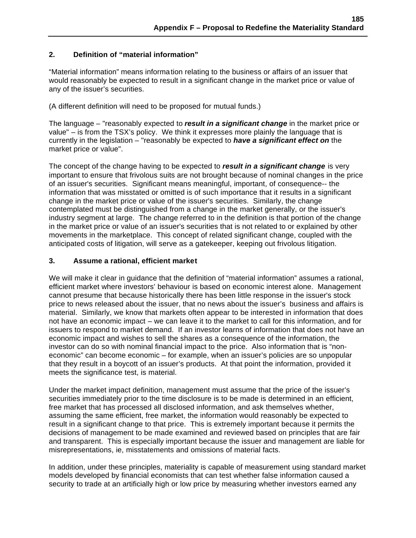#### **2. Definition of "material information"**

"Material information" means information relating to the business or affairs of an issuer that would reasonably be expected to result in a significant change in the market price or value of any of the issuer's securities.

(A different definition will need to be proposed for mutual funds.)

The language – "reasonably expected to *result in a significant change* in the market price or value" – is from the TSX's policy. We think it expresses more plainly the language that is currently in the legislation – "reasonably be expected to *have a significant effect on* the market price or value".

The concept of the change having to be expected to *result in a significant change* is very important to ensure that frivolous suits are not brought because of nominal changes in the price of an issuer's securities. Significant means meaningful, important, of consequence-- the information that was misstated or omitted is of such importance that it results in a significant change in the market price or value of the issuer's securities. Similarly, the change contemplated must be distinguished from a change in the market generally, or the issuer's industry segment at large. The change referred to in the definition is that portion of the change in the market price or value of an issuer's securities that is not related to or explained by other movements in the marketplace. This concept of related significant change, coupled with the anticipated costs of litigation, will serve as a gatekeeper, keeping out frivolous litigation.

#### **3. Assume a rational, efficient market**

We will make it clear in guidance that the definition of "material information" assumes a rational, efficient market where investors' behaviour is based on economic interest alone. Management cannot presume that because historically there has been little response in the issuer's stock price to news released about the issuer, that no news about the issuer's business and affairs is material. Similarly, we know that markets often appear to be interested in information that does not have an economic impact – we can leave it to the market to call for this information, and for issuers to respond to market demand. If an investor learns of information that does not have an economic impact and wishes to sell the shares as a consequence of the information, the investor can do so with nominal financial impact to the price. Also information that is "noneconomic" can become economic – for example, when an issuer's policies are so unpopular that they result in a boycott of an issuer's products. At that point the information, provided it meets the significance test, is material.

Under the market impact definition, management must assume that the price of the issuer's securities immediately prior to the time disclosure is to be made is determined in an efficient, free market that has processed all disclosed information, and ask themselves whether, assuming the same efficient, free market, the information would reasonably be expected to result in a significant change to that price. This is extremely important because it permits the decisions of management to be made examined and reviewed based on principles that are fair and transparent. This is especially important because the issuer and management are liable for misrepresentations, ie, misstatements and omissions of material facts.

In addition, under these principles, materiality is capable of measurement using standard market models developed by financial economists that can test whether false information caused a security to trade at an artificially high or low price by measuring whether investors earned any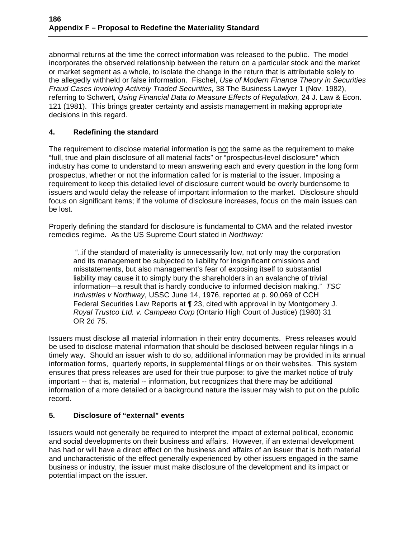abnormal returns at the time the correct information was released to the public. The model incorporates the observed relationship between the return on a particular stock and the market or market segment as a whole, to isolate the change in the return that is attributable solely to the allegedly withheld or false information. Fischel, *Use of Modern Finance Theory in Securities Fraud Cases Involving Actively Traded Securities,* 38 The Business Lawyer 1 (Nov. 1982), referring to Schwert, *Using Financial Data to Measure Effects of Regulation,* 24 J. Law & Econ. 121 (1981). This brings greater certainty and assists management in making appropriate decisions in this regard.

#### **4. Redefining the standard**

The requirement to disclose material information is not the same as the requirement to make "full, true and plain disclosure of all material facts" or "prospectus-level disclosure" which industry has come to understand to mean answering each and every question in the long form prospectus, whether or not the information called for is material to the issuer. Imposing a requirement to keep this detailed level of disclosure current would be overly burdensome to issuers and would delay the release of important information to the market. Disclosure should focus on significant items; if the volume of disclosure increases, focus on the main issues can be lost.

Properly defining the standard for disclosure is fundamental to CMA and the related investor remedies regime. As the US Supreme Court stated in *Northway:*

"..if the standard of materiality is unnecessarily low, not only may the corporation and its management be subjected to liability for insignificant omissions and misstatements, but also management's fear of exposing itself to substantial liability may cause it to simply bury the shareholders in an avalanche of trivial information—a result that is hardly conducive to informed decision making." *TSC Industries v Northway*, USSC June 14, 1976, reported at p. 90,069 of CCH Federal Securities Law Reports at ¶ 23, cited with approval in by Montgomery J. *Royal Trustco Ltd. v. Campeau Corp* (Ontario High Court of Justice) (1980) 31 OR 2d 75.

Issuers must disclose all material information in their entry documents. Press releases would be used to disclose material information that should be disclosed between regular filings in a timely way. Should an issuer wish to do so, additional information may be provided in its annual information forms, quarterly reports, in supplemental filings or on their websites. This system ensures that press releases are used for their true purpose: to give the market notice of truly important -- that is, material -- information, but recognizes that there may be additional information of a more detailed or a background nature the issuer may wish to put on the public record.

#### **5. Disclosure of "external" events**

Issuers would not generally be required to interpret the impact of external political, economic and social developments on their business and affairs. However, if an external development has had or will have a direct effect on the business and affairs of an issuer that is both material and uncharacteristic of the effect generally experienced by other issuers engaged in the same business or industry, the issuer must make disclosure of the development and its impact or potential impact on the issuer.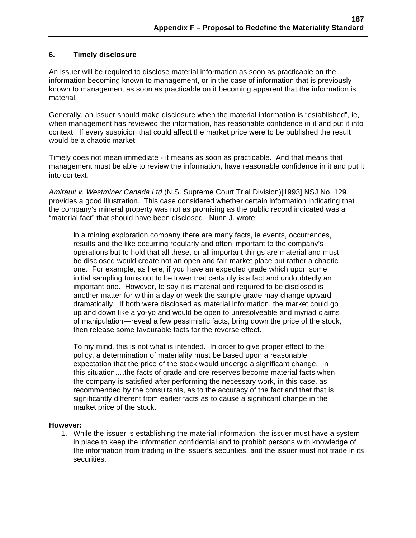#### **6. Timely disclosure**

An issuer will be required to disclose material information as soon as practicable on the information becoming known to management, or in the case of information that is previously known to management as soon as practicable on it becoming apparent that the information is material.

Generally, an issuer should make disclosure when the material information is "established", ie, when management has reviewed the information, has reasonable confidence in it and put it into context. If every suspicion that could affect the market price were to be published the result would be a chaotic market.

Timely does not mean immediate - it means as soon as practicable. And that means that management must be able to review the information, have reasonable confidence in it and put it into context.

*Amirault v. Westminer Canada Ltd* (N.S. Supreme Court Trial Division)[1993] NSJ No. 129 provides a good illustration. This case considered whether certain information indicating that the company's mineral property was not as promising as the public record indicated was a "material fact" that should have been disclosed. Nunn J. wrote:

In a mining exploration company there are many facts, ie events, occurrences, results and the like occurring regularly and often important to the company's operations but to hold that all these, or all important things are material and must be disclosed would create not an open and fair market place but rather a chaotic one. For example, as here, if you have an expected grade which upon some initial sampling turns out to be lower that certainly is a fact and undoubtedly an important one. However, to say it is material and required to be disclosed is another matter for within a day or week the sample grade may change upward dramatically. If both were disclosed as material information, the market could go up and down like a yo-yo and would be open to unresolveable and myriad claims of manipulation—reveal a few pessimistic facts, bring down the price of the stock, then release some favourable facts for the reverse effect.

To my mind, this is not what is intended. In order to give proper effect to the policy, a determination of materiality must be based upon a reasonable expectation that the price of the stock would undergo a significant change. In this situation….the facts of grade and ore reserves become material facts when the company is satisfied after performing the necessary work, in this case, as recommended by the consultants, as to the accuracy of the fact and that that is significantly different from earlier facts as to cause a significant change in the market price of the stock.

#### **However:**

1. While the issuer is establishing the material information, the issuer must have a system in place to keep the information confidential and to prohibit persons with knowledge of the information from trading in the issuer's securities, and the issuer must not trade in its securities.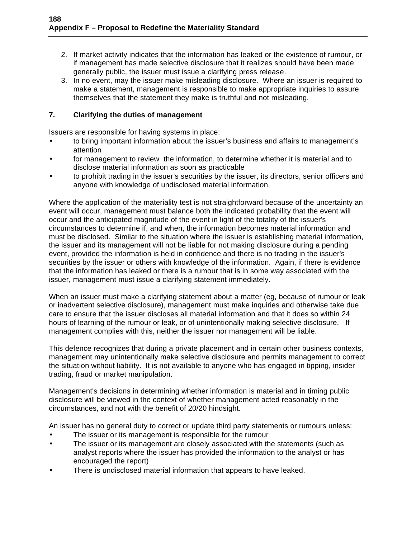- 2. If market activity indicates that the information has leaked or the existence of rumour, or if management has made selective disclosure that it realizes should have been made generally public, the issuer must issue a clarifying press release.
- 3. In no event, may the issuer make misleading disclosure. Where an issuer is required to make a statement, management is responsible to make appropriate inquiries to assure themselves that the statement they make is truthful and not misleading.

#### **7. Clarifying the duties of management**

Issuers are responsible for having systems in place:

- to bring important information about the issuer's business and affairs to management's attention
- for management to review the information, to determine whether it is material and to disclose material information as soon as practicable
- to prohibit trading in the issuer's securities by the issuer, its directors, senior officers and anyone with knowledge of undisclosed material information.

Where the application of the materiality test is not straightforward because of the uncertainty an event will occur, management must balance both the indicated probability that the event will occur and the anticipated magnitude of the event in light of the totality of the issuer's circumstances to determine if, and when, the information becomes material information and must be disclosed. Similar to the situation where the issuer is establishing material information, the issuer and its management will not be liable for not making disclosure during a pending event, provided the information is held in confidence and there is no trading in the issuer's securities by the issuer or others with knowledge of the information. Again, if there is evidence that the information has leaked or there is a rumour that is in some way associated with the issuer, management must issue a clarifying statement immediately.

When an issuer must make a clarifying statement about a matter (eg, because of rumour or leak or inadvertent selective disclosure), management must make inquiries and otherwise take due care to ensure that the issuer discloses all material information and that it does so within 24 hours of learning of the rumour or leak, or of unintentionally making selective disclosure. If management complies with this, neither the issuer nor management will be liable.

This defence recognizes that during a private placement and in certain other business contexts, management may unintentionally make selective disclosure and permits management to correct the situation without liability. It is not available to anyone who has engaged in tipping, insider trading, fraud or market manipulation.

Management's decisions in determining whether information is material and in timing public disclosure will be viewed in the context of whether management acted reasonably in the circumstances, and not with the benefit of 20/20 hindsight.

An issuer has no general duty to correct or update third party statements or rumours unless:

- The issuer or its management is responsible for the rumour
- The issuer or its management are closely associated with the statements (such as analyst reports where the issuer has provided the information to the analyst or has encouraged the report)
- There is undisclosed material information that appears to have leaked.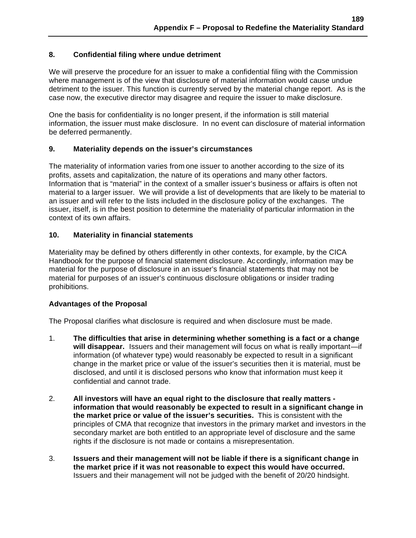#### **8. Confidential filing where undue detriment**

We will preserve the procedure for an issuer to make a confidential filing with the Commission where management is of the view that disclosure of material information would cause undue detriment to the issuer. This function is currently served by the material change report. As is the case now, the executive director may disagree and require the issuer to make disclosure.

One the basis for confidentiality is no longer present, if the information is still material information, the issuer must make disclosure. In no event can disclosure of material information be deferred permanently.

#### **9. Materiality depends on the issuer's circumstances**

The materiality of information varies from one issuer to another according to the size of its profits, assets and capitalization, the nature of its operations and many other factors. Information that is "material" in the context of a smaller issuer's business or affairs is often not material to a larger issuer. We will provide a list of developments that are likely to be material to an issuer and will refer to the lists included in the disclosure policy of the exchanges. The issuer, itself, is in the best position to determine the materiality of particular information in the context of its own affairs.

#### **10. Materiality in financial statements**

Materiality may be defined by others differently in other contexts, for example, by the CICA Handbook for the purpose of financial statement disclosure. Accordingly, information may be material for the purpose of disclosure in an issuer's financial statements that may not be material for purposes of an issuer's continuous disclosure obligations or insider trading prohibitions.

#### **Advantages of the Proposal**

The Proposal clarifies what disclosure is required and when disclosure must be made.

- 1. **The difficulties that arise in determining whether something is a fact or a change will disappear.** Issuers and their management will focus on what is really important—if information (of whatever type) would reasonably be expected to result in a significant change in the market price or value of the issuer's securities then it is material, must be disclosed, and until it is disclosed persons who know that information must keep it confidential and cannot trade.
- 2. **All investors will have an equal right to the disclosure that really matters information that would reasonably be expected to result in a significant change in the market price or value of the issuer's securities.** This is consistent with the principles of CMA that recognize that investors in the primary market and investors in the secondary market are both entitled to an appropriate level of disclosure and the same rights if the disclosure is not made or contains a misrepresentation.
- 3. **Issuers and their management will not be liable if there is a significant change in the market price if it was not reasonable to expect this would have occurred.**  Issuers and their management will not be judged with the benefit of 20/20 hindsight.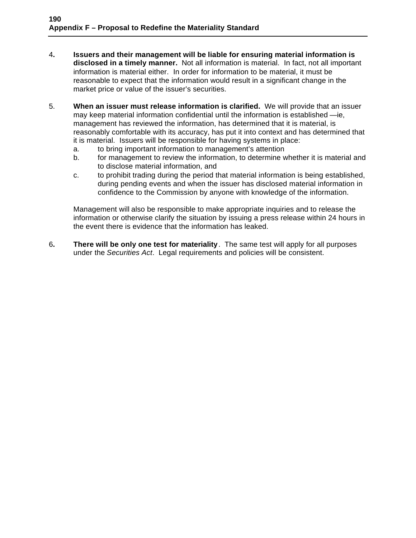- 4**. Issuers and their management will be liable for ensuring material information is disclosed in a timely manner.** Not all information is material. In fact, not all important information is material either. In order for information to be material, it must be reasonable to expect that the information would result in a significant change in the market price or value of the issuer's securities.
- 5. **When an issuer must release information is clarified.** We will provide that an issuer may keep material information confidential until the information is established —ie, management has reviewed the information, has determined that it is material, is reasonably comfortable with its accuracy, has put it into context and has determined that it is material. Issuers will be responsible for having systems in place:
	- a. to bring important information to management's attention
	- b. for management to review the information, to determine whether it is material and to disclose material information, and
	- c. to prohibit trading during the period that material information is being established, during pending events and when the issuer has disclosed material information in confidence to the Commission by anyone with knowledge of the information.

Management will also be responsible to make appropriate inquiries and to release the information or otherwise clarify the situation by issuing a press release within 24 hours in the event there is evidence that the information has leaked.

6**. There will be only one test for materiality**. The same test will apply for all purposes under the *Securities Act*. Legal requirements and policies will be consistent.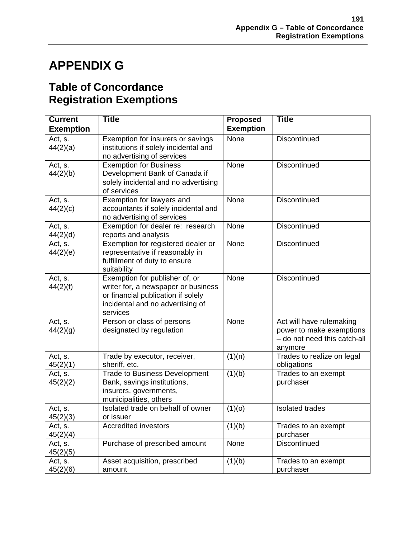# **APPENDIX G**

### **Table of Concordance Registration Exemptions**

| <b>Current</b><br><b>Exemption</b> | <b>Title</b>                                                                                                                                                | <b>Proposed</b><br><b>Exemption</b> | <b>Title</b>                                                                                    |
|------------------------------------|-------------------------------------------------------------------------------------------------------------------------------------------------------------|-------------------------------------|-------------------------------------------------------------------------------------------------|
| Act, s.<br>44(2)(a)                | Exemption for insurers or savings<br>institutions if solely incidental and<br>no advertising of services                                                    | None                                | Discontinued                                                                                    |
| Act, s.<br>44(2)(b)                | <b>Exemption for Business</b><br>Development Bank of Canada if<br>solely incidental and no advertising<br>of services                                       | <b>None</b>                         | Discontinued                                                                                    |
| Act, s.<br>44(2)(c)                | Exemption for lawyers and<br>accountants if solely incidental and<br>no advertising of services                                                             | None                                | Discontinued                                                                                    |
| Act, s.<br>44(2)(d)                | Exemption for dealer re: research<br>reports and analysis                                                                                                   | None                                | Discontinued                                                                                    |
| Act, s.<br>44(2)(e)                | Exemption for registered dealer or<br>representative if reasonably in<br>fulfillment of duty to ensure<br>suitability                                       | None                                | Discontinued                                                                                    |
| Act, s.<br>44(2)(f)                | Exemption for publisher of, or<br>writer for, a newspaper or business<br>or financial publication if solely<br>incidental and no advertising of<br>services | None                                | Discontinued                                                                                    |
| Act, s.<br>44(2)(g)                | Person or class of persons<br>designated by regulation                                                                                                      | None                                | Act will have rulemaking<br>power to make exemptions<br>- do not need this catch-all<br>anymore |
| Act, s.<br>45(2)(1)                | Trade by executor, receiver,<br>sheriff, etc.                                                                                                               | (1)(n)                              | Trades to realize on legal<br>obligations                                                       |
| Act, s.<br>45(2)(2)                | <b>Trade to Business Development</b><br>Bank, savings institutions,<br>insurers, governments,<br>municipalities, others                                     | (1)(b)                              | Trades to an exempt<br>purchaser                                                                |
| Act, s.<br>45(2)(3)                | Isolated trade on behalf of owner<br>or issuer                                                                                                              | (1)(0)                              | <b>Isolated trades</b>                                                                          |
| Act, s.<br>45(2)(4)                | <b>Accredited investors</b>                                                                                                                                 | (1)(b)                              | Trades to an exempt<br>purchaser                                                                |
| Act, s.<br>45(2)(5)                | Purchase of prescribed amount                                                                                                                               | None                                | Discontinued                                                                                    |
| Act, s.<br>45(2)(6)                | Asset acquisition, prescribed<br>amount                                                                                                                     | (1)(b)                              | Trades to an exempt<br>purchaser                                                                |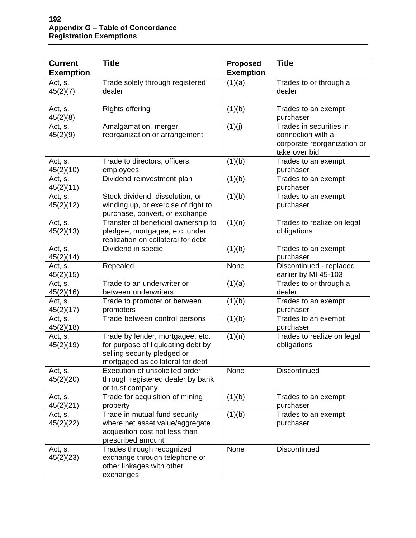| <b>Current</b>   | <b>Title</b>                                                     | <b>Proposed</b>  | <b>Title</b>                     |
|------------------|------------------------------------------------------------------|------------------|----------------------------------|
| <b>Exemption</b> |                                                                  | <b>Exemption</b> |                                  |
|                  |                                                                  |                  |                                  |
| Act, s.          | Trade solely through registered                                  | (1)(a)           | Trades to or through a           |
| 45(2)(7)         | dealer                                                           |                  | dealer                           |
|                  |                                                                  |                  |                                  |
| Act, s.          | <b>Rights offering</b>                                           | (1)(b)           | Trades to an exempt              |
| 45(2)(8)         |                                                                  |                  | purchaser                        |
| Act, s.          | Amalgamation, merger,                                            | (1)(j)           | Trades in securities in          |
| 45(2)(9)         | reorganization or arrangement                                    |                  | connection with a                |
|                  |                                                                  |                  | corporate reorganization or      |
|                  |                                                                  |                  | take over bid                    |
| Act, s.          | Trade to directors, officers,                                    | (1)(b)           | Trades to an exempt              |
| 45(2)(10)        | employees                                                        |                  | purchaser                        |
| Act, s.          | Dividend reinvestment plan                                       | (1)(b)           | Trades to an exempt              |
| 45(2)(11)        |                                                                  |                  | purchaser                        |
| Act, s.          | Stock dividend, dissolution, or                                  | (1)(b)           | Trades to an exempt              |
| 45(2)(12)        | winding up, or exercise of right to                              |                  | purchaser                        |
|                  | purchase, convert, or exchange                                   |                  |                                  |
| Act, s.          | Transfer of beneficial ownership to                              | (1)(n)           | Trades to realize on legal       |
| 45(2)(13)        | pledgee, mortgagee, etc. under                                   |                  | obligations                      |
|                  | realization on collateral for debt                               |                  |                                  |
| Act, s.          | Dividend in specie                                               | (1)(b)           | Trades to an exempt              |
| 45(2)(14)        |                                                                  |                  | purchaser                        |
| Act, s.          | Repealed                                                         | None             | Discontinued - replaced          |
| 45(2)(15)        |                                                                  |                  | earlier by MI 45-103             |
| Act, s.          | Trade to an underwriter or                                       | (1)(a)           | Trades to or through a           |
| 45(2)(16)        | between underwriters                                             |                  | dealer                           |
| Act, s.          | Trade to promoter or between                                     | (1)(b)           | Trades to an exempt              |
| 45(2)(17)        | promoters                                                        |                  | purchaser                        |
| Act, s.          | Trade between control persons                                    | (1)(b)           | Trades to an exempt              |
| 45(2)(18)        |                                                                  |                  | purchaser                        |
| Act, s.          | Trade by lender, mortgagee, etc.                                 | (1)(n)           | Trades to realize on legal       |
| 45(2)(19)        | for purpose of liquidating debt by                               |                  | obligations                      |
|                  | selling security pledged or                                      |                  |                                  |
|                  | mortgaged as collateral for debt                                 |                  |                                  |
| Act, s.          | Execution of unsolicited order                                   | None             | Discontinued                     |
| 45(2)(20)        | through registered dealer by bank                                |                  |                                  |
|                  | or trust company                                                 |                  |                                  |
| Act, s.          | Trade for acquisition of mining                                  | (1)(b)           | Trades to an exempt              |
| 45(2)(21)        | property                                                         |                  | purchaser                        |
| Act, s.          | Trade in mutual fund security<br>where net asset value/aggregate | (1)(b)           | Trades to an exempt<br>purchaser |
| 45(2)(22)        |                                                                  |                  |                                  |
|                  | acquisition cost not less than<br>prescribed amount              |                  |                                  |
|                  |                                                                  | None             | Discontinued                     |
| Act, s.          | Trades through recognized<br>exchange through telephone or       |                  |                                  |
| 45(2)(23)        |                                                                  |                  |                                  |
|                  | other linkages with other                                        |                  |                                  |
|                  | exchanges                                                        |                  |                                  |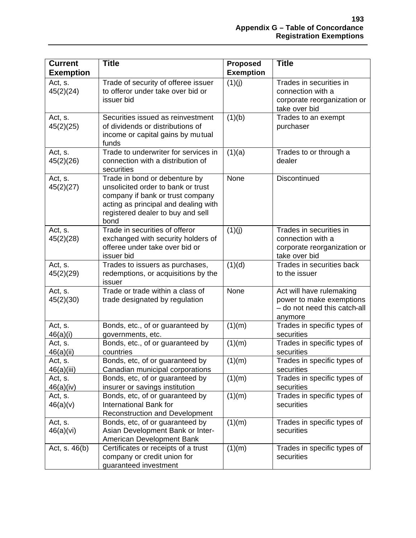| <b>Current</b>       | <b>Title</b>                                                           | <b>Proposed</b>  | <b>Title</b>                                 |
|----------------------|------------------------------------------------------------------------|------------------|----------------------------------------------|
| <b>Exemption</b>     |                                                                        | <b>Exemption</b> |                                              |
| Act, s.              | Trade of security of offeree issuer                                    | (1)(j)           | Trades in securities in                      |
| 45(2)(24)            | to offeror under take over bid or                                      |                  | connection with a                            |
|                      | issuer bid                                                             |                  | corporate reorganization or<br>take over bid |
| Act, s.              | Securities issued as reinvestment                                      | (1)(b)           | Trades to an exempt                          |
| 45(2)(25)            | of dividends or distributions of                                       |                  | purchaser                                    |
|                      | income or capital gains by mutual                                      |                  |                                              |
|                      | funds                                                                  |                  |                                              |
| Act, s.              | Trade to underwriter for services in                                   | (1)(a)           | Trades to or through a                       |
| 45(2)(26)            | connection with a distribution of                                      |                  | dealer                                       |
|                      | securities                                                             |                  |                                              |
| Act, s.              | Trade in bond or debenture by<br>unsolicited order to bank or trust    | None             | Discontinued                                 |
| 45(2)(27)            | company if bank or trust company                                       |                  |                                              |
|                      | acting as principal and dealing with                                   |                  |                                              |
|                      | registered dealer to buy and sell                                      |                  |                                              |
|                      | bond                                                                   |                  |                                              |
| Act, s.              | Trade in securities of offeror                                         | (1)(j)           | Trades in securities in                      |
| 45(2)(28)            | exchanged with security holders of                                     |                  | connection with a                            |
|                      | offeree under take over bid or                                         |                  | corporate reorganization or                  |
|                      | issuer bid                                                             |                  | take over bid<br>Trades in securities back   |
| Act, s.<br>45(2)(29) | Trades to issuers as purchases,<br>redemptions, or acquisitions by the | (1)(d)           | to the issuer                                |
|                      | issuer                                                                 |                  |                                              |
| Act, s.              | Trade or trade within a class of                                       | None             | Act will have rulemaking                     |
| 45(2)(30)            | trade designated by regulation                                         |                  | power to make exemptions                     |
|                      |                                                                        |                  | - do not need this catch-all                 |
|                      |                                                                        |                  | anymore                                      |
| Act, s.<br>46(a)(i)  | Bonds, etc., of or guaranteed by<br>governments, etc.                  | (1)(m)           | Trades in specific types of<br>securities    |
| Act, s.              | Bonds, etc., of or guaranteed by                                       | (1)(m)           | Trades in specific types of                  |
| 46(a)(ii)            | countries                                                              |                  | securities                                   |
| Act, s.              | Bonds, etc, of or guaranteed by                                        | (1)(m)           | Trades in specific types of                  |
| 46(a)(iii)           | Canadian municipal corporations                                        |                  | securities                                   |
| Act, s.              | Bonds, etc, of or guaranteed by                                        | (1)(m)           | Trades in specific types of                  |
| 46(a)(iv)            | insurer or savings institution                                         |                  | securities                                   |
| Act, s.              | Bonds, etc, of or guaranteed by                                        | (1)(m)           | Trades in specific types of                  |
| 46(a)(v)             | <b>International Bank for</b><br><b>Reconstruction and Development</b> |                  | securities                                   |
| Act, s.              | Bonds, etc, of or guaranteed by                                        | (1)(m)           | Trades in specific types of                  |
| 46(a)(vi)            | Asian Development Bank or Inter-                                       |                  | securities                                   |
|                      | American Development Bank                                              |                  |                                              |
| Act, s. 46(b)        | Certificates or receipts of a trust                                    | (1)(m)           | Trades in specific types of                  |
|                      | company or credit union for                                            |                  | securities                                   |
|                      | guaranteed investment                                                  |                  |                                              |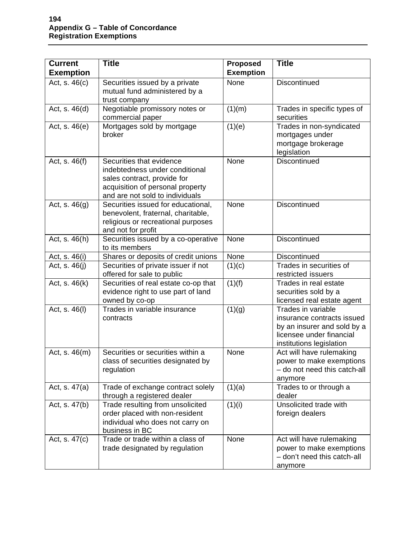| <b>Current</b><br><b>Exemption</b> | <b>Title</b>                                                                                                                                                     | Proposed<br><b>Exemption</b> | <b>Title</b>                                                                                                                            |
|------------------------------------|------------------------------------------------------------------------------------------------------------------------------------------------------------------|------------------------------|-----------------------------------------------------------------------------------------------------------------------------------------|
| Act, s. $46(c)$                    | Securities issued by a private<br>mutual fund administered by a<br>trust company                                                                                 | None                         | <b>Discontinued</b>                                                                                                                     |
| Act, s. 46(d)                      | Negotiable promissory notes or<br>commercial paper                                                                                                               | (1)(m)                       | Trades in specific types of<br>securities                                                                                               |
| Act, s. 46(e)                      | Mortgages sold by mortgage<br>broker                                                                                                                             | (1)(e)                       | Trades in non-syndicated<br>mortgages under<br>mortgage brokerage<br>legislation                                                        |
| Act, s. 46(f)                      | Securities that evidence<br>indebtedness under conditional<br>sales contract, provide for<br>acquisition of personal property<br>and are not sold to individuals | None                         | Discontinued                                                                                                                            |
| Act, s. $46(q)$                    | Securities issued for educational,<br>benevolent, fraternal, charitable,<br>religious or recreational purposes<br>and not for profit                             | None                         | Discontinued                                                                                                                            |
| Act, s. 46(h)                      | Securities issued by a co-operative<br>to its members                                                                                                            | None                         | <b>Discontinued</b>                                                                                                                     |
| Act, s. 46(i)                      | Shares or deposits of credit unions                                                                                                                              | None                         | Discontinued                                                                                                                            |
| Act, s. 46(j)                      | Securities of private issuer if not<br>offered for sale to public                                                                                                | (1)(c)                       | Trades in securities of<br>restricted issuers                                                                                           |
| Act, s. 46(k)                      | Securities of real estate co-op that<br>evidence right to use part of land<br>owned by co-op                                                                     | (1)(f)                       | Trades in real estate<br>securities sold by a<br>licensed real estate agent                                                             |
| Act, s. 46(I)                      | Trades in variable insurance<br>contracts                                                                                                                        | (1)(g)                       | Trades in variable<br>insurance contracts issued<br>by an insurer and sold by a<br>licensee under financial<br>institutions legislation |
| Act, s. $46(m)$                    | Securities or securities within a<br>class of securities designated by<br>regulation                                                                             | None                         | Act will have rulemaking<br>power to make exemptions<br>- do not need this catch-all<br>anymore                                         |
| Act, s. 47(a)                      | Trade of exchange contract solely<br>through a registered dealer                                                                                                 | (1)(a)                       | Trades to or through a<br>dealer                                                                                                        |
| Act, s. 47(b)                      | Trade resulting from unsolicited<br>order placed with non-resident<br>individual who does not carry on<br>business in BC                                         | (1)(i)                       | Unsolicited trade with<br>foreign dealers                                                                                               |
| Act, s. 47(c)                      | Trade or trade within a class of<br>trade designated by regulation                                                                                               | None                         | Act will have rulemaking<br>power to make exemptions<br>- don't need this catch-all<br>anymore                                          |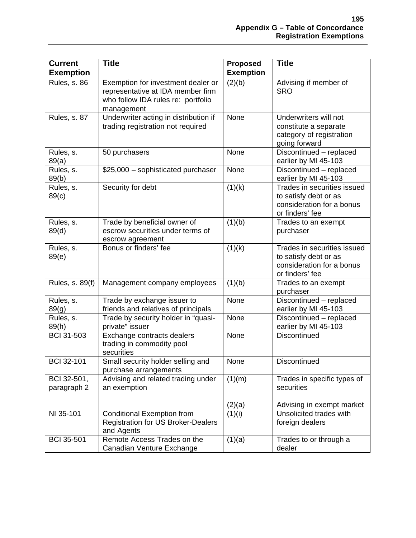| <b>Current</b><br><b>Exemption</b> | <b>Title</b>                                                                                                                | <b>Proposed</b><br><b>Exemption</b> | <b>Title</b>                                                                                         |
|------------------------------------|-----------------------------------------------------------------------------------------------------------------------------|-------------------------------------|------------------------------------------------------------------------------------------------------|
| <b>Rules, s. 86</b>                | Exemption for investment dealer or<br>representative at IDA member firm<br>who follow IDA rules re: portfolio<br>management | (2)(b)                              | Advising if member of<br><b>SRO</b>                                                                  |
| Rules, s. 87                       | Underwriter acting in distribution if<br>trading registration not required                                                  | None                                | Underwriters will not<br>constitute a separate<br>category of registration<br>going forward          |
| Rules, s.<br>89(a)                 | 50 purchasers                                                                                                               | <b>None</b>                         | Discontinued - replaced<br>earlier by MI 45-103                                                      |
| Rules, s.<br>89(b)                 | \$25,000 - sophisticated purchaser                                                                                          | None                                | Discontinued - replaced<br>earlier by MI 45-103                                                      |
| Rules, s.<br>89(c)                 | Security for debt                                                                                                           | (1)(k)                              | Trades in securities issued<br>to satisfy debt or as<br>consideration for a bonus<br>or finders' fee |
| Rules, s.<br>89(d)                 | Trade by beneficial owner of<br>escrow securities under terms of<br>escrow agreement                                        | (1)(b)                              | Trades to an exempt<br>purchaser                                                                     |
| Rules, s.<br>89(e)                 | Bonus or finders' fee                                                                                                       | (1)(k)                              | Trades in securities issued<br>to satisfy debt or as<br>consideration for a bonus<br>or finders' fee |
| Rules, s. 89(f)                    | Management company employees                                                                                                | (1)(b)                              | Trades to an exempt<br>purchaser                                                                     |
| Rules, s.<br>89(g)                 | Trade by exchange issuer to<br>friends and relatives of principals                                                          | None                                | Discontinued - replaced<br>earlier by MI 45-103                                                      |
| Rules, s.<br>89(h)                 | Trade by security holder in "quasi-<br>private" issuer                                                                      | None                                | Discontinued - replaced<br>earlier by MI 45-103                                                      |
| <b>BCI 31-503</b>                  | Exchange contracts dealers<br>trading in commodity pool<br>securities                                                       | None                                | Discontinued                                                                                         |
| <b>BCI 32-101</b>                  | Small security holder selling and<br>purchase arrangements                                                                  | None                                | Discontinued                                                                                         |
| BCI 32-501,<br>paragraph 2         | Advising and related trading under<br>an exemption                                                                          | (1)(m)                              | Trades in specific types of<br>securities                                                            |
|                                    |                                                                                                                             | (2)(a)                              | Advising in exempt market                                                                            |
| NI 35-101                          | <b>Conditional Exemption from</b><br><b>Registration for US Broker-Dealers</b><br>and Agents                                | (1)(i)                              | Unsolicited trades with<br>foreign dealers                                                           |
| <b>BCI 35-501</b>                  | Remote Access Trades on the<br>Canadian Venture Exchange                                                                    | (1)(a)                              | Trades to or through a<br>dealer                                                                     |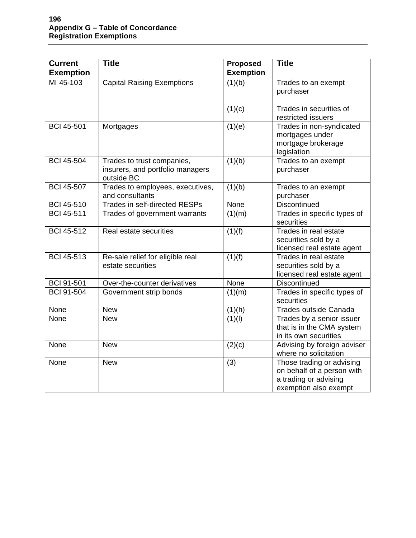| <b>Current</b>    | <b>Title</b>                         | Proposed         | <b>Title</b>                |
|-------------------|--------------------------------------|------------------|-----------------------------|
| <b>Exemption</b>  |                                      | <b>Exemption</b> |                             |
|                   |                                      |                  |                             |
| MI 45-103         | <b>Capital Raising Exemptions</b>    | (1)(b)           | Trades to an exempt         |
|                   |                                      |                  | purchaser                   |
|                   |                                      |                  |                             |
|                   |                                      | (1)(c)           | Trades in securities of     |
|                   |                                      |                  | restricted issuers          |
| <b>BCI 45-501</b> | Mortgages                            | (1)(e)           | Trades in non-syndicated    |
|                   |                                      |                  | mortgages under             |
|                   |                                      |                  | mortgage brokerage          |
|                   |                                      |                  | legislation                 |
| <b>BCI 45-504</b> | Trades to trust companies,           | (1)(b)           | Trades to an exempt         |
|                   | insurers, and portfolio managers     |                  | purchaser                   |
|                   | outside BC                           |                  |                             |
| <b>BCI 45-507</b> | Trades to employees, executives,     | (1)(b)           | Trades to an exempt         |
|                   | and consultants                      |                  | purchaser                   |
| <b>BCI 45-510</b> | <b>Trades in self-directed RESPs</b> | None             | Discontinued                |
| <b>BCI 45-511</b> | Trades of government warrants        | (1)(m)           | Trades in specific types of |
|                   |                                      |                  | securities                  |
| <b>BCI 45-512</b> | Real estate securities               | (1)(f)           | Trades in real estate       |
|                   |                                      |                  | securities sold by a        |
|                   |                                      |                  | licensed real estate agent  |
| <b>BCI 45-513</b> | Re-sale relief for eligible real     | (1)(f)           | Trades in real estate       |
|                   | estate securities                    |                  | securities sold by a        |
|                   |                                      |                  | licensed real estate agent  |
| <b>BCI 91-501</b> | Over-the-counter derivatives         | None             | Discontinued                |
| <b>BCI 91-504</b> | Government strip bonds               | (1)(m)           | Trades in specific types of |
|                   |                                      |                  | securities                  |
| None              | <b>New</b>                           | (1)(h)           | Trades outside Canada       |
| None              | <b>New</b>                           | (1)(1)           | Trades by a senior issuer   |
|                   |                                      |                  | that is in the CMA system   |
|                   |                                      |                  | in its own securities       |
| None              | <b>New</b>                           | (2)(c)           | Advising by foreign adviser |
|                   |                                      |                  | where no solicitation       |
| None              | <b>New</b>                           | (3)              | Those trading or advising   |
|                   |                                      |                  | on behalf of a person with  |
|                   |                                      |                  | a trading or advising       |
|                   |                                      |                  | exemption also exempt       |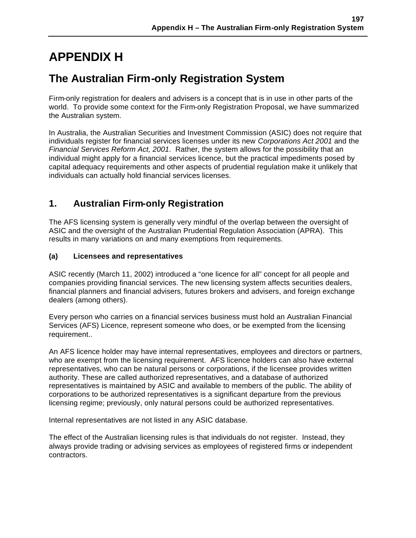# **APPENDIX H**

### **The Australian Firm-only Registration System**

Firm-only registration for dealers and advisers is a concept that is in use in other parts of the world. To provide some context for the Firm-only Registration Proposal, we have summarized the Australian system.

In Australia, the Australian Securities and Investment Commission (ASIC) does not require that individuals register for financial services licenses under its new *Corporations Act 2001* and the *Financial Services Reform Act, 2001*. Rather, the system allows for the possibility that an individual might apply for a financial services licence, but the practical impediments posed by capital adequacy requirements and other aspects of prudential regulation make it unlikely that individuals can actually hold financial services licenses.

### **1. Australian Firm-only Registration**

The AFS licensing system is generally very mindful of the overlap between the oversight of ASIC and the oversight of the Australian Prudential Regulation Association (APRA). This results in many variations on and many exemptions from requirements.

#### **(a) Licensees and representatives**

ASIC recently (March 11, 2002) introduced a "one licence for all" concept for all people and companies providing financial services. The new licensing system affects securities dealers, financial planners and financial advisers, futures brokers and advisers, and foreign exchange dealers (among others).

Every person who carries on a financial services business must hold an Australian Financial Services (AFS) Licence, represent someone who does, or be exempted from the licensing requirement..

An AFS licence holder may have internal representatives, employees and directors or partners, who are exempt from the licensing requirement. AFS licence holders can also have external representatives, who can be natural persons or corporations, if the licensee provides written authority. These are called authorized representatives, and a database of authorized representatives is maintained by ASIC and available to members of the public. The ability of corporations to be authorized representatives is a significant departure from the previous licensing regime; previously, only natural persons could be authorized representatives.

Internal representatives are not listed in any ASIC database.

The effect of the Australian licensing rules is that individuals do not register. Instead, they always provide trading or advising services as employees of registered firms or independent contractors.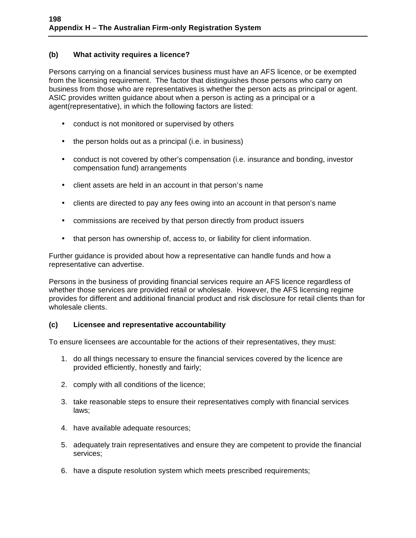#### **(b) What activity requires a licence?**

Persons carrying on a financial services business must have an AFS licence, or be exempted from the licensing requirement. The factor that distinguishes those persons who carry on business from those who are representatives is whether the person acts as principal or agent. ASIC provides written guidance about when a person is acting as a principal or a agent(representative), in which the following factors are listed:

- conduct is not monitored or supervised by others
- the person holds out as a principal (i.e. in business)
- conduct is not covered by other's compensation (i.e. insurance and bonding, investor compensation fund) arrangements
- client assets are held in an account in that person's name
- clients are directed to pay any fees owing into an account in that person's name
- commissions are received by that person directly from product issuers
- that person has ownership of, access to, or liability for client information.

Further guidance is provided about how a representative can handle funds and how a representative can advertise.

Persons in the business of providing financial services require an AFS licence regardless of whether those services are provided retail or wholesale. However, the AFS licensing regime provides for different and additional financial product and risk disclosure for retail clients than for wholesale clients.

#### **(c) Licensee and representative accountability**

To ensure licensees are accountable for the actions of their representatives, they must:

- 1. do all things necessary to ensure the financial services covered by the licence are provided efficiently, honestly and fairly;
- 2. comply with all conditions of the licence;
- 3. take reasonable steps to ensure their representatives comply with financial services laws;
- 4. have available adequate resources;
- 5. adequately train representatives and ensure they are competent to provide the financial services;
- 6. have a dispute resolution system which meets prescribed requirements;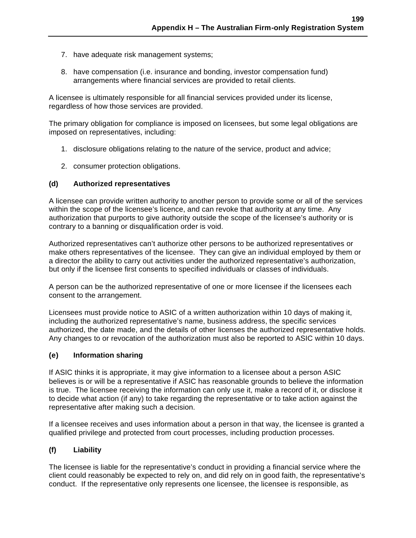- 7. have adequate risk management systems;
- 8. have compensation (i.e. insurance and bonding, investor compensation fund) arrangements where financial services are provided to retail clients.

A licensee is ultimately responsible for all financial services provided under its license, regardless of how those services are provided.

The primary obligation for compliance is imposed on licensees, but some legal obligations are imposed on representatives, including:

- 1. disclosure obligations relating to the nature of the service, product and advice;
- 2. consumer protection obligations.

#### **(d) Authorized representatives**

A licensee can provide written authority to another person to provide some or all of the services within the scope of the licensee's licence, and can revoke that authority at any time. Any authorization that purports to give authority outside the scope of the licensee's authority or is contrary to a banning or disqualification order is void.

Authorized representatives can't authorize other persons to be authorized representatives or make others representatives of the licensee. They can give an individual employed by them or a director the ability to carry out activities under the authorized representative's authorization, but only if the licensee first consents to specified individuals or classes of individuals.

A person can be the authorized representative of one or more licensee if the licensees each consent to the arrangement.

Licensees must provide notice to ASIC of a written authorization within 10 days of making it, including the authorized representative's name, business address, the specific services authorized, the date made, and the details of other licenses the authorized representative holds. Any changes to or revocation of the authorization must also be reported to ASIC within 10 days.

#### **(e) Information sharing**

If ASIC thinks it is appropriate, it may give information to a licensee about a person ASIC believes is or will be a representative if ASIC has reasonable grounds to believe the information is true. The licensee receiving the information can only use it, make a record of it, or disclose it to decide what action (if any) to take regarding the representative or to take action against the representative after making such a decision.

If a licensee receives and uses information about a person in that way, the licensee is granted a qualified privilege and protected from court processes, including production processes.

#### **(f) Liability**

The licensee is liable for the representative's conduct in providing a financial service where the client could reasonably be expected to rely on, and did rely on in good faith, the representative's conduct. If the representative only represents one licensee, the licensee is responsible, as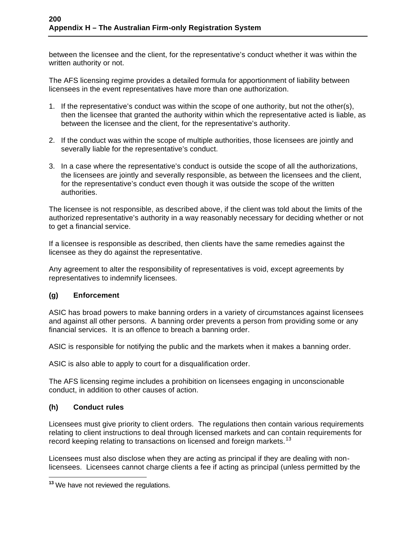between the licensee and the client, for the representative's conduct whether it was within the written authority or not.

The AFS licensing regime provides a detailed formula for apportionment of liability between licensees in the event representatives have more than one authorization.

- 1. If the representative's conduct was within the scope of one authority, but not the other(s), then the licensee that granted the authority within which the representative acted is liable, as between the licensee and the client, for the representative's authority.
- 2. If the conduct was within the scope of multiple authorities, those licensees are jointly and severally liable for the representative's conduct.
- 3. In a case where the representative's conduct is outside the scope of all the authorizations, the licensees are jointly and severally responsible, as between the licensees and the client, for the representative's conduct even though it was outside the scope of the written authorities.

The licensee is not responsible, as described above, if the client was told about the limits of the authorized representative's authority in a way reasonably necessary for deciding whether or not to get a financial service.

If a licensee is responsible as described, then clients have the same remedies against the licensee as they do against the representative.

Any agreement to alter the responsibility of representatives is void, except agreements by representatives to indemnify licensees.

#### **(g) Enforcement**

ASIC has broad powers to make banning orders in a variety of circumstances against licensees and against all other persons. A banning order prevents a person from providing some or any financial services. It is an offence to breach a banning order.

ASIC is responsible for notifying the public and the markets when it makes a banning order.

ASIC is also able to apply to court for a disqualification order.

The AFS licensing regime includes a prohibition on licensees engaging in unconscionable conduct, in addition to other causes of action.

#### **(h) Conduct rules**

 $\overline{a}$ 

Licensees must give priority to client orders. The regulations then contain various requirements relating to client instructions to deal through licensed markets and can contain requirements for record keeping relating to transactions on licensed and foreign markets.<sup>13</sup>

Licensees must also disclose when they are acting as principal if they are dealing with nonlicensees. Licensees cannot charge clients a fee if acting as principal (unless permitted by the

**<sup>13</sup>** We have not reviewed the regulations.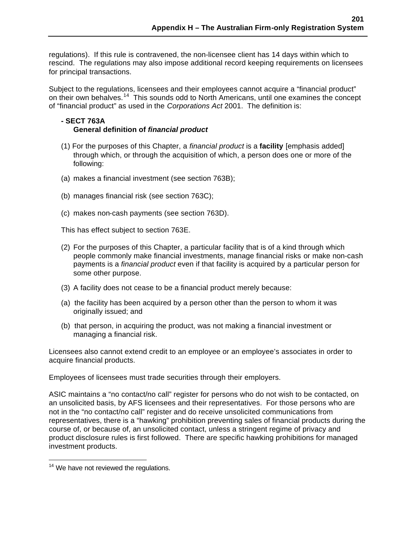regulations). If this rule is contravened, the non-licensee client has 14 days within which to rescind. The regulations may also impose additional record keeping requirements on licensees for principal transactions.

Subject to the regulations, licensees and their employees cannot acquire a "financial product" on their own behalves.<sup>14</sup> This sounds odd to North Americans, until one examines the concept of "financial product" as used in the *Corporations Act* 2001. The definition is:

#### **- SECT 763A General definition of** *financial product*

- (1) For the purposes of this Chapter, a *financial product* is a **facility** [emphasis added] through which, or through the acquisition of which, a person does one or more of the following:
- (a) makes a financial investment (see section 763B);
- (b) manages financial risk (see section 763C);
- (c) makes non-cash payments (see section 763D).

This has effect subject to section 763E.

- (2) For the purposes of this Chapter, a particular facility that is of a kind through which people commonly make financial investments, manage financial risks or make non-cash payments is a *financial product* even if that facility is acquired by a particular person for some other purpose.
- (3) A facility does not cease to be a financial product merely because:
- (a) the facility has been acquired by a person other than the person to whom it was originally issued; and
- (b) that person, in acquiring the product, was not making a financial investment or managing a financial risk.

Licensees also cannot extend credit to an employee or an employee's associates in order to acquire financial products.

Employees of licensees must trade securities through their employers.

ASIC maintains a "no contact/no call" register for persons who do not wish to be contacted, on an unsolicited basis, by AFS licensees and their representatives. For those persons who are not in the "no contact/no call" register and do receive unsolicited communications from representatives, there is a "hawking" prohibition preventing sales of financial products during the course of, or because of, an unsolicited contact, unless a stringent regime of privacy and product disclosure rules is first followed. There are specific hawking prohibitions for managed investment products.

1

<sup>&</sup>lt;sup>14</sup> We have not reviewed the regulations.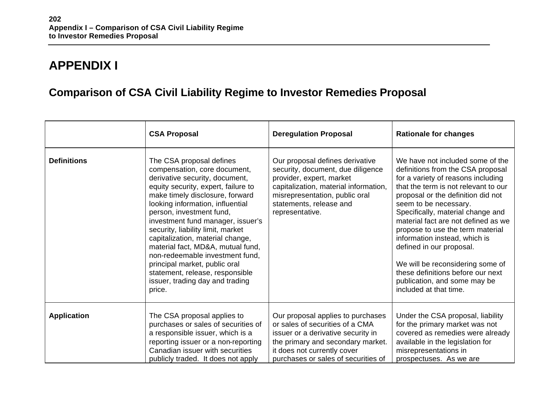### **APPENDIX I**

# **Comparison of CSA Civil Liability Regime to Investor Remedies Proposal**

|                    | <b>CSA Proposal</b>                                                                                                                                                                                                                                                                                                                                                                                                                                                                                                                         | <b>Deregulation Proposal</b>                                                                                                                                                                                              | <b>Rationale for changes</b>                                                                                                                                                                                                                                                                                                                                                                                                                                                                                                       |
|--------------------|---------------------------------------------------------------------------------------------------------------------------------------------------------------------------------------------------------------------------------------------------------------------------------------------------------------------------------------------------------------------------------------------------------------------------------------------------------------------------------------------------------------------------------------------|---------------------------------------------------------------------------------------------------------------------------------------------------------------------------------------------------------------------------|------------------------------------------------------------------------------------------------------------------------------------------------------------------------------------------------------------------------------------------------------------------------------------------------------------------------------------------------------------------------------------------------------------------------------------------------------------------------------------------------------------------------------------|
| <b>Definitions</b> | The CSA proposal defines<br>compensation, core document,<br>derivative security, document,<br>equity security, expert, failure to<br>make timely disclosure, forward<br>looking information, influential<br>person, investment fund,<br>investment fund manager, issuer's<br>security, liability limit, market<br>capitalization, material change,<br>material fact, MD&A, mutual fund,<br>non-redeemable investment fund,<br>principal market, public oral<br>statement, release, responsible<br>issuer, trading day and trading<br>price. | Our proposal defines derivative<br>security, document, due diligence<br>provider, expert, market<br>capitalization, material information,<br>misrepresentation, public oral<br>statements, release and<br>representative. | We have not included some of the<br>definitions from the CSA proposal<br>for a variety of reasons including<br>that the term is not relevant to our<br>proposal or the definition did not<br>seem to be necessary.<br>Specifically, material change and<br>material fact are not defined as we<br>propose to use the term material<br>information instead, which is<br>defined in our proposal.<br>We will be reconsidering some of<br>these definitions before our next<br>publication, and some may be<br>included at that time. |
| <b>Application</b> | The CSA proposal applies to<br>purchases or sales of securities of<br>a responsible issuer, which is a<br>reporting issuer or a non-reporting<br>Canadian issuer with securities<br>publicly traded. It does not apply                                                                                                                                                                                                                                                                                                                      | Our proposal applies to purchases<br>or sales of securities of a CMA<br>issuer or a derivative security in<br>the primary and secondary market.<br>it does not currently cover<br>purchases or sales of securities of     | Under the CSA proposal, liability<br>for the primary market was not<br>covered as remedies were already<br>available in the legislation for<br>misrepresentations in<br>prospectuses. As we are                                                                                                                                                                                                                                                                                                                                    |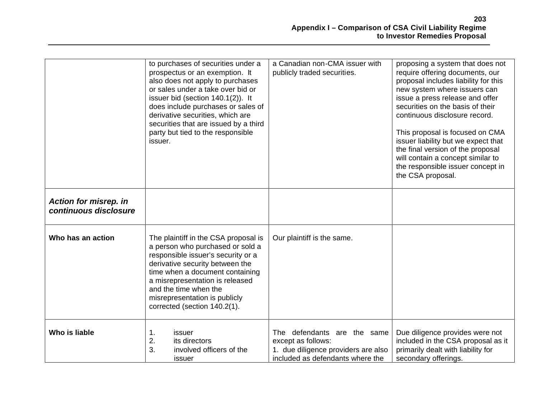|                                                | to purchases of securities under a<br>prospectus or an exemption. It<br>also does not apply to purchases<br>or sales under a take over bid or<br>issuer bid (section 140.1(2)). It<br>does include purchases or sales of<br>derivative securities, which are<br>securities that are issued by a third<br>party but tied to the responsible<br>issuer. | a Canadian non-CMA issuer with<br>publicly traded securities.                                                                | proposing a system that does not<br>require offering documents, our<br>proposal includes liability for this<br>new system where issuers can<br>issue a press release and offer<br>securities on the basis of their<br>continuous disclosure record.<br>This proposal is focused on CMA<br>issuer liability but we expect that<br>the final version of the proposal<br>will contain a concept similar to<br>the responsible issuer concept in<br>the CSA proposal. |
|------------------------------------------------|-------------------------------------------------------------------------------------------------------------------------------------------------------------------------------------------------------------------------------------------------------------------------------------------------------------------------------------------------------|------------------------------------------------------------------------------------------------------------------------------|-------------------------------------------------------------------------------------------------------------------------------------------------------------------------------------------------------------------------------------------------------------------------------------------------------------------------------------------------------------------------------------------------------------------------------------------------------------------|
| Action for misrep. in<br>continuous disclosure |                                                                                                                                                                                                                                                                                                                                                       |                                                                                                                              |                                                                                                                                                                                                                                                                                                                                                                                                                                                                   |
| Who has an action                              | The plaintiff in the CSA proposal is<br>a person who purchased or sold a<br>responsible issuer's security or a<br>derivative security between the<br>time when a document containing<br>a misrepresentation is released<br>and the time when the<br>misrepresentation is publicly<br>corrected (section 140.2(1).                                     | Our plaintiff is the same.                                                                                                   |                                                                                                                                                                                                                                                                                                                                                                                                                                                                   |
| Who is liable                                  | 1.<br>issuer<br>2.<br>its directors<br>3.<br>involved officers of the<br>issuer                                                                                                                                                                                                                                                                       | The defendants are the same<br>except as follows:<br>1. due diligence providers are also<br>included as defendants where the | Due diligence provides were not<br>included in the CSA proposal as it<br>primarily dealt with liability for<br>secondary offerings.                                                                                                                                                                                                                                                                                                                               |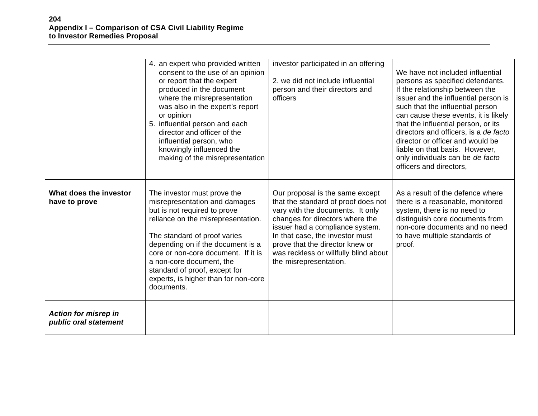|                                                      | 4. an expert who provided written<br>consent to the use of an opinion<br>or report that the expert<br>produced in the document<br>where the misrepresentation<br>was also in the expert's report<br>or opinion<br>5. influential person and each<br>director and officer of the<br>influential person, who<br>knowingly influenced the<br>making of the misrepresentation | investor participated in an offering<br>2. we did not include influential<br>person and their directors and<br>officers                                                                                                                                                                                                   | We have not included influential<br>persons as specified defendants.<br>If the relationship between the<br>issuer and the influential person is<br>such that the influential person<br>can cause these events, it is likely<br>that the influential person, or its<br>directors and officers, is a de facto<br>director or officer and would be<br>liable on that basis. However,<br>only individuals can be de facto<br>officers and directors, |
|------------------------------------------------------|---------------------------------------------------------------------------------------------------------------------------------------------------------------------------------------------------------------------------------------------------------------------------------------------------------------------------------------------------------------------------|---------------------------------------------------------------------------------------------------------------------------------------------------------------------------------------------------------------------------------------------------------------------------------------------------------------------------|--------------------------------------------------------------------------------------------------------------------------------------------------------------------------------------------------------------------------------------------------------------------------------------------------------------------------------------------------------------------------------------------------------------------------------------------------|
| What does the investor<br>have to prove              | The investor must prove the<br>misrepresentation and damages<br>but is not required to prove<br>reliance on the misrepresentation.<br>The standard of proof varies<br>depending on if the document is a<br>core or non-core document. If it is<br>a non-core document, the<br>standard of proof, except for<br>experts, is higher than for non-core<br>documents.         | Our proposal is the same except<br>that the standard of proof does not<br>vary with the documents. It only<br>changes for directors where the<br>issuer had a compliance system.<br>In that case, the investor must<br>prove that the director knew or<br>was reckless or willfully blind about<br>the misrepresentation. | As a result of the defence where<br>there is a reasonable, monitored<br>system, there is no need to<br>distinguish core documents from<br>non-core documents and no need<br>to have multiple standards of<br>proof.                                                                                                                                                                                                                              |
| <b>Action for misrep in</b><br>public oral statement |                                                                                                                                                                                                                                                                                                                                                                           |                                                                                                                                                                                                                                                                                                                           |                                                                                                                                                                                                                                                                                                                                                                                                                                                  |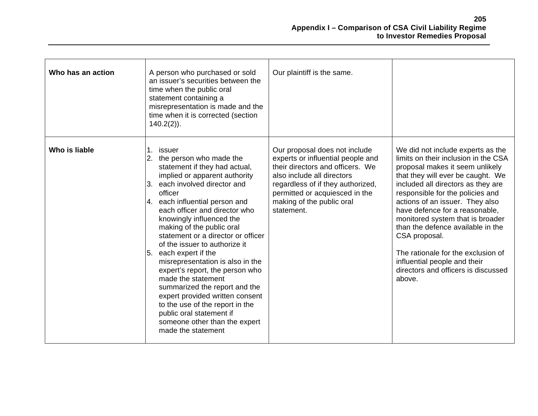| Who has an action | A person who purchased or sold<br>an issuer's securities between the<br>time when the public oral<br>statement containing a<br>misrepresentation is made and the<br>time when it is corrected (section<br>$140.2(2)$ ).                                                                                                                                                                                                                                                                                                                                                                                                                                                              | Our plaintiff is the same.                                                                                                                                                                                                                             |                                                                                                                                                                                                                                                                                                                                                                                                                                                                                                                   |
|-------------------|--------------------------------------------------------------------------------------------------------------------------------------------------------------------------------------------------------------------------------------------------------------------------------------------------------------------------------------------------------------------------------------------------------------------------------------------------------------------------------------------------------------------------------------------------------------------------------------------------------------------------------------------------------------------------------------|--------------------------------------------------------------------------------------------------------------------------------------------------------------------------------------------------------------------------------------------------------|-------------------------------------------------------------------------------------------------------------------------------------------------------------------------------------------------------------------------------------------------------------------------------------------------------------------------------------------------------------------------------------------------------------------------------------------------------------------------------------------------------------------|
| Who is liable     | 1.<br>issuer<br>the person who made the<br>2.<br>statement if they had actual,<br>implied or apparent authority<br>each involved director and<br>3.<br>officer<br>4. each influential person and<br>each officer and director who<br>knowingly influenced the<br>making of the public oral<br>statement or a director or officer<br>of the issuer to authorize it<br>5.<br>each expert if the<br>misrepresentation is also in the<br>expert's report, the person who<br>made the statement<br>summarized the report and the<br>expert provided written consent<br>to the use of the report in the<br>public oral statement if<br>someone other than the expert<br>made the statement | Our proposal does not include<br>experts or influential people and<br>their directors and officers. We<br>also include all directors<br>regardless of if they authorized,<br>permitted or acquiesced in the<br>making of the public oral<br>statement. | We did not include experts as the<br>limits on their inclusion in the CSA<br>proposal makes it seem unlikely<br>that they will ever be caught. We<br>included all directors as they are<br>responsible for the policies and<br>actions of an issuer. They also<br>have defence for a reasonable,<br>monitored system that is broader<br>than the defence available in the<br>CSA proposal.<br>The rationale for the exclusion of<br>influential people and their<br>directors and officers is discussed<br>above. |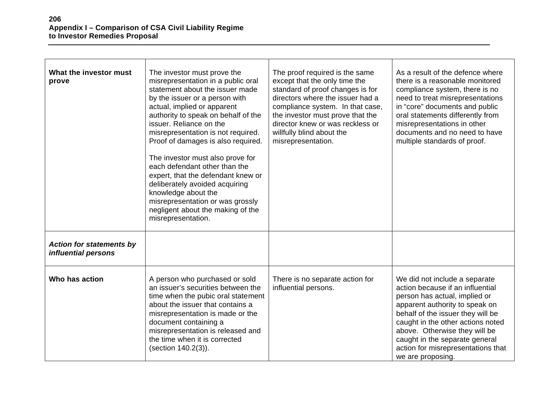| What the investor must<br>prove                        | The investor must prove the<br>misrepresentation in a public oral<br>statement about the issuer made<br>by the issuer or a person with<br>actual, implied or apparent<br>authority to speak on behalf of the<br>issuer. Reliance on the<br>misrepresentation is not required.<br>Proof of damages is also required.<br>The investor must also prove for<br>each defendant other than the<br>expert, that the defendant knew or<br>deliberately avoided acquiring<br>knowledge about the<br>misrepresentation or was grossly<br>negligent about the making of the<br>misrepresentation. | The proof required is the same<br>except that the only time the<br>standard of proof changes is for<br>directors where the issuer had a<br>compliance system. In that case,<br>the investor must prove that the<br>director knew or was reckless or<br>willfully blind about the<br>misrepresentation. | As a result of the defence where<br>there is a reasonable monitored<br>compliance system, there is no<br>need to treat misrepresentations<br>in "core" documents and public<br>oral statements differently from<br>misrepresentations in other<br>documents and no need to have<br>multiple standards of proof.                              |
|--------------------------------------------------------|----------------------------------------------------------------------------------------------------------------------------------------------------------------------------------------------------------------------------------------------------------------------------------------------------------------------------------------------------------------------------------------------------------------------------------------------------------------------------------------------------------------------------------------------------------------------------------------|--------------------------------------------------------------------------------------------------------------------------------------------------------------------------------------------------------------------------------------------------------------------------------------------------------|----------------------------------------------------------------------------------------------------------------------------------------------------------------------------------------------------------------------------------------------------------------------------------------------------------------------------------------------|
| <b>Action for statements by</b><br>influential persons |                                                                                                                                                                                                                                                                                                                                                                                                                                                                                                                                                                                        |                                                                                                                                                                                                                                                                                                        |                                                                                                                                                                                                                                                                                                                                              |
| Who has action                                         | A person who purchased or sold<br>an issuer's securities between the<br>time when the pubic oral statement<br>about the issuer that contains a<br>misrepresentation is made or the<br>document containing a<br>misrepresentation is released and<br>the time when it is corrected<br>(section 140.2(3)).                                                                                                                                                                                                                                                                               | There is no separate action for<br>influential persons.                                                                                                                                                                                                                                                | We did not include a separate<br>action because if an influential<br>person has actual, implied or<br>apparent authority to speak on<br>behalf of the issuer they will be<br>caught in the other actions noted<br>above. Otherwise they will be<br>caught in the separate general<br>action for misrepresentations that<br>we are proposing. |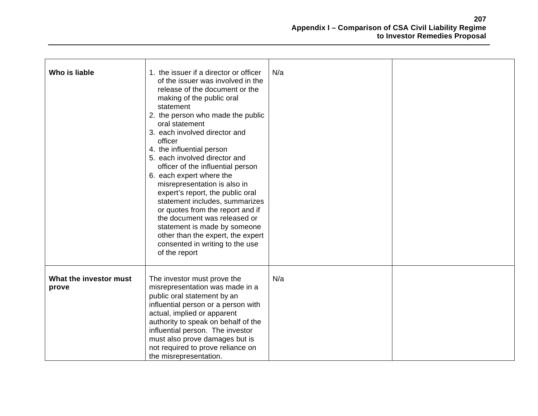| Who is liable                   | 1. the issuer if a director or officer<br>of the issuer was involved in the<br>release of the document or the<br>making of the public oral<br>statement<br>2. the person who made the public<br>oral statement<br>3. each involved director and<br>officer<br>4. the influential person<br>5. each involved director and<br>officer of the influential person<br>6. each expert where the<br>misrepresentation is also in<br>expert's report, the public oral<br>statement includes, summarizes<br>or quotes from the report and if<br>the document was released or<br>statement is made by someone<br>other than the expert, the expert<br>consented in writing to the use<br>of the report | N/a |  |
|---------------------------------|----------------------------------------------------------------------------------------------------------------------------------------------------------------------------------------------------------------------------------------------------------------------------------------------------------------------------------------------------------------------------------------------------------------------------------------------------------------------------------------------------------------------------------------------------------------------------------------------------------------------------------------------------------------------------------------------|-----|--|
| What the investor must<br>prove | The investor must prove the<br>misrepresentation was made in a<br>public oral statement by an<br>influential person or a person with<br>actual, implied or apparent<br>authority to speak on behalf of the<br>influential person. The investor<br>must also prove damages but is<br>not required to prove reliance on<br>the misrepresentation.                                                                                                                                                                                                                                                                                                                                              | N/a |  |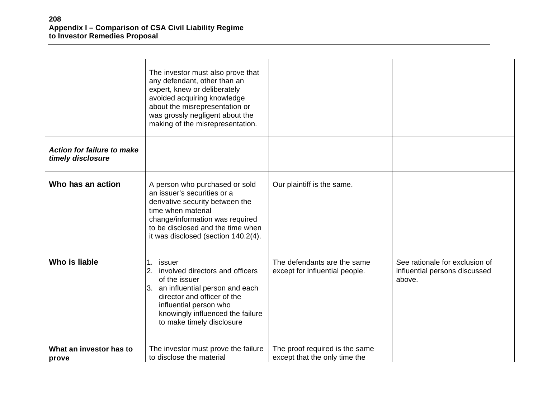|                                                        | The investor must also prove that<br>any defendant, other than an<br>expert, knew or deliberately<br>avoided acquiring knowledge<br>about the misrepresentation or<br>was grossly negligent about the<br>making of the misrepresentation. |                                                                 |                                                                           |
|--------------------------------------------------------|-------------------------------------------------------------------------------------------------------------------------------------------------------------------------------------------------------------------------------------------|-----------------------------------------------------------------|---------------------------------------------------------------------------|
| <b>Action for failure to make</b><br>timely disclosure |                                                                                                                                                                                                                                           |                                                                 |                                                                           |
| Who has an action                                      | A person who purchased or sold<br>an issuer's securities or a<br>derivative security between the<br>time when material<br>change/information was required<br>to be disclosed and the time when<br>it was disclosed (section 140.2(4).     | Our plaintiff is the same.                                      |                                                                           |
| Who is liable                                          | 1.<br>issuer<br>2.<br>involved directors and officers<br>of the issuer<br>3. an influential person and each<br>director and officer of the<br>influential person who<br>knowingly influenced the failure<br>to make timely disclosure     | The defendants are the same<br>except for influential people.   | See rationale for exclusion of<br>influential persons discussed<br>above. |
| What an investor has to<br>prove                       | The investor must prove the failure<br>to disclose the material                                                                                                                                                                           | The proof required is the same<br>except that the only time the |                                                                           |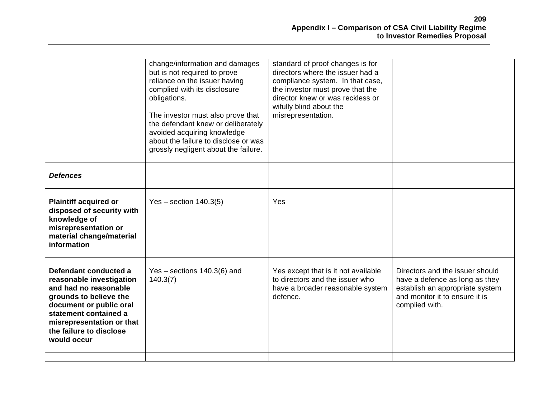|                                                                                                                                                                                                                                 | change/information and damages<br>but is not required to prove<br>reliance on the issuer having<br>complied with its disclosure<br>obligations.<br>The investor must also prove that<br>the defendant knew or deliberately<br>avoided acquiring knowledge<br>about the failure to disclose or was<br>grossly negligent about the failure. | standard of proof changes is for<br>directors where the issuer had a<br>compliance system. In that case,<br>the investor must prove that the<br>director knew or was reckless or<br>wifully blind about the<br>misrepresentation. |                                                                                                                                                          |
|---------------------------------------------------------------------------------------------------------------------------------------------------------------------------------------------------------------------------------|-------------------------------------------------------------------------------------------------------------------------------------------------------------------------------------------------------------------------------------------------------------------------------------------------------------------------------------------|-----------------------------------------------------------------------------------------------------------------------------------------------------------------------------------------------------------------------------------|----------------------------------------------------------------------------------------------------------------------------------------------------------|
| <b>Defences</b>                                                                                                                                                                                                                 |                                                                                                                                                                                                                                                                                                                                           |                                                                                                                                                                                                                                   |                                                                                                                                                          |
| <b>Plaintiff acquired or</b><br>disposed of security with<br>knowledge of<br>misrepresentation or<br>material change/material<br>information                                                                                    | Yes – section $140.3(5)$                                                                                                                                                                                                                                                                                                                  | <b>Yes</b>                                                                                                                                                                                                                        |                                                                                                                                                          |
| Defendant conducted a<br>reasonable investigation<br>and had no reasonable<br>grounds to believe the<br>document or public oral<br>statement contained a<br>misrepresentation or that<br>the failure to disclose<br>would occur | Yes – sections $140.3(6)$ and<br>140.3(7)                                                                                                                                                                                                                                                                                                 | Yes except that is it not available<br>to directors and the issuer who<br>have a broader reasonable system<br>defence.                                                                                                            | Directors and the issuer should<br>have a defence as long as they<br>establish an appropriate system<br>and monitor it to ensure it is<br>complied with. |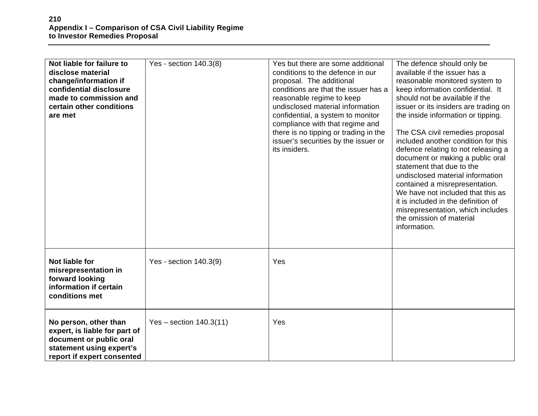| Not liable for failure to<br>disclose material<br>change/information if<br>confidential disclosure<br>made to commission and<br>certain other conditions<br>are met | Yes - section 140.3(8)    | Yes but there are some additional<br>conditions to the defence in our<br>proposal. The additional<br>conditions are that the issuer has a<br>reasonable regime to keep<br>undisclosed material information<br>confidential, a system to monitor<br>compliance with that regime and<br>there is no tipping or trading in the<br>issuer's securities by the issuer or<br>its insiders. | The defence should only be<br>available if the issuer has a<br>reasonable monitored system to<br>keep information confidential. It<br>should not be available if the<br>issuer or its insiders are trading on<br>the inside information or tipping.<br>The CSA civil remedies proposal<br>included another condition for this<br>defence relating to not releasing a<br>document or making a public oral<br>statement that due to the<br>undisclosed material information<br>contained a misrepresentation.<br>We have not included that this as<br>it is included in the definition of<br>misrepresentation, which includes<br>the omission of material<br>information. |
|---------------------------------------------------------------------------------------------------------------------------------------------------------------------|---------------------------|--------------------------------------------------------------------------------------------------------------------------------------------------------------------------------------------------------------------------------------------------------------------------------------------------------------------------------------------------------------------------------------|--------------------------------------------------------------------------------------------------------------------------------------------------------------------------------------------------------------------------------------------------------------------------------------------------------------------------------------------------------------------------------------------------------------------------------------------------------------------------------------------------------------------------------------------------------------------------------------------------------------------------------------------------------------------------|
| <b>Not liable for</b><br>misrepresentation in<br>forward looking<br>information if certain<br>conditions met                                                        | Yes - section 140.3(9)    | Yes                                                                                                                                                                                                                                                                                                                                                                                  |                                                                                                                                                                                                                                                                                                                                                                                                                                                                                                                                                                                                                                                                          |
| No person, other than<br>expert, is liable for part of<br>document or public oral<br>statement using expert's<br>report if expert consented                         | Yes – section $140.3(11)$ | Yes                                                                                                                                                                                                                                                                                                                                                                                  |                                                                                                                                                                                                                                                                                                                                                                                                                                                                                                                                                                                                                                                                          |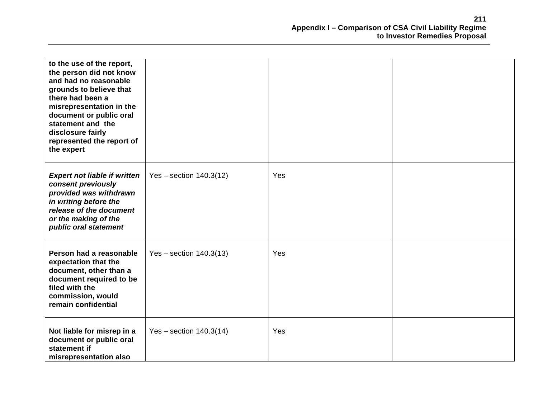| to the use of the report,<br>the person did not know<br>and had no reasonable<br>grounds to believe that<br>there had been a<br>misrepresentation in the<br>document or public oral<br>statement and the<br>disclosure fairly<br>represented the report of<br>the expert |                           |     |  |
|--------------------------------------------------------------------------------------------------------------------------------------------------------------------------------------------------------------------------------------------------------------------------|---------------------------|-----|--|
| <b>Expert not liable if written</b><br>consent previously<br>provided was withdrawn<br>in writing before the<br>release of the document<br>or the making of the<br>public oral statement                                                                                 | Yes - section $140.3(12)$ | Yes |  |
| Person had a reasonable<br>expectation that the<br>document, other than a<br>document required to be<br>filed with the<br>commission, would<br>remain confidential                                                                                                       | Yes – section $140.3(13)$ | Yes |  |
| Not liable for misrep in a<br>document or public oral<br>statement if<br>misrepresentation also                                                                                                                                                                          | Yes – section $140.3(14)$ | Yes |  |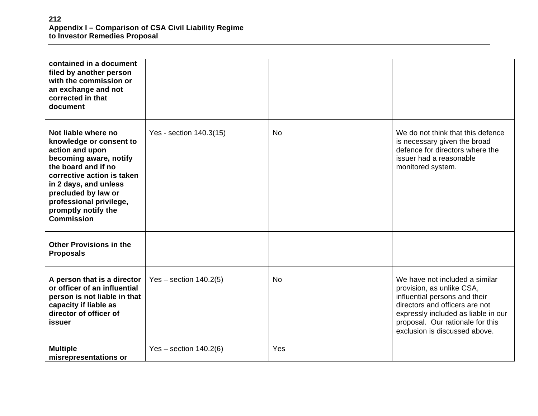| contained in a document<br>filed by another person<br>with the commission or<br>an exchange and not<br>corrected in that<br>document                                                                                                                                    |                          |           |                                                                                                                                                                                                                                            |
|-------------------------------------------------------------------------------------------------------------------------------------------------------------------------------------------------------------------------------------------------------------------------|--------------------------|-----------|--------------------------------------------------------------------------------------------------------------------------------------------------------------------------------------------------------------------------------------------|
| Not liable where no<br>knowledge or consent to<br>action and upon<br>becoming aware, notify<br>the board and if no<br>corrective action is taken<br>in 2 days, and unless<br>precluded by law or<br>professional privilege,<br>promptly notify the<br><b>Commission</b> | Yes - section 140.3(15)  | <b>No</b> | We do not think that this defence<br>is necessary given the broad<br>defence for directors where the<br>issuer had a reasonable<br>monitored system.                                                                                       |
| <b>Other Provisions in the</b><br><b>Proposals</b>                                                                                                                                                                                                                      |                          |           |                                                                                                                                                                                                                                            |
| A person that is a director<br>or officer of an influential<br>person is not liable in that<br>capacity if liable as<br>director of officer of<br>issuer                                                                                                                | Yes – section $140.2(5)$ | <b>No</b> | We have not included a similar<br>provision, as unlike CSA,<br>influential persons and their<br>directors and officers are not<br>expressly included as liable in our<br>proposal. Our rationale for this<br>exclusion is discussed above. |
| <b>Multiple</b><br>misrepresentations or                                                                                                                                                                                                                                | Yes – section $140.2(6)$ | Yes       |                                                                                                                                                                                                                                            |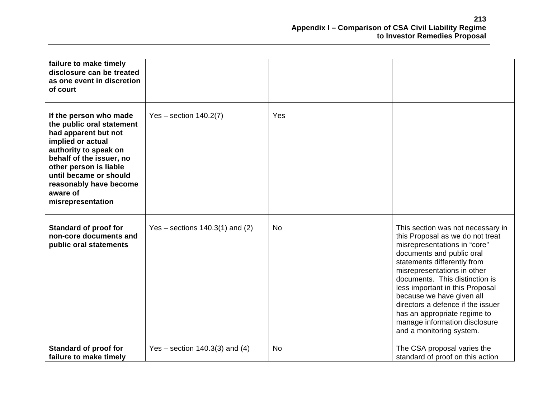| failure to make timely<br>disclosure can be treated<br>as one event in discretion<br>of court                                                                                                                                                                        |                                    |           |                                                                                                                                                                                                                                                                                                                                                                                                                                      |
|----------------------------------------------------------------------------------------------------------------------------------------------------------------------------------------------------------------------------------------------------------------------|------------------------------------|-----------|--------------------------------------------------------------------------------------------------------------------------------------------------------------------------------------------------------------------------------------------------------------------------------------------------------------------------------------------------------------------------------------------------------------------------------------|
| If the person who made<br>the public oral statement<br>had apparent but not<br>implied or actual<br>authority to speak on<br>behalf of the issuer, no<br>other person is liable<br>until became or should<br>reasonably have become<br>aware of<br>misrepresentation | Yes - section $140.2(7)$           | Yes       |                                                                                                                                                                                                                                                                                                                                                                                                                                      |
| <b>Standard of proof for</b><br>non-core documents and<br>public oral statements                                                                                                                                                                                     | Yes – sections $140.3(1)$ and (2)  | <b>No</b> | This section was not necessary in<br>this Proposal as we do not treat<br>misrepresentations in "core"<br>documents and public oral<br>statements differently from<br>misrepresentations in other<br>documents. This distinction is<br>less important in this Proposal<br>because we have given all<br>directors a defence if the issuer<br>has an appropriate regime to<br>manage information disclosure<br>and a monitoring system. |
| <b>Standard of proof for</b><br>failure to make timely                                                                                                                                                                                                               | Yes – section $140.3(3)$ and $(4)$ | <b>No</b> | The CSA proposal varies the<br>standard of proof on this action                                                                                                                                                                                                                                                                                                                                                                      |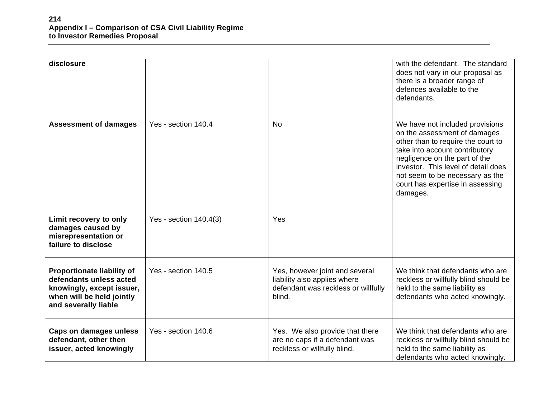| disclosure                                                                                                                                     |                          |                                                                                                                 | with the defendant. The standard<br>does not vary in our proposal as<br>there is a broader range of<br>defences available to the<br>defendants.                                                                                                                                                    |
|------------------------------------------------------------------------------------------------------------------------------------------------|--------------------------|-----------------------------------------------------------------------------------------------------------------|----------------------------------------------------------------------------------------------------------------------------------------------------------------------------------------------------------------------------------------------------------------------------------------------------|
| <b>Assessment of damages</b>                                                                                                                   | Yes - section 140.4      | <b>No</b>                                                                                                       | We have not included provisions<br>on the assessment of damages<br>other than to require the court to<br>take into account contributory<br>negligence on the part of the<br>investor. This level of detail does<br>not seem to be necessary as the<br>court has expertise in assessing<br>damages. |
| Limit recovery to only<br>damages caused by<br>misrepresentation or<br>failure to disclose                                                     | Yes - section $140.4(3)$ | Yes                                                                                                             |                                                                                                                                                                                                                                                                                                    |
| <b>Proportionate liability of</b><br>defendants unless acted<br>knowingly, except issuer,<br>when will be held jointly<br>and severally liable | Yes - section 140.5      | Yes, however joint and several<br>liability also applies where<br>defendant was reckless or willfully<br>blind. | We think that defendants who are<br>reckless or willfully blind should be<br>held to the same liability as<br>defendants who acted knowingly.                                                                                                                                                      |
| <b>Caps on damages unless</b><br>defendant, other then<br>issuer, acted knowingly                                                              | Yes - section 140.6      | Yes. We also provide that there<br>are no caps if a defendant was<br>reckless or willfully blind.               | We think that defendants who are<br>reckless or willfully blind should be<br>held to the same liability as<br>defendants who acted knowingly.                                                                                                                                                      |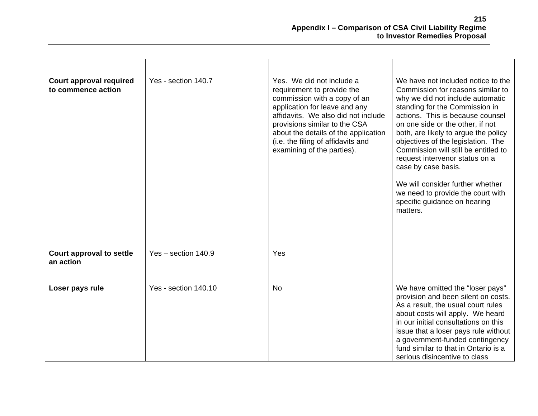| <b>Court approval required</b><br>to commence action | Yes - section 140.7   | Yes. We did not include a<br>requirement to provide the<br>commission with a copy of an<br>application for leave and any<br>affidavits. We also did not include<br>provisions similar to the CSA<br>about the details of the application<br>(i.e. the filing of affidavits and<br>examining of the parties). | We have not included notice to the<br>Commission for reasons similar to<br>why we did not include automatic<br>standing for the Commission in<br>actions. This is because counsel<br>on one side or the other, if not<br>both, are likely to argue the policy<br>objectives of the legislation. The<br>Commission will still be entitled to<br>request intervenor status on a<br>case by case basis.<br>We will consider further whether<br>we need to provide the court with<br>specific guidance on hearing<br>matters. |
|------------------------------------------------------|-----------------------|--------------------------------------------------------------------------------------------------------------------------------------------------------------------------------------------------------------------------------------------------------------------------------------------------------------|---------------------------------------------------------------------------------------------------------------------------------------------------------------------------------------------------------------------------------------------------------------------------------------------------------------------------------------------------------------------------------------------------------------------------------------------------------------------------------------------------------------------------|
| <b>Court approval to settle</b><br>an action         | $Yes - section 140.9$ | Yes                                                                                                                                                                                                                                                                                                          |                                                                                                                                                                                                                                                                                                                                                                                                                                                                                                                           |
| Loser pays rule                                      | Yes - section 140.10  | <b>No</b>                                                                                                                                                                                                                                                                                                    | We have omitted the "loser pays"<br>provision and been silent on costs.<br>As a result, the usual court rules<br>about costs will apply. We heard<br>in our initial consultations on this<br>issue that a loser pays rule without<br>a government-funded contingency<br>fund similar to that in Ontario is a<br>serious disincentive to class                                                                                                                                                                             |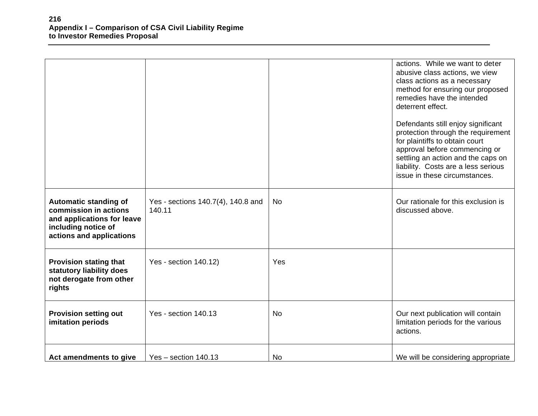|                                                                                                                                        |                                              |           | actions. While we want to deter<br>abusive class actions, we view<br>class actions as a necessary<br>method for ensuring our proposed<br>remedies have the intended<br>deterrent effect.<br>Defendants still enjoy significant<br>protection through the requirement<br>for plaintiffs to obtain court<br>approval before commencing or<br>settling an action and the caps on<br>liability. Costs are a less serious<br>issue in these circumstances. |
|----------------------------------------------------------------------------------------------------------------------------------------|----------------------------------------------|-----------|-------------------------------------------------------------------------------------------------------------------------------------------------------------------------------------------------------------------------------------------------------------------------------------------------------------------------------------------------------------------------------------------------------------------------------------------------------|
| <b>Automatic standing of</b><br>commission in actions<br>and applications for leave<br>including notice of<br>actions and applications | Yes - sections 140.7(4), 140.8 and<br>140.11 | <b>No</b> | Our rationale for this exclusion is<br>discussed above.                                                                                                                                                                                                                                                                                                                                                                                               |
| <b>Provision stating that</b><br>statutory liability does<br>not derogate from other<br>rights                                         | Yes - section 140.12)                        | Yes       |                                                                                                                                                                                                                                                                                                                                                                                                                                                       |
| <b>Provision setting out</b><br>imitation periods                                                                                      | Yes - section 140.13                         | <b>No</b> | Our next publication will contain<br>limitation periods for the various<br>actions.                                                                                                                                                                                                                                                                                                                                                                   |
| Act amendments to give                                                                                                                 | $Yes - section 140.13$                       | <b>No</b> | We will be considering appropriate                                                                                                                                                                                                                                                                                                                                                                                                                    |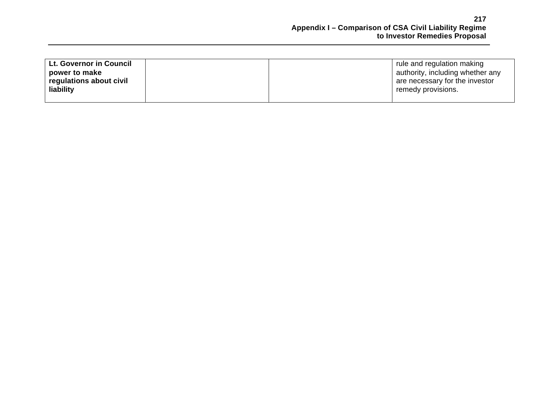| Lt. Governor in Council<br>power to make |  | rule and regulation making<br>authority, including whether any |
|------------------------------------------|--|----------------------------------------------------------------|
| regulations about civil<br>liability     |  | are necessary for the investor<br>remedy provisions.           |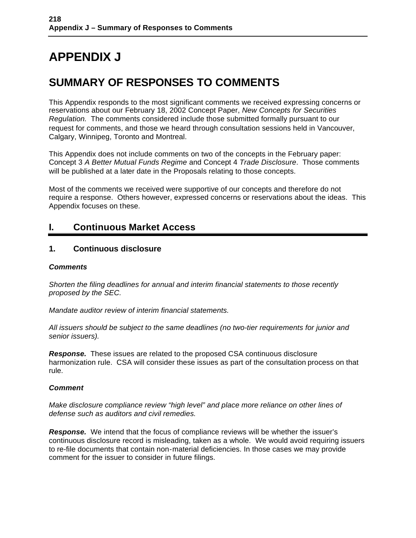# **APPENDIX J**

# **SUMMARY OF RESPONSES TO COMMENTS**

This Appendix responds to the most significant comments we received expressing concerns or reservations about our February 18, 2002 Concept Paper, *New Concepts for Securities Regulation.* The comments considered include those submitted formally pursuant to our request for comments, and those we heard through consultation sessions held in Vancouver, Calgary, Winnipeg, Toronto and Montreal.

This Appendix does not include comments on two of the concepts in the February paper: Concept 3 *A Better Mutual Funds Regime* and Concept 4 *Trade Disclosure*. Those comments will be published at a later date in the Proposals relating to those concepts.

Most of the comments we received were supportive of our concepts and therefore do not require a response. Others however, expressed concerns or reservations about the ideas. This Appendix focuses on these.

# **I. Continuous Market Access**

# **1. Continuous disclosure**

#### *Comments*

*Shorten the filing deadlines for annual and interim financial statements to those recently proposed by the SEC.*

*Mandate auditor review of interim financial statements.*

*All issuers should be subject to the same deadlines (no two-tier requirements for junior and senior issuers).*

*Response.* These issues are related to the proposed CSA continuous disclosure harmonization rule. CSA will consider these issues as part of the consultation process on that rule.

# *Comment*

*Make disclosure compliance review "high level" and place more reliance on other lines of defense such as auditors and civil remedies.* 

*Response.* We intend that the focus of compliance reviews will be whether the issuer's continuous disclosure record is misleading, taken as a whole. We would avoid requiring issuers to re-file documents that contain non-material deficiencies. In those cases we may provide comment for the issuer to consider in future filings.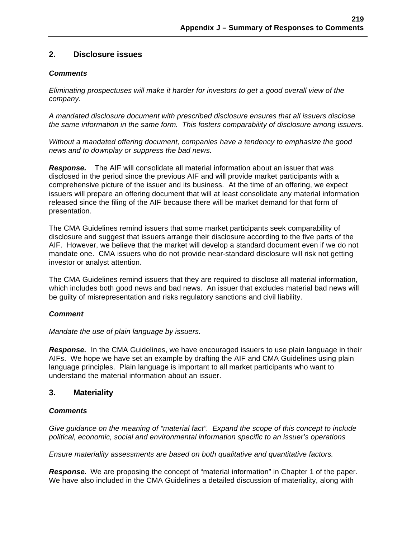# **2. Disclosure issues**

### *Comments*

*Eliminating prospectuses will make it harder for investors to get a good overall view of the company.*

*A mandated disclosure document with prescribed disclosure ensures that all issuers disclose the same information in the same form. This fosters comparability of disclosure among issuers.*

*Without a mandated offering document, companies have a tendency to emphasize the good news and to downplay or suppress the bad news.*

*Response.* The AIF will consolidate all material information about an issuer that was disclosed in the period since the previous AIF and will provide market participants with a comprehensive picture of the issuer and its business. At the time of an offering, we expect issuers will prepare an offering document that will at least consolidate any material information released since the filing of the AIF because there will be market demand for that form of presentation.

The CMA Guidelines remind issuers that some market participants seek comparability of disclosure and suggest that issuers arrange their disclosure according to the five parts of the AIF. However, we believe that the market will develop a standard document even if we do not mandate one. CMA issuers who do not provide near-standard disclosure will risk not getting investor or analyst attention.

The CMA Guidelines remind issuers that they are required to disclose all material information, which includes both good news and bad news. An issuer that excludes material bad news will be guilty of misrepresentation and risks regulatory sanctions and civil liability.

#### *Comment*

*Mandate the use of plain language by issuers.*

*Response.* In the CMA Guidelines, we have encouraged issuers to use plain language in their AIFs. We hope we have set an example by drafting the AIF and CMA Guidelines using plain language principles. Plain language is important to all market participants who want to understand the material information about an issuer.

# **3. Materiality**

#### *Comments*

*Give guidance on the meaning of "material fact". Expand the scope of this concept to include political, economic, social and environmental information specific to an issuer's operations*

*Ensure materiality assessments are based on both qualitative and quantitative factors.*

*Response***.**We are proposing the concept of "material information" in Chapter 1 of the paper. We have also included in the CMA Guidelines a detailed discussion of materiality, along with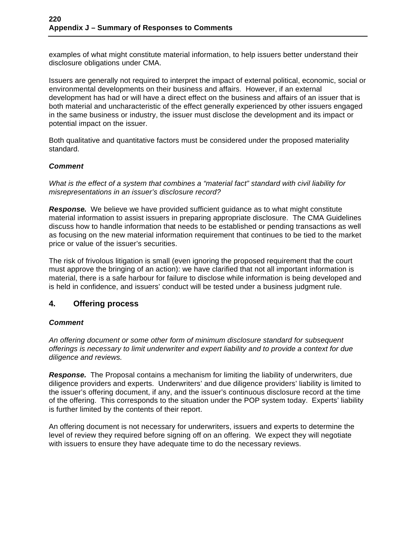examples of what might constitute material information, to help issuers better understand their disclosure obligations under CMA.

Issuers are generally not required to interpret the impact of external political, economic, social or environmental developments on their business and affairs. However, if an external development has had or will have a direct effect on the business and affairs of an issuer that is both material and uncharacteristic of the effect generally experienced by other issuers engaged in the same business or industry, the issuer must disclose the development and its impact or potential impact on the issuer.

Both qualitative and quantitative factors must be considered under the proposed materiality standard.

#### *Comment*

*What is the effect of a system that combines a "material fact" standard with civil liability for misrepresentations in an issuer's disclosure record?*

*Response***.** We believe we have provided sufficient guidance as to what might constitute material information to assist issuers in preparing appropriate disclosure. The CMA Guidelines discuss how to handle information that needs to be established or pending transactions as well as focusing on the new material information requirement that continues to be tied to the market price or value of the issuer's securities.

The risk of frivolous litigation is small (even ignoring the proposed requirement that the court must approve the bringing of an action): we have clarified that not all important information is material, there is a safe harbour for failure to disclose while information is being developed and is held in confidence, and issuers' conduct will be tested under a business judgment rule.

#### **4. Offering process**

#### *Comment*

*An offering document or some other form of minimum disclosure standard for subsequent offerings is necessary to limit underwriter and expert liability and to provide a context for due diligence and reviews.*

*Response.* The Proposal contains a mechanism for limiting the liability of underwriters, due diligence providers and experts. Underwriters' and due diligence providers' liability is limited to the issuer's offering document, if any, and the issuer's continuous disclosure record at the time of the offering. This corresponds to the situation under the POP system today. Experts' liability is further limited by the contents of their report.

An offering document is not necessary for underwriters, issuers and experts to determine the level of review they required before signing off on an offering. We expect they will negotiate with issuers to ensure they have adequate time to do the necessary reviews.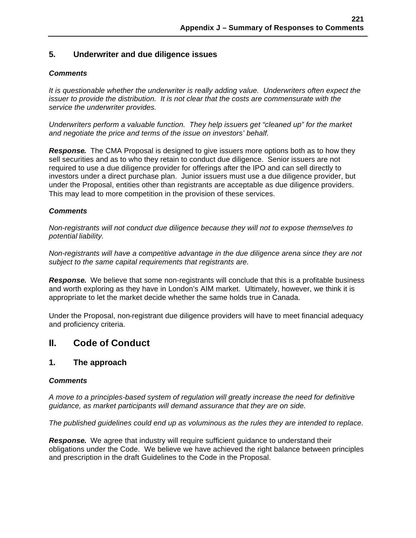# **5. Underwriter and due diligence issues**

#### *Comments*

*It is questionable whether the underwriter is really adding value. Underwriters often expect the issuer to provide the distribution. It is not clear that the costs are commensurate with the service the underwriter provides.*

*Underwriters perform a valuable function. They help issuers get "cleaned up" for the market and negotiate the price and terms of the issue on investors' behalf.* 

*Response.* The CMA Proposal is designed to give issuers more options both as to how they sell securities and as to who they retain to conduct due diligence. Senior issuers are not required to use a due diligence provider for offerings after the IPO and can sell directly to investors under a direct purchase plan. Junior issuers must use a due diligence provider, but under the Proposal, entities other than registrants are acceptable as due diligence providers. This may lead to more competition in the provision of these services.

#### *Comments*

*Non-registrants will not conduct due diligence because they will not to expose themselves to potential liability.*

*Non-registrants will have a competitive advantage in the due diligence arena since they are not subject to the same capital requirements that registrants are.* 

*Response***.** We believe that some non-registrants will conclude that this is a profitable business and worth exploring as they have in London's AIM market. Ultimately, however, we think it is appropriate to let the market decide whether the same holds true in Canada.

Under the Proposal, non-registrant due diligence providers will have to meet financial adequacy and proficiency criteria.

# **II. Code of Conduct**

#### **1. The approach**

#### *Comments*

*A move to a principles-based system of regulation will greatly increase the need for definitive guidance, as market participants will demand assurance that they are on side.* 

*The published guidelines could end up as voluminous as the rules they are intended to replace.*

**Response.** We agree that industry will require sufficient guidance to understand their obligations under the Code. We believe we have achieved the right balance between principles and prescription in the draft Guidelines to the Code in the Proposal.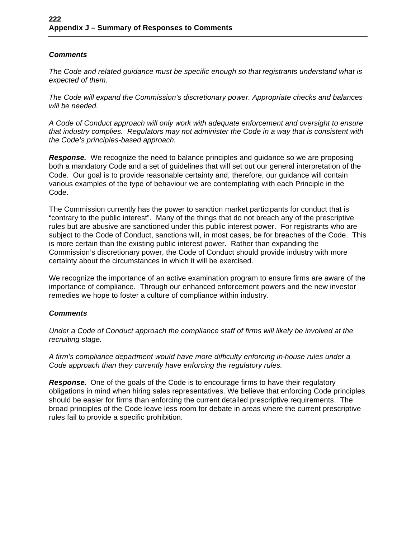#### *Comments*

*The Code and related guidance must be specific enough so that registrants understand what is expected of them.* 

*The Code will expand the Commission's discretionary power. Appropriate checks and balances will be needed.*

*A Code of Conduct approach will only work with adequate enforcement and oversight to ensure that industry complies. Regulators may not administer the Code in a way that is consistent with the Code's principles-based approach.* 

*Response.* We recognize the need to balance principles and guidance so we are proposing both a mandatory Code and a set of guidelines that will set out our general interpretation of the Code. Our goal is to provide reasonable certainty and, therefore, our guidance will contain various examples of the type of behaviour we are contemplating with each Principle in the Code.

The Commission currently has the power to sanction market participants for conduct that is "contrary to the public interest". Many of the things that do not breach any of the prescriptive rules but are abusive are sanctioned under this public interest power. For registrants who are subject to the Code of Conduct, sanctions will, in most cases, be for breaches of the Code. This is more certain than the existing public interest power. Rather than expanding the Commission's discretionary power, the Code of Conduct should provide industry with more certainty about the circumstances in which it will be exercised.

We recognize the importance of an active examination program to ensure firms are aware of the importance of compliance. Through our enhanced enforcement powers and the new investor remedies we hope to foster a culture of compliance within industry.

#### *Comments*

*Under a Code of Conduct approach the compliance staff of firms will likely be involved at the recruiting stage.*

*A firm's compliance department would have more difficulty enforcing in-house rules under a Code approach than they currently have enforcing the regulatory rules.* 

**Response.** One of the goals of the Code is to encourage firms to have their regulatory obligations in mind when hiring sales representatives. We believe that enforcing Code principles should be easier for firms than enforcing the current detailed prescriptive requirements. The broad principles of the Code leave less room for debate in areas where the current prescriptive rules fail to provide a specific prohibition.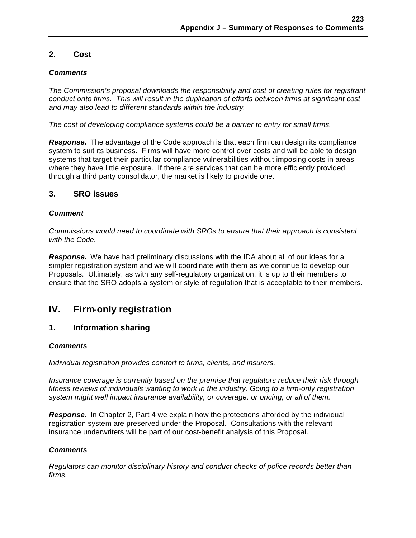# **2. Cost**

#### *Comments*

*The Commission's proposal downloads the responsibility and cost of creating rules for registrant conduct onto firms. This will result in the duplication of efforts between firms at significant cost and may also lead to different standards within the industry.* 

*The cost of developing compliance systems could be a barrier to entry for small firms.*

*Response***.** The advantage of the Code approach is that each firm can design its compliance system to suit its business. Firms will have more control over costs and will be able to design systems that target their particular compliance vulnerabilities without imposing costs in areas where they have little exposure. If there are services that can be more efficiently provided through a third party consolidator, the market is likely to provide one.

#### **3. SRO issues**

#### *Comment*

*Commissions would need to coordinate with SROs to ensure that their approach is consistent with the Code.* 

*Response***.** We have had preliminary discussions with the IDA about all of our ideas for a simpler registration system and we will coordinate with them as we continue to develop our Proposals. Ultimately, as with any self-regulatory organization, it is up to their members to ensure that the SRO adopts a system or style of regulation that is acceptable to their members.

# **IV. Firm-only registration**

# **1. Information sharing**

#### *Comments*

*Individual registration provides comfort to firms, clients, and insurers.* 

*Insurance coverage is currently based on the premise that regulators reduce their risk through fitness reviews of individuals wanting to work in the industry. Going to a firm-only registration system might well impact insurance availability, or coverage, or pricing, or all of them.* 

*Response***.** In Chapter 2, Part 4 we explain how the protections afforded by the individual registration system are preserved under the Proposal. Consultations with the relevant insurance underwriters will be part of our cost-benefit analysis of this Proposal.

#### *Comments*

*Regulators can monitor disciplinary history and conduct checks of police records better than firms.*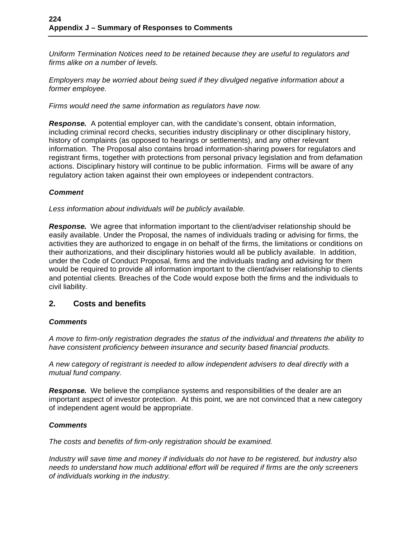*Uniform Termination Notices need to be retained because they are useful to regulators and firms alike on a number of levels.* 

*Employers may be worried about being sued if they divulged negative information about a former employee.*

*Firms would need the same information as regulators have now.*

*Response***.** A potential employer can, with the candidate's consent, obtain information, including criminal record checks, securities industry disciplinary or other disciplinary history, history of complaints (as opposed to hearings or settlements), and any other relevant information. The Proposal also contains broad information-sharing powers for regulators and registrant firms, together with protections from personal privacy legislation and from defamation actions. Disciplinary history will continue to be public information. Firms will be aware of any regulatory action taken against their own employees or independent contractors.

#### *Comment*

*Less information about individuals will be publicly available.* 

**Response.** We agree that information important to the client/adviser relationship should be easily available. Under the Proposal, the names of individuals trading or advising for firms, the activities they are authorized to engage in on behalf of the firms, the limitations or conditions on their authorizations, and their disciplinary histories would all be publicly available. In addition, under the Code of Conduct Proposal, firms and the individuals trading and advising for them would be required to provide all information important to the client/adviser relationship to clients and potential clients. Breaches of the Code would expose both the firms and the individuals to civil liability.

#### **2. Costs and benefits**

#### *Comments*

*A move to firm-only registration degrades the status of the individual and threatens the ability to have consistent proficiency between insurance and security based financial products.* 

*A new category of registrant is needed to allow independent advisers to deal directly with a mutual fund company.*

**Response.** We believe the compliance systems and responsibilities of the dealer are an important aspect of investor protection. At this point, we are not convinced that a new category of independent agent would be appropriate.

#### *Comments*

*The costs and benefits of firm-only registration should be examined.* 

*Industry will save time and money if individuals do not have to be registered, but industry also needs to understand how much additional effort will be required if firms are the only screeners of individuals working in the industry.*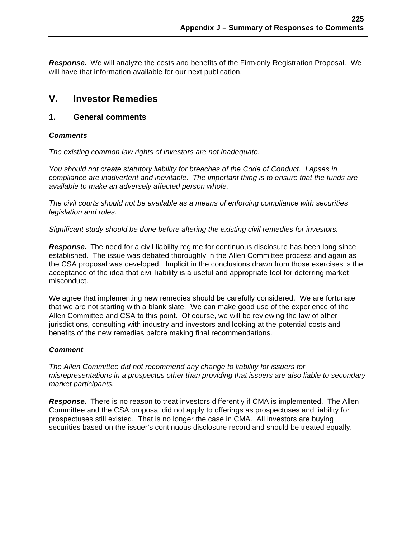*Response***.** We will analyze the costs and benefits of the Firm-only Registration Proposal. We will have that information available for our next publication.

# **V. Investor Remedies**

# **1. General comments**

#### *Comments*

*The existing common law rights of investors are not inadequate.* 

*You should not create statutory liability for breaches of the Code of Conduct. Lapses in compliance are inadvertent and inevitable. The important thing is to ensure that the funds are available to make an adversely affected person whole.*

*The civil courts should not be available as a means of enforcing compliance with securities legislation and rules.*

*Significant study should be done before altering the existing civil remedies for investors.* 

*Response***.** The need for a civil liability regime for continuous disclosure has been long since established. The issue was debated thoroughly in the Allen Committee process and again as the CSA proposal was developed.Implicit in the conclusions drawn from those exercises is the acceptance of the idea that civil liability is a useful and appropriate tool for deterring market misconduct.

We agree that implementing new remedies should be carefully considered. We are fortunate that we are not starting with a blank slate. We can make good use of the experience of the Allen Committee and CSA to this point. Of course, we will be reviewing the law of other jurisdictions, consulting with industry and investors and looking at the potential costs and benefits of the new remedies before making final recommendations.

#### *Comment*

*The Allen Committee did not recommend any change to liability for issuers for misrepresentations in a prospectus other than providing that issuers are also liable to secondary market participants.* 

*Response***.** There is no reason to treat investors differently if CMA is implemented. The Allen Committee and the CSA proposal did not apply to offerings as prospectuses and liability for prospectuses still existed. That is no longer the case in CMA. All investors are buying securities based on the issuer's continuous disclosure record and should be treated equally.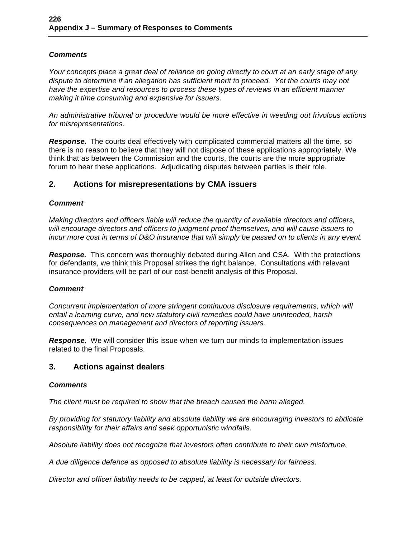#### *Comments*

*Your concepts place a great deal of reliance on going directly to court at an early stage of any dispute to determine if an allegation has sufficient merit to proceed. Yet the courts may not have the expertise and resources to process these types of reviews in an efficient manner making it time consuming and expensive for issuers.* 

*An administrative tribunal or procedure would be more effective in weeding out frivolous actions for misrepresentations.* 

*Response***.** The courts deal effectively with complicated commercial matters all the time, so there is no reason to believe that they will not dispose of these applications appropriately. We think that as between the Commission and the courts, the courts are the more appropriate forum to hear these applications. Adjudicating disputes between parties is their role.

# **2. Actions for misrepresentations by CMA issuers**

#### *Comment*

*Making directors and officers liable will reduce the quantity of available directors and officers, will encourage directors and officers to judgment proof themselves, and will cause issuers to incur more cost in terms of D&O insurance that will simply be passed on to clients in any event.* 

*Response.* This concern was thoroughly debated during Allen and CSA. With the protections for defendants, we think this Proposal strikes the right balance. Consultations with relevant insurance providers will be part of our cost-benefit analysis of this Proposal.

#### *Comment*

*Concurrent implementation of more stringent continuous disclosure requirements, which will entail a learning curve, and new statutory civil remedies could have unintended, harsh consequences on management and directors of reporting issuers.* 

*Response***.** We will consider this issue when we turn our minds to implementation issues related to the final Proposals.

# **3. Actions against dealers**

#### *Comments*

*The client must be required to show that the breach caused the harm alleged.*

*By providing for statutory liability and absolute liability we are encouraging investors to abdicate responsibility for their affairs and seek opportunistic windfalls.* 

*Absolute liability does not recognize that investors often contribute to their own misfortune.* 

*A due diligence defence as opposed to absolute liability is necessary for fairness.* 

*Director and officer liability needs to be capped, at least for outside directors.*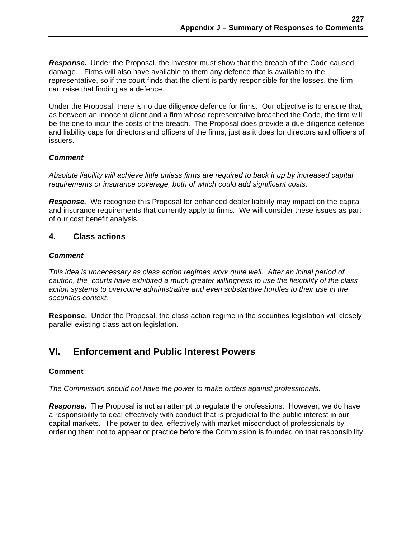*Response***.** Under the Proposal, the investor must show that the breach of the Code caused damage. Firms will also have available to them any defence that is available to the representative, so if the court finds that the client is partly responsible for the losses, the firm can raise that finding as a defence.

Under the Proposal, there is no due diligence defence for firms. Our objective is to ensure that, as between an innocent client and a firm whose representative breached the Code, the firm will be the one to incur the costs of the breach. The Proposal does provide a due diligence defence and liability caps for directors and officers of the firms, just as it does for directors and officers of issuers.

#### *Comment*

*Absolute liability will achieve little unless firms are required to back it up by increased capital requirements or insurance coverage, both of which could add significant costs.*

*Response.* We recognize this Proposal for enhanced dealer liability may impact on the capital and insurance requirements that currently apply to firms. We will consider these issues as part of our cost benefit analysis.

# **4. Class actions**

#### *Comment*

*This idea is unnecessary as class action regimes work quite well. After an initial period of caution, the courts have exhibited a much greater willingness to use the flexibility of the class action systems to overcome administrative and even substantive hurdles to their use in the securities context.*

**Response.** Under the Proposal, the class action regime in the securities legislation will closely parallel existing class action legislation.

# **VI. Enforcement and Public Interest Powers**

#### **Comment**

*The Commission should not have the power to make orders against professionals.* 

*Response***.** The Proposal is not an attempt to regulate the professions. However, we do have a responsibility to deal effectively with conduct that is prejudicial to the public interest in our capital markets. The power to deal effectively with market misconduct of professionals by ordering them not to appear or practice before the Commission is founded on that responsibility.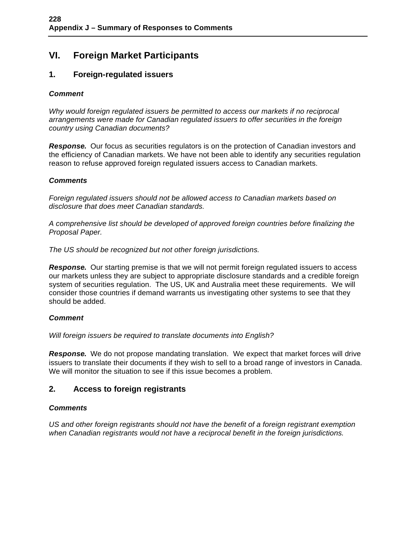# **VI. Foreign Market Participants**

# **1. Foreign-regulated issuers**

#### *Comment*

*Why would foreign regulated issuers be permitted to access our markets if no reciprocal arrangements were made for Canadian regulated issuers to offer securities in the foreign country using Canadian documents?*

*Response***.** Our focus as securities regulators is on the protection of Canadian investors and the efficiency of Canadian markets. We have not been able to identify any securities regulation reason to refuse approved foreign regulated issuers access to Canadian markets.

#### *Comments*

*Foreign regulated issuers should not be allowed access to Canadian markets based on disclosure that does meet Canadian standards.* 

*A comprehensive list should be developed of approved foreign countries before finalizing the Proposal Paper.* 

*The US should be recognized but not other foreign jurisdictions.*

*Response***.**Our starting premise is that we will not permit foreign regulated issuers to access our markets unless they are subject to appropriate disclosure standards and a credible foreign system of securities regulation. The US, UK and Australia meet these requirements. We will consider those countries if demand warrants us investigating other systems to see that they should be added.

#### *Comment*

*Will foreign issuers be required to translate documents into English?* 

*Response***.** We do not propose mandating translation. We expect that market forces will drive issuers to translate their documents if they wish to sell to a broad range of investors in Canada. We will monitor the situation to see if this issue becomes a problem.

# **2. Access to foreign registrants**

#### *Comments*

*US and other foreign registrants should not have the benefit of a foreign registrant exemption when Canadian registrants would not have a reciprocal benefit in the foreign jurisdictions.*